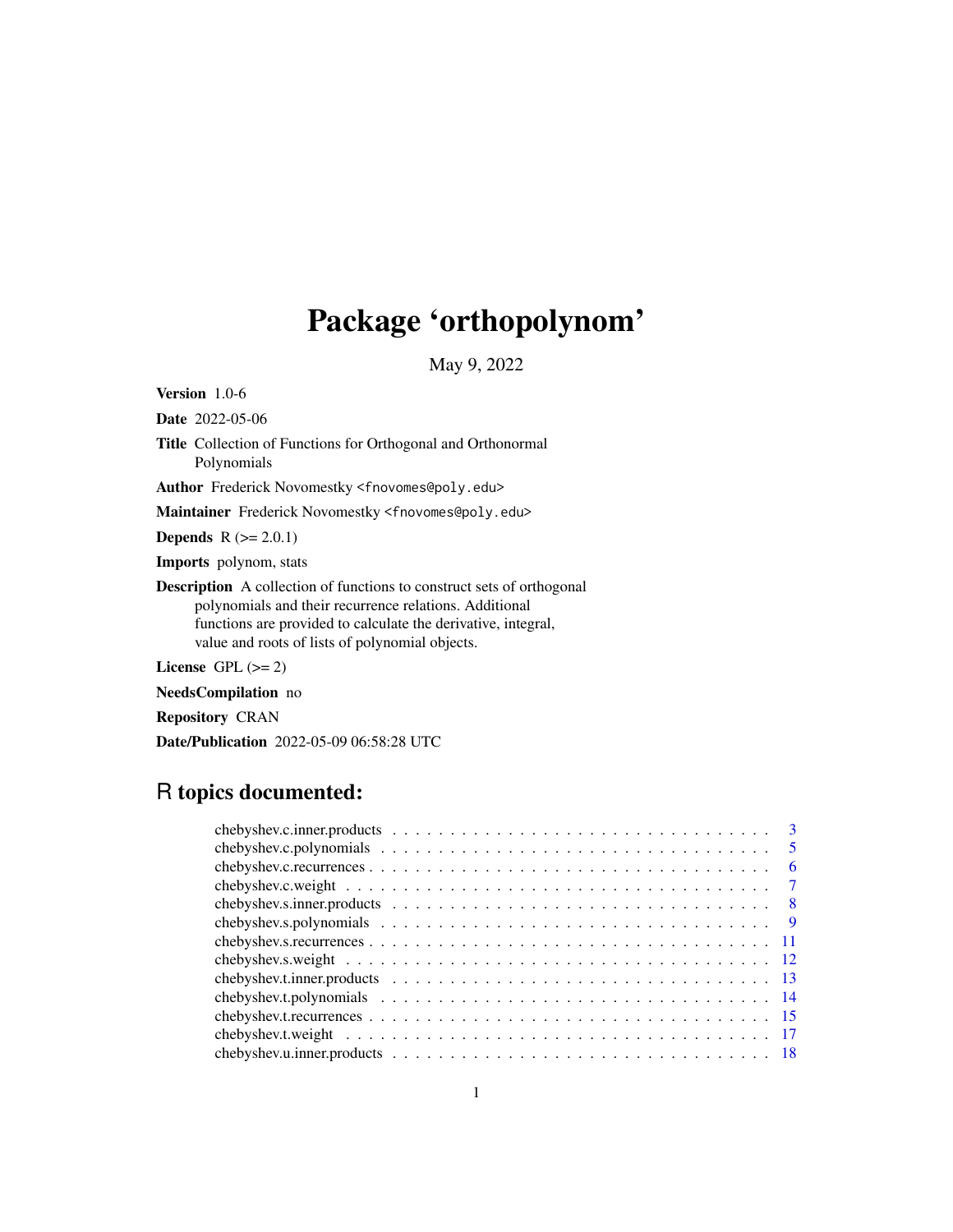# Package 'orthopolynom'

May 9, 2022

Version 1.0-6

Date 2022-05-06

Title Collection of Functions for Orthogonal and Orthonormal Polynomials

Author Frederick Novomestky <fnovomes@poly.edu>

Maintainer Frederick Novomestky <fnovomes@poly.edu>

**Depends**  $R (= 2.0.1)$ 

Imports polynom, stats

Description A collection of functions to construct sets of orthogonal polynomials and their recurrence relations. Additional functions are provided to calculate the derivative, integral, value and roots of lists of polynomial objects.

License GPL  $(>= 2)$ 

NeedsCompilation no

Repository CRAN

Date/Publication 2022-05-09 06:58:28 UTC

# R topics documented:

|                                                                                                                 | - 6            |
|-----------------------------------------------------------------------------------------------------------------|----------------|
|                                                                                                                 | $\overline{7}$ |
|                                                                                                                 |                |
|                                                                                                                 |                |
|                                                                                                                 |                |
| chebyshev.s.weight $\ldots \ldots \ldots \ldots \ldots \ldots \ldots \ldots \ldots \ldots \ldots \ldots \ldots$ |                |
|                                                                                                                 |                |
|                                                                                                                 |                |
|                                                                                                                 |                |
|                                                                                                                 |                |
|                                                                                                                 |                |
|                                                                                                                 |                |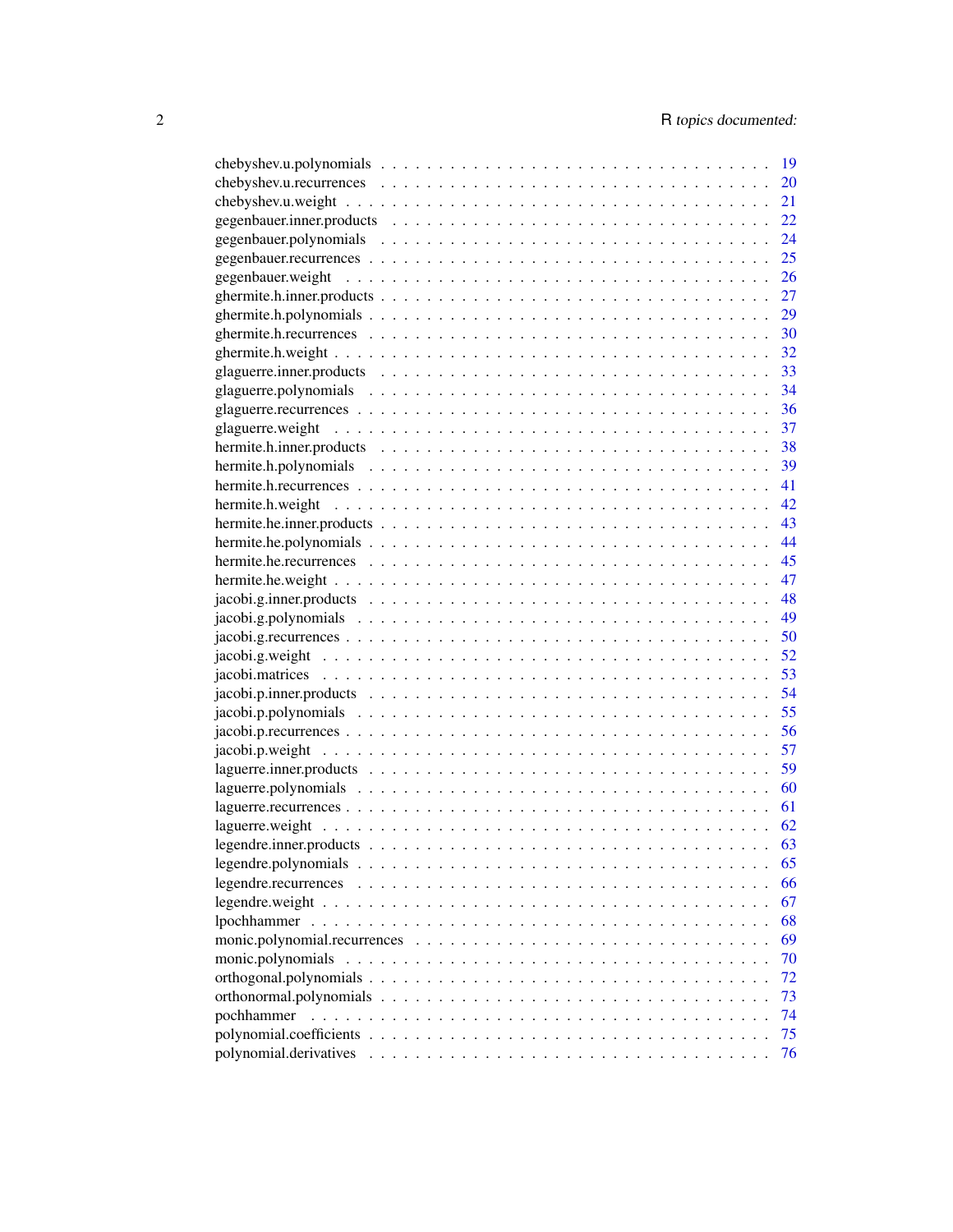| 20<br>21<br>22<br>52<br>- 61<br>62<br>63<br>65<br>66<br>67<br>68<br>69<br>70<br>72<br>73<br>74 |                   | 19 |
|------------------------------------------------------------------------------------------------|-------------------|----|
|                                                                                                |                   |    |
|                                                                                                |                   |    |
|                                                                                                |                   |    |
|                                                                                                |                   |    |
|                                                                                                |                   |    |
|                                                                                                |                   |    |
|                                                                                                |                   |    |
|                                                                                                |                   |    |
|                                                                                                |                   |    |
|                                                                                                |                   |    |
|                                                                                                |                   |    |
|                                                                                                |                   |    |
|                                                                                                |                   |    |
|                                                                                                |                   |    |
|                                                                                                |                   |    |
|                                                                                                |                   |    |
|                                                                                                |                   |    |
|                                                                                                |                   |    |
|                                                                                                |                   |    |
|                                                                                                |                   |    |
|                                                                                                |                   |    |
|                                                                                                |                   |    |
|                                                                                                |                   |    |
|                                                                                                |                   |    |
|                                                                                                |                   |    |
|                                                                                                |                   |    |
|                                                                                                |                   |    |
|                                                                                                |                   |    |
|                                                                                                |                   |    |
|                                                                                                |                   |    |
|                                                                                                |                   |    |
|                                                                                                |                   |    |
|                                                                                                |                   |    |
|                                                                                                |                   |    |
|                                                                                                |                   |    |
|                                                                                                |                   |    |
|                                                                                                |                   |    |
|                                                                                                |                   |    |
|                                                                                                |                   |    |
|                                                                                                |                   |    |
|                                                                                                |                   |    |
|                                                                                                | monic.polynomials |    |
|                                                                                                |                   |    |
|                                                                                                |                   |    |
|                                                                                                | pochhammer        |    |
| 75                                                                                             |                   |    |
|                                                                                                |                   | 76 |
|                                                                                                |                   |    |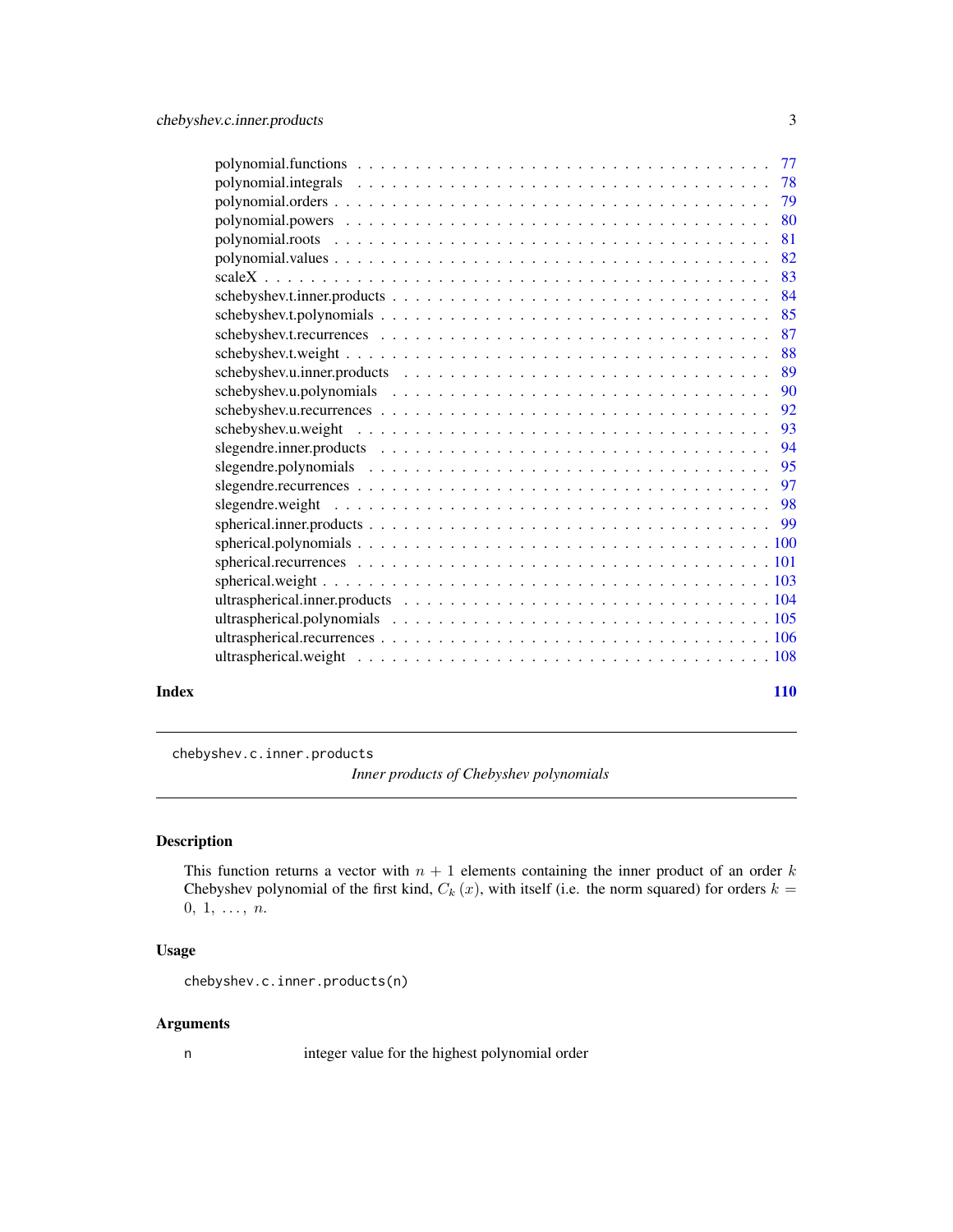<span id="page-2-0"></span>

|       | 88         |  |
|-------|------------|--|
|       |            |  |
|       |            |  |
|       | 92         |  |
|       |            |  |
|       |            |  |
|       |            |  |
|       |            |  |
|       |            |  |
|       |            |  |
|       |            |  |
|       |            |  |
|       |            |  |
|       |            |  |
|       |            |  |
|       |            |  |
|       |            |  |
| Index | <b>110</b> |  |

<span id="page-2-1"></span>chebyshev.c.inner.products

*Inner products of Chebyshev polynomials*

# Description

This function returns a vector with  $n + 1$  elements containing the inner product of an order k Chebyshev polynomial of the first kind,  $C_k(x)$ , with itself (i.e. the norm squared) for orders  $k =$  $0, 1, \ldots, n.$ 

# Usage

chebyshev.c.inner.products(n)

# Arguments

n integer value for the highest polynomial order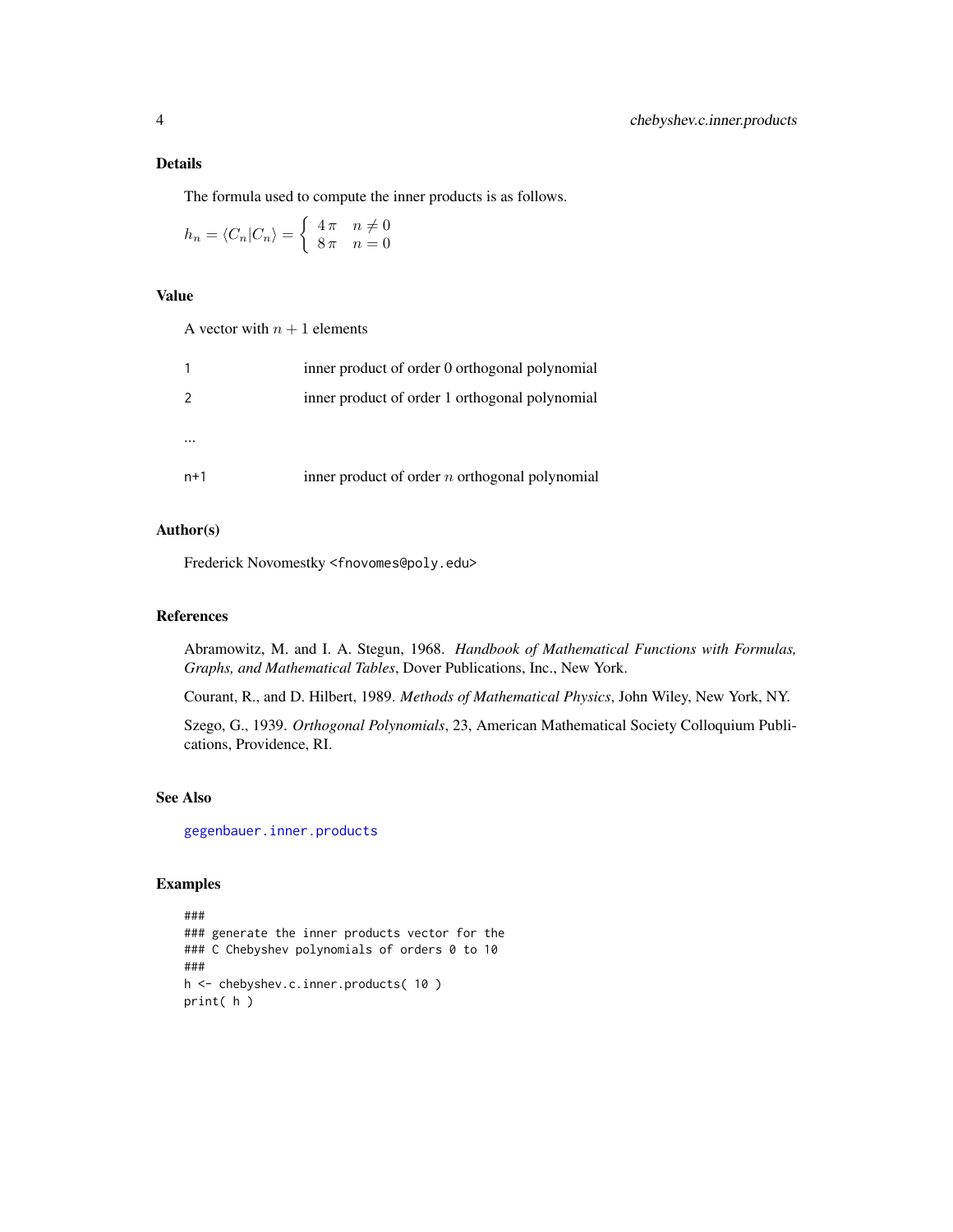# Details

The formula used to compute the inner products is as follows.

$$
h_n = \langle C_n | C_n \rangle = \begin{cases} 4\pi & n \neq 0 \\ 8\pi & n = 0 \end{cases}
$$

#### Value

A vector with  $n + 1$  elements

|       | inner product of order 0 orthogonal polynomial   |
|-------|--------------------------------------------------|
| 2     | inner product of order 1 orthogonal polynomial   |
|       |                                                  |
|       |                                                  |
| $n+1$ | inner product of order $n$ orthogonal polynomial |

# Author(s)

Frederick Novomestky <fnovomes@poly.edu>

# References

Abramowitz, M. and I. A. Stegun, 1968. *Handbook of Mathematical Functions with Formulas, Graphs, and Mathematical Tables*, Dover Publications, Inc., New York.

Courant, R., and D. Hilbert, 1989. *Methods of Mathematical Physics*, John Wiley, New York, NY.

Szego, G., 1939. *Orthogonal Polynomials*, 23, American Mathematical Society Colloquium Publications, Providence, RI.

# See Also

[gegenbauer.inner.products](#page-21-1)

```
###
### generate the inner products vector for the
### C Chebyshev polynomials of orders 0 to 10
###
h <- chebyshev.c.inner.products( 10 )
print( h )
```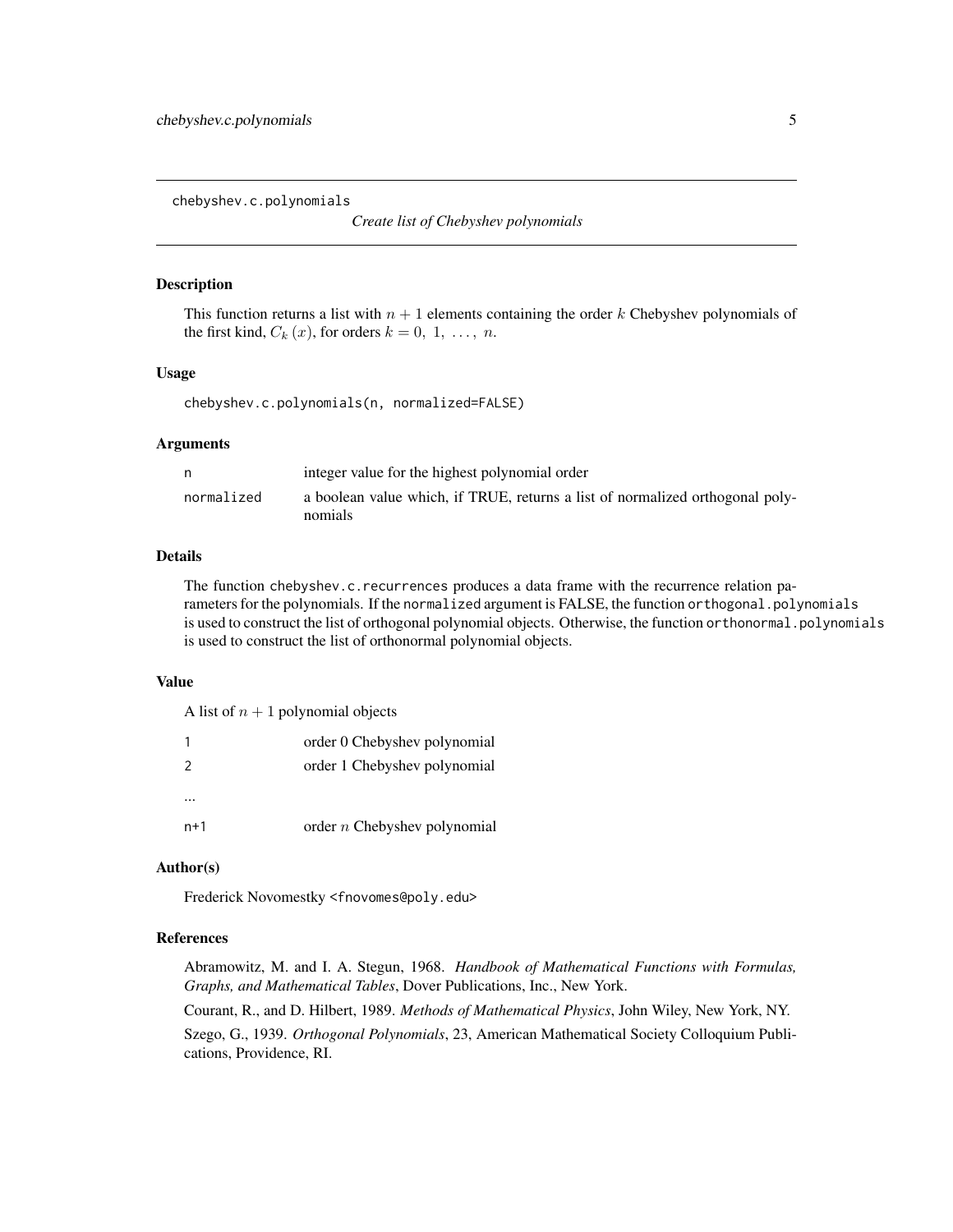<span id="page-4-0"></span>chebyshev.c.polynomials

*Create list of Chebyshev polynomials*

#### Description

This function returns a list with  $n + 1$  elements containing the order k Chebyshev polynomials of the first kind,  $C_k(x)$ , for orders  $k = 0, 1, \ldots, n$ .

#### Usage

chebyshev.c.polynomials(n, normalized=FALSE)

# Arguments

| n          | integer value for the highest polynomial order                                           |
|------------|------------------------------------------------------------------------------------------|
| normalized | a boolean value which, if TRUE, returns a list of normalized orthogonal poly-<br>nomials |

# Details

The function chebyshev.c.recurrences produces a data frame with the recurrence relation parameters for the polynomials. If the normalized argument is FALSE, the function orthogonal.polynomials is used to construct the list of orthogonal polynomial objects. Otherwise, the function orthonormal.polynomials is used to construct the list of orthonormal polynomial objects.

#### Value

A list of  $n + 1$  polynomial objects

| 1   | order 0 Chebyshev polynomial   |
|-----|--------------------------------|
| 2   | order 1 Chebyshev polynomial   |
|     |                                |
| n+1 | order $n$ Chebyshev polynomial |

#### Author(s)

Frederick Novomestky <fnovomes@poly.edu>

## References

Abramowitz, M. and I. A. Stegun, 1968. *Handbook of Mathematical Functions with Formulas, Graphs, and Mathematical Tables*, Dover Publications, Inc., New York.

Courant, R., and D. Hilbert, 1989. *Methods of Mathematical Physics*, John Wiley, New York, NY.

Szego, G., 1939. *Orthogonal Polynomials*, 23, American Mathematical Society Colloquium Publications, Providence, RI.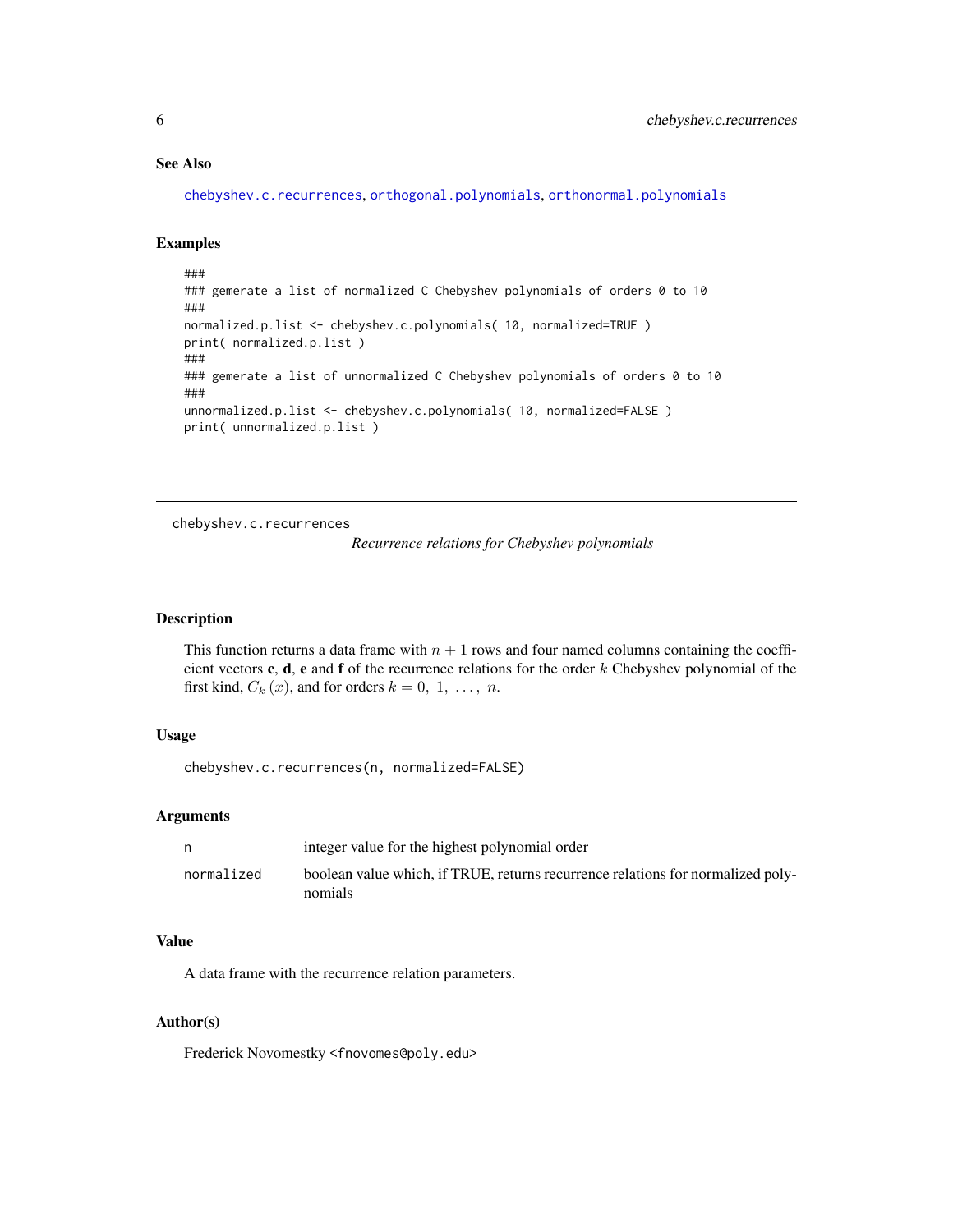# <span id="page-5-0"></span>See Also

```
chebyshev.c.recurrences, orthogonal.polynomials, orthonormal.polynomials
```
#### Examples

```
###
### gemerate a list of normalized C Chebyshev polynomials of orders 0 to 10
###
normalized.p.list <- chebyshev.c.polynomials( 10, normalized=TRUE )
print( normalized.p.list )
###
### gemerate a list of unnormalized C Chebyshev polynomials of orders 0 to 10
###
unnormalized.p.list <- chebyshev.c.polynomials( 10, normalized=FALSE )
print( unnormalized.p.list )
```
<span id="page-5-1"></span>chebyshev.c.recurrences

```
Recurrence relations for Chebyshev polynomials
```
# Description

This function returns a data frame with  $n + 1$  rows and four named columns containing the coefficient vectors c, d, e and f of the recurrence relations for the order  $k$  Chebyshev polynomial of the first kind,  $C_k(x)$ , and for orders  $k = 0, 1, \ldots, n$ .

# Usage

chebyshev.c.recurrences(n, normalized=FALSE)

#### Arguments

|            | integer value for the highest polynomial order                                  |
|------------|---------------------------------------------------------------------------------|
| normalized | boolean value which, if TRUE, returns recurrence relations for normalized poly- |
|            | nomials                                                                         |

# Value

A data frame with the recurrence relation parameters.

#### Author(s)

Frederick Novomestky <fnovomes@poly.edu>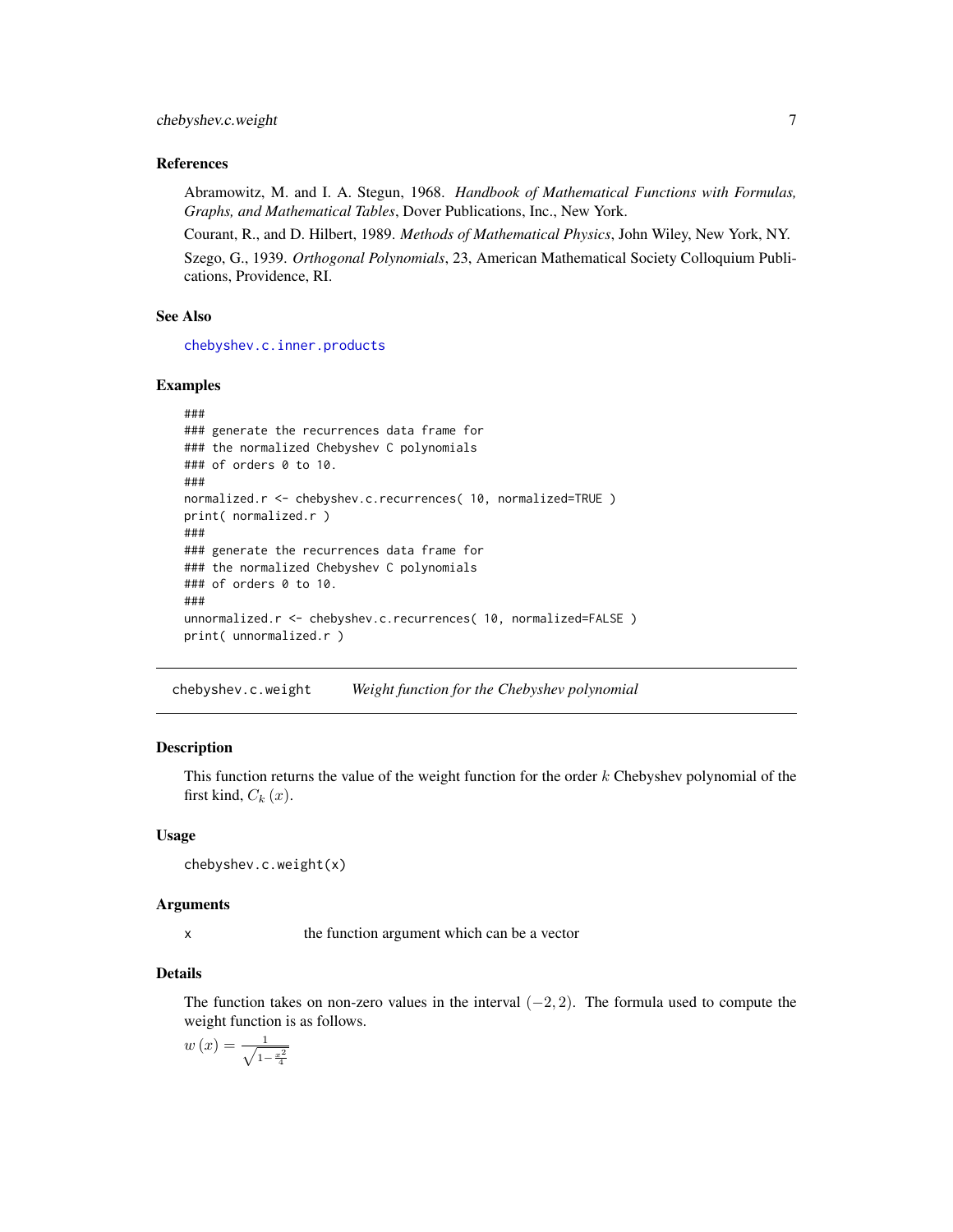#### <span id="page-6-0"></span>References

Abramowitz, M. and I. A. Stegun, 1968. *Handbook of Mathematical Functions with Formulas, Graphs, and Mathematical Tables*, Dover Publications, Inc., New York.

Courant, R., and D. Hilbert, 1989. *Methods of Mathematical Physics*, John Wiley, New York, NY. Szego, G., 1939. *Orthogonal Polynomials*, 23, American Mathematical Society Colloquium Publications, Providence, RI.

# See Also

[chebyshev.c.inner.products](#page-2-1)

#### Examples

```
###
### generate the recurrences data frame for
### the normalized Chebyshev C polynomials
### of orders 0 to 10.
###
normalized.r <- chebyshev.c.recurrences( 10, normalized=TRUE )
print( normalized.r )
###
### generate the recurrences data frame for
### the normalized Chebyshev C polynomials
### of orders 0 to 10.
###
unnormalized.r <- chebyshev.c.recurrences( 10, normalized=FALSE )
print( unnormalized.r )
```
chebyshev.c.weight *Weight function for the Chebyshev polynomial*

#### **Description**

This function returns the value of the weight function for the order  $k$  Chebyshev polynomial of the first kind,  $C_k(x)$ .

#### Usage

chebyshev.c.weight(x)

#### Arguments

x the function argument which can be a vector

# Details

The function takes on non-zero values in the interval  $(-2, 2)$ . The formula used to compute the weight function is as follows.

$$
w(x) = \frac{1}{\sqrt{1 - \frac{x^2}{4}}}
$$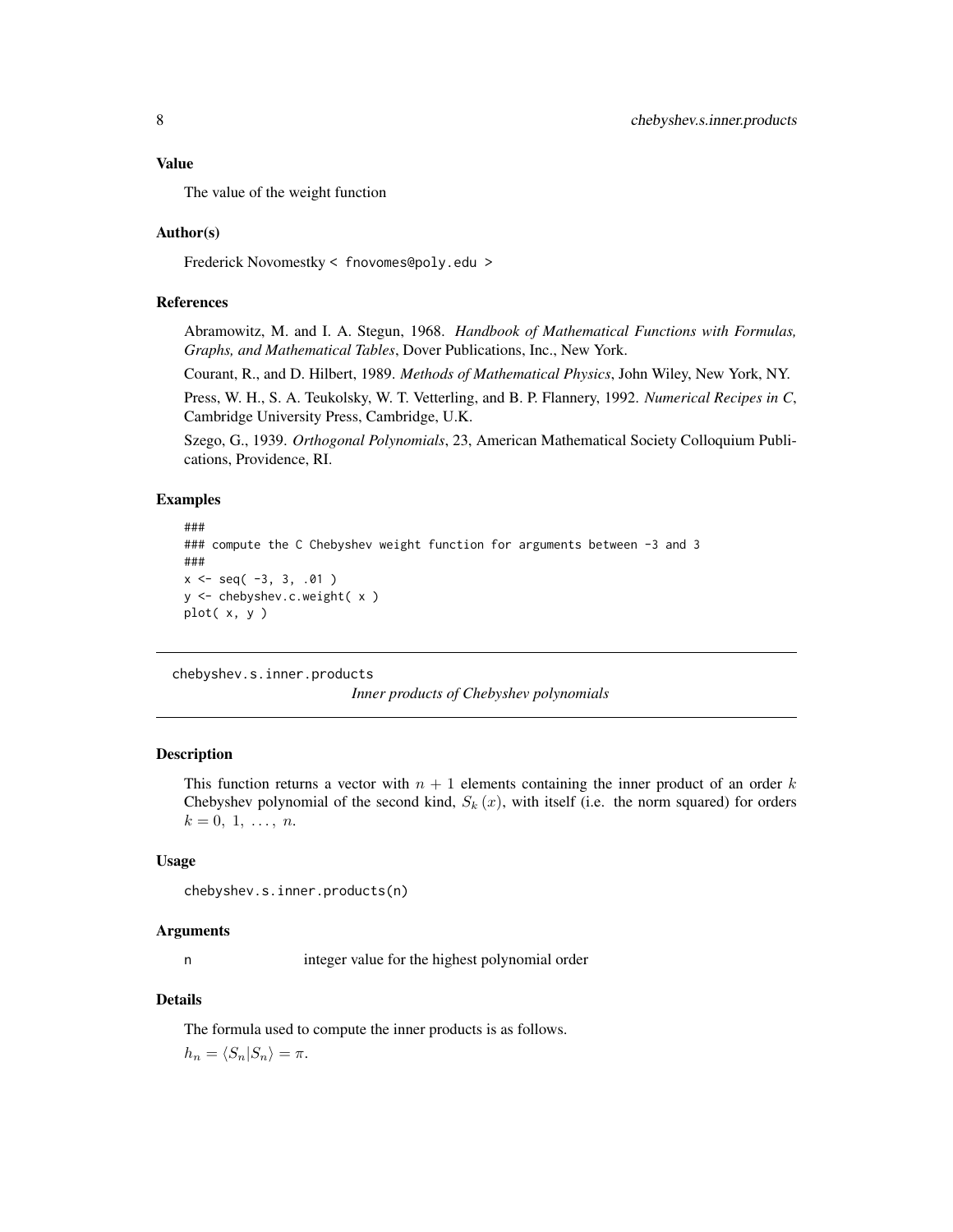#### <span id="page-7-0"></span>Value

The value of the weight function

#### Author(s)

Frederick Novomestky < fnovomes@poly.edu >

#### References

Abramowitz, M. and I. A. Stegun, 1968. *Handbook of Mathematical Functions with Formulas, Graphs, and Mathematical Tables*, Dover Publications, Inc., New York.

Courant, R., and D. Hilbert, 1989. *Methods of Mathematical Physics*, John Wiley, New York, NY.

Press, W. H., S. A. Teukolsky, W. T. Vetterling, and B. P. Flannery, 1992. *Numerical Recipes in C*, Cambridge University Press, Cambridge, U.K.

Szego, G., 1939. *Orthogonal Polynomials*, 23, American Mathematical Society Colloquium Publications, Providence, RI.

#### Examples

```
###
### compute the C Chebyshev weight function for arguments between -3 and 3
###
x \le - seq(-3, 3, .01)
y <- chebyshev.c.weight( x )
plot( x, y )
```
<span id="page-7-1"></span>chebyshev.s.inner.products

*Inner products of Chebyshev polynomials*

#### Description

This function returns a vector with  $n + 1$  elements containing the inner product of an order k Chebyshev polynomial of the second kind,  $S_k(x)$ , with itself (i.e. the norm squared) for orders  $k = 0, 1, \ldots, n$ .

#### Usage

```
chebyshev.s.inner.products(n)
```
#### Arguments

n integer value for the highest polynomial order

# Details

The formula used to compute the inner products is as follows.

 $h_n = \langle S_n | S_n \rangle = \pi.$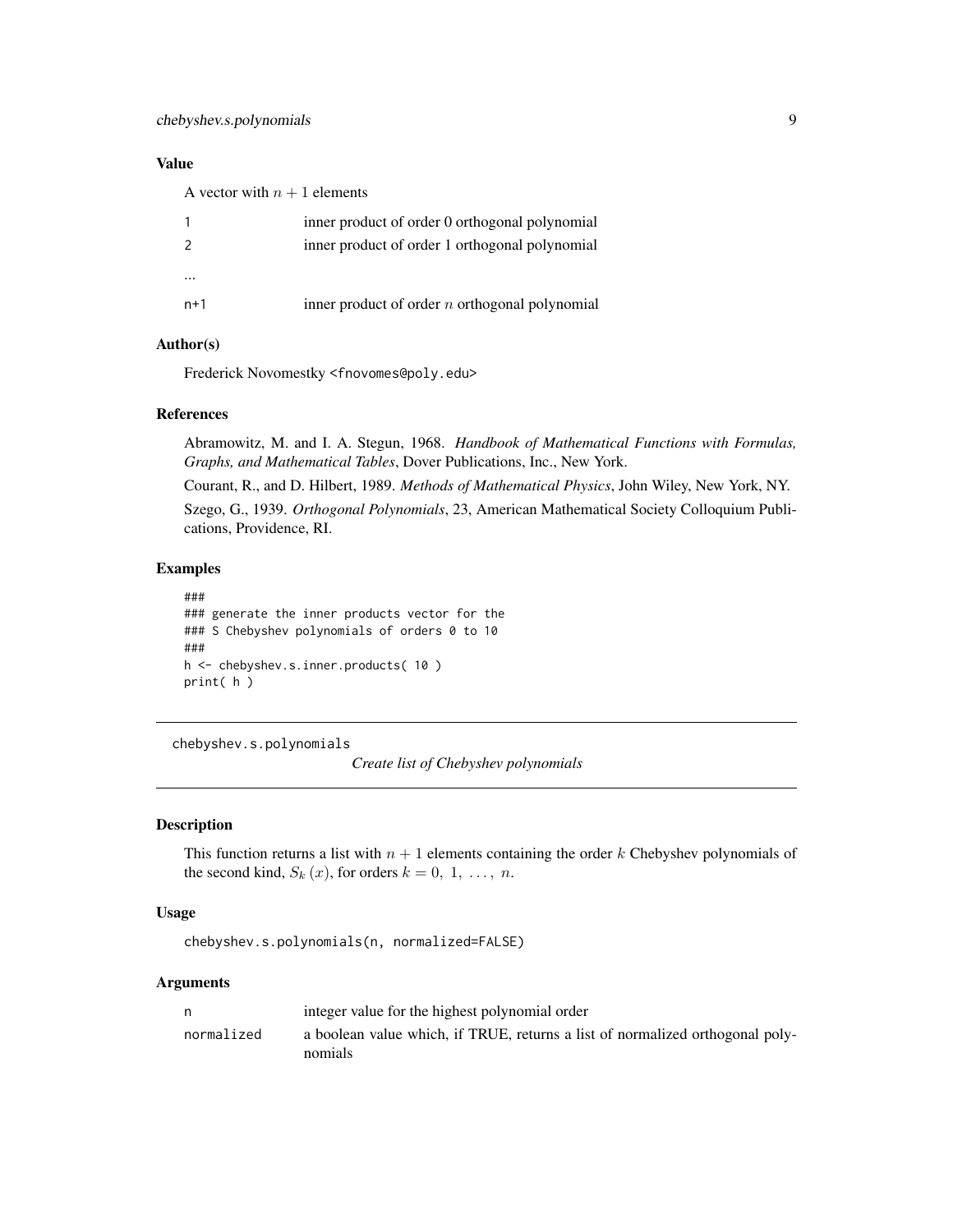# <span id="page-8-0"></span>Value

A vector with  $n + 1$  elements

|               | inner product of order 0 orthogonal polynomial   |
|---------------|--------------------------------------------------|
| $\mathcal{P}$ | inner product of order 1 orthogonal polynomial   |
|               |                                                  |
| $\cdots$      |                                                  |
| $n+1$         | inner product of order $n$ orthogonal polynomial |

# Author(s)

Frederick Novomestky <fnovomes@poly.edu>

#### References

Abramowitz, M. and I. A. Stegun, 1968. *Handbook of Mathematical Functions with Formulas, Graphs, and Mathematical Tables*, Dover Publications, Inc., New York.

Courant, R., and D. Hilbert, 1989. *Methods of Mathematical Physics*, John Wiley, New York, NY.

Szego, G., 1939. *Orthogonal Polynomials*, 23, American Mathematical Society Colloquium Publications, Providence, RI.

#### Examples

```
###
### generate the inner products vector for the
### S Chebyshev polynomials of orders 0 to 10
###
h <- chebyshev.s.inner.products( 10 )
print( h )
```
chebyshev.s.polynomials

*Create list of Chebyshev polynomials*

#### Description

This function returns a list with  $n + 1$  elements containing the order k Chebyshev polynomials of the second kind,  $S_k(x)$ , for orders  $k = 0, 1, \ldots, n$ .

#### Usage

chebyshev.s.polynomials(n, normalized=FALSE)

#### Arguments

| n,         | integer value for the highest polynomial order                                           |
|------------|------------------------------------------------------------------------------------------|
| normalized | a boolean value which, if TRUE, returns a list of normalized orthogonal poly-<br>nomials |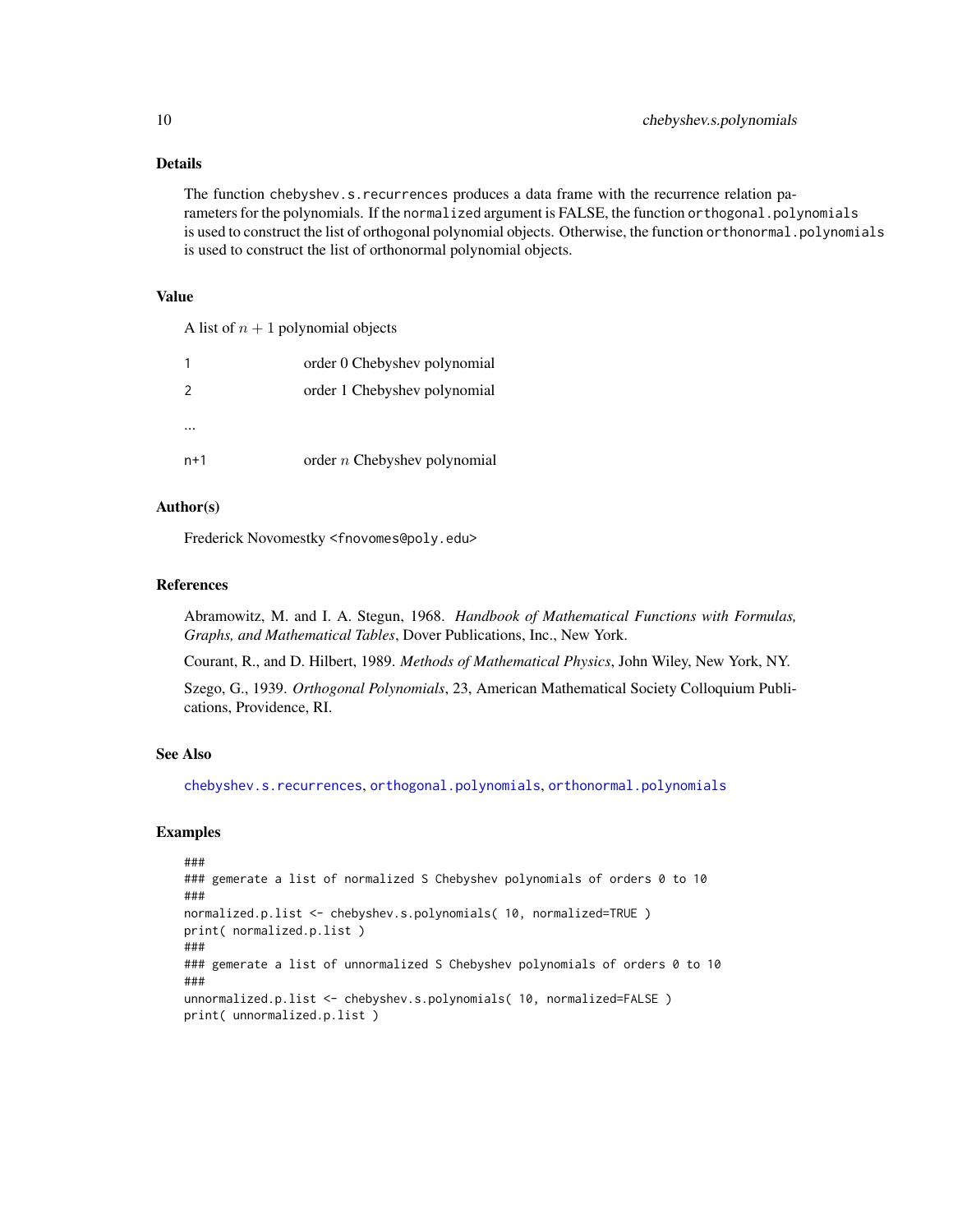# Details

The function chebyshev.s.recurrences produces a data frame with the recurrence relation parameters for the polynomials. If the normalized argument is FALSE, the function orthogonal.polynomials is used to construct the list of orthogonal polynomial objects. Otherwise, the function orthonormal.polynomials is used to construct the list of orthonormal polynomial objects.

#### Value

A list of  $n + 1$  polynomial objects

|               | order 0 Chebyshev polynomial   |
|---------------|--------------------------------|
| $\mathcal{L}$ | order 1 Chebyshev polynomial   |
|               |                                |
| $n+1$         | order $n$ Chebyshev polynomial |

# Author(s)

Frederick Novomestky <fnovomes@poly.edu>

#### References

Abramowitz, M. and I. A. Stegun, 1968. *Handbook of Mathematical Functions with Formulas, Graphs, and Mathematical Tables*, Dover Publications, Inc., New York.

Courant, R., and D. Hilbert, 1989. *Methods of Mathematical Physics*, John Wiley, New York, NY.

Szego, G., 1939. *Orthogonal Polynomials*, 23, American Mathematical Society Colloquium Publications, Providence, RI.

# See Also

[chebyshev.s.recurrences](#page-10-1), [orthogonal.polynomials](#page-71-1), [orthonormal.polynomials](#page-72-1)

```
###
### gemerate a list of normalized S Chebyshev polynomials of orders 0 to 10
###
normalized.p.list <- chebyshev.s.polynomials( 10, normalized=TRUE )
print( normalized.p.list )
###
### gemerate a list of unnormalized S Chebyshev polynomials of orders 0 to 10
###
unnormalized.p.list <- chebyshev.s.polynomials( 10, normalized=FALSE )
print( unnormalized.p.list )
```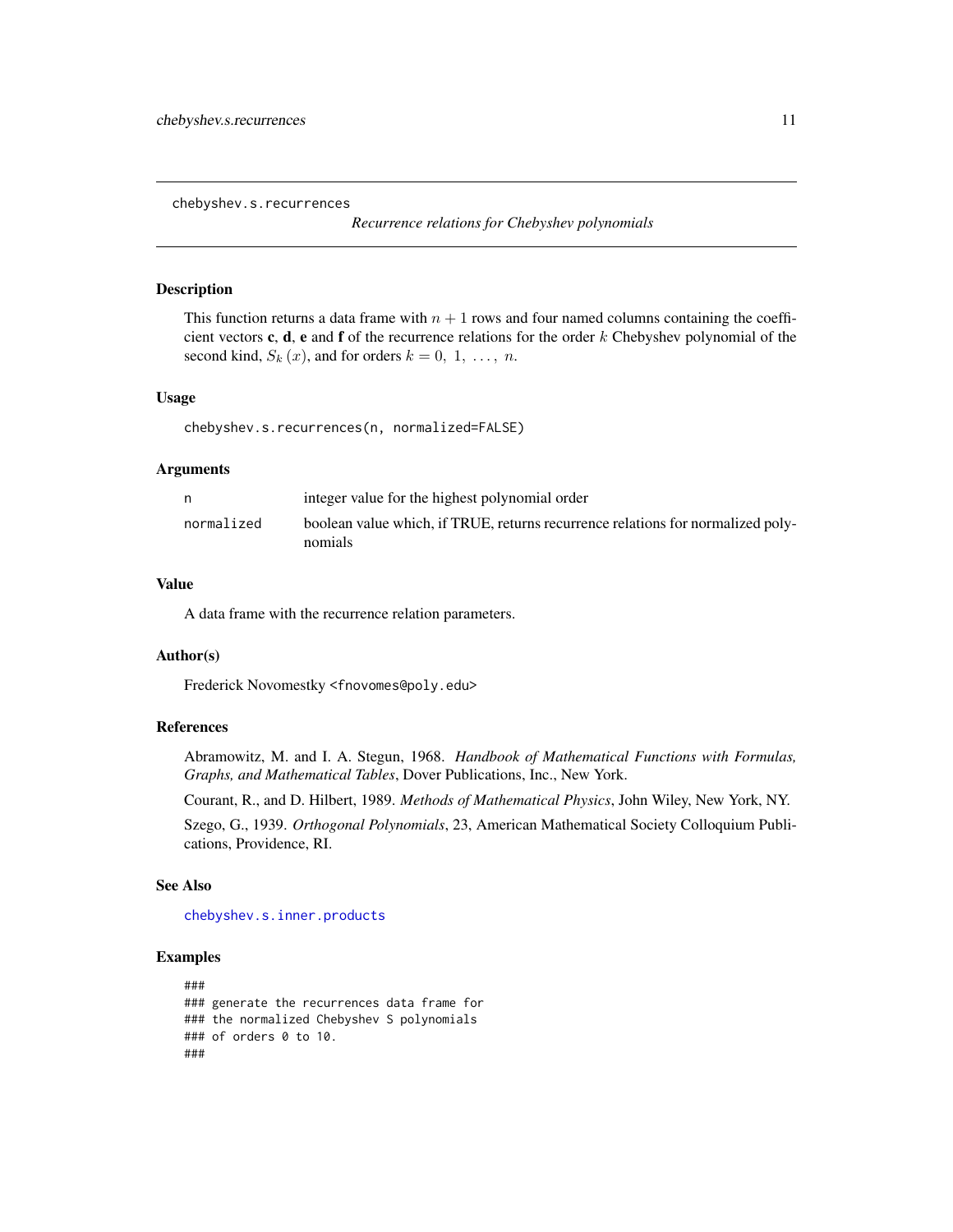<span id="page-10-1"></span><span id="page-10-0"></span>chebyshev.s.recurrences

*Recurrence relations for Chebyshev polynomials*

#### Description

This function returns a data frame with  $n + 1$  rows and four named columns containing the coefficient vectors c, d, e and f of the recurrence relations for the order  $k$  Chebyshev polynomial of the second kind,  $S_k(x)$ , and for orders  $k = 0, 1, \ldots, n$ .

#### Usage

chebyshev.s.recurrences(n, normalized=FALSE)

#### Arguments

|            | integer value for the highest polynomial order                                             |
|------------|--------------------------------------------------------------------------------------------|
| normalized | boolean value which, if TRUE, returns recurrence relations for normalized poly-<br>nomials |

# Value

A data frame with the recurrence relation parameters.

#### Author(s)

Frederick Novomestky <fnovomes@poly.edu>

# References

Abramowitz, M. and I. A. Stegun, 1968. *Handbook of Mathematical Functions with Formulas, Graphs, and Mathematical Tables*, Dover Publications, Inc., New York.

Courant, R., and D. Hilbert, 1989. *Methods of Mathematical Physics*, John Wiley, New York, NY.

Szego, G., 1939. *Orthogonal Polynomials*, 23, American Mathematical Society Colloquium Publications, Providence, RI.

#### See Also

[chebyshev.s.inner.products](#page-7-1)

```
###
### generate the recurrences data frame for
### the normalized Chebyshev S polynomials
### of orders 0 to 10.
###
```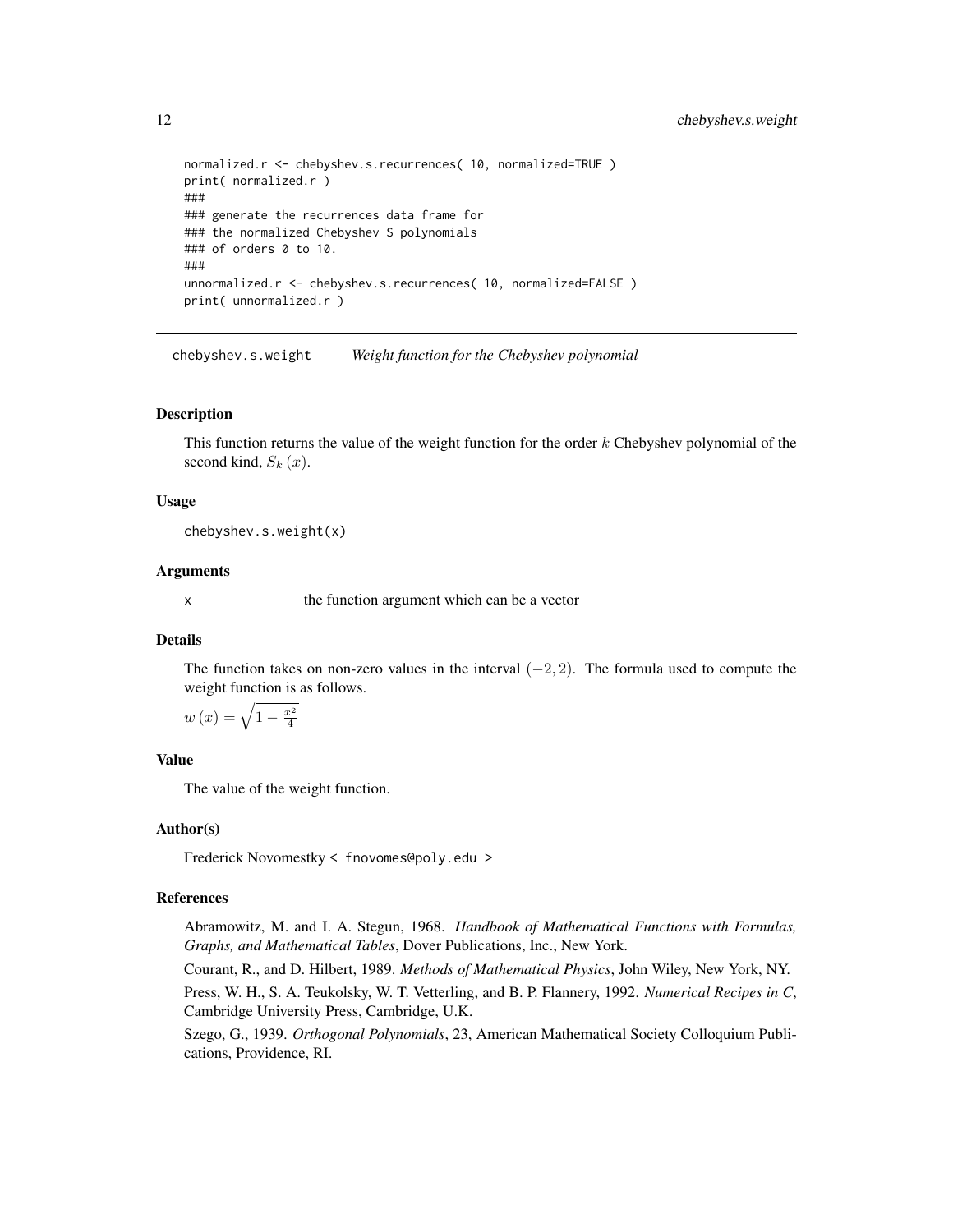```
normalized.r <- chebyshev.s.recurrences( 10, normalized=TRUE )
print( normalized.r )
###
### generate the recurrences data frame for
### the normalized Chebyshev S polynomials
### of orders 0 to 10.
###
unnormalized.r <- chebyshev.s.recurrences( 10, normalized=FALSE )
print( unnormalized.r )
```
chebyshev.s.weight *Weight function for the Chebyshev polynomial*

#### **Description**

This function returns the value of the weight function for the order  $k$  Chebyshev polynomial of the second kind,  $S_k(x)$ .

#### Usage

chebyshev.s.weight(x)

#### Arguments

x the function argument which can be a vector

#### Details

The function takes on non-zero values in the interval  $(-2, 2)$ . The formula used to compute the weight function is as follows.

$$
w(x) = \sqrt{1 - \frac{x^2}{4}}
$$

#### Value

The value of the weight function.

# Author(s)

Frederick Novomestky < fnovomes@poly.edu >

# References

Abramowitz, M. and I. A. Stegun, 1968. *Handbook of Mathematical Functions with Formulas, Graphs, and Mathematical Tables*, Dover Publications, Inc., New York.

Courant, R., and D. Hilbert, 1989. *Methods of Mathematical Physics*, John Wiley, New York, NY.

Press, W. H., S. A. Teukolsky, W. T. Vetterling, and B. P. Flannery, 1992. *Numerical Recipes in C*, Cambridge University Press, Cambridge, U.K.

Szego, G., 1939. *Orthogonal Polynomials*, 23, American Mathematical Society Colloquium Publications, Providence, RI.

<span id="page-11-0"></span>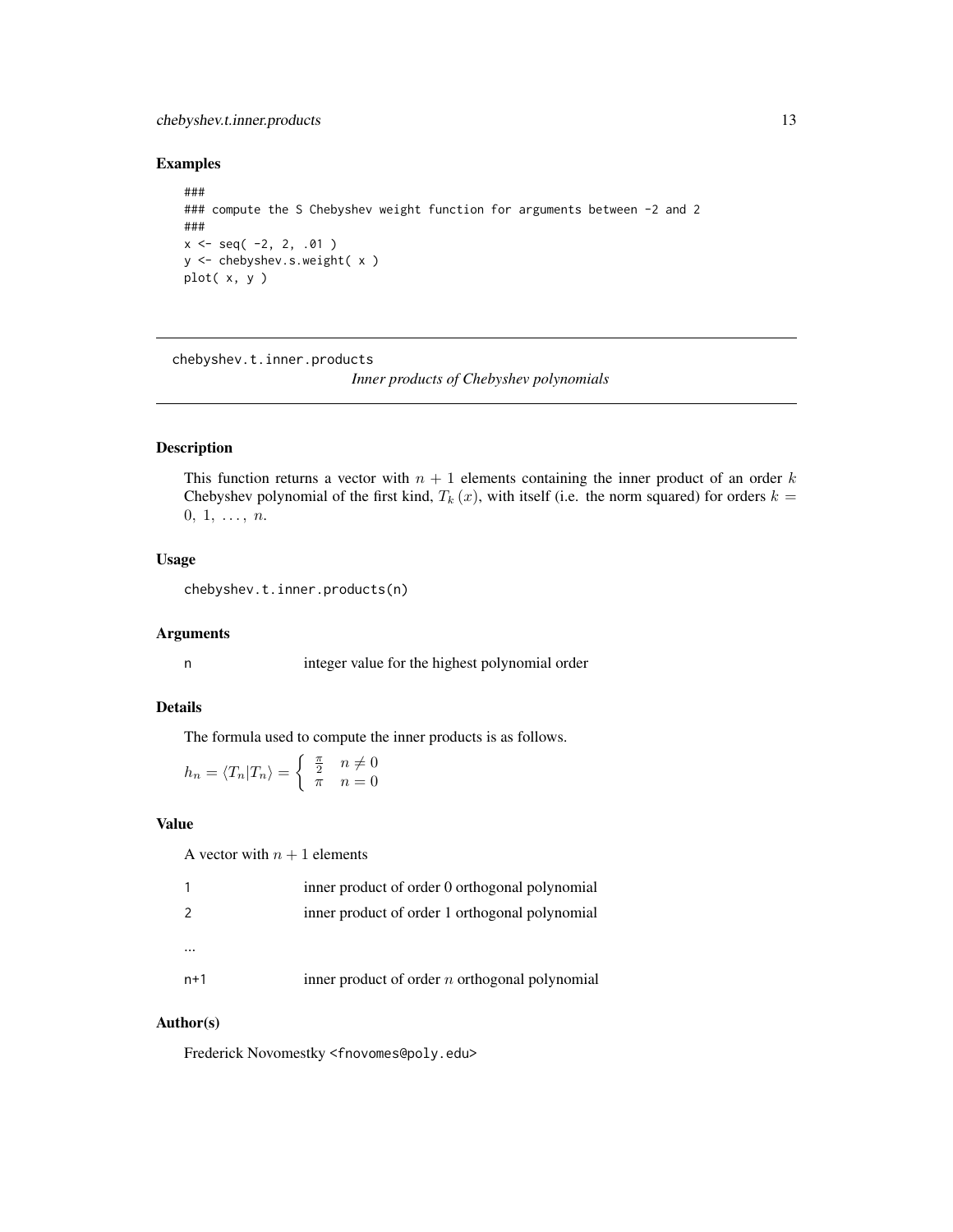# <span id="page-12-0"></span>chebyshev.t.inner.products 13

# Examples

```
###
### compute the S Chebyshev weight function for arguments between -2 and 2
###
x <- seq( -2, 2, .01 )
y <- chebyshev.s.weight( x )
plot( x, y )
```
<span id="page-12-1"></span>chebyshev.t.inner.products

*Inner products of Chebyshev polynomials*

# Description

This function returns a vector with  $n + 1$  elements containing the inner product of an order k Chebyshev polynomial of the first kind,  $T_k(x)$ , with itself (i.e. the norm squared) for orders  $k =$  $0, 1, \ldots, n.$ 

#### Usage

chebyshev.t.inner.products(n)

#### Arguments

n integer value for the highest polynomial order

# Details

The formula used to compute the inner products is as follows.

$$
h_n = \langle T_n | T_n \rangle = \begin{cases} \frac{\pi}{2} & n \neq 0\\ \pi & n = 0 \end{cases}
$$

#### Value

A vector with  $n + 1$  elements

|     | inner product of order 0 orthogonal polynomial   |
|-----|--------------------------------------------------|
| 2   | inner product of order 1 orthogonal polynomial   |
|     |                                                  |
| n+1 | inner product of order $n$ orthogonal polynomial |

#### Author(s)

Frederick Novomestky <fnovomes@poly.edu>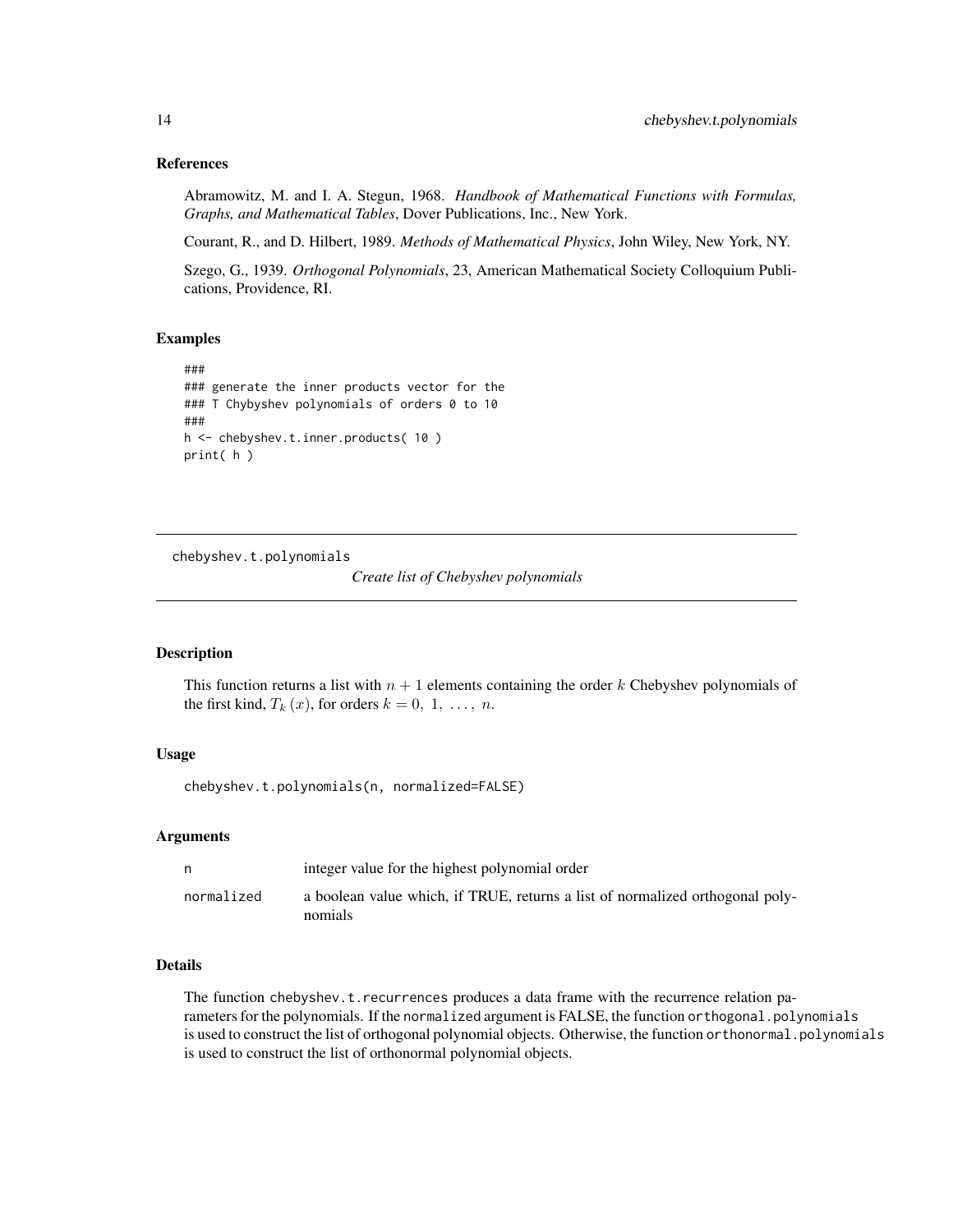# References

Abramowitz, M. and I. A. Stegun, 1968. *Handbook of Mathematical Functions with Formulas, Graphs, and Mathematical Tables*, Dover Publications, Inc., New York.

Courant, R., and D. Hilbert, 1989. *Methods of Mathematical Physics*, John Wiley, New York, NY.

Szego, G., 1939. *Orthogonal Polynomials*, 23, American Mathematical Society Colloquium Publications, Providence, RI.

#### Examples

```
###
### generate the inner products vector for the
### T Chybyshev polynomials of orders 0 to 10
###
h <- chebyshev.t.inner.products( 10 )
print( h )
```
chebyshev.t.polynomials

*Create list of Chebyshev polynomials*

#### Description

This function returns a list with  $n + 1$  elements containing the order k Chebyshev polynomials of the first kind,  $T_k(x)$ , for orders  $k = 0, 1, \ldots, n$ .

#### Usage

chebyshev.t.polynomials(n, normalized=FALSE)

#### Arguments

| n          | integer value for the highest polynomial order                                           |
|------------|------------------------------------------------------------------------------------------|
| normalized | a boolean value which, if TRUE, returns a list of normalized orthogonal poly-<br>nomials |

# Details

The function chebyshev.t.recurrences produces a data frame with the recurrence relation parameters for the polynomials. If the normalized argument is FALSE, the function orthogonal.polynomials is used to construct the list of orthogonal polynomial objects. Otherwise, the function orthonormal.polynomials is used to construct the list of orthonormal polynomial objects.

<span id="page-13-0"></span>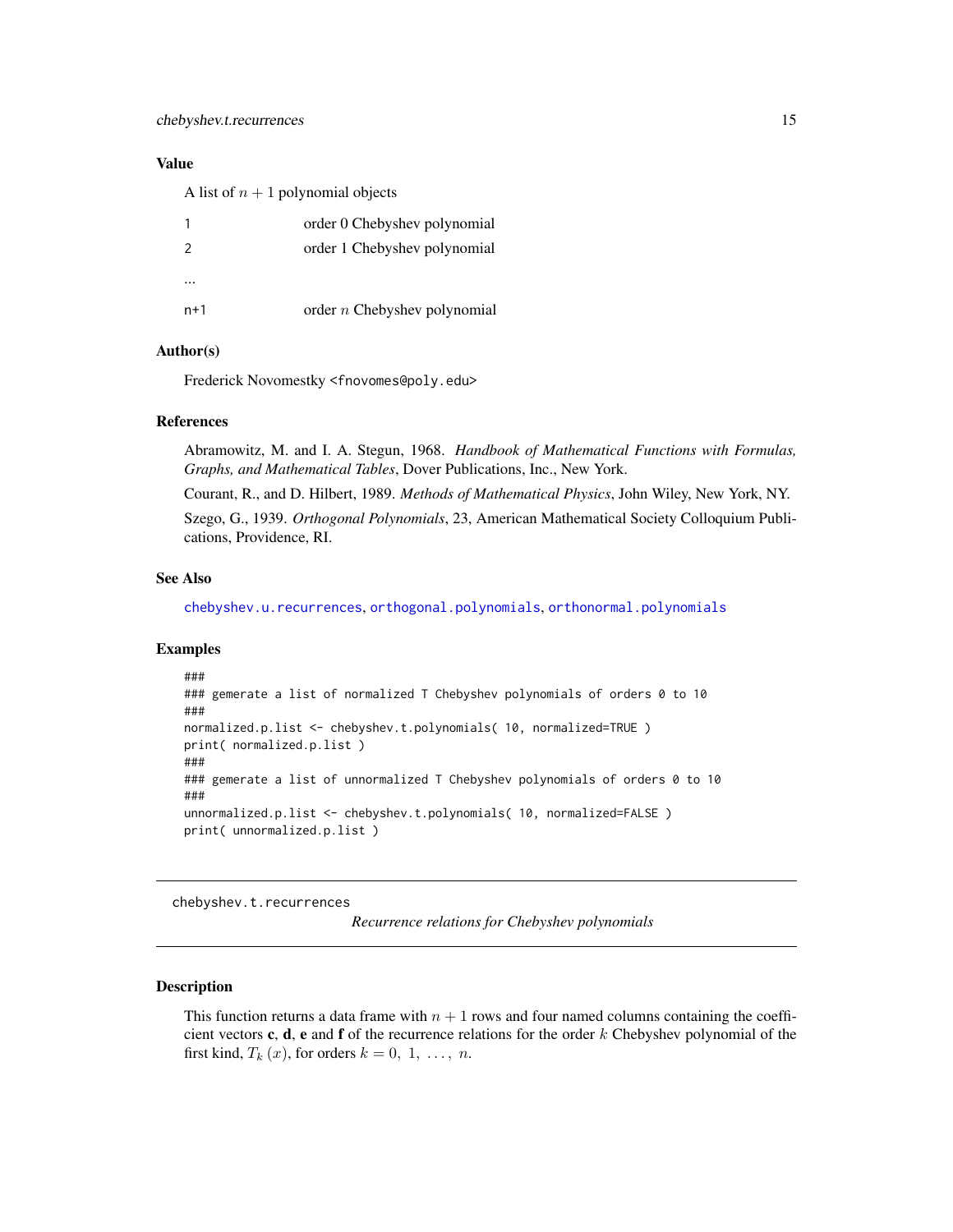# <span id="page-14-0"></span>Value

A list of  $n + 1$  polynomial objects

|               | order 0 Chebyshev polynomial   |
|---------------|--------------------------------|
| $\mathcal{L}$ | order 1 Chebyshev polynomial   |
|               |                                |
| $n+1$         | order $n$ Chebyshev polynomial |

# Author(s)

Frederick Novomestky <fnovomes@poly.edu>

# References

Abramowitz, M. and I. A. Stegun, 1968. *Handbook of Mathematical Functions with Formulas, Graphs, and Mathematical Tables*, Dover Publications, Inc., New York.

Courant, R., and D. Hilbert, 1989. *Methods of Mathematical Physics*, John Wiley, New York, NY.

Szego, G., 1939. *Orthogonal Polynomials*, 23, American Mathematical Society Colloquium Publications, Providence, RI.

#### See Also

[chebyshev.u.recurrences](#page-19-1), [orthogonal.polynomials](#page-71-1), [orthonormal.polynomials](#page-72-1)

#### Examples

```
###
### gemerate a list of normalized T Chebyshev polynomials of orders 0 to 10
###
normalized.p.list <- chebyshev.t.polynomials( 10, normalized=TRUE )
print( normalized.p.list )
###
### gemerate a list of unnormalized T Chebyshev polynomials of orders 0 to 10
###
unnormalized.p.list <- chebyshev.t.polynomials( 10, normalized=FALSE )
print( unnormalized.p.list )
```
chebyshev.t.recurrences

*Recurrence relations for Chebyshev polynomials*

# Description

This function returns a data frame with  $n + 1$  rows and four named columns containing the coefficient vectors c, d, e and f of the recurrence relations for the order  $k$  Chebyshev polynomial of the first kind,  $T_k(x)$ , for orders  $k = 0, 1, \ldots, n$ .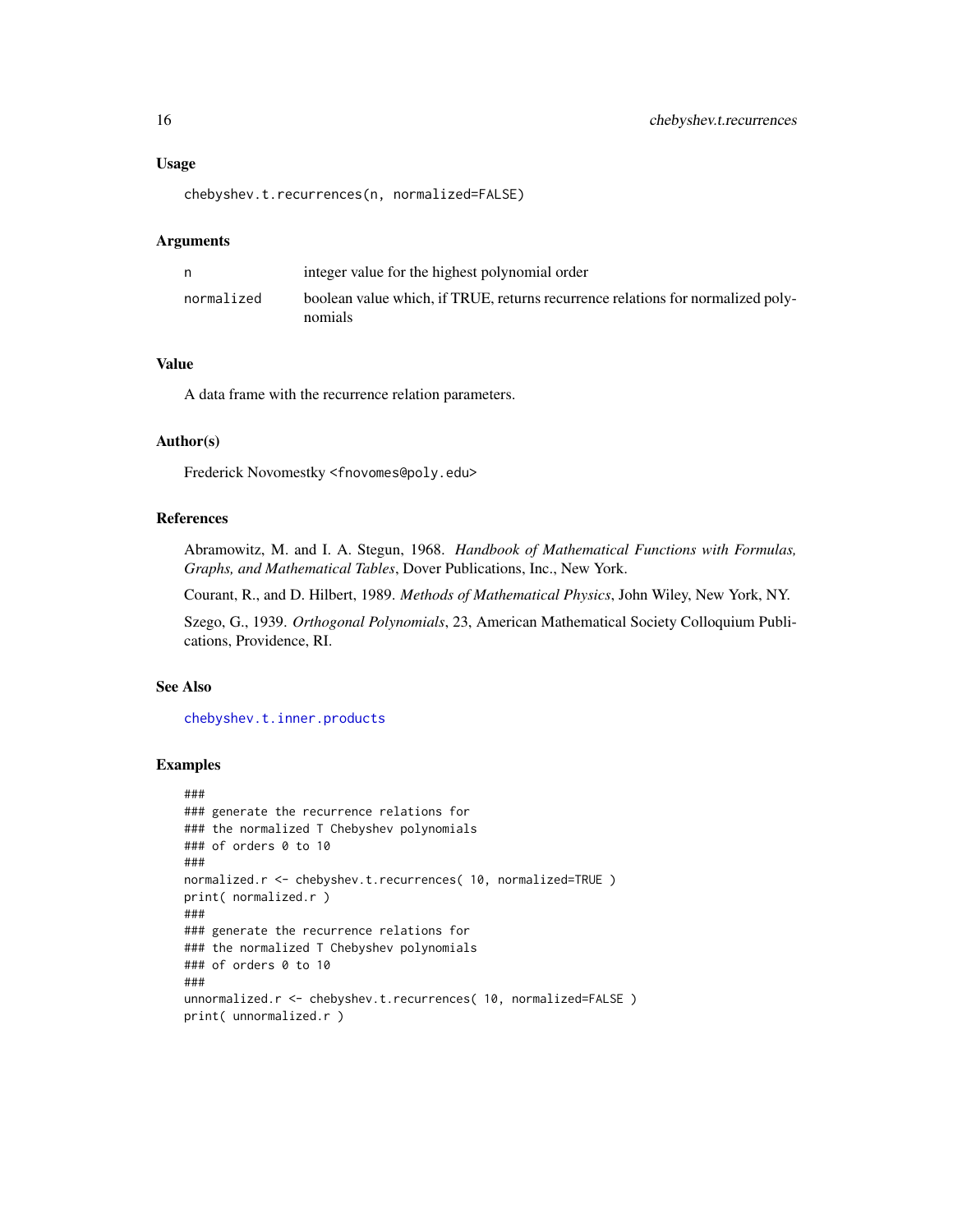#### Usage

chebyshev.t.recurrences(n, normalized=FALSE)

#### Arguments

|            | integer value for the highest polynomial order                                             |
|------------|--------------------------------------------------------------------------------------------|
| normalized | boolean value which, if TRUE, returns recurrence relations for normalized poly-<br>nomials |

# Value

A data frame with the recurrence relation parameters.

#### Author(s)

Frederick Novomestky <fnovomes@poly.edu>

# References

Abramowitz, M. and I. A. Stegun, 1968. *Handbook of Mathematical Functions with Formulas, Graphs, and Mathematical Tables*, Dover Publications, Inc., New York.

Courant, R., and D. Hilbert, 1989. *Methods of Mathematical Physics*, John Wiley, New York, NY.

Szego, G., 1939. *Orthogonal Polynomials*, 23, American Mathematical Society Colloquium Publications, Providence, RI.

# See Also

[chebyshev.t.inner.products](#page-12-1)

```
###
### generate the recurrence relations for
### the normalized T Chebyshev polynomials
### of orders 0 to 10
###
normalized.r <- chebyshev.t.recurrences( 10, normalized=TRUE )
print( normalized.r )
###
### generate the recurrence relations for
### the normalized T Chebyshev polynomials
### of orders 0 to 10
###
unnormalized.r <- chebyshev.t.recurrences( 10, normalized=FALSE )
print( unnormalized.r )
```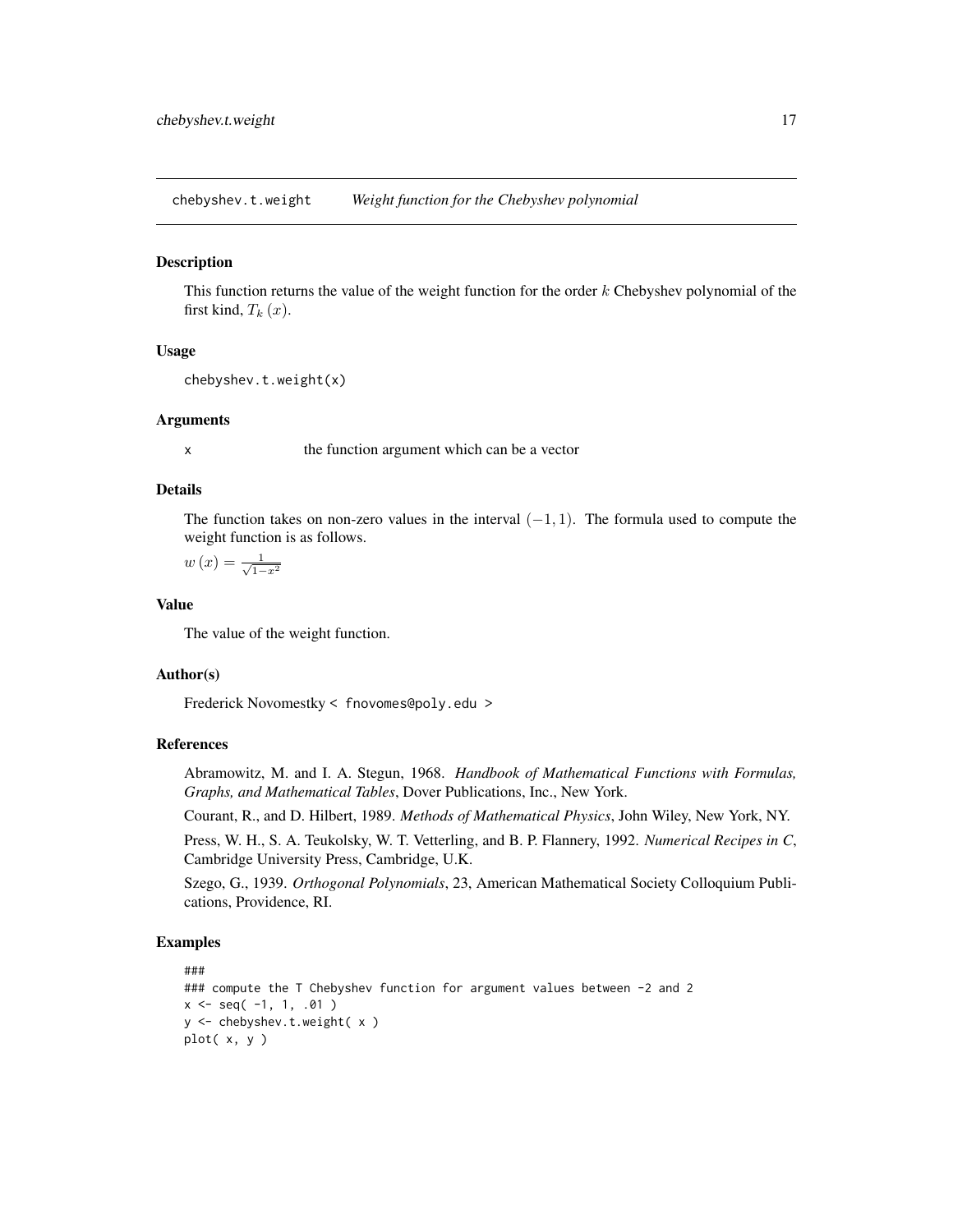<span id="page-16-0"></span>chebyshev.t.weight *Weight function for the Chebyshev polynomial*

#### **Description**

This function returns the value of the weight function for the order  $k$  Chebyshev polynomial of the first kind,  $T_k(x)$ .

#### Usage

```
chebyshev.t.weight(x)
```
#### Arguments

x the function argument which can be a vector

# Details

The function takes on non-zero values in the interval  $(-1, 1)$ . The formula used to compute the weight function is as follows.

$$
w\left(x\right) = \frac{1}{\sqrt{1-x^2}}
$$

#### Value

The value of the weight function.

# Author(s)

Frederick Novomestky < fnovomes@poly.edu >

# References

Abramowitz, M. and I. A. Stegun, 1968. *Handbook of Mathematical Functions with Formulas, Graphs, and Mathematical Tables*, Dover Publications, Inc., New York.

Courant, R., and D. Hilbert, 1989. *Methods of Mathematical Physics*, John Wiley, New York, NY.

Press, W. H., S. A. Teukolsky, W. T. Vetterling, and B. P. Flannery, 1992. *Numerical Recipes in C*, Cambridge University Press, Cambridge, U.K.

Szego, G., 1939. *Orthogonal Polynomials*, 23, American Mathematical Society Colloquium Publications, Providence, RI.

```
###
### compute the T Chebyshev function for argument values between -2 and 2
x \leq -\text{seq}(-1, 1, .01)y <- chebyshev.t.weight( x )
plot( x, y )
```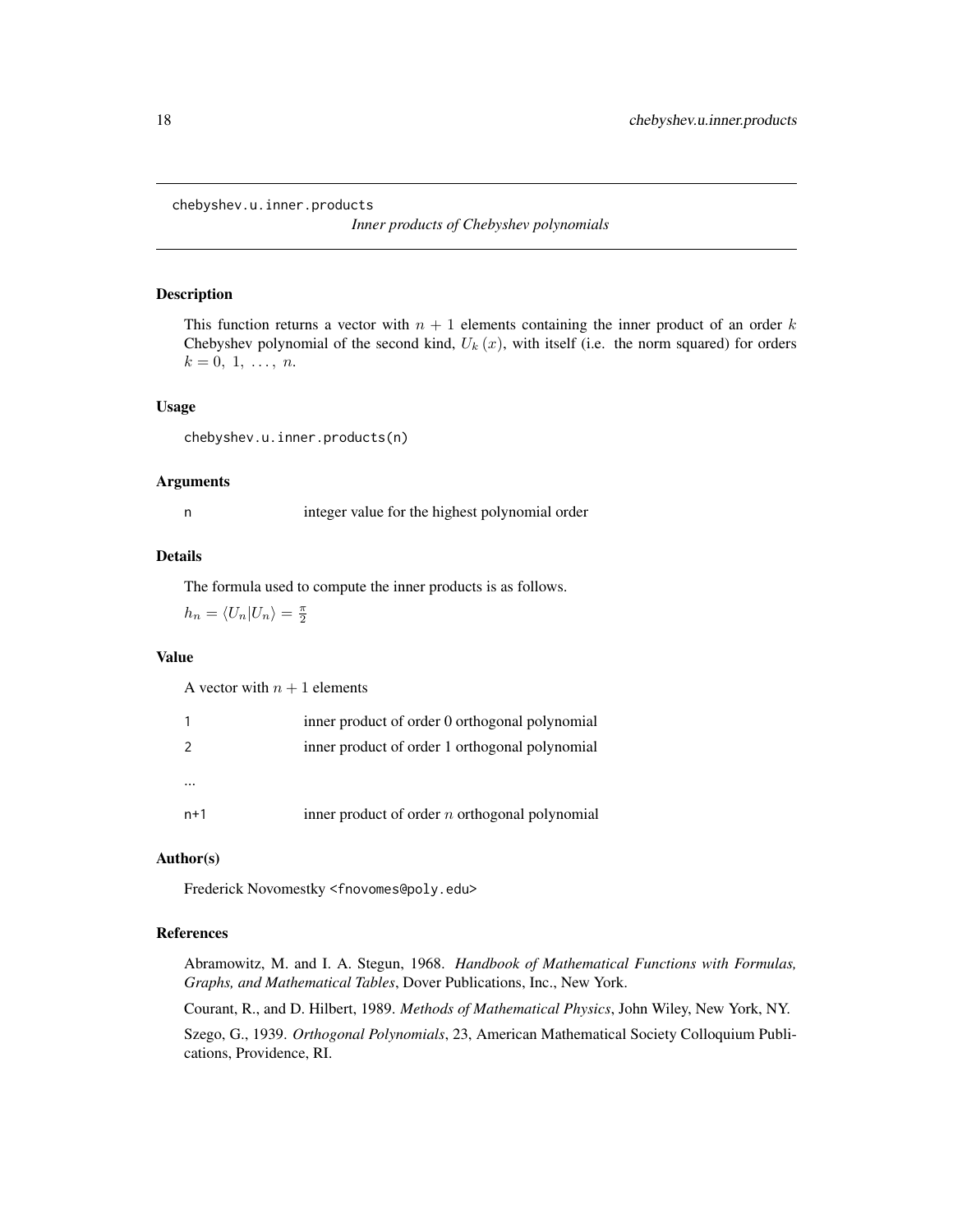<span id="page-17-1"></span><span id="page-17-0"></span>chebyshev.u.inner.products

*Inner products of Chebyshev polynomials*

#### Description

This function returns a vector with  $n + 1$  elements containing the inner product of an order k Chebyshev polynomial of the second kind,  $U_k(x)$ , with itself (i.e. the norm squared) for orders  $k = 0, 1, \ldots, n$ .

#### Usage

chebyshev.u.inner.products(n)

#### Arguments

n integer value for the highest polynomial order

#### Details

The formula used to compute the inner products is as follows.

 $h_n = \langle U_n | U_n \rangle = \frac{\pi}{2}$ 

# Value

A vector with  $n + 1$  elements

| 1   | inner product of order 0 orthogonal polynomial   |
|-----|--------------------------------------------------|
| 2   | inner product of order 1 orthogonal polynomial   |
|     |                                                  |
| n+1 | inner product of order $n$ orthogonal polynomial |

#### Author(s)

Frederick Novomestky <fnovomes@poly.edu>

# References

Abramowitz, M. and I. A. Stegun, 1968. *Handbook of Mathematical Functions with Formulas, Graphs, and Mathematical Tables*, Dover Publications, Inc., New York.

Courant, R., and D. Hilbert, 1989. *Methods of Mathematical Physics*, John Wiley, New York, NY.

Szego, G., 1939. *Orthogonal Polynomials*, 23, American Mathematical Society Colloquium Publications, Providence, RI.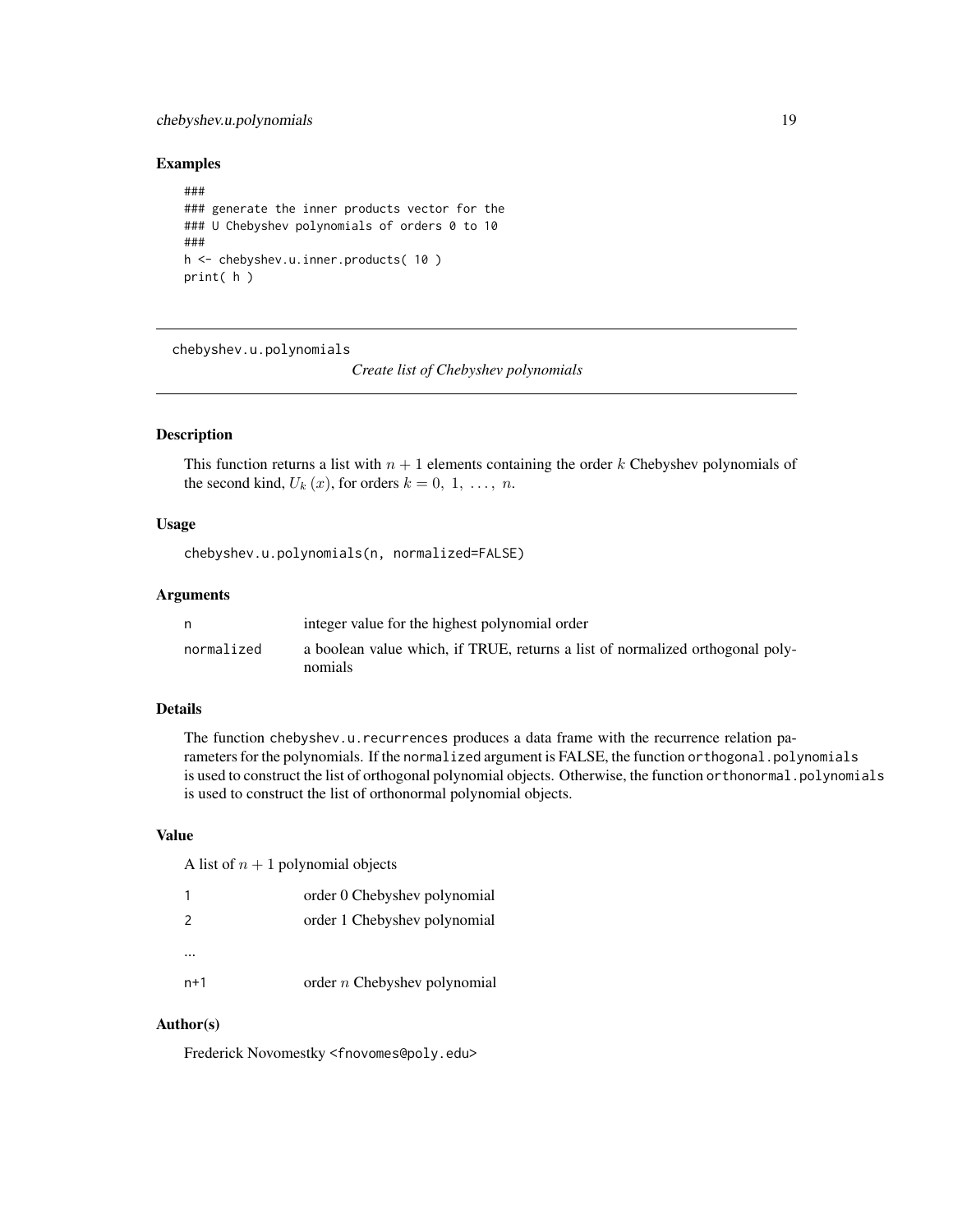# <span id="page-18-0"></span>chebyshev.u.polynomials 19

#### Examples

```
###
### generate the inner products vector for the
### U Chebyshev polynomials of orders 0 to 10
###
h <- chebyshev.u.inner.products( 10 )
print( h )
```
chebyshev.u.polynomials

*Create list of Chebyshev polynomials*

# Description

This function returns a list with  $n + 1$  elements containing the order k Chebyshev polynomials of the second kind,  $U_k(x)$ , for orders  $k = 0, 1, \ldots, n$ .

#### Usage

chebyshev.u.polynomials(n, normalized=FALSE)

#### Arguments

| n          | integer value for the highest polynomial order                                           |
|------------|------------------------------------------------------------------------------------------|
| normalized | a boolean value which, if TRUE, returns a list of normalized orthogonal poly-<br>nomials |

# Details

The function chebyshev.u.recurrences produces a data frame with the recurrence relation parameters for the polynomials. If the normalized argument is FALSE, the function orthogonal.polynomials is used to construct the list of orthogonal polynomial objects. Otherwise, the function orthonormal.polynomials is used to construct the list of orthonormal polynomial objects.

# Value

A list of  $n + 1$  polynomial objects

|               | order 0 Chebyshev polynomial   |
|---------------|--------------------------------|
| $\mathcal{P}$ | order 1 Chebyshev polynomial   |
|               |                                |
| $n+1$         | order $n$ Chebyshev polynomial |

#### Author(s)

Frederick Novomestky <fnovomes@poly.edu>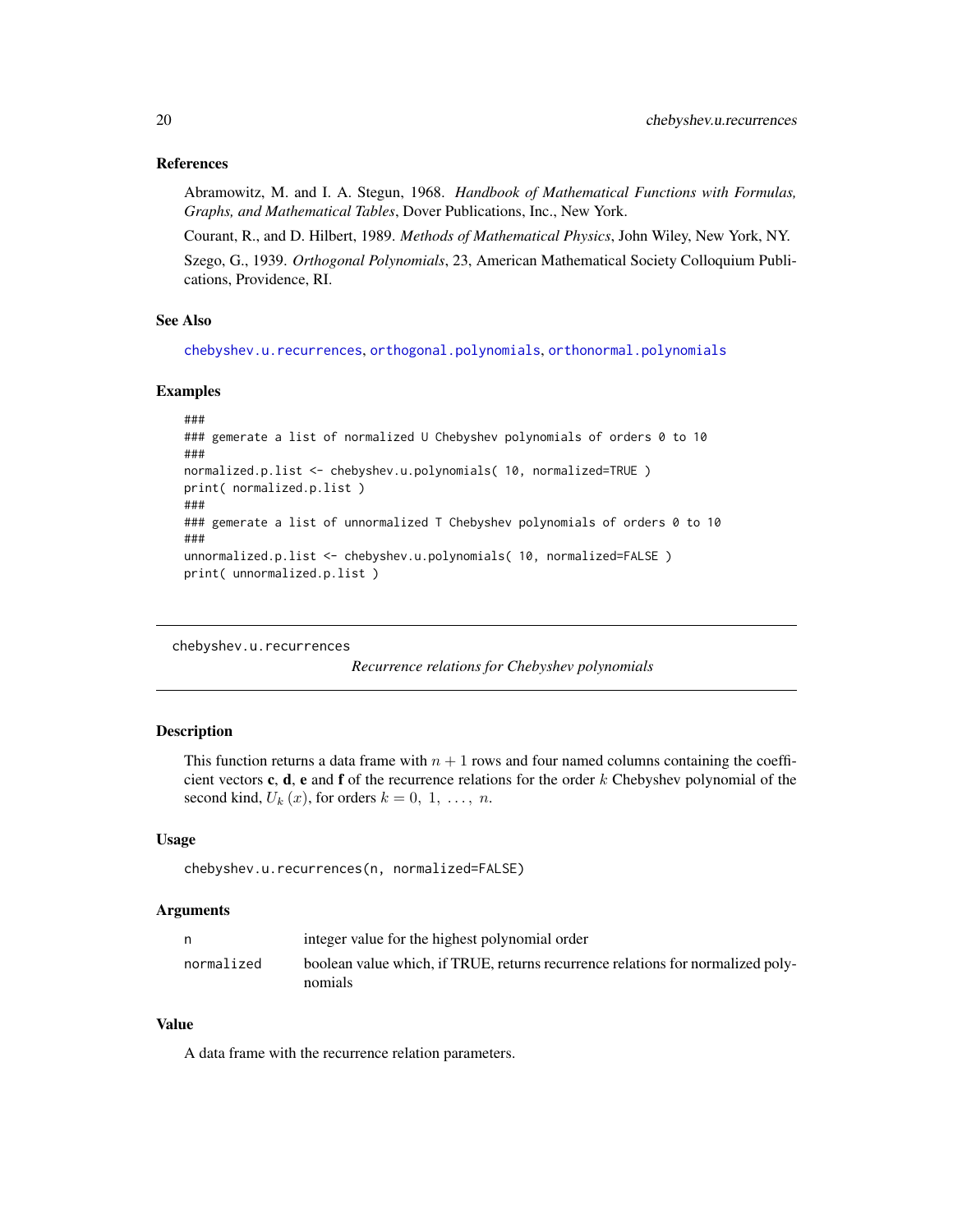## <span id="page-19-0"></span>References

Abramowitz, M. and I. A. Stegun, 1968. *Handbook of Mathematical Functions with Formulas, Graphs, and Mathematical Tables*, Dover Publications, Inc., New York.

Courant, R., and D. Hilbert, 1989. *Methods of Mathematical Physics*, John Wiley, New York, NY. Szego, G., 1939. *Orthogonal Polynomials*, 23, American Mathematical Society Colloquium Publications, Providence, RI.

#### See Also

[chebyshev.u.recurrences](#page-19-1), [orthogonal.polynomials](#page-71-1), [orthonormal.polynomials](#page-72-1)

#### Examples

```
###
### gemerate a list of normalized U Chebyshev polynomials of orders 0 to 10
###
normalized.p.list <- chebyshev.u.polynomials( 10, normalized=TRUE )
print( normalized.p.list )
###
### gemerate a list of unnormalized T Chebyshev polynomials of orders 0 to 10
###
unnormalized.p.list <- chebyshev.u.polynomials( 10, normalized=FALSE )
print( unnormalized.p.list )
```

```
chebyshev.u.recurrences
```
*Recurrence relations for Chebyshev polynomials*

#### Description

This function returns a data frame with  $n + 1$  rows and four named columns containing the coefficient vectors c, d, e and f of the recurrence relations for the order  $k$  Chebyshev polynomial of the second kind,  $U_k(x)$ , for orders  $k = 0, 1, \ldots, n$ .

### Usage

chebyshev.u.recurrences(n, normalized=FALSE)

#### Arguments

| n          | integer value for the highest polynomial order                                             |
|------------|--------------------------------------------------------------------------------------------|
| normalized | boolean value which, if TRUE, returns recurrence relations for normalized poly-<br>nomials |

#### Value

A data frame with the recurrence relation parameters.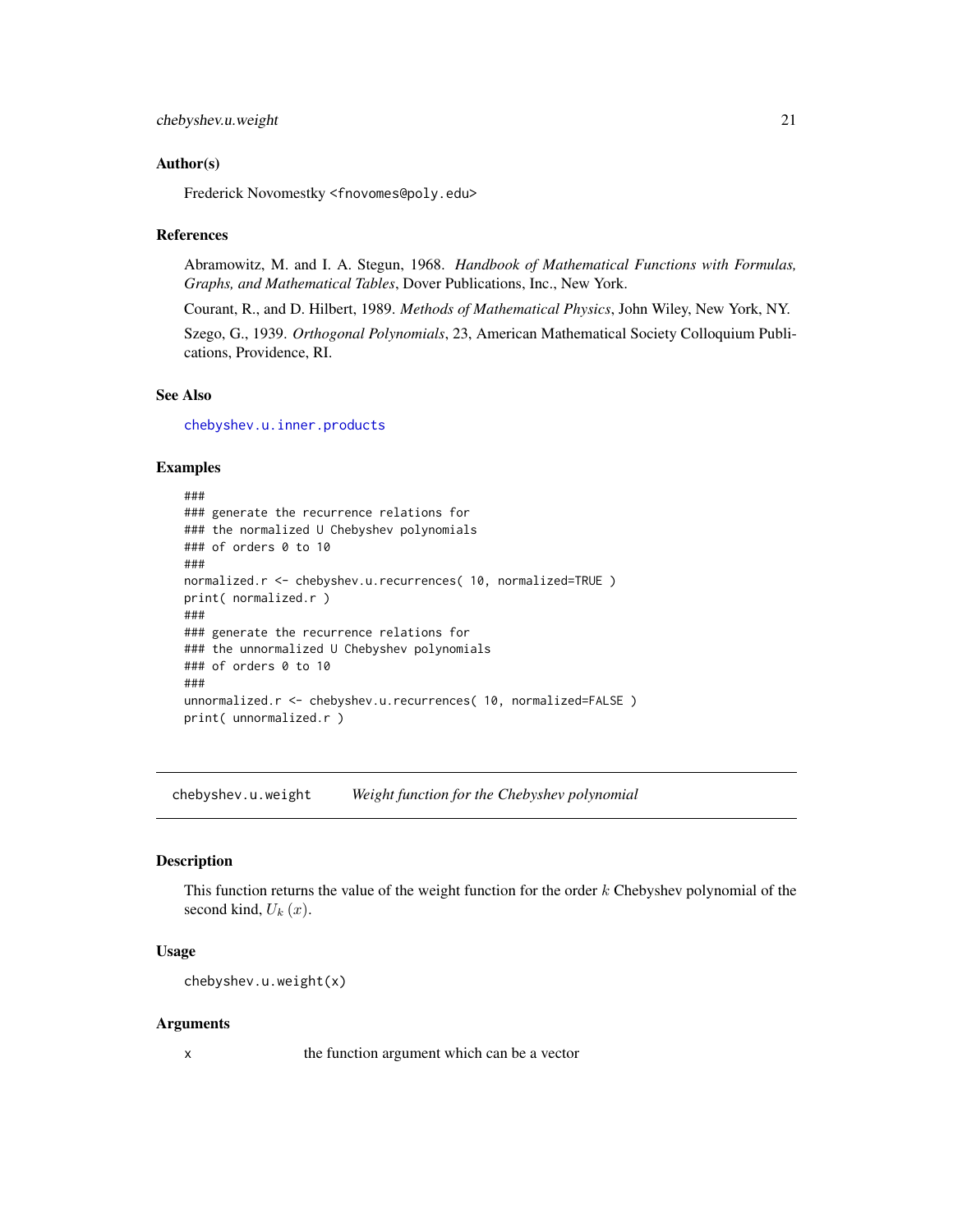#### <span id="page-20-0"></span>Author(s)

Frederick Novomestky <fnovomes@poly.edu>

#### References

Abramowitz, M. and I. A. Stegun, 1968. *Handbook of Mathematical Functions with Formulas, Graphs, and Mathematical Tables*, Dover Publications, Inc., New York.

Courant, R., and D. Hilbert, 1989. *Methods of Mathematical Physics*, John Wiley, New York, NY.

Szego, G., 1939. *Orthogonal Polynomials*, 23, American Mathematical Society Colloquium Publications, Providence, RI.

# See Also

[chebyshev.u.inner.products](#page-17-1)

#### Examples

```
###
### generate the recurrence relations for
### the normalized U Chebyshev polynomials
### of orders 0 to 10
###
normalized.r <- chebyshev.u.recurrences( 10, normalized=TRUE )
print( normalized.r )
###
### generate the recurrence relations for
### the unnormalized U Chebyshev polynomials
### of orders 0 to 10
###
unnormalized.r <- chebyshev.u.recurrences( 10, normalized=FALSE )
print( unnormalized.r )
```
chebyshev.u.weight *Weight function for the Chebyshev polynomial*

#### Description

This function returns the value of the weight function for the order  $k$  Chebyshev polynomial of the second kind,  $U_k(x)$ .

#### Usage

```
chebyshev.u.weight(x)
```
#### Arguments

x the function argument which can be a vector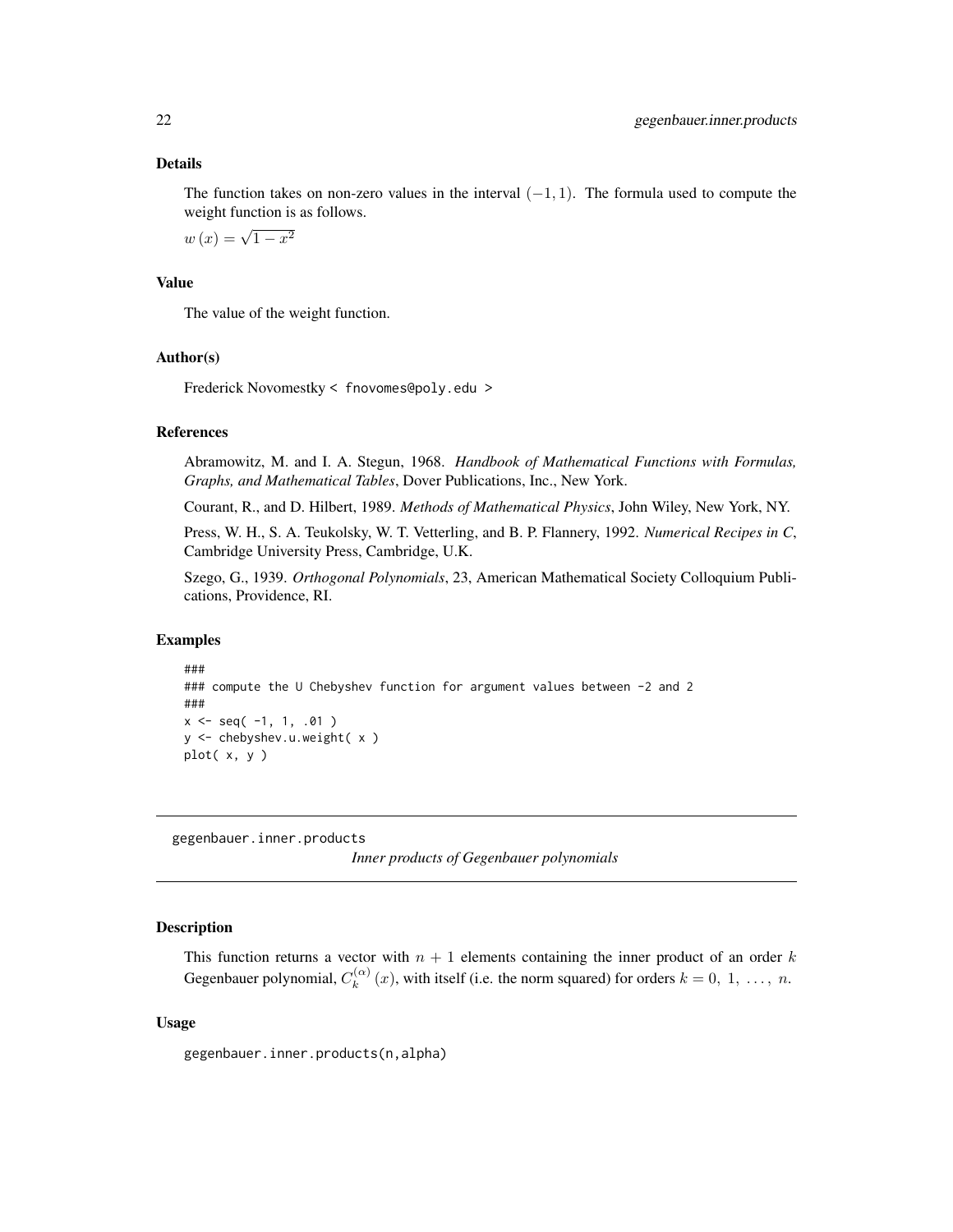#### <span id="page-21-0"></span>Details

The function takes on non-zero values in the interval  $(-1, 1)$ . The formula used to compute the weight function is as follows.

 $w(x) = \sqrt{1 - x^2}$ 

#### Value

The value of the weight function.

# Author(s)

Frederick Novomestky < fnovomes@poly.edu >

#### References

Abramowitz, M. and I. A. Stegun, 1968. *Handbook of Mathematical Functions with Formulas, Graphs, and Mathematical Tables*, Dover Publications, Inc., New York.

Courant, R., and D. Hilbert, 1989. *Methods of Mathematical Physics*, John Wiley, New York, NY.

Press, W. H., S. A. Teukolsky, W. T. Vetterling, and B. P. Flannery, 1992. *Numerical Recipes in C*, Cambridge University Press, Cambridge, U.K.

Szego, G., 1939. *Orthogonal Polynomials*, 23, American Mathematical Society Colloquium Publications, Providence, RI.

#### Examples

```
###
### compute the U Chebyshev function for argument values between -2 and 2
###
x \leq - seq(-1, 1, .01)
y <- chebyshev.u.weight( x )
plot( x, y )
```
<span id="page-21-1"></span>gegenbauer.inner.products

*Inner products of Gegenbauer polynomials*

#### **Description**

This function returns a vector with  $n + 1$  elements containing the inner product of an order k Gegenbauer polynomial,  $C_k^{(\alpha)}$  $k_k^{(\alpha)}(x)$ , with itself (i.e. the norm squared) for orders  $k = 0, 1, ..., n$ .

#### Usage

gegenbauer.inner.products(n,alpha)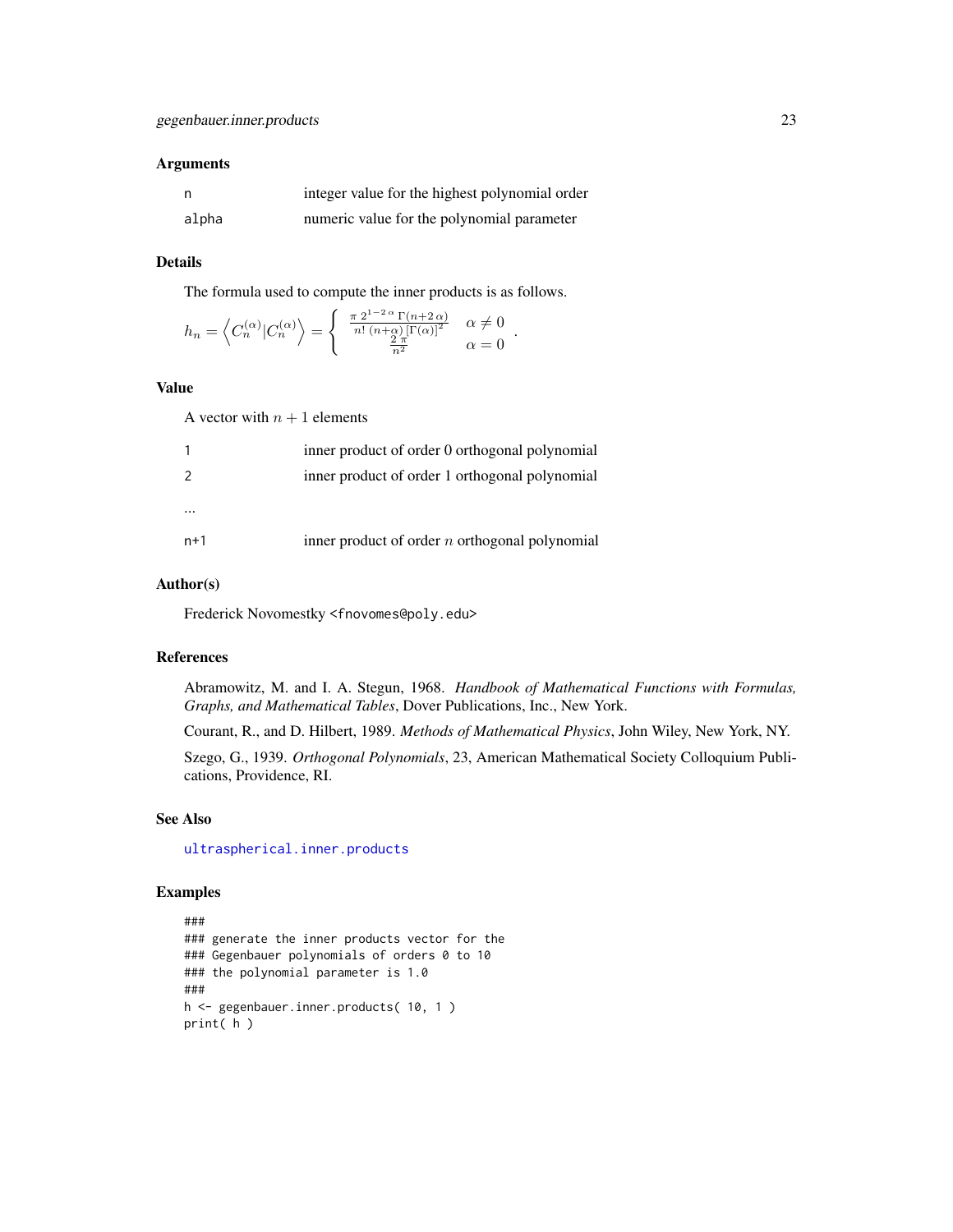# Arguments

| - n   | integer value for the highest polynomial order |
|-------|------------------------------------------------|
| alpha | numeric value for the polynomial parameter     |

# Details

The formula used to compute the inner products is as follows.

$$
h_n = \left\langle C_n^{(\alpha)} | C_n^{(\alpha)} \right\rangle = \begin{cases} \frac{\pi 2^{1-2\alpha} \Gamma(n+2\alpha)}{n! \ (n+\alpha) [\Gamma(\alpha)]^2} & \alpha \neq 0 \\ \frac{2\pi}{n^2} & \alpha = 0 \end{cases}.
$$

# Value

A vector with  $n + 1$  elements

|               | inner product of order 0 orthogonal polynomial   |
|---------------|--------------------------------------------------|
| $\mathcal{P}$ | inner product of order 1 orthogonal polynomial   |
|               |                                                  |
|               |                                                  |
| $n+1$         | inner product of order $n$ orthogonal polynomial |
|               |                                                  |

# Author(s)

Frederick Novomestky <fnovomes@poly.edu>

# References

Abramowitz, M. and I. A. Stegun, 1968. *Handbook of Mathematical Functions with Formulas, Graphs, and Mathematical Tables*, Dover Publications, Inc., New York.

Courant, R., and D. Hilbert, 1989. *Methods of Mathematical Physics*, John Wiley, New York, NY.

Szego, G., 1939. *Orthogonal Polynomials*, 23, American Mathematical Society Colloquium Publications, Providence, RI.

# See Also

[ultraspherical.inner.products](#page-103-1)

```
###
### generate the inner products vector for the
### Gegenbauer polynomials of orders 0 to 10
### the polynomial parameter is 1.0
###
h <- gegenbauer.inner.products( 10, 1 )
print( h )
```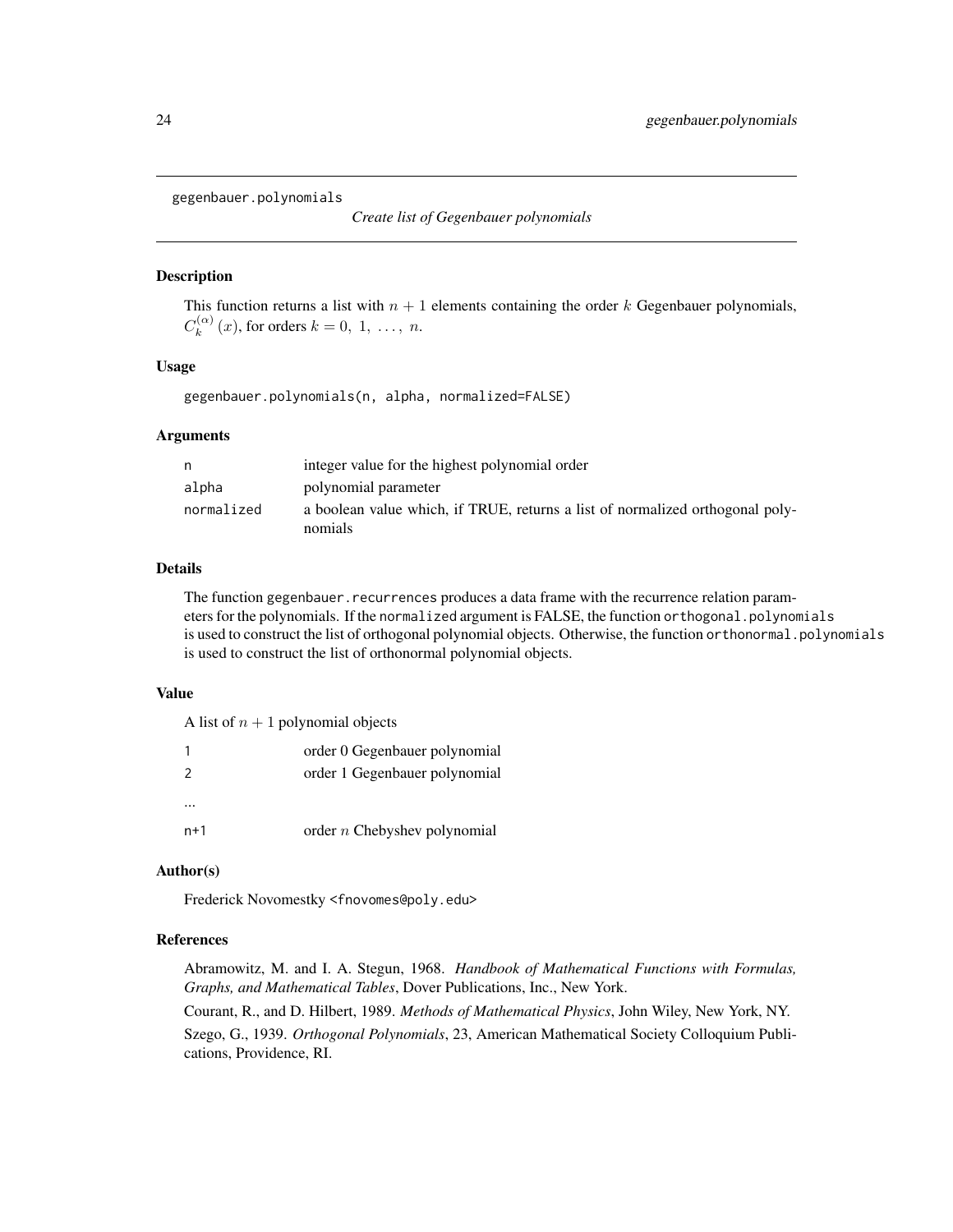<span id="page-23-0"></span>gegenbauer.polynomials

*Create list of Gegenbauer polynomials*

# **Description**

This function returns a list with  $n + 1$  elements containing the order k Gegenbauer polynomials,  $C_k^{(\alpha)}$  $k_k^{(\alpha)}(x)$ , for orders  $k = 0, 1, \ldots, n$ .

# Usage

gegenbauer.polynomials(n, alpha, normalized=FALSE)

# Arguments

| n          | integer value for the highest polynomial order                                           |
|------------|------------------------------------------------------------------------------------------|
| alpha      | polynomial parameter                                                                     |
| normalized | a boolean value which, if TRUE, returns a list of normalized orthogonal poly-<br>nomials |

# Details

The function gegenbauer.recurrences produces a data frame with the recurrence relation parameters for the polynomials. If the normalized argument is FALSE, the function orthogonal.polynomials is used to construct the list of orthogonal polynomial objects. Otherwise, the function orthonormal.polynomials is used to construct the list of orthonormal polynomial objects.

#### Value

| A list of $n+1$ polynomial objects |
|------------------------------------|
|                                    |

 $\overline{A}$  and  $\overline{B}$  polynomial objects of  $\overline{B}$ 

|               | order 0 Gegenbauer polynomial  |
|---------------|--------------------------------|
| $\mathcal{P}$ | order 1 Gegenbauer polynomial  |
|               |                                |
| $n+1$         | order $n$ Chebyshev polynomial |

# Author(s)

Frederick Novomestky <fnovomes@poly.edu>

#### References

Abramowitz, M. and I. A. Stegun, 1968. *Handbook of Mathematical Functions with Formulas, Graphs, and Mathematical Tables*, Dover Publications, Inc., New York.

Courant, R., and D. Hilbert, 1989. *Methods of Mathematical Physics*, John Wiley, New York, NY. Szego, G., 1939. *Orthogonal Polynomials*, 23, American Mathematical Society Colloquium Publications, Providence, RI.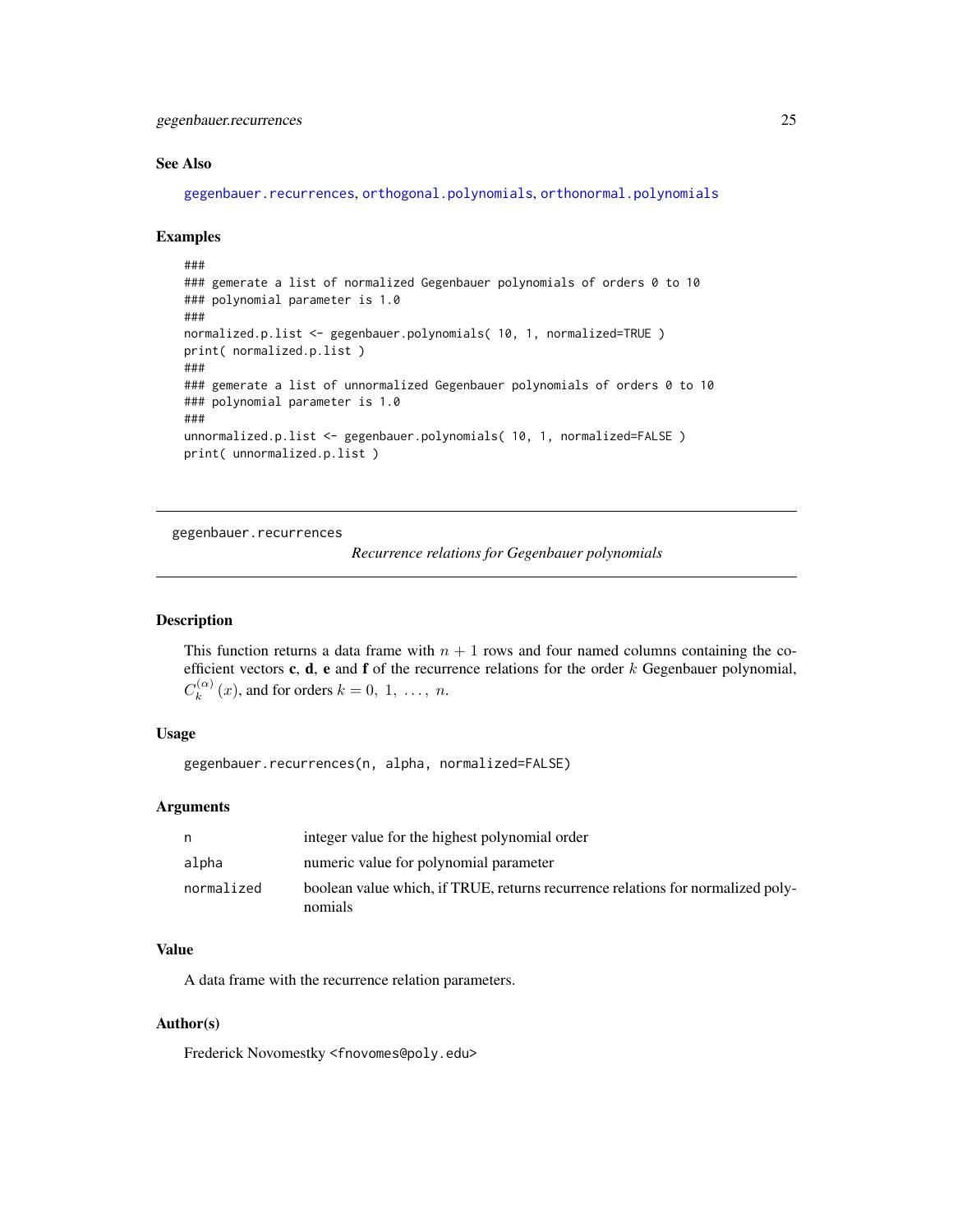# <span id="page-24-0"></span>gegenbauer.recurrences 25

#### See Also

[gegenbauer.recurrences](#page-24-1), [orthogonal.polynomials](#page-71-1), [orthonormal.polynomials](#page-72-1)

#### Examples

```
###
### gemerate a list of normalized Gegenbauer polynomials of orders 0 to 10
### polynomial parameter is 1.0
###
normalized.p.list <- gegenbauer.polynomials( 10, 1, normalized=TRUE )
print( normalized.p.list )
###
### gemerate a list of unnormalized Gegenbauer polynomials of orders 0 to 10
### polynomial parameter is 1.0
###
unnormalized.p.list <- gegenbauer.polynomials( 10, 1, normalized=FALSE )
print( unnormalized.p.list )
```
<span id="page-24-1"></span>gegenbauer.recurrences

```
Recurrence relations for Gegenbauer polynomials
```
#### Description

This function returns a data frame with  $n + 1$  rows and four named columns containing the coefficient vectors c, d, e and f of the recurrence relations for the order  $k$  Gegenbauer polynomial,  $C_k^{(\alpha)}$  $k_k^{(\alpha)}(x)$ , and for orders  $k = 0, 1, \ldots, n$ .

#### Usage

gegenbauer.recurrences(n, alpha, normalized=FALSE)

#### Arguments

| n.         | integer value for the highest polynomial order                                             |
|------------|--------------------------------------------------------------------------------------------|
| alpha      | numeric value for polynomial parameter                                                     |
| normalized | boolean value which, if TRUE, returns recurrence relations for normalized poly-<br>nomials |

#### Value

A data frame with the recurrence relation parameters.

#### Author(s)

Frederick Novomestky <fnovomes@poly.edu>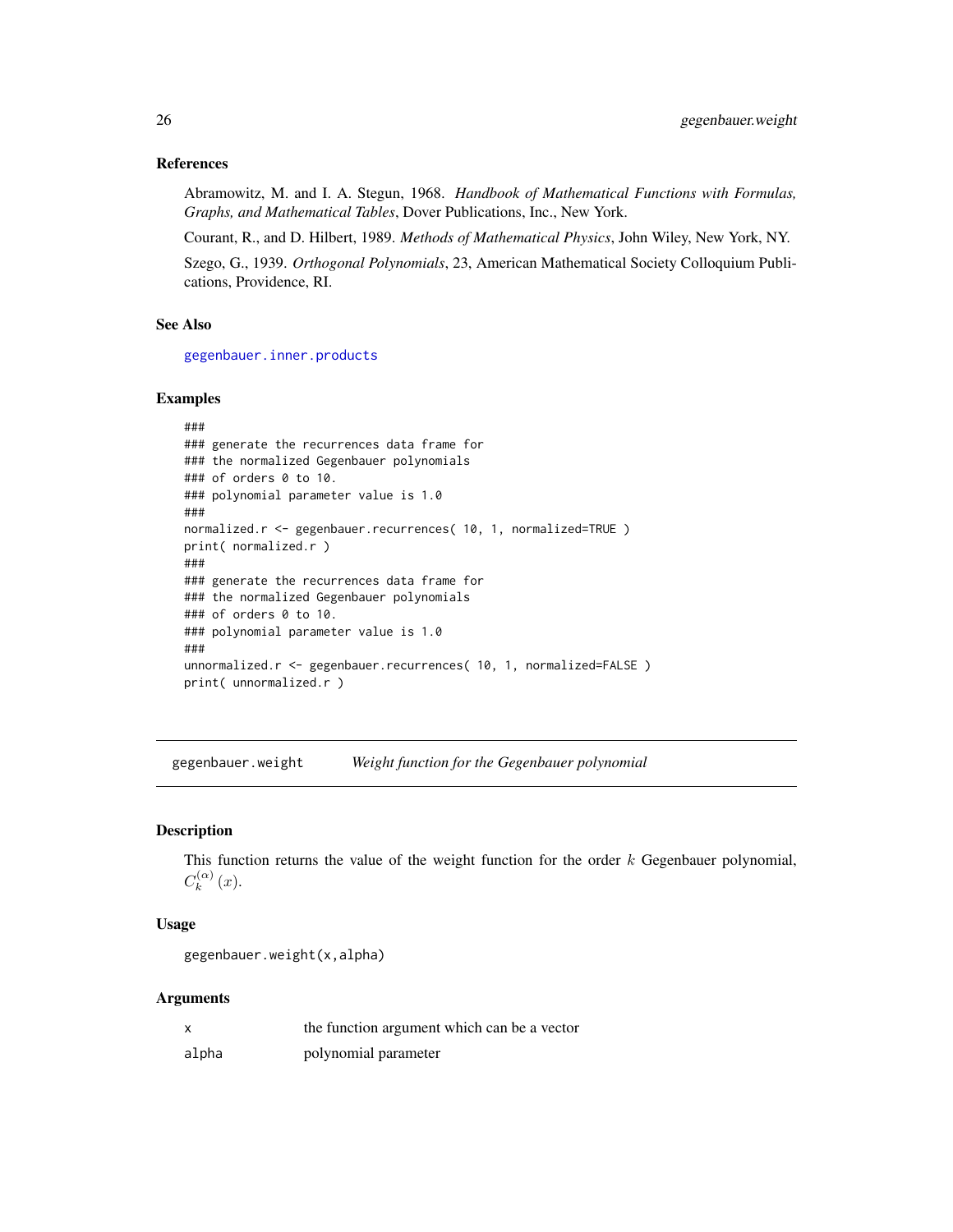#### <span id="page-25-0"></span>References

Abramowitz, M. and I. A. Stegun, 1968. *Handbook of Mathematical Functions with Formulas, Graphs, and Mathematical Tables*, Dover Publications, Inc., New York.

Courant, R., and D. Hilbert, 1989. *Methods of Mathematical Physics*, John Wiley, New York, NY.

Szego, G., 1939. *Orthogonal Polynomials*, 23, American Mathematical Society Colloquium Publications, Providence, RI.

# See Also

[gegenbauer.inner.products](#page-21-1)

#### Examples

```
###
### generate the recurrences data frame for
### the normalized Gegenbauer polynomials
### of orders 0 to 10.
### polynomial parameter value is 1.0
###
normalized.r <- gegenbauer.recurrences( 10, 1, normalized=TRUE )
print( normalized.r )
###
### generate the recurrences data frame for
### the normalized Gegenbauer polynomials
### of orders 0 to 10.
### polynomial parameter value is 1.0
###
unnormalized.r <- gegenbauer.recurrences( 10, 1, normalized=FALSE )
print( unnormalized.r )
```
gegenbauer.weight *Weight function for the Gegenbauer polynomial*

# **Description**

This function returns the value of the weight function for the order  $k$  Gegenbauer polynomial,  $C_k^{(\alpha)}$  $\binom{(\alpha)}{k}(x).$ 

# Usage

gegenbauer.weight(x,alpha)

#### Arguments

|       | the function argument which can be a vector |
|-------|---------------------------------------------|
| alpha | polynomial parameter                        |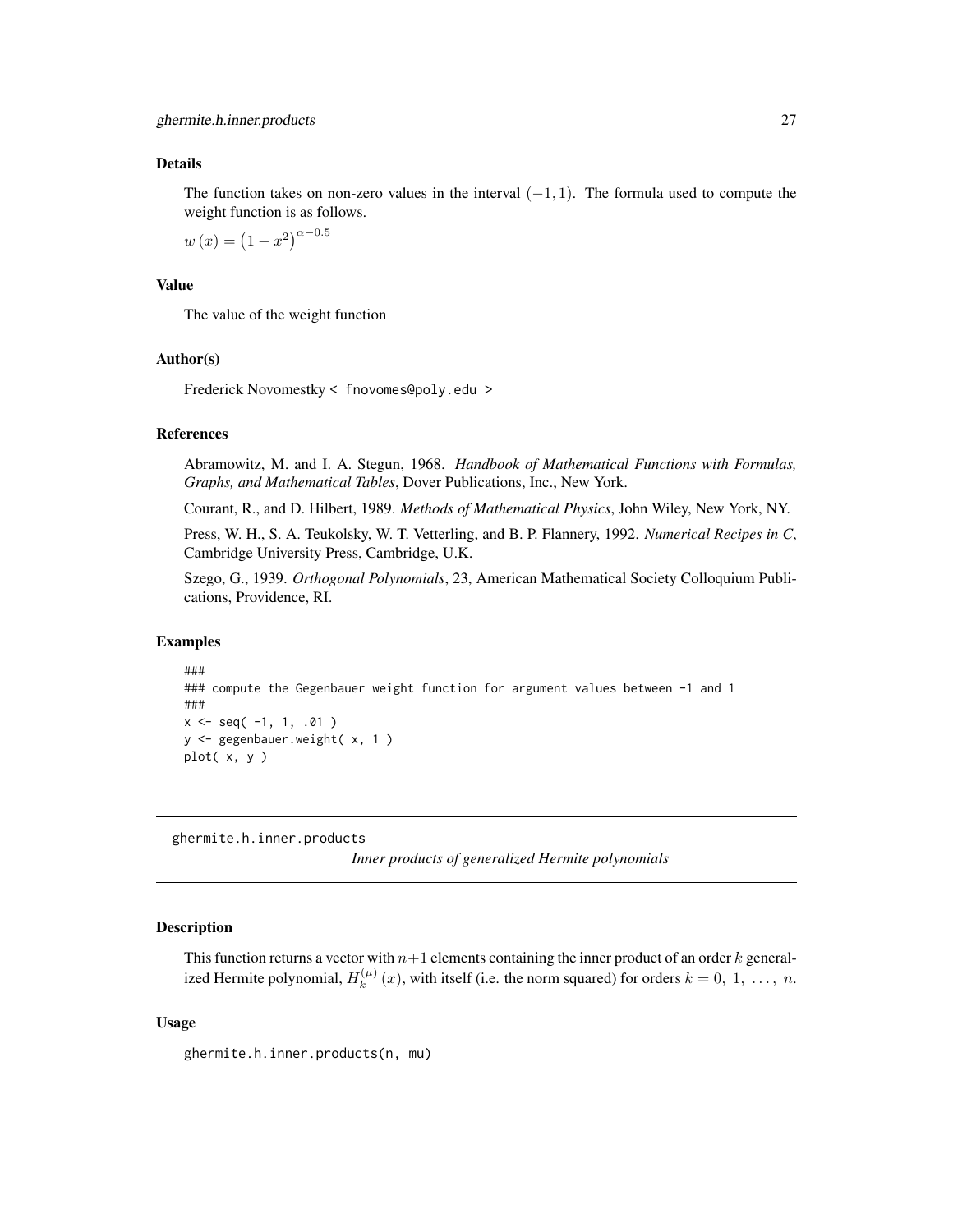#### <span id="page-26-0"></span>Details

The function takes on non-zero values in the interval  $(-1, 1)$ . The formula used to compute the weight function is as follows.

 $w(x) = (1 - x^2)^{\alpha - 0.5}$ 

#### Value

The value of the weight function

#### Author(s)

Frederick Novomestky < fnovomes@poly.edu >

#### References

Abramowitz, M. and I. A. Stegun, 1968. *Handbook of Mathematical Functions with Formulas, Graphs, and Mathematical Tables*, Dover Publications, Inc., New York.

Courant, R., and D. Hilbert, 1989. *Methods of Mathematical Physics*, John Wiley, New York, NY.

Press, W. H., S. A. Teukolsky, W. T. Vetterling, and B. P. Flannery, 1992. *Numerical Recipes in C*, Cambridge University Press, Cambridge, U.K.

Szego, G., 1939. *Orthogonal Polynomials*, 23, American Mathematical Society Colloquium Publications, Providence, RI.

# Examples

```
###
### compute the Gegenbauer weight function for argument values between -1 and 1
###
x \leq - seq(-1, 1, .01)
y <- gegenbauer.weight( x, 1 )
plot( x, y )
```
<span id="page-26-1"></span>ghermite.h.inner.products

*Inner products of generalized Hermite polynomials*

#### Description

This function returns a vector with  $n+1$  elements containing the inner product of an order k generalized Hermite polynomial,  $H_k^{(\mu)}$  $k_k^{(\mu)}(x)$ , with itself (i.e. the norm squared) for orders  $k = 0, 1, ..., n$ .

# Usage

ghermite.h.inner.products(n, mu)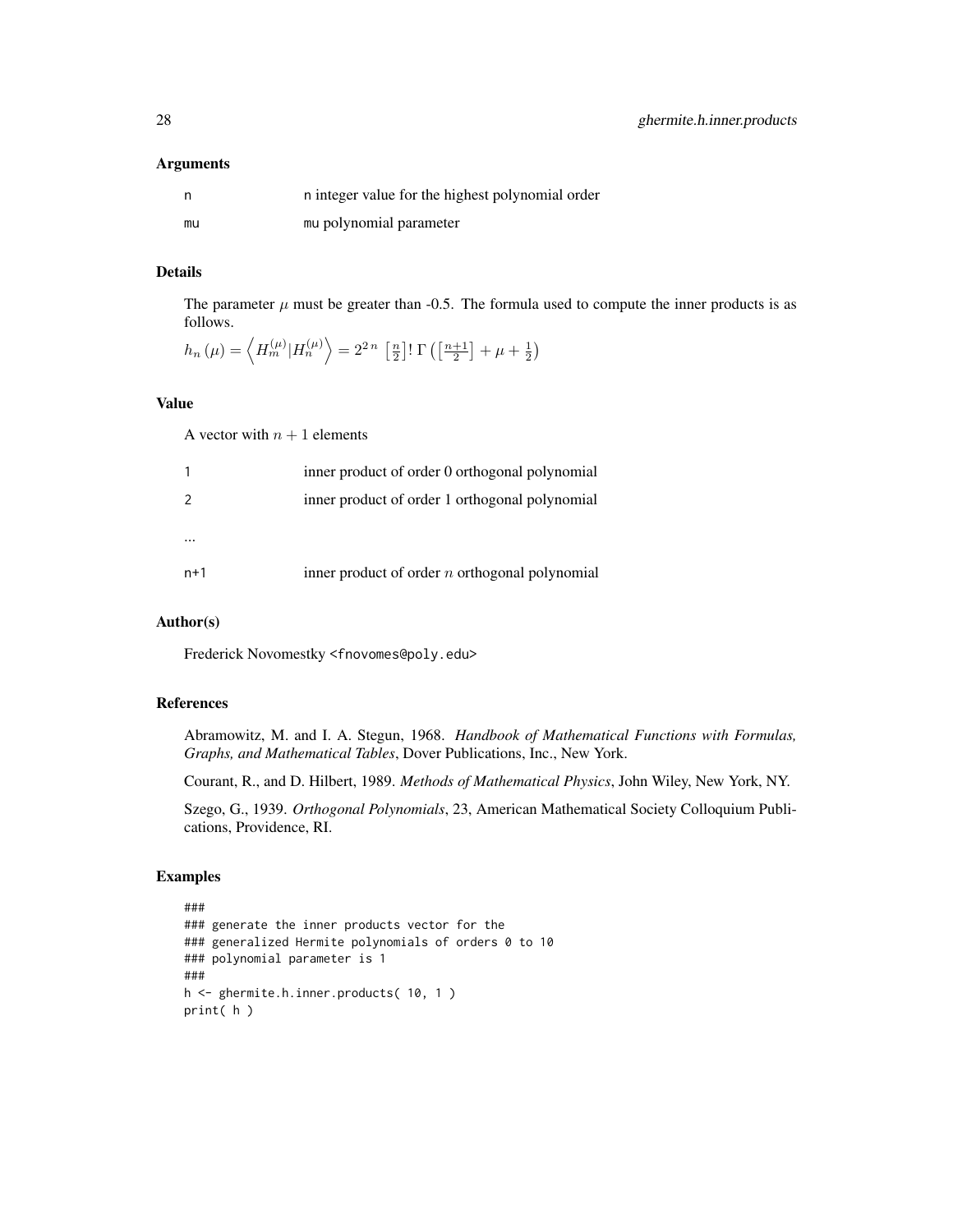#### Arguments

|    | n integer value for the highest polynomial order |
|----|--------------------------------------------------|
| mu | mu polynomial parameter                          |

# Details

The parameter  $\mu$  must be greater than -0.5. The formula used to compute the inner products is as follows.

$$
h_n(\mu) = \left\langle H_m^{(\mu)} | H_n^{(\mu)} \right\rangle = 2^{2n} \left[ \frac{n}{2} \right] \Gamma\left(\left[\frac{n+1}{2}\right] + \mu + \frac{1}{2}\right)
$$

# Value

A vector with  $n + 1$  elements

|       | inner product of order 0 orthogonal polynomial   |
|-------|--------------------------------------------------|
|       | inner product of order 1 orthogonal polynomial   |
|       |                                                  |
| $n+1$ | inner product of order $n$ orthogonal polynomial |

# Author(s)

Frederick Novomestky <fnovomes@poly.edu>

# References

Abramowitz, M. and I. A. Stegun, 1968. *Handbook of Mathematical Functions with Formulas, Graphs, and Mathematical Tables*, Dover Publications, Inc., New York.

Courant, R., and D. Hilbert, 1989. *Methods of Mathematical Physics*, John Wiley, New York, NY.

Szego, G., 1939. *Orthogonal Polynomials*, 23, American Mathematical Society Colloquium Publications, Providence, RI.

```
###
### generate the inner products vector for the
### generalized Hermite polynomials of orders 0 to 10
### polynomial parameter is 1
###
h <- ghermite.h.inner.products( 10, 1 )
print( h )
```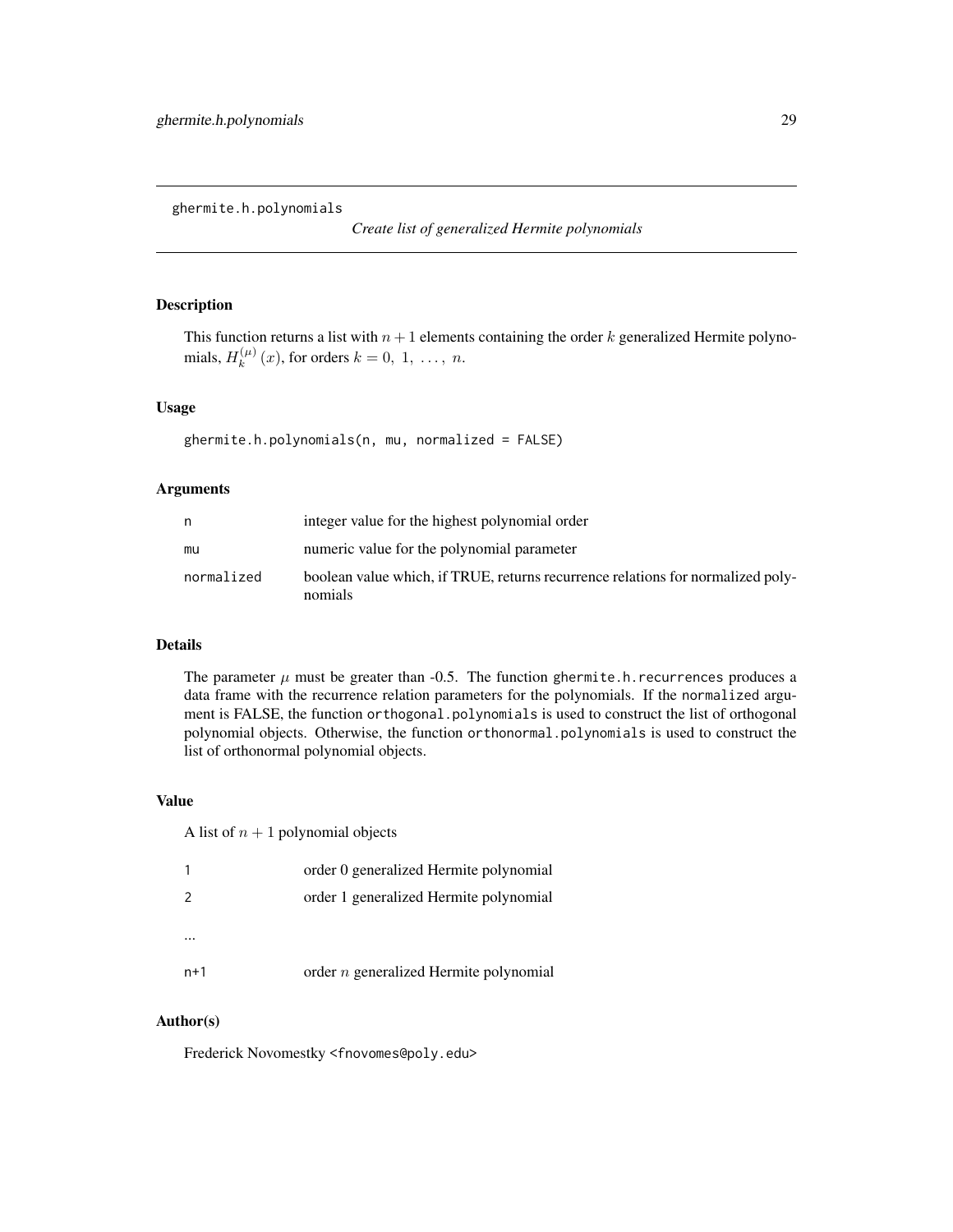<span id="page-28-0"></span>ghermite.h.polynomials

*Create list of generalized Hermite polynomials*

# Description

This function returns a list with  $n + 1$  elements containing the order k generalized Hermite polynomials,  $H_k^{(\mu)}$  $k^{(\mu)}(x)$ , for orders  $k = 0, 1, ..., n$ .

## Usage

ghermite.h.polynomials(n, mu, normalized = FALSE)

# Arguments

| n          | integer value for the highest polynomial order                                             |
|------------|--------------------------------------------------------------------------------------------|
| mu         | numeric value for the polynomial parameter                                                 |
| normalized | boolean value which, if TRUE, returns recurrence relations for normalized poly-<br>nomials |

#### Details

The parameter  $\mu$  must be greater than -0.5. The function ghermite.h. recurrences produces a data frame with the recurrence relation parameters for the polynomials. If the normalized argument is FALSE, the function orthogonal.polynomials is used to construct the list of orthogonal polynomial objects. Otherwise, the function orthonormal.polynomials is used to construct the list of orthonormal polynomial objects.

#### Value

A list of  $n + 1$  polynomial objects

|               | order 0 generalized Hermite polynomial   |
|---------------|------------------------------------------|
| $\mathcal{P}$ | order 1 generalized Hermite polynomial   |
|               |                                          |
|               |                                          |
| $n+1$         | order $n$ generalized Hermite polynomial |

#### Author(s)

Frederick Novomestky <fnovomes@poly.edu>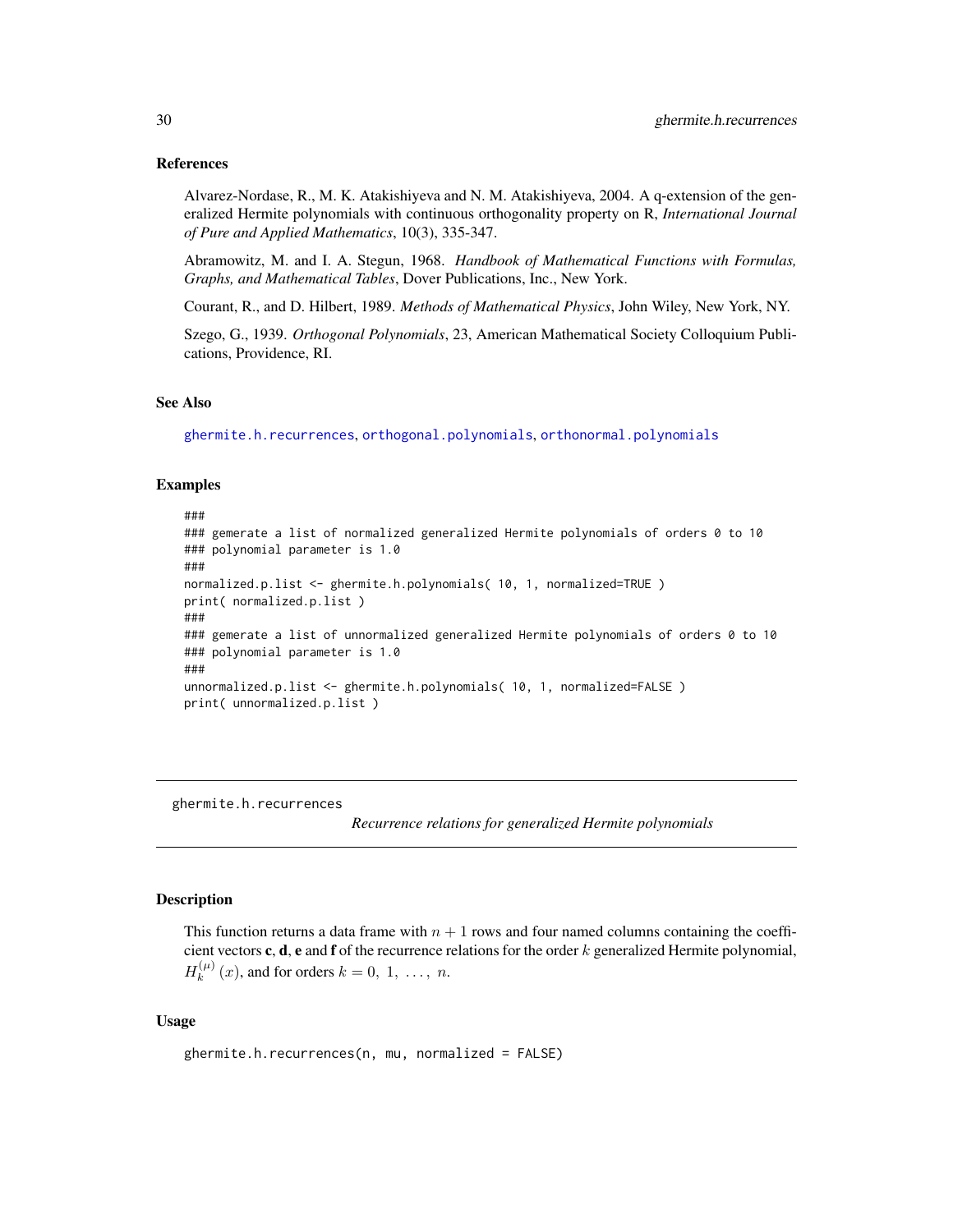#### <span id="page-29-0"></span>References

Alvarez-Nordase, R., M. K. Atakishiyeva and N. M. Atakishiyeva, 2004. A q-extension of the generalized Hermite polynomials with continuous orthogonality property on R, *International Journal of Pure and Applied Mathematics*, 10(3), 335-347.

Abramowitz, M. and I. A. Stegun, 1968. *Handbook of Mathematical Functions with Formulas, Graphs, and Mathematical Tables*, Dover Publications, Inc., New York.

Courant, R., and D. Hilbert, 1989. *Methods of Mathematical Physics*, John Wiley, New York, NY.

Szego, G., 1939. *Orthogonal Polynomials*, 23, American Mathematical Society Colloquium Publications, Providence, RI.

# See Also

[ghermite.h.recurrences](#page-29-1), [orthogonal.polynomials](#page-71-1), [orthonormal.polynomials](#page-72-1)

#### Examples

```
###
### gemerate a list of normalized generalized Hermite polynomials of orders 0 to 10
### polynomial parameter is 1.0
###
normalized.p.list <- ghermite.h.polynomials( 10, 1, normalized=TRUE )
print( normalized.p.list )
###
### gemerate a list of unnormalized generalized Hermite polynomials of orders 0 to 10
### polynomial parameter is 1.0
###
unnormalized.p.list <- ghermite.h.polynomials( 10, 1, normalized=FALSE )
print( unnormalized.p.list )
```
<span id="page-29-1"></span>ghermite.h.recurrences

*Recurrence relations for generalized Hermite polynomials*

# Description

This function returns a data frame with  $n + 1$  rows and four named columns containing the coefficient vectors  $c, d, e$  and  $f$  of the recurrence relations for the order  $k$  generalized Hermite polynomial,  $H_k^{(\mu)}$  $k_k^{(\mu)}(x)$ , and for orders  $k = 0, 1, \ldots, n$ .

#### Usage

```
ghermite.h.recurrences(n, mu, normalized = FALSE)
```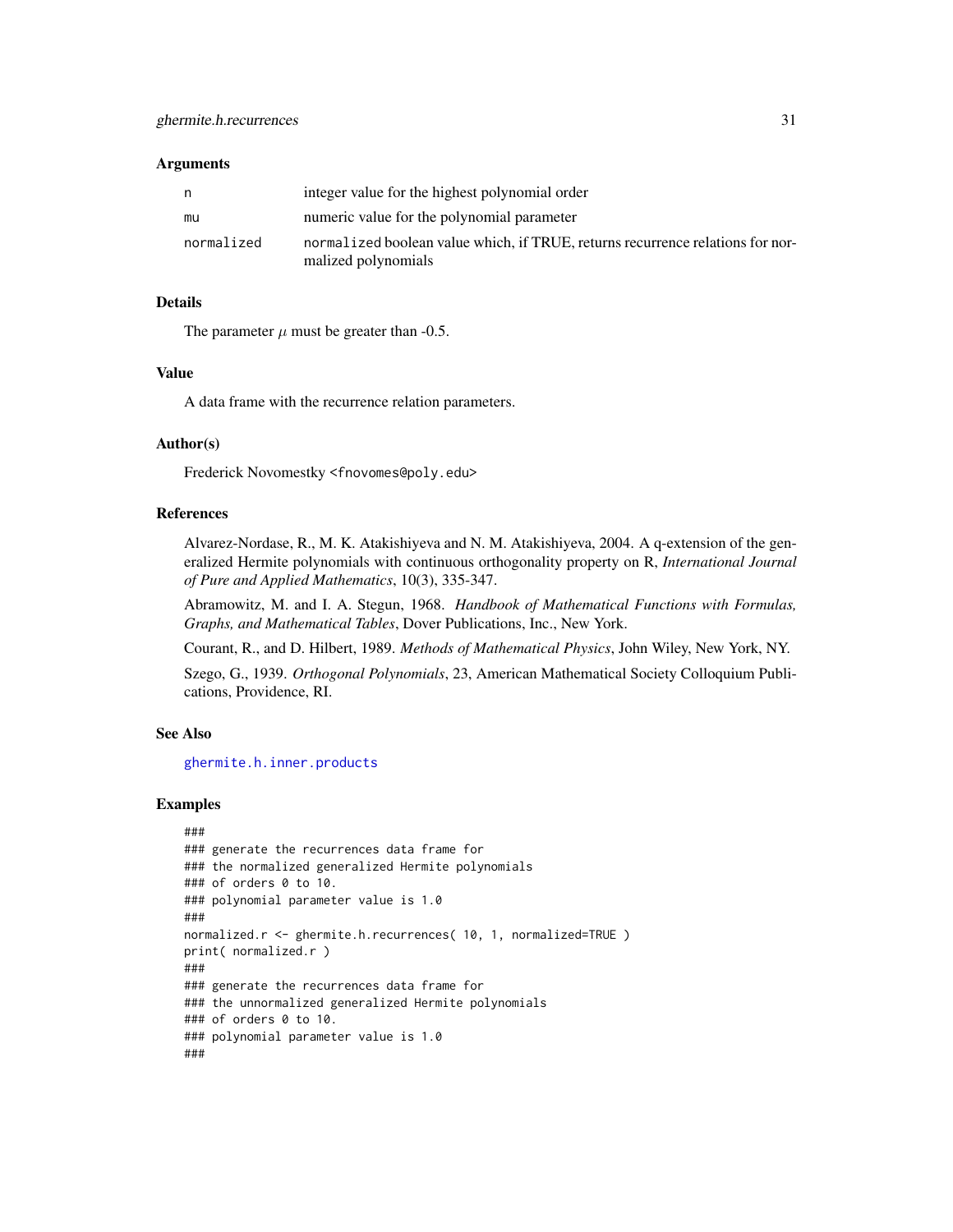#### Arguments

| n          | integer value for the highest polynomial order                                                        |
|------------|-------------------------------------------------------------------------------------------------------|
| mu         | numeric value for the polynomial parameter                                                            |
| normalized | normalized boolean value which, if TRUE, returns recurrence relations for nor-<br>malized polynomials |
|            |                                                                                                       |

# Details

The parameter  $\mu$  must be greater than -0.5.

#### Value

A data frame with the recurrence relation parameters.

# Author(s)

Frederick Novomestky <fnovomes@poly.edu>

# References

Alvarez-Nordase, R., M. K. Atakishiyeva and N. M. Atakishiyeva, 2004. A q-extension of the generalized Hermite polynomials with continuous orthogonality property on R, *International Journal of Pure and Applied Mathematics*, 10(3), 335-347.

Abramowitz, M. and I. A. Stegun, 1968. *Handbook of Mathematical Functions with Formulas, Graphs, and Mathematical Tables*, Dover Publications, Inc., New York.

Courant, R., and D. Hilbert, 1989. *Methods of Mathematical Physics*, John Wiley, New York, NY.

Szego, G., 1939. *Orthogonal Polynomials*, 23, American Mathematical Society Colloquium Publications, Providence, RI.

#### See Also

[ghermite.h.inner.products](#page-26-1)

```
###
### generate the recurrences data frame for
### the normalized generalized Hermite polynomials
### of orders 0 to 10.
### polynomial parameter value is 1.0
###
normalized.r <- ghermite.h.recurrences( 10, 1, normalized=TRUE )
print( normalized.r )
###
### generate the recurrences data frame for
### the unnormalized generalized Hermite polynomials
### of orders 0 to 10.
### polynomial parameter value is 1.0
###
```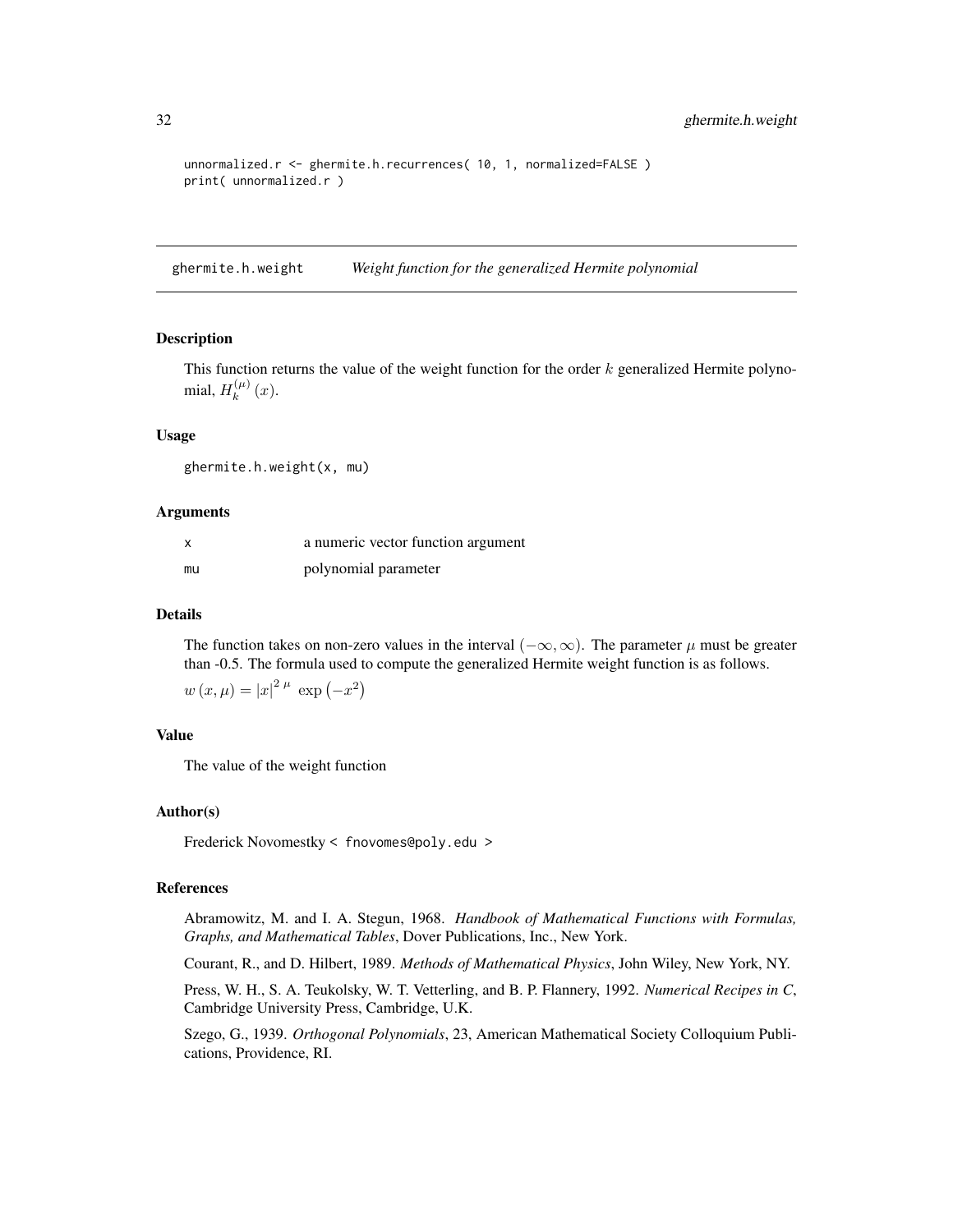```
unnormalized.r <- ghermite.h.recurrences( 10, 1, normalized=FALSE )
print( unnormalized.r )
```
ghermite.h.weight *Weight function for the generalized Hermite polynomial*

#### Description

This function returns the value of the weight function for the order  $k$  generalized Hermite polynomial,  $H_k^{(\mu)}$  $\int_{k}^{(\mu)} (x).$ 

# Usage

ghermite.h.weight(x, mu)

# Arguments

| x  | a numeric vector function argument |
|----|------------------------------------|
| mu | polynomial parameter               |

#### Details

The function takes on non-zero values in the interval ( $-\infty, \infty$ ). The parameter  $\mu$  must be greater than -0.5. The formula used to compute the generalized Hermite weight function is as follows.

$$
w(x,\mu) = |x|^{2\mu} \exp(-x^2)
$$

# Value

The value of the weight function

#### Author(s)

Frederick Novomestky < fnovomes@poly.edu >

#### References

Abramowitz, M. and I. A. Stegun, 1968. *Handbook of Mathematical Functions with Formulas, Graphs, and Mathematical Tables*, Dover Publications, Inc., New York.

Courant, R., and D. Hilbert, 1989. *Methods of Mathematical Physics*, John Wiley, New York, NY.

Press, W. H., S. A. Teukolsky, W. T. Vetterling, and B. P. Flannery, 1992. *Numerical Recipes in C*, Cambridge University Press, Cambridge, U.K.

Szego, G., 1939. *Orthogonal Polynomials*, 23, American Mathematical Society Colloquium Publications, Providence, RI.

<span id="page-31-0"></span>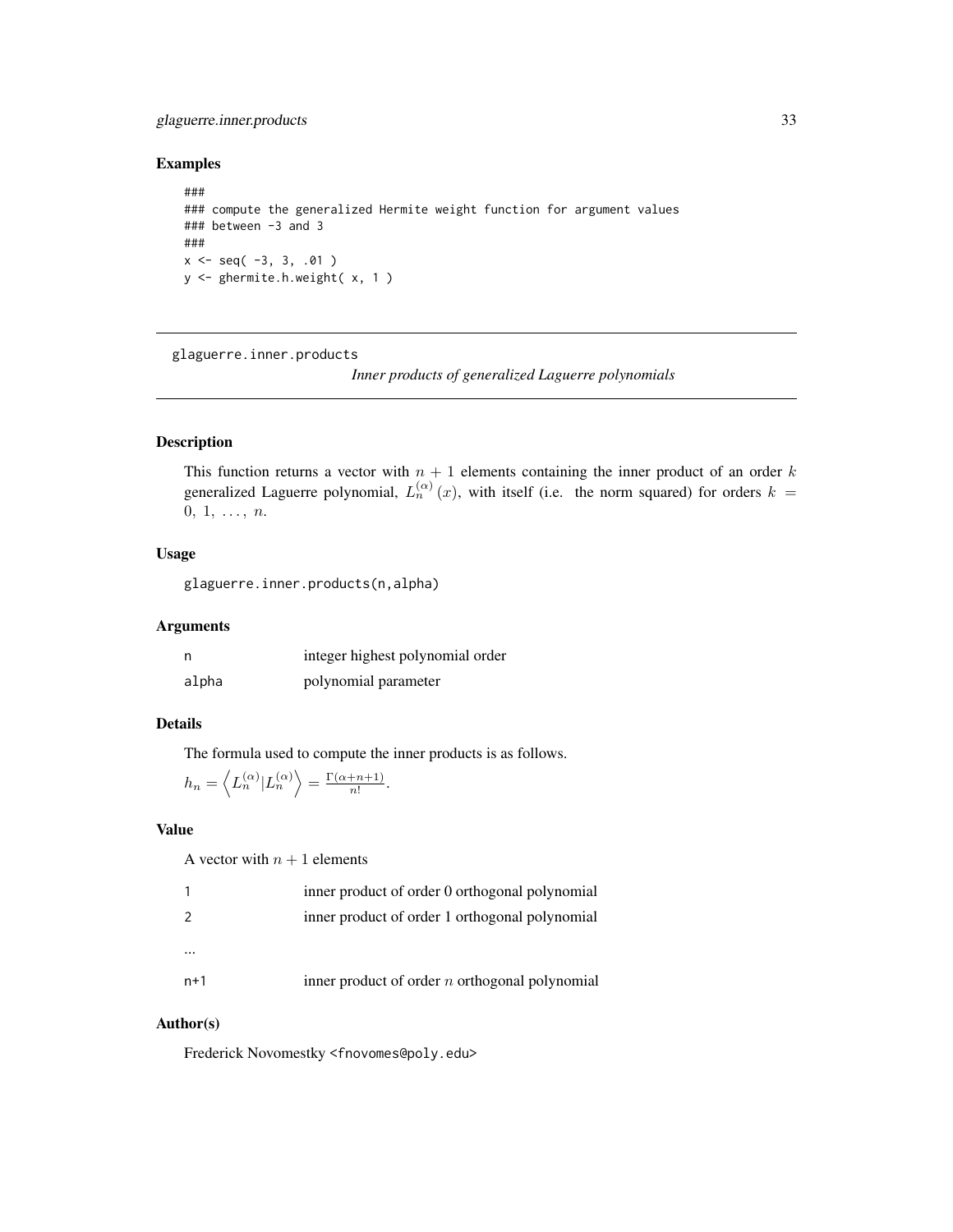# <span id="page-32-0"></span>glaguerre.inner.products 33

# Examples

```
###
### compute the generalized Hermite weight function for argument values
### between -3 and 3
###
x \leq - seq( -3, 3, .01 )
y <- ghermite.h.weight( x, 1 )
```
<span id="page-32-1"></span>glaguerre.inner.products

*Inner products of generalized Laguerre polynomials*

# Description

This function returns a vector with  $n + 1$  elements containing the inner product of an order k generalized Laguerre polynomial,  $L_n^{(\alpha)}(x)$ , with itself (i.e. the norm squared) for orders  $k =$  $0, 1, \ldots, n.$ 

# Usage

glaguerre.inner.products(n,alpha)

# Arguments

|       | integer highest polynomial order |
|-------|----------------------------------|
| alpha | polynomial parameter             |

# Details

The formula used to compute the inner products is as follows.

$$
h_n = \left\langle L_n^{(\alpha)} | L_n^{(\alpha)} \right\rangle = \frac{\Gamma(\alpha + n + 1)}{n!}.
$$

# Value

A vector with  $n + 1$  elements

|       | inner product of order 0 orthogonal polynomial   |
|-------|--------------------------------------------------|
| 2     | inner product of order 1 orthogonal polynomial   |
|       |                                                  |
| $n+1$ | inner product of order $n$ orthogonal polynomial |

# Author(s)

Frederick Novomestky <fnovomes@poly.edu>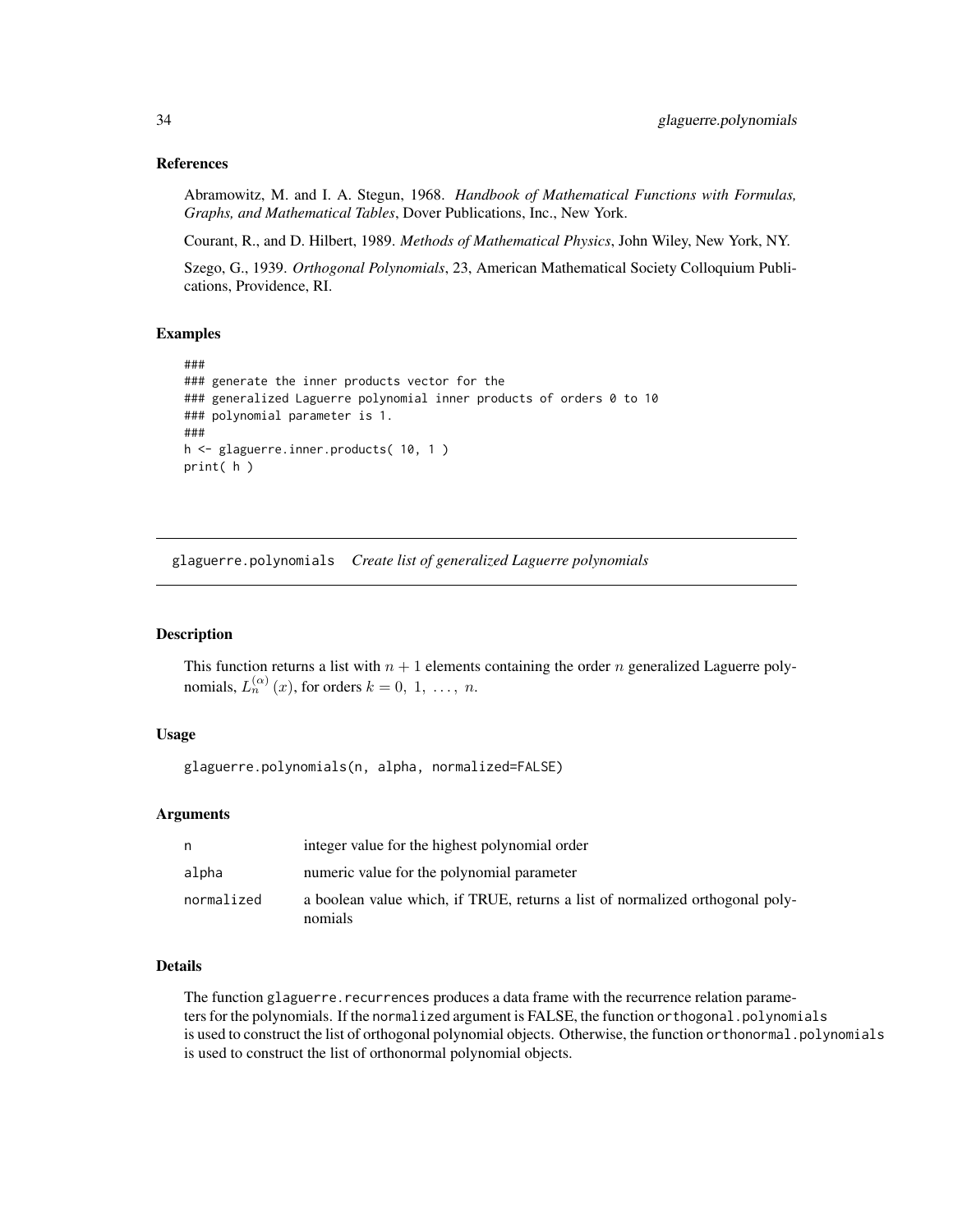# References

Abramowitz, M. and I. A. Stegun, 1968. *Handbook of Mathematical Functions with Formulas, Graphs, and Mathematical Tables*, Dover Publications, Inc., New York.

Courant, R., and D. Hilbert, 1989. *Methods of Mathematical Physics*, John Wiley, New York, NY.

Szego, G., 1939. *Orthogonal Polynomials*, 23, American Mathematical Society Colloquium Publications, Providence, RI.

# Examples

```
###
### generate the inner products vector for the
### generalized Laguerre polynomial inner products of orders 0 to 10
### polynomial parameter is 1.
###
h <- glaguerre.inner.products( 10, 1 )
print( h )
```
glaguerre.polynomials *Create list of generalized Laguerre polynomials*

# Description

This function returns a list with  $n + 1$  elements containing the order n generalized Laguerre polynomials,  $L_n^{(\alpha)}(x)$ , for orders  $k = 0, 1, ..., n$ .

#### Usage

glaguerre.polynomials(n, alpha, normalized=FALSE)

# Arguments

|            | integer value for the highest polynomial order                                           |
|------------|------------------------------------------------------------------------------------------|
| alpha      | numeric value for the polynomial parameter                                               |
| normalized | a boolean value which, if TRUE, returns a list of normalized orthogonal poly-<br>nomials |

# Details

The function glaguerre.recurrences produces a data frame with the recurrence relation parameters for the polynomials. If the normalized argument is FALSE, the function orthogonal.polynomials is used to construct the list of orthogonal polynomial objects. Otherwise, the function orthonormal.polynomials is used to construct the list of orthonormal polynomial objects.

<span id="page-33-0"></span>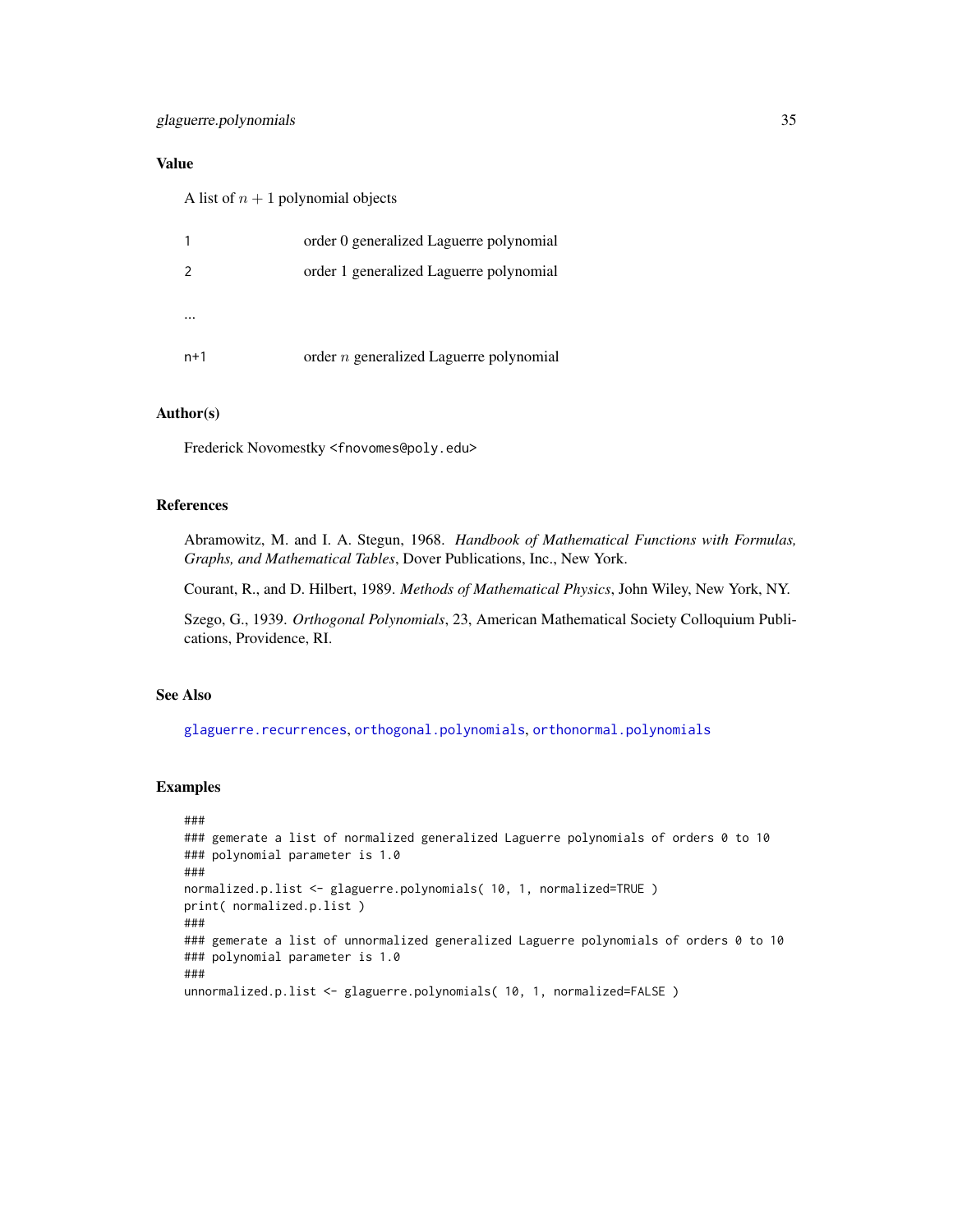# Value

A list of  $n + 1$  polynomial objects

|               | order 0 generalized Laguerre polynomial   |
|---------------|-------------------------------------------|
| $\mathcal{P}$ | order 1 generalized Laguerre polynomial   |
|               |                                           |
|               |                                           |
| $n+1$         | order $n$ generalized Laguerre polynomial |

#### Author(s)

Frederick Novomestky <fnovomes@poly.edu>

# References

Abramowitz, M. and I. A. Stegun, 1968. *Handbook of Mathematical Functions with Formulas, Graphs, and Mathematical Tables*, Dover Publications, Inc., New York.

Courant, R., and D. Hilbert, 1989. *Methods of Mathematical Physics*, John Wiley, New York, NY.

Szego, G., 1939. *Orthogonal Polynomials*, 23, American Mathematical Society Colloquium Publications, Providence, RI.

# See Also

[glaguerre.recurrences](#page-35-1), [orthogonal.polynomials](#page-71-1), [orthonormal.polynomials](#page-72-1)

```
###
### gemerate a list of normalized generalized Laguerre polynomials of orders 0 to 10
### polynomial parameter is 1.0
###
normalized.p.list <- glaguerre.polynomials( 10, 1, normalized=TRUE )
print( normalized.p.list )
###
### gemerate a list of unnormalized generalized Laguerre polynomials of orders 0 to 10
### polynomial parameter is 1.0
###
unnormalized.p.list <- glaguerre.polynomials( 10, 1, normalized=FALSE )
```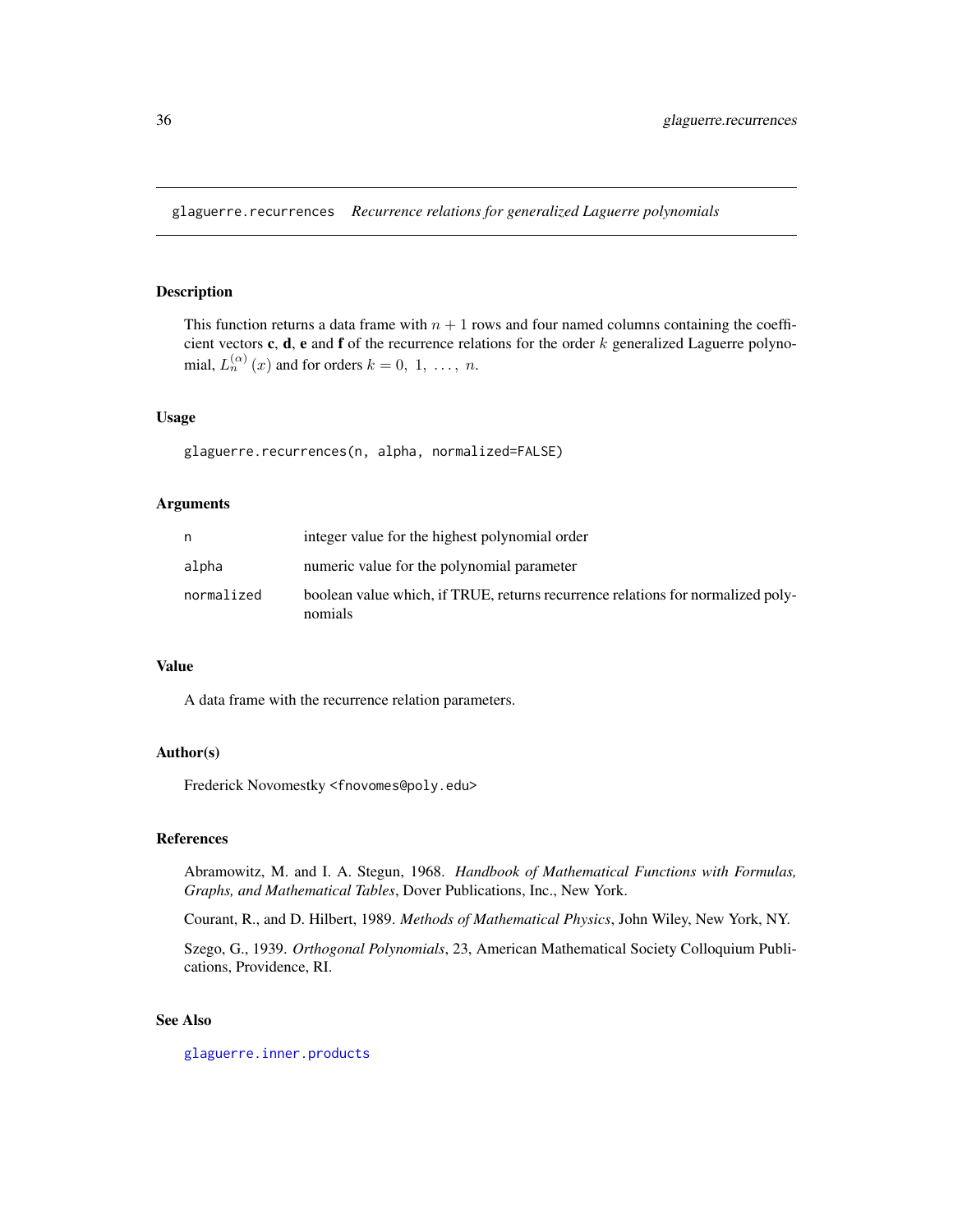<span id="page-35-1"></span><span id="page-35-0"></span>glaguerre.recurrences *Recurrence relations for generalized Laguerre polynomials*

# Description

This function returns a data frame with  $n + 1$  rows and four named columns containing the coefficient vectors c, d, e and f of the recurrence relations for the order  $k$  generalized Laguerre polynomial,  $L_n^{(\alpha)}(x)$  and for orders  $k = 0, 1, ..., n$ .

#### Usage

```
glaguerre.recurrences(n, alpha, normalized=FALSE)
```
# Arguments

| n          | integer value for the highest polynomial order                                             |
|------------|--------------------------------------------------------------------------------------------|
| alpha      | numeric value for the polynomial parameter                                                 |
| normalized | boolean value which, if TRUE, returns recurrence relations for normalized poly-<br>nomials |

# Value

A data frame with the recurrence relation parameters.

# Author(s)

Frederick Novomestky <fnovomes@poly.edu>

# References

Abramowitz, M. and I. A. Stegun, 1968. *Handbook of Mathematical Functions with Formulas, Graphs, and Mathematical Tables*, Dover Publications, Inc., New York.

Courant, R., and D. Hilbert, 1989. *Methods of Mathematical Physics*, John Wiley, New York, NY.

Szego, G., 1939. *Orthogonal Polynomials*, 23, American Mathematical Society Colloquium Publications, Providence, RI.

# See Also

[glaguerre.inner.products](#page-32-1)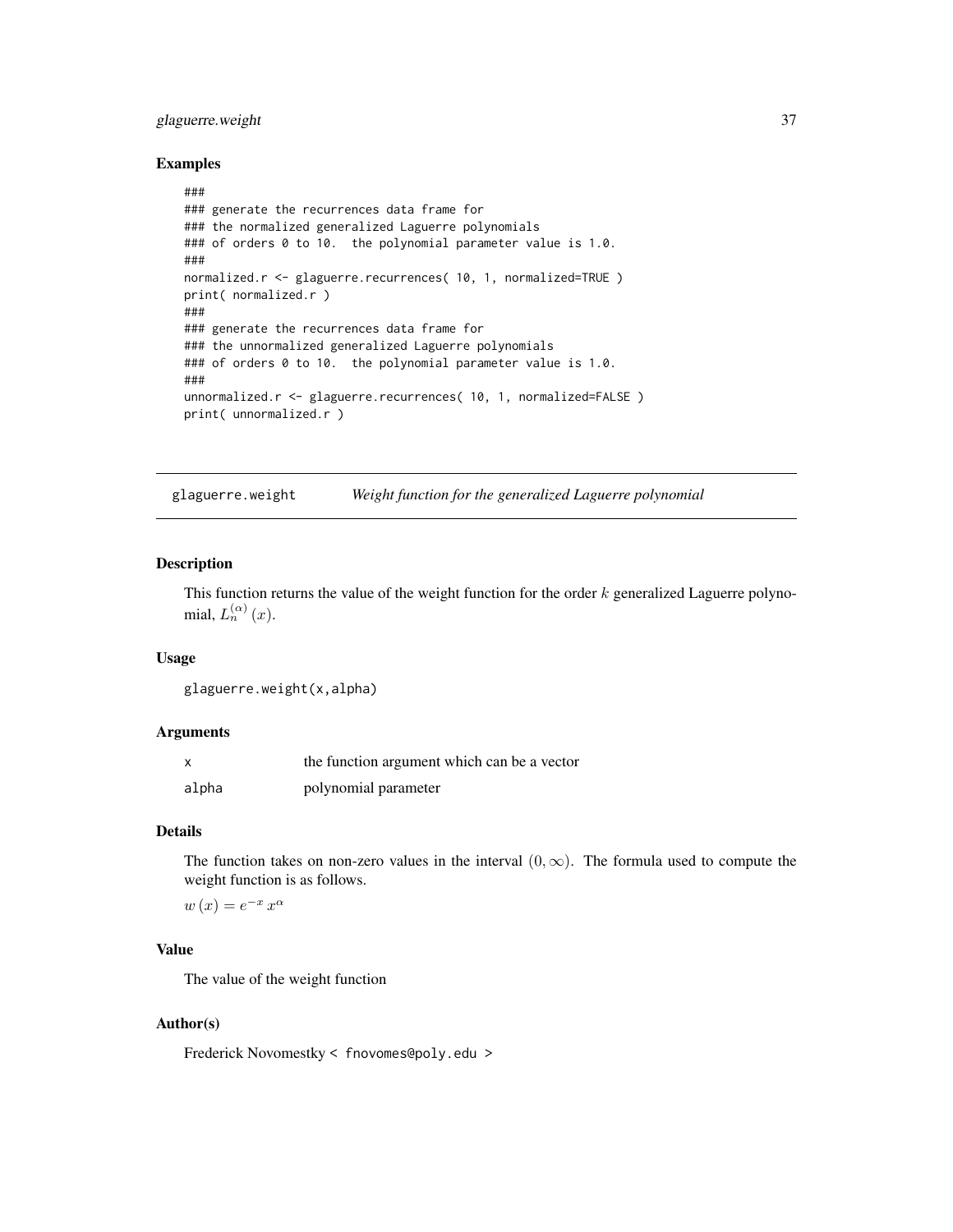# glaguerre.weight 37

## Examples

```
###
### generate the recurrences data frame for
### the normalized generalized Laguerre polynomials
### of orders 0 to 10. the polynomial parameter value is 1.0.
###
normalized.r <- glaguerre.recurrences( 10, 1, normalized=TRUE )
print( normalized.r )
###
### generate the recurrences data frame for
### the unnormalized generalized Laguerre polynomials
### of orders 0 to 10. the polynomial parameter value is 1.0.
###
unnormalized.r <- glaguerre.recurrences( 10, 1, normalized=FALSE )
print( unnormalized.r )
```
glaguerre.weight *Weight function for the generalized Laguerre polynomial*

# Description

This function returns the value of the weight function for the order  $k$  generalized Laguerre polynomial,  $L_n^{(\alpha)}(x)$ .

## Usage

```
glaguerre.weight(x,alpha)
```
# Arguments

| X     | the function argument which can be a vector |
|-------|---------------------------------------------|
| alpha | polynomial parameter                        |

# Details

The function takes on non-zero values in the interval  $(0, \infty)$ . The formula used to compute the weight function is as follows.

 $w(x) = e^{-x} x^{\alpha}$ 

# Value

The value of the weight function

# Author(s)

Frederick Novomestky < fnovomes@poly.edu >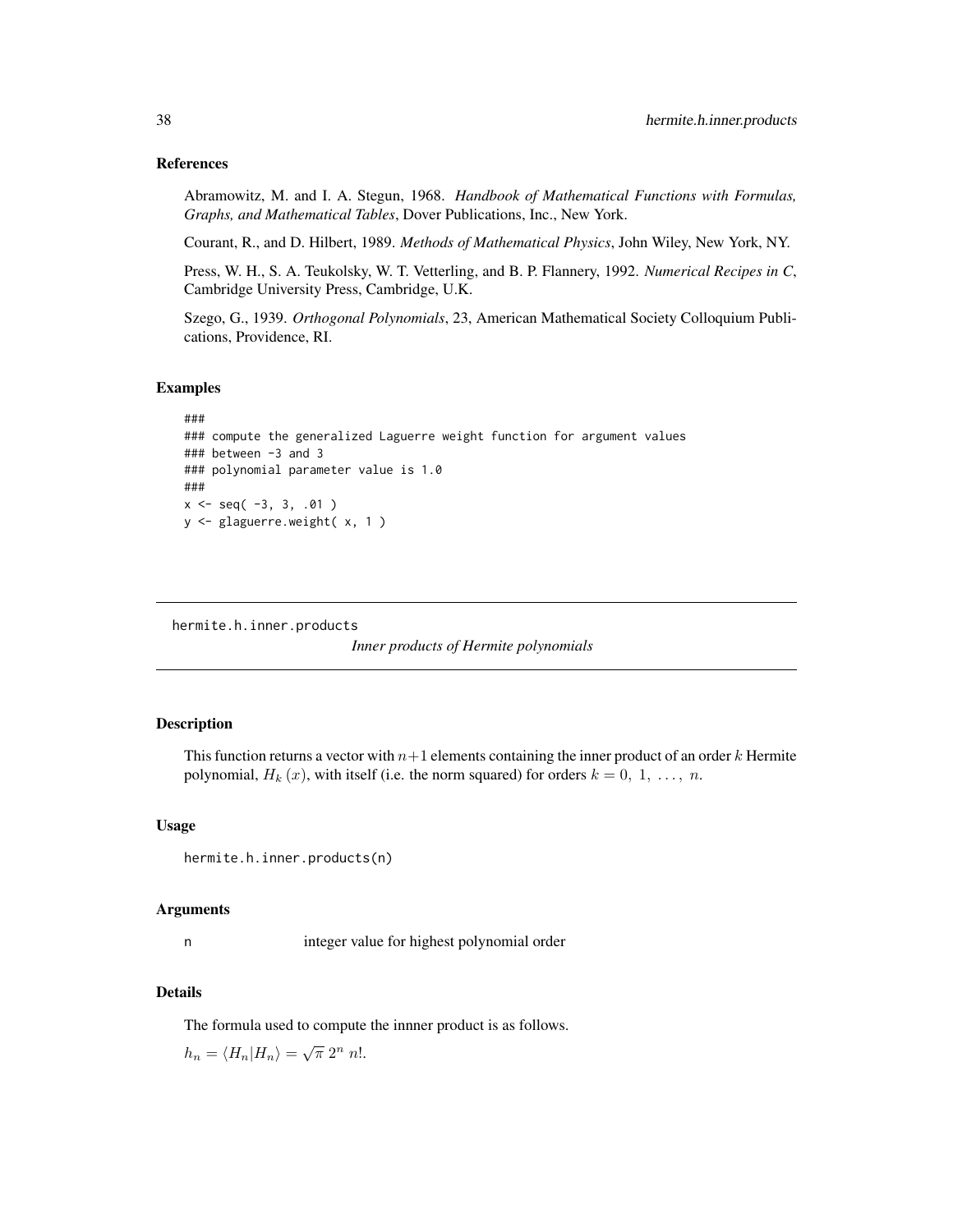# References

Abramowitz, M. and I. A. Stegun, 1968. *Handbook of Mathematical Functions with Formulas, Graphs, and Mathematical Tables*, Dover Publications, Inc., New York.

Courant, R., and D. Hilbert, 1989. *Methods of Mathematical Physics*, John Wiley, New York, NY.

Press, W. H., S. A. Teukolsky, W. T. Vetterling, and B. P. Flannery, 1992. *Numerical Recipes in C*, Cambridge University Press, Cambridge, U.K.

Szego, G., 1939. *Orthogonal Polynomials*, 23, American Mathematical Society Colloquium Publications, Providence, RI.

#### Examples

```
###
### compute the generalized Laguerre weight function for argument values
### between -3 and 3
### polynomial parameter value is 1.0
###
x \le - seq(-3, 3, .01)
y <- glaguerre.weight( x, 1 )
```

```
hermite.h.inner.products
```
*Inner products of Hermite polynomials*

#### Description

This function returns a vector with  $n+1$  elements containing the inner product of an order k Hermite polynomial,  $H_k(x)$ , with itself (i.e. the norm squared) for orders  $k = 0, 1, \ldots, n$ .

#### Usage

```
hermite.h.inner.products(n)
```
#### Arguments

n integer value for highest polynomial order

## Details

The formula used to compute the innner product is as follows.

 $h_n = \langle H_n | H_n \rangle = \sqrt{\pi} 2^n n!.$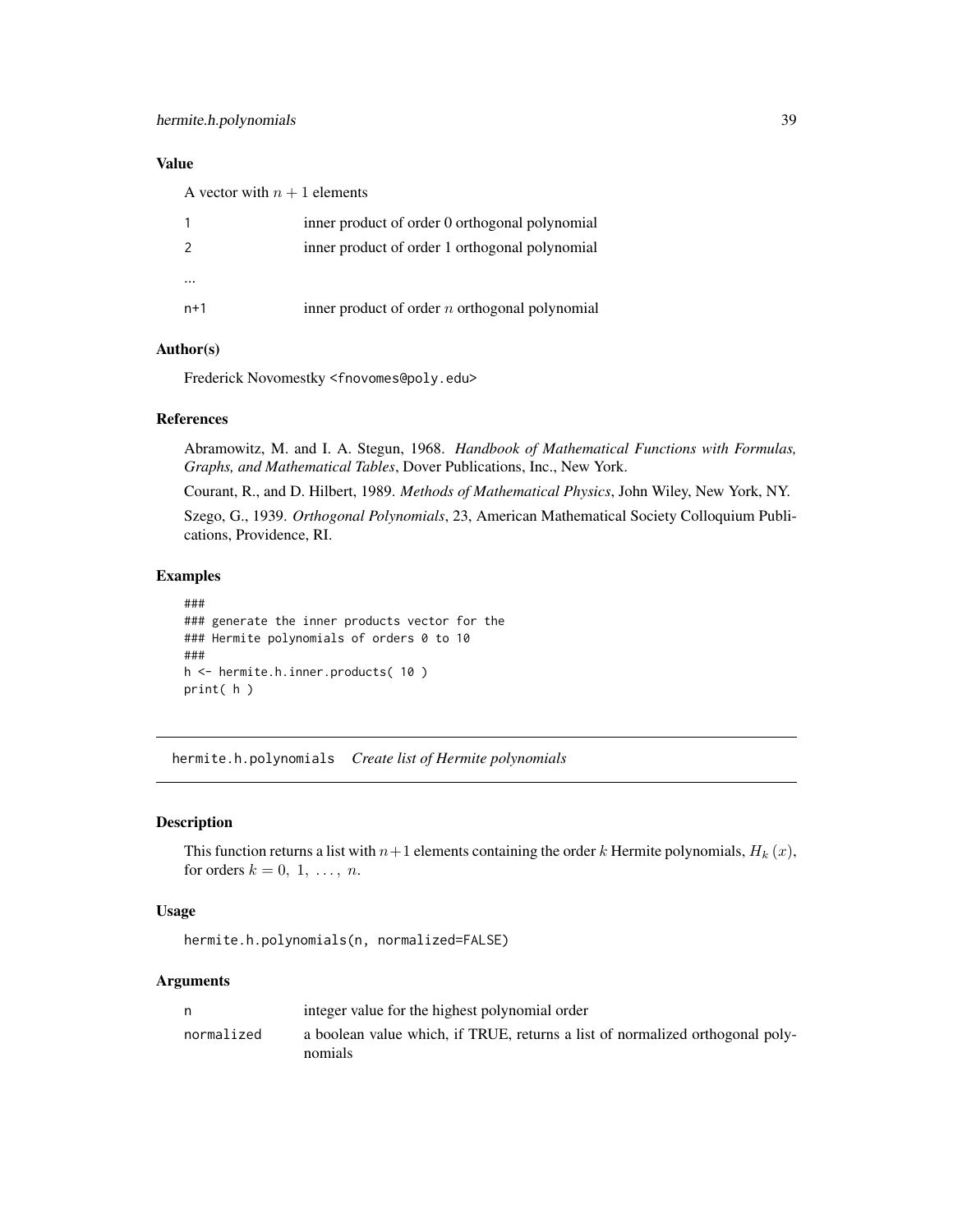A vector with  $n + 1$  elements

|          | inner product of order 0 orthogonal polynomial   |
|----------|--------------------------------------------------|
| 2        | inner product of order 1 orthogonal polynomial   |
| $\cdots$ |                                                  |
| $n+1$    | inner product of order $n$ orthogonal polynomial |
|          |                                                  |

# Author(s)

Frederick Novomestky <fnovomes@poly.edu>

# References

Abramowitz, M. and I. A. Stegun, 1968. *Handbook of Mathematical Functions with Formulas, Graphs, and Mathematical Tables*, Dover Publications, Inc., New York.

Courant, R., and D. Hilbert, 1989. *Methods of Mathematical Physics*, John Wiley, New York, NY. Szego, G., 1939. *Orthogonal Polynomials*, 23, American Mathematical Society Colloquium Publications, Providence, RI.

# Examples

```
###
### generate the inner products vector for the
### Hermite polynomials of orders 0 to 10
###
h <- hermite.h.inner.products( 10 )
print( h )
```
hermite.h.polynomials *Create list of Hermite polynomials*

# Description

This function returns a list with  $n+1$  elements containing the order k Hermite polynomials,  $H_k(x)$ , for orders  $k = 0, 1, \ldots, n$ .

#### Usage

hermite.h.polynomials(n, normalized=FALSE)

## Arguments

| n          | integer value for the highest polynomial order                                           |
|------------|------------------------------------------------------------------------------------------|
| normalized | a boolean value which, if TRUE, returns a list of normalized orthogonal poly-<br>nomials |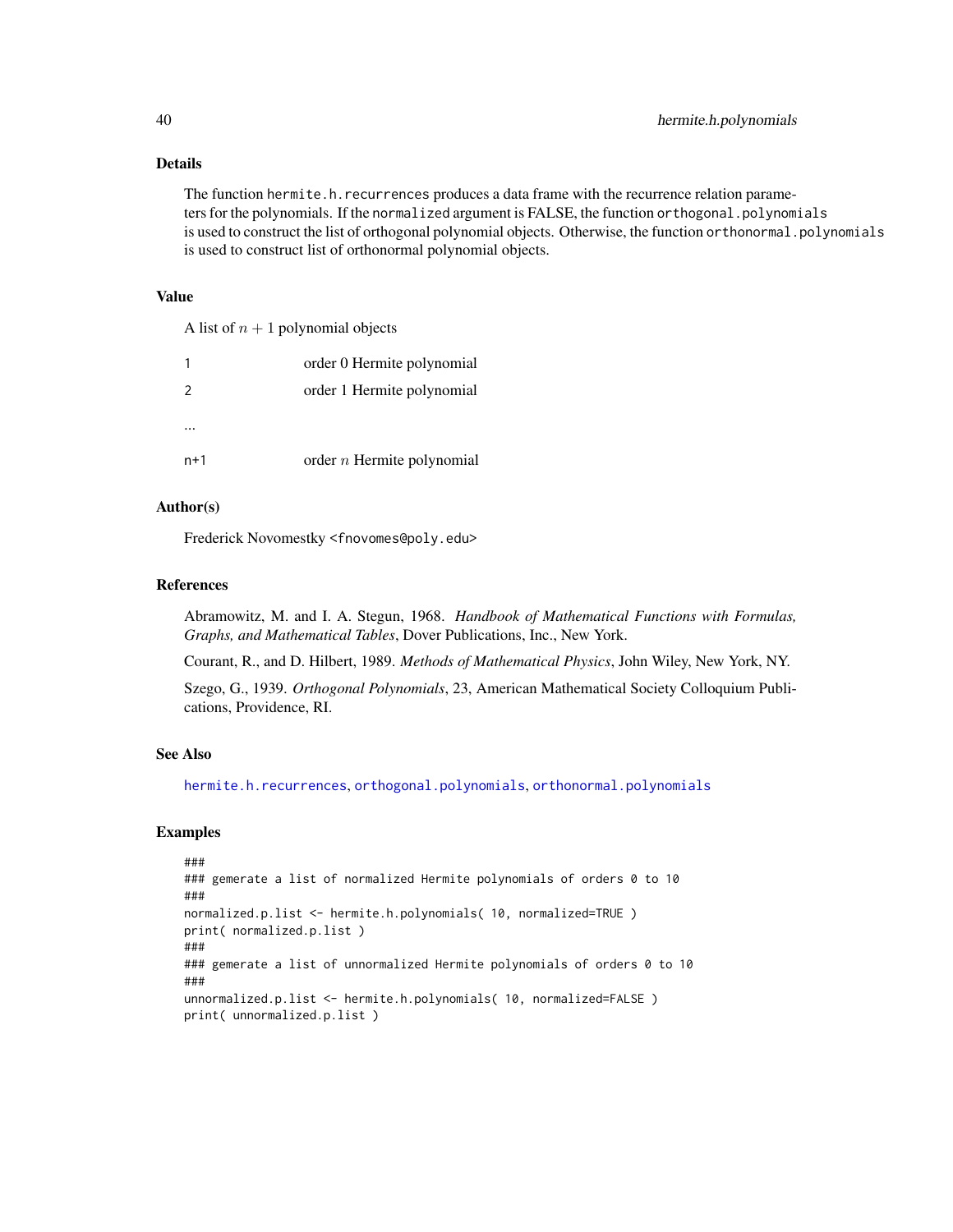# Details

The function hermite.h.recurrences produces a data frame with the recurrence relation parameters for the polynomials. If the normalized argument is FALSE, the function orthogonal.polynomials is used to construct the list of orthogonal polynomial objects. Otherwise, the function orthonormal.polynomials is used to construct list of orthonormal polynomial objects.

#### Value

A list of  $n + 1$  polynomial objects

|               | order 0 Hermite polynomial   |
|---------------|------------------------------|
| $\mathcal{L}$ | order 1 Hermite polynomial   |
|               |                              |
| $n+1$         | order $n$ Hermite polynomial |

# Author(s)

Frederick Novomestky <fnovomes@poly.edu>

#### References

Abramowitz, M. and I. A. Stegun, 1968. *Handbook of Mathematical Functions with Formulas, Graphs, and Mathematical Tables*, Dover Publications, Inc., New York.

Courant, R., and D. Hilbert, 1989. *Methods of Mathematical Physics*, John Wiley, New York, NY.

Szego, G., 1939. *Orthogonal Polynomials*, 23, American Mathematical Society Colloquium Publications, Providence, RI.

## See Also

[hermite.h.recurrences](#page-40-0), [orthogonal.polynomials](#page-71-0), [orthonormal.polynomials](#page-72-0)

```
###
### gemerate a list of normalized Hermite polynomials of orders 0 to 10
###
normalized.p.list <- hermite.h.polynomials( 10, normalized=TRUE )
print( normalized.p.list )
###
### gemerate a list of unnormalized Hermite polynomials of orders 0 to 10
###
unnormalized.p.list <- hermite.h.polynomials( 10, normalized=FALSE )
print( unnormalized.p.list )
```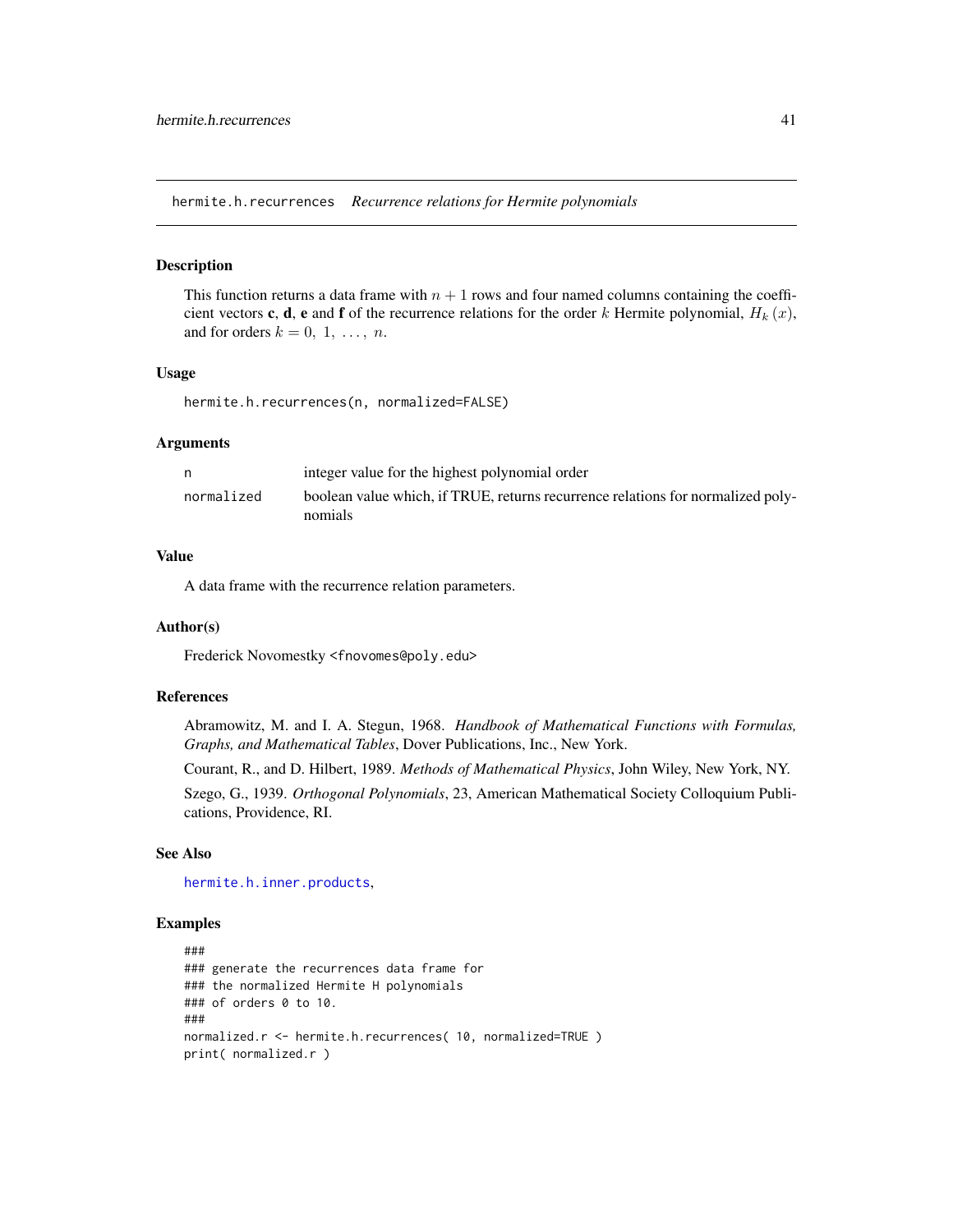<span id="page-40-0"></span>hermite.h.recurrences *Recurrence relations for Hermite polynomials*

#### Description

This function returns a data frame with  $n + 1$  rows and four named columns containing the coefficient vectors c, d, e and f of the recurrence relations for the order k Hermite polynomial,  $H_k(x)$ , and for orders  $k = 0, 1, \ldots, n$ .

#### Usage

hermite.h.recurrences(n, normalized=FALSE)

#### Arguments

| n          | integer value for the highest polynomial order                                             |
|------------|--------------------------------------------------------------------------------------------|
| normalized | boolean value which, if TRUE, returns recurrence relations for normalized poly-<br>nomials |

# Value

A data frame with the recurrence relation parameters.

#### Author(s)

Frederick Novomestky <fnovomes@poly.edu>

## References

Abramowitz, M. and I. A. Stegun, 1968. *Handbook of Mathematical Functions with Formulas, Graphs, and Mathematical Tables*, Dover Publications, Inc., New York.

Courant, R., and D. Hilbert, 1989. *Methods of Mathematical Physics*, John Wiley, New York, NY.

Szego, G., 1939. *Orthogonal Polynomials*, 23, American Mathematical Society Colloquium Publications, Providence, RI.

#### See Also

[hermite.h.inner.products](#page-37-0),

```
###
### generate the recurrences data frame for
### the normalized Hermite H polynomials
### of orders 0 to 10.
###
normalized.r <- hermite.h.recurrences( 10, normalized=TRUE )
print( normalized.r )
```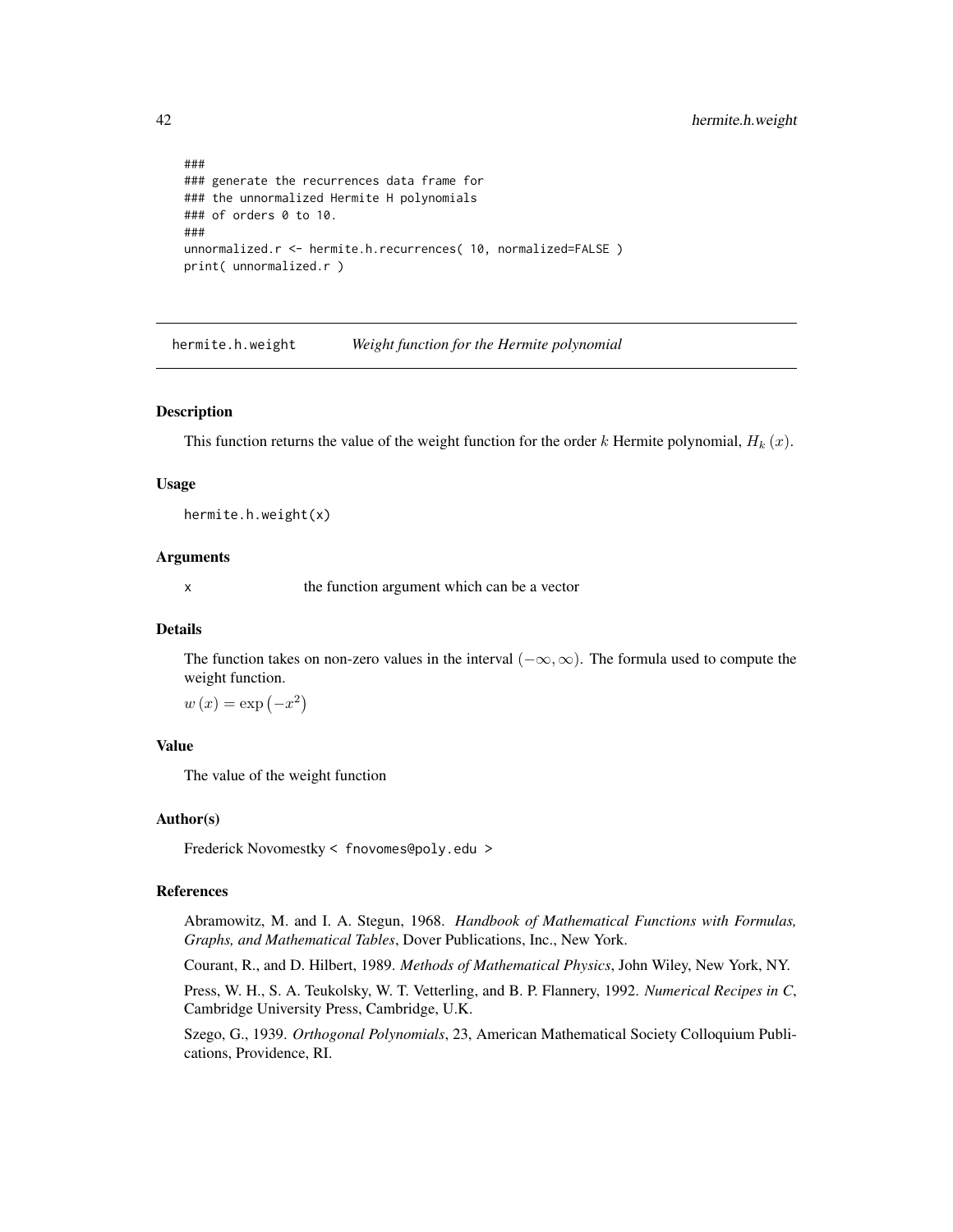```
###
### generate the recurrences data frame for
### the unnormalized Hermite H polynomials
### of orders 0 to 10.
###
unnormalized.r <- hermite.h.recurrences( 10, normalized=FALSE )
print( unnormalized.r )
```
hermite.h.weight *Weight function for the Hermite polynomial*

# Description

This function returns the value of the weight function for the order k Hermite polynomial,  $H_k(x)$ .

## Usage

hermite.h.weight(x)

# Arguments

x the function argument which can be a vector

#### Details

The function takes on non-zero values in the interval  $(-\infty, \infty)$ . The formula used to compute the weight function.

 $w(x) = \exp(-x^2)$ 

## Value

The value of the weight function

## Author(s)

Frederick Novomestky < fnovomes@poly.edu >

# References

Abramowitz, M. and I. A. Stegun, 1968. *Handbook of Mathematical Functions with Formulas, Graphs, and Mathematical Tables*, Dover Publications, Inc., New York.

Courant, R., and D. Hilbert, 1989. *Methods of Mathematical Physics*, John Wiley, New York, NY.

Press, W. H., S. A. Teukolsky, W. T. Vetterling, and B. P. Flannery, 1992. *Numerical Recipes in C*, Cambridge University Press, Cambridge, U.K.

Szego, G., 1939. *Orthogonal Polynomials*, 23, American Mathematical Society Colloquium Publications, Providence, RI.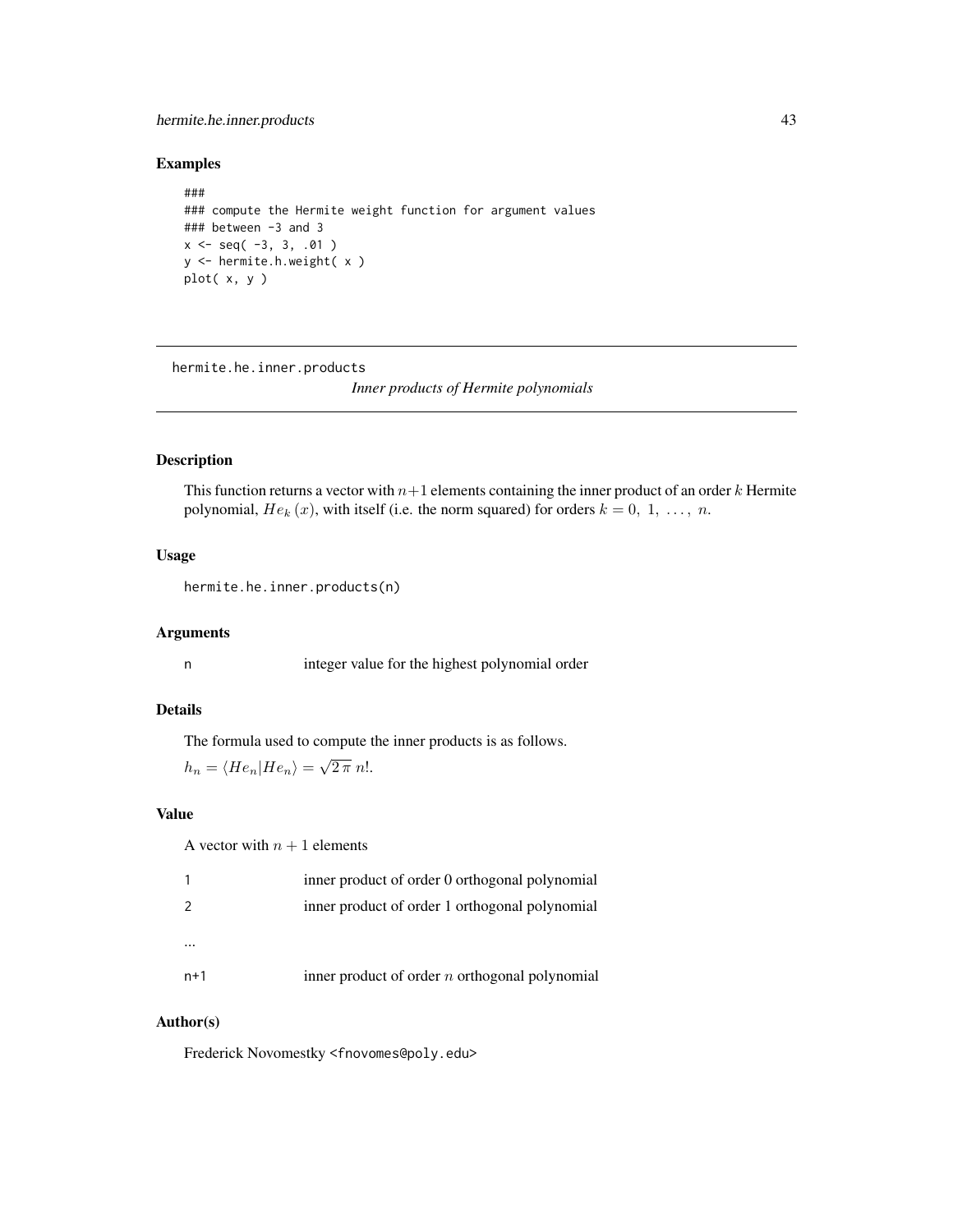# hermite.he.inner.products 43

## Examples

```
###
### compute the Hermite weight function for argument values
### between -3 and 3
x \leq - seq( -3, 3, .01 )
y <- hermite.h.weight( x )
plot( x, y )
```
<span id="page-42-0"></span>hermite.he.inner.products

*Inner products of Hermite polynomials*

# Description

This function returns a vector with  $n+1$  elements containing the inner product of an order k Hermite polynomial,  $He_k(x)$ , with itself (i.e. the norm squared) for orders  $k = 0, 1, \ldots, n$ .

# Usage

hermite.he.inner.products(n)

# Arguments

n integer value for the highest polynomial order

# Details

The formula used to compute the inner products is as follows.

$$
h_n = \langle He_n | He_n \rangle = \sqrt{2 \pi} n!.
$$

# Value

A vector with  $n + 1$  elements

| 1   | inner product of order 0 orthogonal polynomial   |
|-----|--------------------------------------------------|
| 2   | inner product of order 1 orthogonal polynomial   |
|     |                                                  |
| n+1 | inner product of order $n$ orthogonal polynomial |

#### Author(s)

Frederick Novomestky <fnovomes@poly.edu>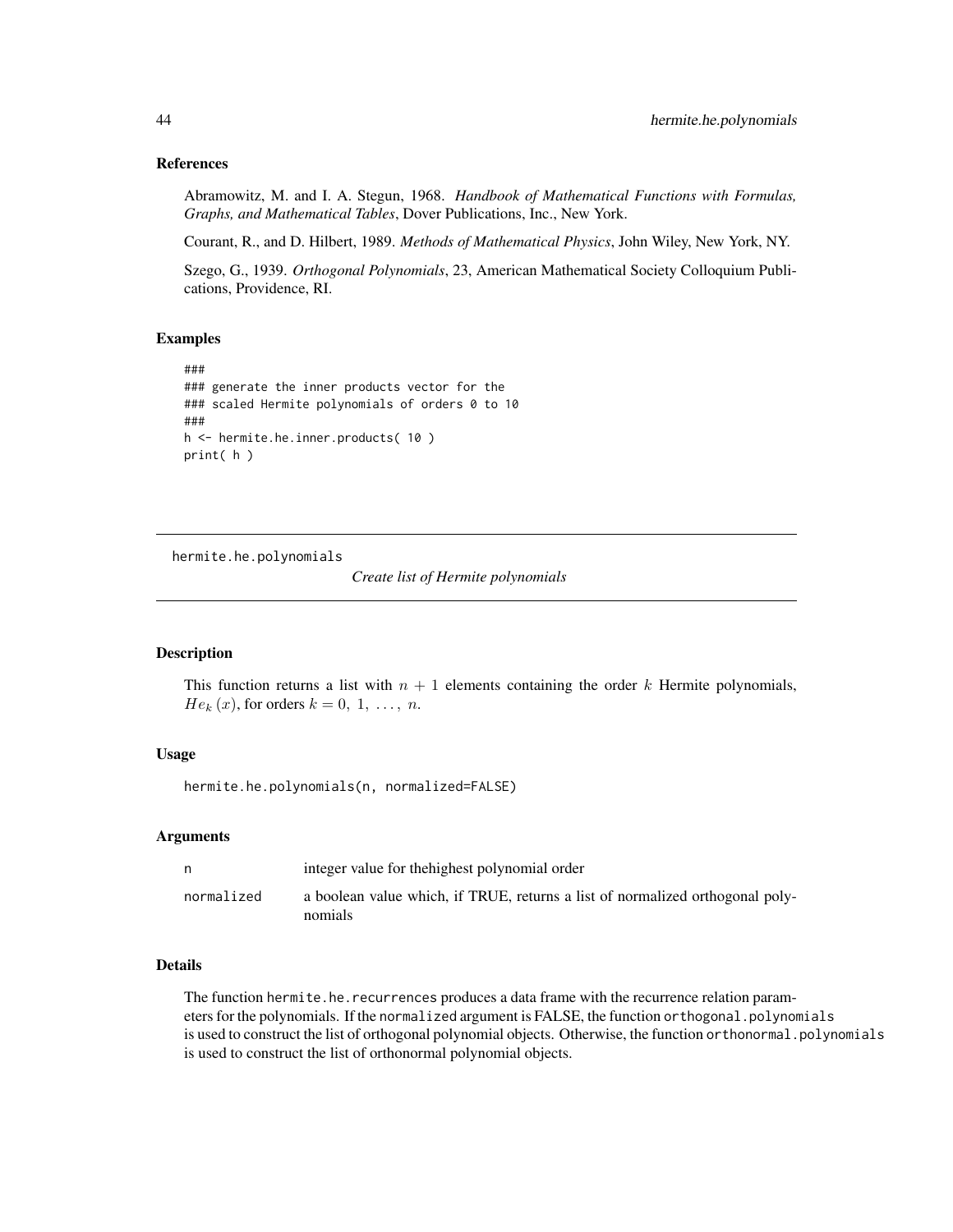# References

Abramowitz, M. and I. A. Stegun, 1968. *Handbook of Mathematical Functions with Formulas, Graphs, and Mathematical Tables*, Dover Publications, Inc., New York.

Courant, R., and D. Hilbert, 1989. *Methods of Mathematical Physics*, John Wiley, New York, NY.

Szego, G., 1939. *Orthogonal Polynomials*, 23, American Mathematical Society Colloquium Publications, Providence, RI.

## Examples

```
###
### generate the inner products vector for the
### scaled Hermite polynomials of orders 0 to 10
###
h <- hermite.he.inner.products( 10 )
print( h )
```
hermite.he.polynomials

*Create list of Hermite polynomials*

## Description

This function returns a list with  $n + 1$  elements containing the order k Hermite polynomials,  $He_k(x)$ , for orders  $k = 0, 1, \ldots, n$ .

# Usage

hermite.he.polynomials(n, normalized=FALSE)

## Arguments

| n          | integer value for the highest polynomial order                                           |
|------------|------------------------------------------------------------------------------------------|
| normalized | a boolean value which, if TRUE, returns a list of normalized orthogonal poly-<br>nomials |

# Details

The function hermite.he.recurrences produces a data frame with the recurrence relation parameters for the polynomials. If the normalized argument is FALSE, the function orthogonal.polynomials is used to construct the list of orthogonal polynomial objects. Otherwise, the function orthonormal.polynomials is used to construct the list of orthonormal polynomial objects.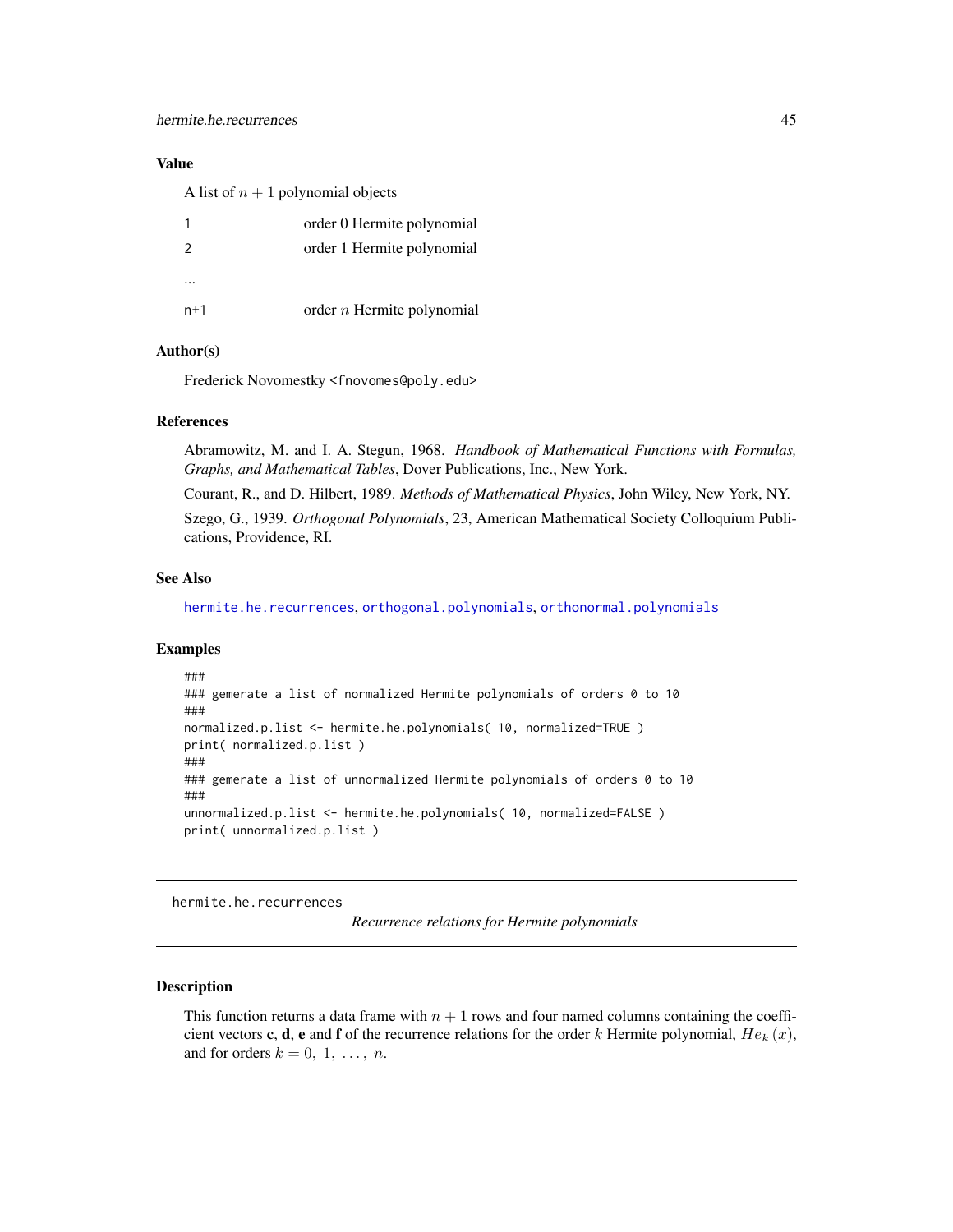A list of  $n + 1$  polynomial objects

|                | order 0 Hermite polynomial   |
|----------------|------------------------------|
| $\overline{2}$ | order 1 Hermite polynomial   |
|                |                              |
|                |                              |
| n+1            | order $n$ Hermite polynomial |

# Author(s)

Frederick Novomestky <fnovomes@poly.edu>

# References

Abramowitz, M. and I. A. Stegun, 1968. *Handbook of Mathematical Functions with Formulas, Graphs, and Mathematical Tables*, Dover Publications, Inc., New York.

Courant, R., and D. Hilbert, 1989. *Methods of Mathematical Physics*, John Wiley, New York, NY.

Szego, G., 1939. *Orthogonal Polynomials*, 23, American Mathematical Society Colloquium Publications, Providence, RI.

#### See Also

[hermite.he.recurrences](#page-44-0), [orthogonal.polynomials](#page-71-0), [orthonormal.polynomials](#page-72-0)

#### Examples

```
###
### gemerate a list of normalized Hermite polynomials of orders 0 to 10
###
normalized.p.list <- hermite.he.polynomials( 10, normalized=TRUE )
print( normalized.p.list )
###
### gemerate a list of unnormalized Hermite polynomials of orders 0 to 10
###
unnormalized.p.list <- hermite.he.polynomials( 10, normalized=FALSE )
print( unnormalized.p.list )
```
<span id="page-44-0"></span>hermite.he.recurrences

*Recurrence relations for Hermite polynomials*

# **Description**

This function returns a data frame with  $n + 1$  rows and four named columns containing the coefficient vectors c, d, e and f of the recurrence relations for the order k Hermite polynomial,  $He_k(x)$ , and for orders  $k = 0, 1, \ldots, n$ .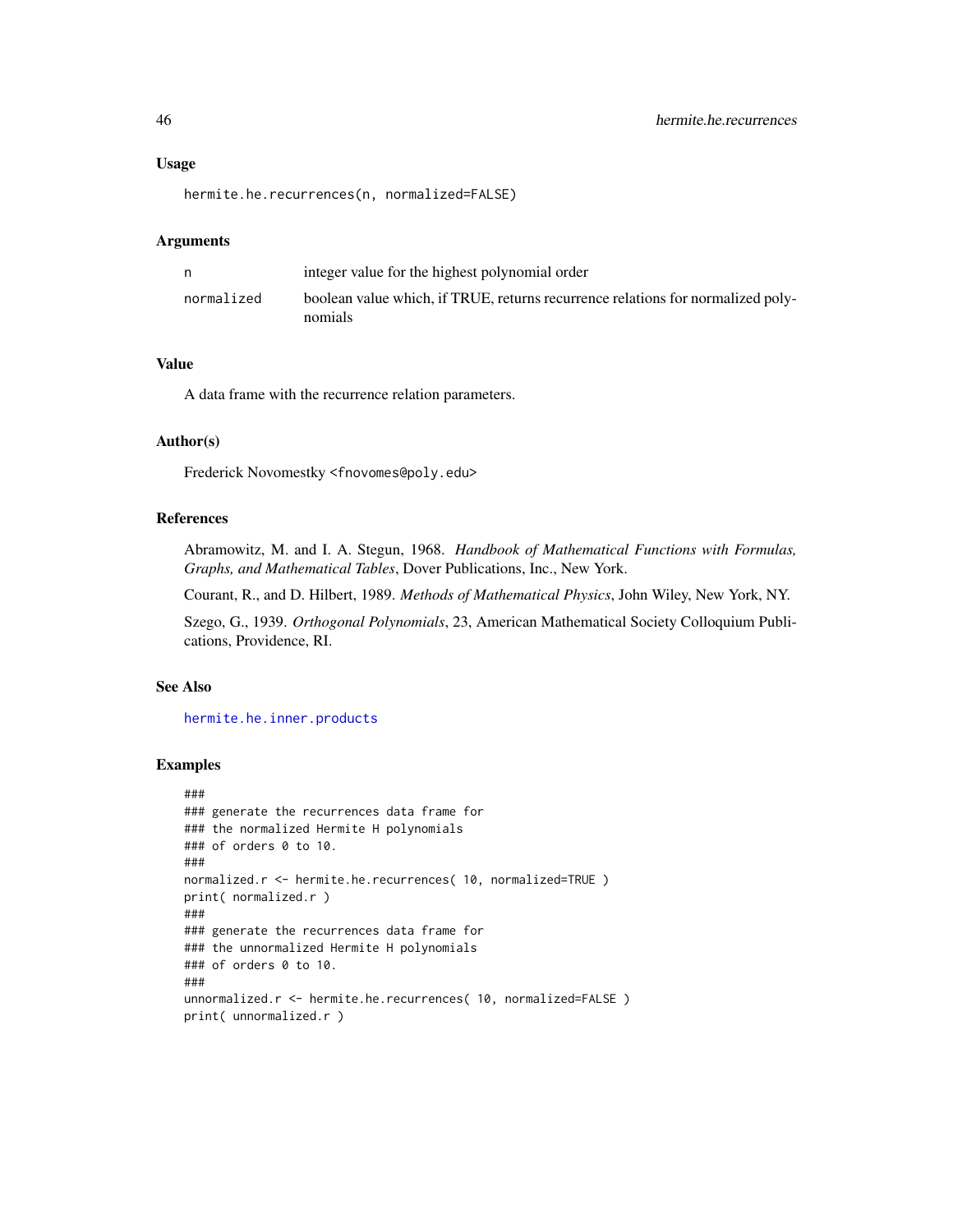#### Usage

hermite.he.recurrences(n, normalized=FALSE)

#### Arguments

|            | integer value for the highest polynomial order                                             |
|------------|--------------------------------------------------------------------------------------------|
| normalized | boolean value which, if TRUE, returns recurrence relations for normalized poly-<br>nomials |

# Value

A data frame with the recurrence relation parameters.

## Author(s)

Frederick Novomestky <fnovomes@poly.edu>

# References

Abramowitz, M. and I. A. Stegun, 1968. *Handbook of Mathematical Functions with Formulas, Graphs, and Mathematical Tables*, Dover Publications, Inc., New York.

Courant, R., and D. Hilbert, 1989. *Methods of Mathematical Physics*, John Wiley, New York, NY.

Szego, G., 1939. *Orthogonal Polynomials*, 23, American Mathematical Society Colloquium Publications, Providence, RI.

# See Also

[hermite.he.inner.products](#page-42-0)

```
###
### generate the recurrences data frame for
### the normalized Hermite H polynomials
### of orders 0 to 10.
###
normalized.r <- hermite.he.recurrences( 10, normalized=TRUE )
print( normalized.r )
###
### generate the recurrences data frame for
### the unnormalized Hermite H polynomials
### of orders 0 to 10.
###
unnormalized.r <- hermite.he.recurrences( 10, normalized=FALSE )
print( unnormalized.r )
```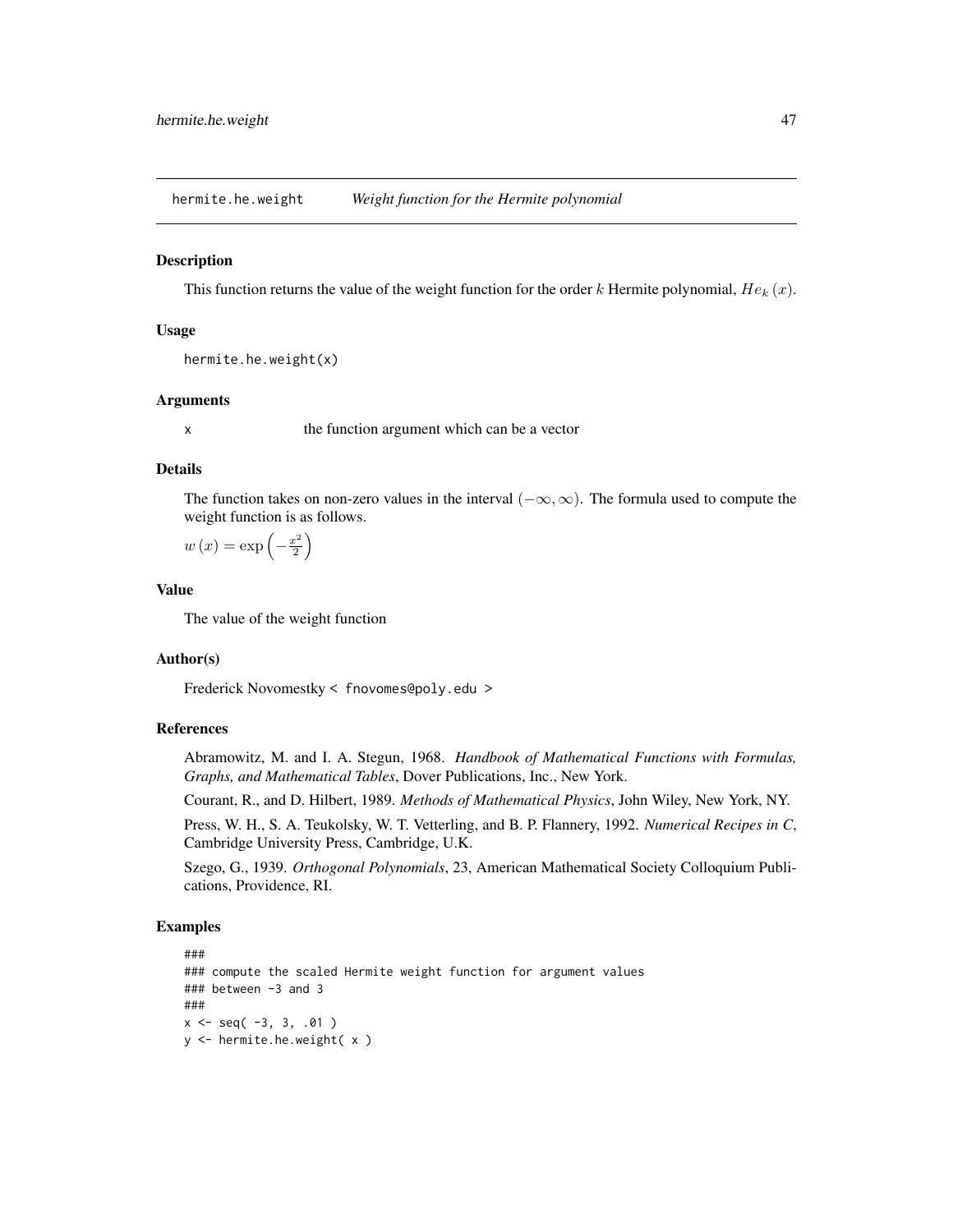hermite.he.weight *Weight function for the Hermite polynomial*

#### Description

This function returns the value of the weight function for the order k Hermite polynomial,  $He_k(x)$ .

## Usage

```
hermite.he.weight(x)
```
## Arguments

x the function argument which can be a vector

# Details

The function takes on non-zero values in the interval  $(-\infty, \infty)$ . The formula used to compute the weight function is as follows.

$$
w(x) = \exp\left(-\frac{x^2}{2}\right)
$$

# Value

The value of the weight function

## Author(s)

Frederick Novomestky < fnovomes@poly.edu >

# References

Abramowitz, M. and I. A. Stegun, 1968. *Handbook of Mathematical Functions with Formulas, Graphs, and Mathematical Tables*, Dover Publications, Inc., New York.

Courant, R., and D. Hilbert, 1989. *Methods of Mathematical Physics*, John Wiley, New York, NY.

Press, W. H., S. A. Teukolsky, W. T. Vetterling, and B. P. Flannery, 1992. *Numerical Recipes in C*, Cambridge University Press, Cambridge, U.K.

Szego, G., 1939. *Orthogonal Polynomials*, 23, American Mathematical Society Colloquium Publications, Providence, RI.

```
###
### compute the scaled Hermite weight function for argument values
### between -3 and 3
###
x \le - seq( -3, 3, .01 )
y <- hermite.he.weight( x )
```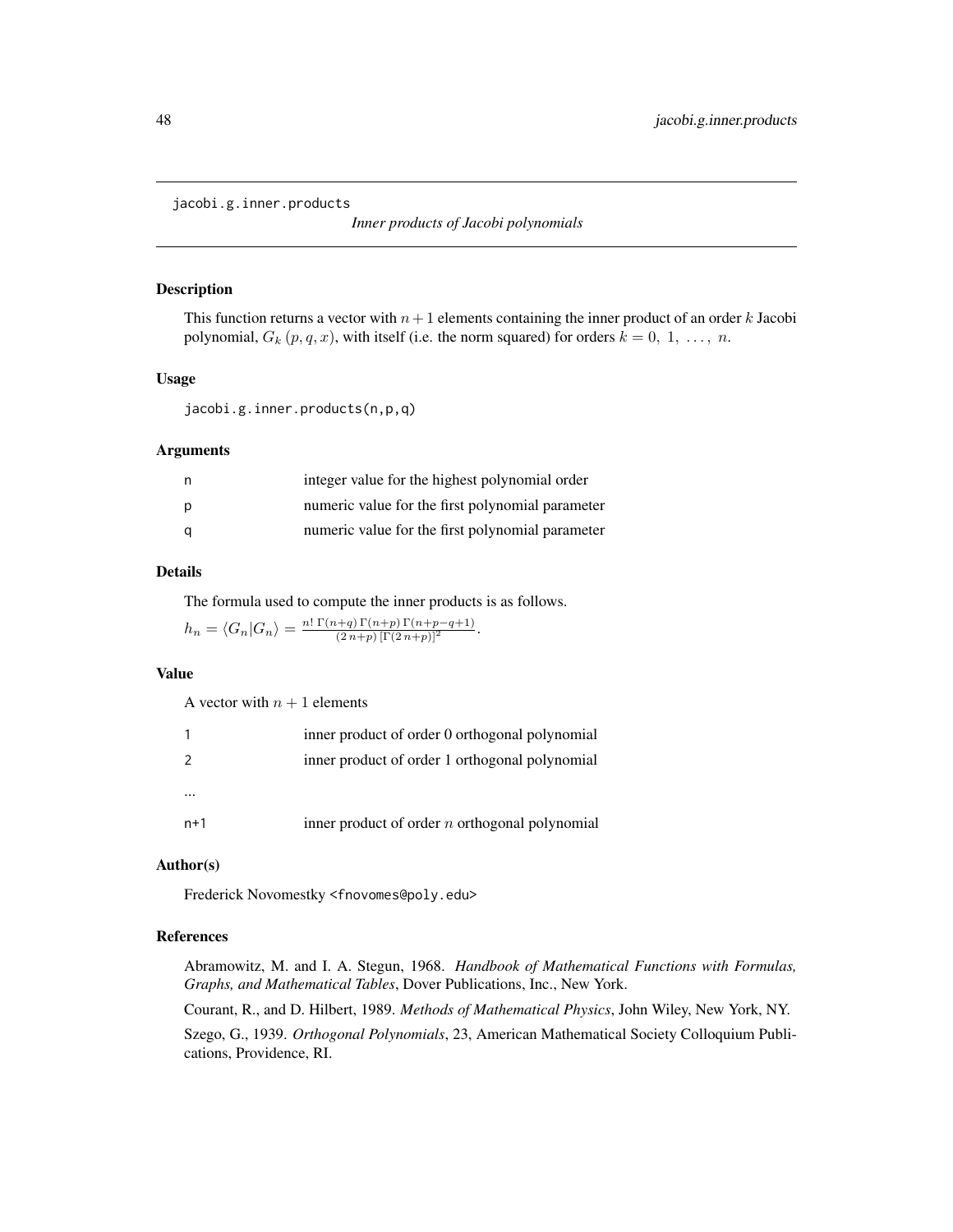<span id="page-47-0"></span>jacobi.g.inner.products

*Inner products of Jacobi polynomials*

#### Description

This function returns a vector with  $n+1$  elements containing the inner product of an order k Jacobi polynomial,  $G_k(p, q, x)$ , with itself (i.e. the norm squared) for orders  $k = 0, 1, ..., n$ .

# Usage

jacobi.g.inner.products(n,p,q)

## Arguments

| n, | integer value for the highest polynomial order   |
|----|--------------------------------------------------|
| p  | numeric value for the first polynomial parameter |
| a  | numeric value for the first polynomial parameter |

# Details

The formula used to compute the inner products is as follows.

$$
h_n = \langle G_n | G_n \rangle = \frac{n! \Gamma(n+q) \Gamma(n+p) \Gamma(n+p-q+1)}{(2n+p) [\Gamma(2n+p)]^2}.
$$

#### Value

A vector with  $n + 1$  elements

|          | inner product of order 0 orthogonal polynomial   |
|----------|--------------------------------------------------|
| 2        | inner product of order 1 orthogonal polynomial   |
| $\cdots$ |                                                  |
| $n+1$    | inner product of order $n$ orthogonal polynomial |

# Author(s)

Frederick Novomestky <fnovomes@poly.edu>

## References

Abramowitz, M. and I. A. Stegun, 1968. *Handbook of Mathematical Functions with Formulas, Graphs, and Mathematical Tables*, Dover Publications, Inc., New York.

Courant, R., and D. Hilbert, 1989. *Methods of Mathematical Physics*, John Wiley, New York, NY. Szego, G., 1939. *Orthogonal Polynomials*, 23, American Mathematical Society Colloquium Publications, Providence, RI.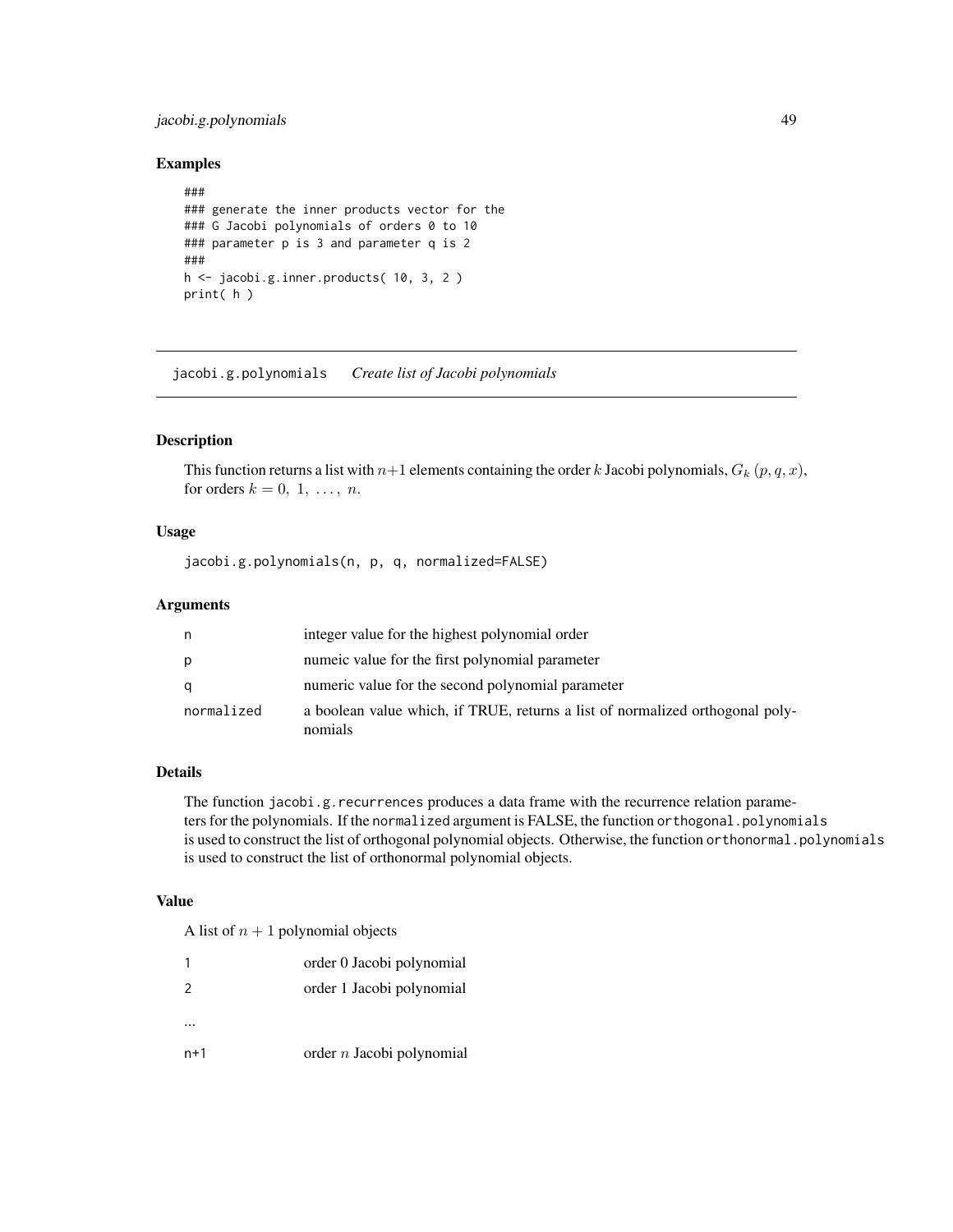# jacobi.g.polynomials 49

## Examples

```
###
### generate the inner products vector for the
### G Jacobi polynomials of orders 0 to 10
### parameter p is 3 and parameter q is 2
###
h <- jacobi.g.inner.products( 10, 3, 2 )
print( h )
```
jacobi.g.polynomials *Create list of Jacobi polynomials*

# Description

This function returns a list with  $n+1$  elements containing the order k Jacobi polynomials,  $G_k(p, q, x)$ , for orders  $k = 0, 1, \ldots, n$ .

# Usage

jacobi.g.polynomials(n, p, q, normalized=FALSE)

## Arguments

| n          | integer value for the highest polynomial order                                           |
|------------|------------------------------------------------------------------------------------------|
| р          | numerc value for the first polynomial parameter                                          |
| a          | numeric value for the second polynomial parameter                                        |
| normalized | a boolean value which, if TRUE, returns a list of normalized orthogonal poly-<br>nomials |

# Details

The function jacobi.g.recurrences produces a data frame with the recurrence relation parameters for the polynomials. If the normalized argument is FALSE, the function orthogonal.polynomials is used to construct the list of orthogonal polynomial objects. Otherwise, the function orthonormal.polynomials is used to construct the list of orthonormal polynomial objects.

# Value

A list of  $n + 1$  polynomial objects

| $\overline{z}$ | order 0 Jacobi polynomial<br>order 1 Jacobi polynomial |
|----------------|--------------------------------------------------------|
|                |                                                        |
| $n+1$          | $\alpha$ order <i>n</i> Jacobi polynomial              |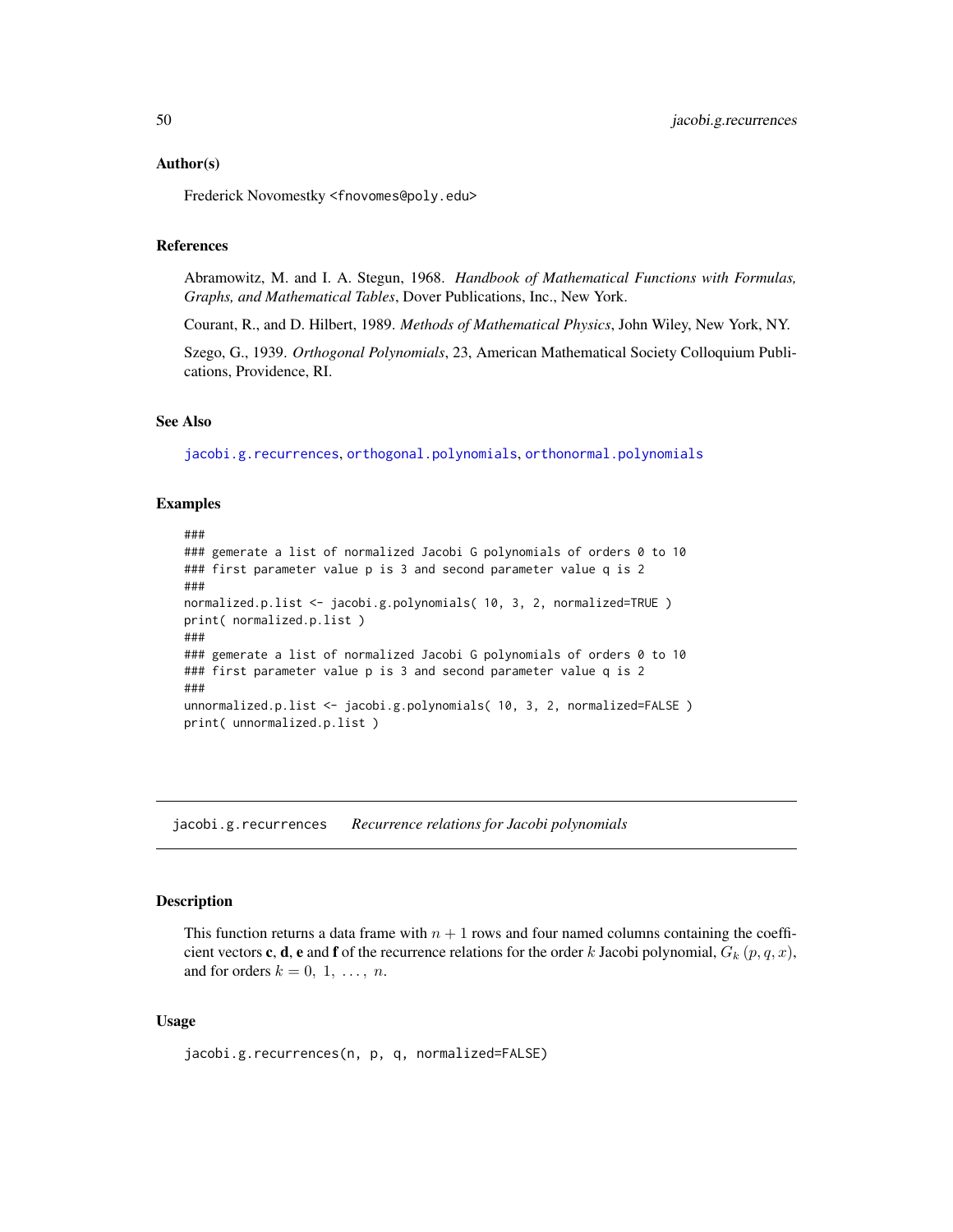#### Author(s)

Frederick Novomestky <fnovomes@poly.edu>

#### References

Abramowitz, M. and I. A. Stegun, 1968. *Handbook of Mathematical Functions with Formulas, Graphs, and Mathematical Tables*, Dover Publications, Inc., New York.

Courant, R., and D. Hilbert, 1989. *Methods of Mathematical Physics*, John Wiley, New York, NY.

Szego, G., 1939. *Orthogonal Polynomials*, 23, American Mathematical Society Colloquium Publications, Providence, RI.

## See Also

[jacobi.g.recurrences](#page-49-0), [orthogonal.polynomials](#page-71-0), [orthonormal.polynomials](#page-72-0)

#### Examples

```
###
### gemerate a list of normalized Jacobi G polynomials of orders 0 to 10
### first parameter value p is 3 and second parameter value q is 2
###
normalized.p.list <- jacobi.g.polynomials( 10, 3, 2, normalized=TRUE )
print( normalized.p.list )
###
### gemerate a list of normalized Jacobi G polynomials of orders 0 to 10
### first parameter value p is 3 and second parameter value q is 2
###
unnormalized.p.list <- jacobi.g.polynomials( 10, 3, 2, normalized=FALSE )
print( unnormalized.p.list )
```
<span id="page-49-0"></span>jacobi.g.recurrences *Recurrence relations for Jacobi polynomials*

### Description

This function returns a data frame with  $n + 1$  rows and four named columns containing the coefficient vectors **c**, **d**, **e** and **f** of the recurrence relations for the order k Jacobi polynomial,  $G_k$  ( $p, q, x$ ), and for orders  $k = 0, 1, \ldots, n$ .

## Usage

```
jacobi.g.recurrences(n, p, q, normalized=FALSE)
```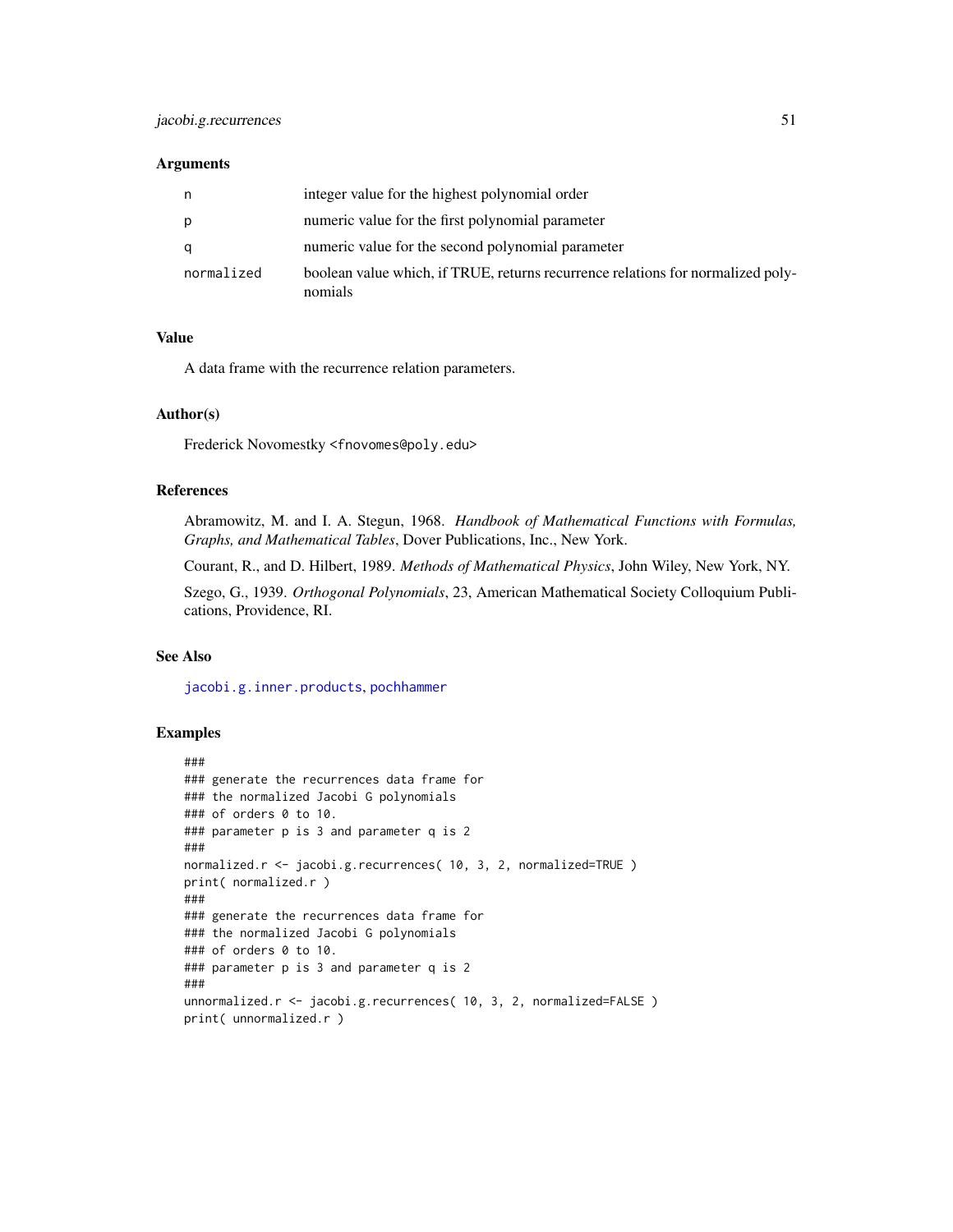#### **Arguments**

| n          | integer value for the highest polynomial order                                             |
|------------|--------------------------------------------------------------------------------------------|
| р          | numeric value for the first polynomial parameter                                           |
| a          | numeric value for the second polynomial parameter                                          |
| normalized | boolean value which, if TRUE, returns recurrence relations for normalized poly-<br>nomials |

# Value

A data frame with the recurrence relation parameters.

#### Author(s)

Frederick Novomestky <fnovomes@poly.edu>

#### References

Abramowitz, M. and I. A. Stegun, 1968. *Handbook of Mathematical Functions with Formulas, Graphs, and Mathematical Tables*, Dover Publications, Inc., New York.

Courant, R., and D. Hilbert, 1989. *Methods of Mathematical Physics*, John Wiley, New York, NY.

Szego, G., 1939. *Orthogonal Polynomials*, 23, American Mathematical Society Colloquium Publications, Providence, RI.

# See Also

[jacobi.g.inner.products](#page-47-0), [pochhammer](#page-73-0)

```
###
### generate the recurrences data frame for
### the normalized Jacobi G polynomials
### of orders 0 to 10.
### parameter p is 3 and parameter q is 2
###
normalized.r <- jacobi.g.recurrences( 10, 3, 2, normalized=TRUE )
print( normalized.r )
###
### generate the recurrences data frame for
### the normalized Jacobi G polynomials
### of orders 0 to 10.
### parameter p is 3 and parameter q is 2
###
unnormalized.r <- jacobi.g.recurrences( 10, 3, 2, normalized=FALSE )
print( unnormalized.r )
```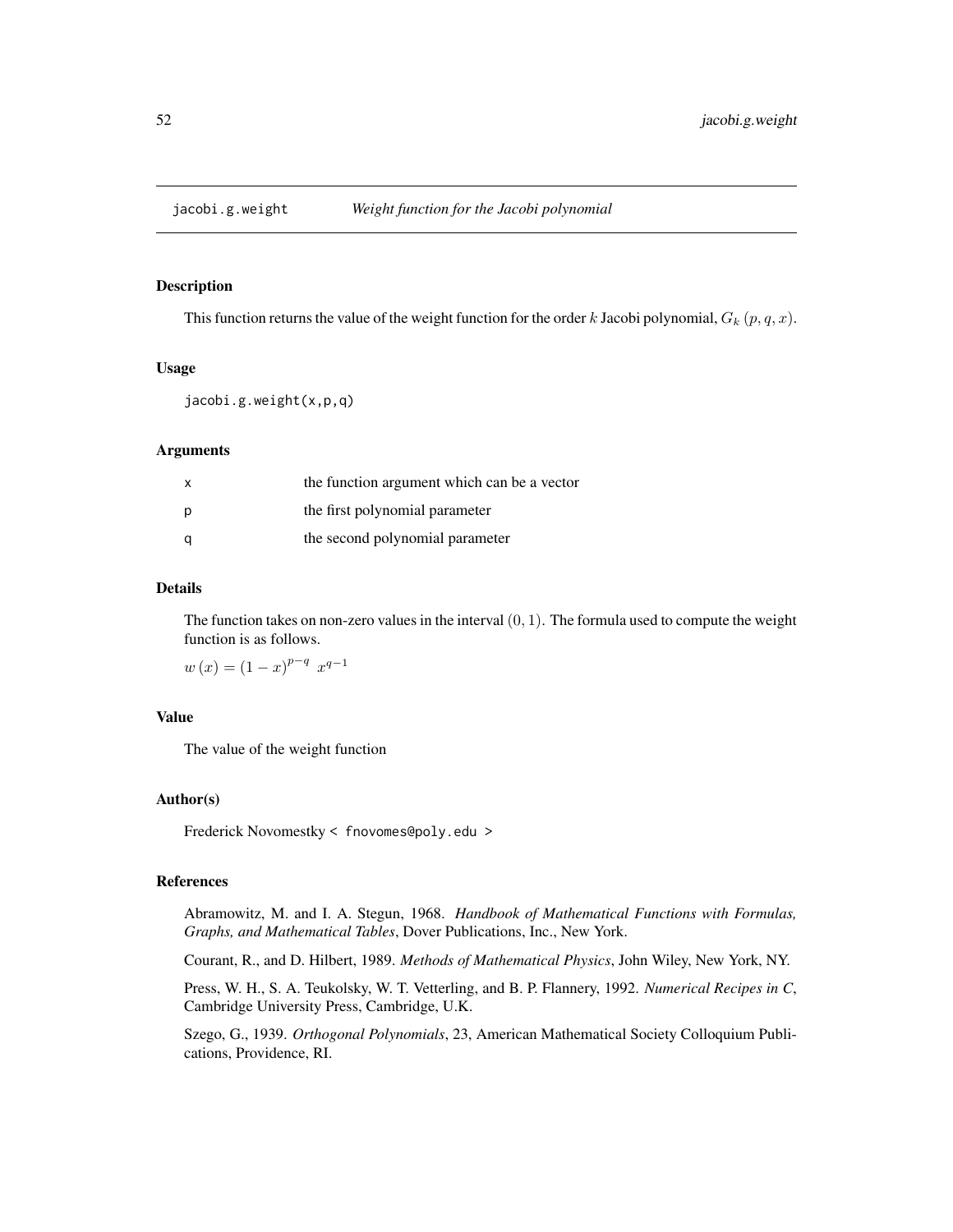#### Description

This function returns the value of the weight function for the order k Jacobi polynomial,  $G_k(p, q, x)$ .

#### Usage

jacobi.g.weight(x,p,q)

#### Arguments

| X | the function argument which can be a vector |
|---|---------------------------------------------|
| p | the first polynomial parameter              |
| a | the second polynomial parameter             |

# Details

The function takes on non-zero values in the interval  $(0, 1)$ . The formula used to compute the weight function is as follows.

 $w(x) = (1-x)^{p-q} x^{q-1}$ 

# Value

The value of the weight function

# Author(s)

Frederick Novomestky < fnovomes@poly.edu >

# References

Abramowitz, M. and I. A. Stegun, 1968. *Handbook of Mathematical Functions with Formulas, Graphs, and Mathematical Tables*, Dover Publications, Inc., New York.

Courant, R., and D. Hilbert, 1989. *Methods of Mathematical Physics*, John Wiley, New York, NY.

Press, W. H., S. A. Teukolsky, W. T. Vetterling, and B. P. Flannery, 1992. *Numerical Recipes in C*, Cambridge University Press, Cambridge, U.K.

Szego, G., 1939. *Orthogonal Polynomials*, 23, American Mathematical Society Colloquium Publications, Providence, RI.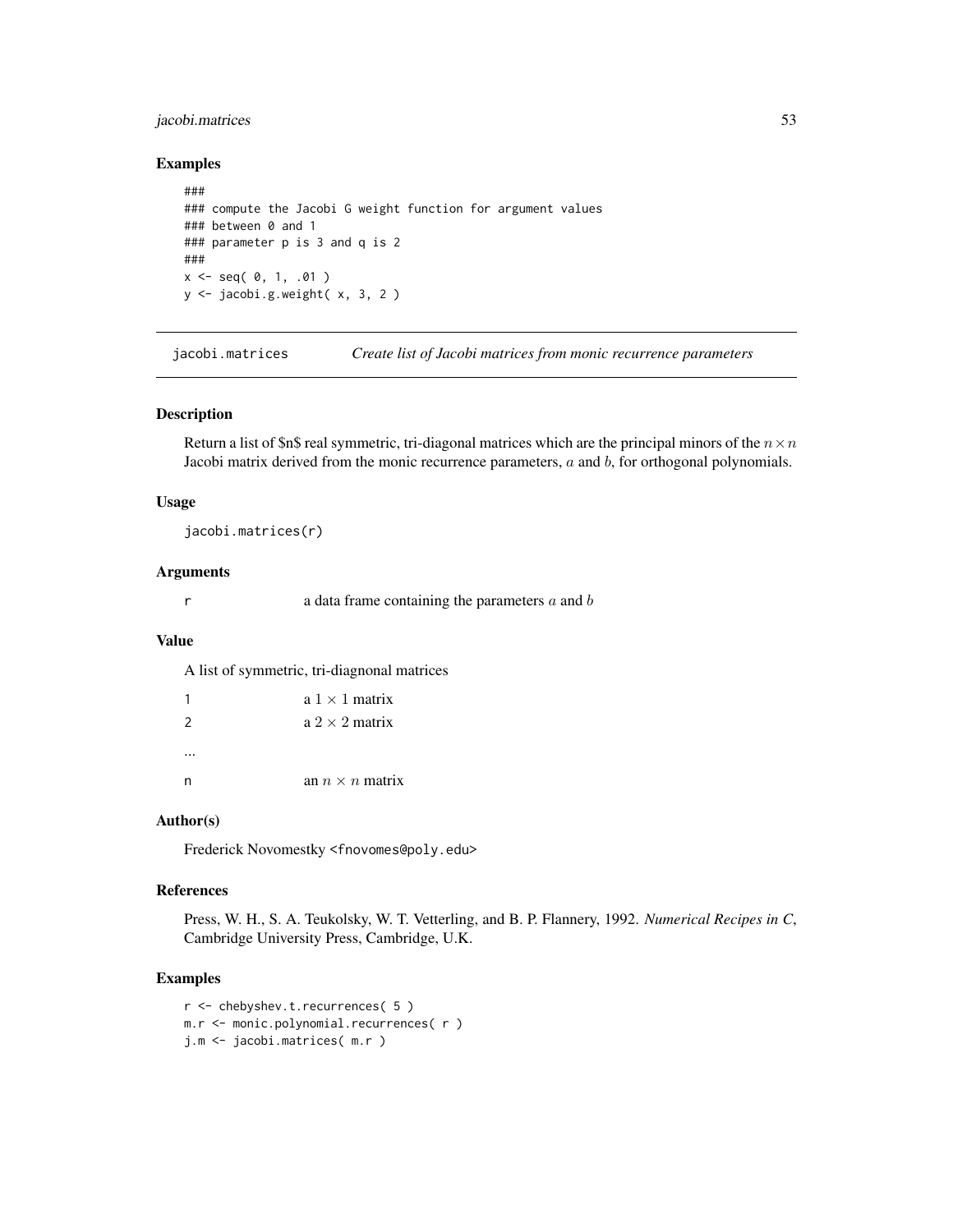# jacobi.matrices 53

# Examples

```
###
### compute the Jacobi G weight function for argument values
### between 0 and 1
### parameter p is 3 and q is 2
###
x \le - seq( 0, 1, .01 )
y <- jacobi.g.weight( x, 3, 2 )
```
jacobi.matrices *Create list of Jacobi matrices from monic recurrence parameters*

#### Description

Return a list of \$n\$ real symmetric, tri-diagonal matrices which are the principal minors of the  $n \times n$ Jacobi matrix derived from the monic recurrence parameters,  $a$  and  $b$ , for orthogonal polynomials.

#### Usage

jacobi.matrices(r)

#### Arguments

 $r \rightarrow a$  data frame containing the parameters  $a$  and  $b$ 

# Value

A list of symmetric, tri-diagnonal matrices

| 1             | $a \, 1 \times 1$ matrix |
|---------------|--------------------------|
| $\mathcal{P}$ | $a \, 2 \times 2$ matrix |
|               |                          |
| n             | an $n \times n$ matrix   |

#### Author(s)

Frederick Novomestky <fnovomes@poly.edu>

# References

Press, W. H., S. A. Teukolsky, W. T. Vetterling, and B. P. Flannery, 1992. *Numerical Recipes in C*, Cambridge University Press, Cambridge, U.K.

```
r <- chebyshev.t.recurrences( 5 )
m.r <- monic.polynomial.recurrences( r )
j.m <- jacobi.matrices( m.r )
```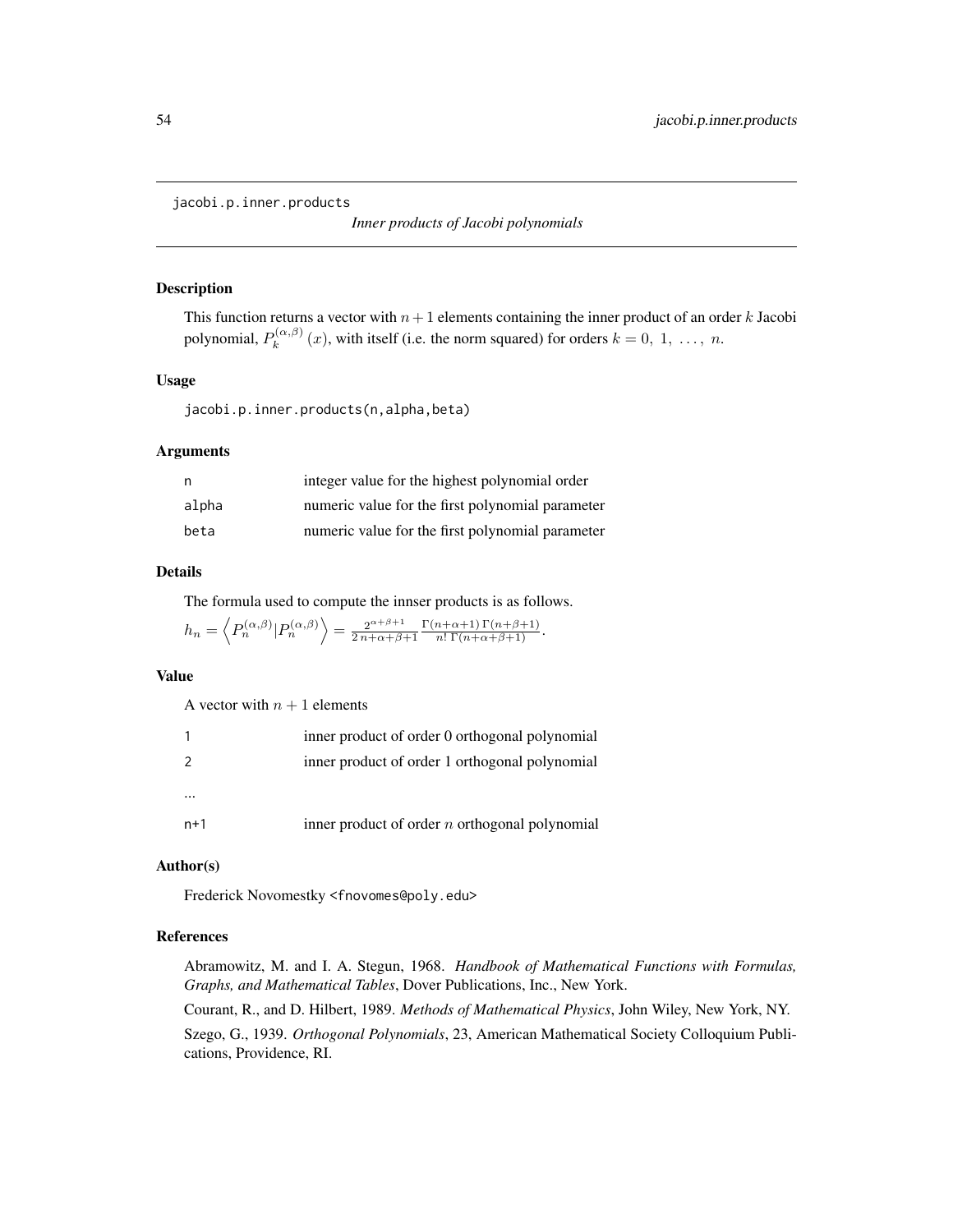<span id="page-53-0"></span>jacobi.p.inner.products

*Inner products of Jacobi polynomials*

#### Description

This function returns a vector with  $n+1$  elements containing the inner product of an order k Jacobi polynomial,  $P_k^{(\alpha,\beta)}$  $\chi_k^{(\alpha,\beta)}(x)$ , with itself (i.e. the norm squared) for orders  $k = 0, 1, ..., n$ .

## Usage

jacobi.p.inner.products(n,alpha,beta)

# Arguments

| n     | integer value for the highest polynomial order   |
|-------|--------------------------------------------------|
| alpha | numeric value for the first polynomial parameter |
| beta  | numeric value for the first polynomial parameter |

# Details

The formula used to compute the innser products is as follows.

 $h_n = \left\langle P_n^{(\alpha,\beta)} | P_n^{(\alpha,\beta)} \right\rangle = \frac{2^{\alpha+\beta+1}}{2n+\alpha+\beta+1}$  $2n+\alpha+\beta+1$  $\frac{\Gamma(n+\alpha+1)\Gamma(n+\beta+1)}{n!\Gamma(n+\alpha+\beta+1)}.$ 

#### Value

A vector with  $n + 1$  elements

|     | inner product of order 0 orthogonal polynomial   |
|-----|--------------------------------------------------|
| 2   | inner product of order 1 orthogonal polynomial   |
|     |                                                  |
| n+1 | inner product of order $n$ orthogonal polynomial |

# Author(s)

Frederick Novomestky <fnovomes@poly.edu>

## References

Abramowitz, M. and I. A. Stegun, 1968. *Handbook of Mathematical Functions with Formulas, Graphs, and Mathematical Tables*, Dover Publications, Inc., New York.

Courant, R., and D. Hilbert, 1989. *Methods of Mathematical Physics*, John Wiley, New York, NY. Szego, G., 1939. *Orthogonal Polynomials*, 23, American Mathematical Society Colloquium Publications, Providence, RI.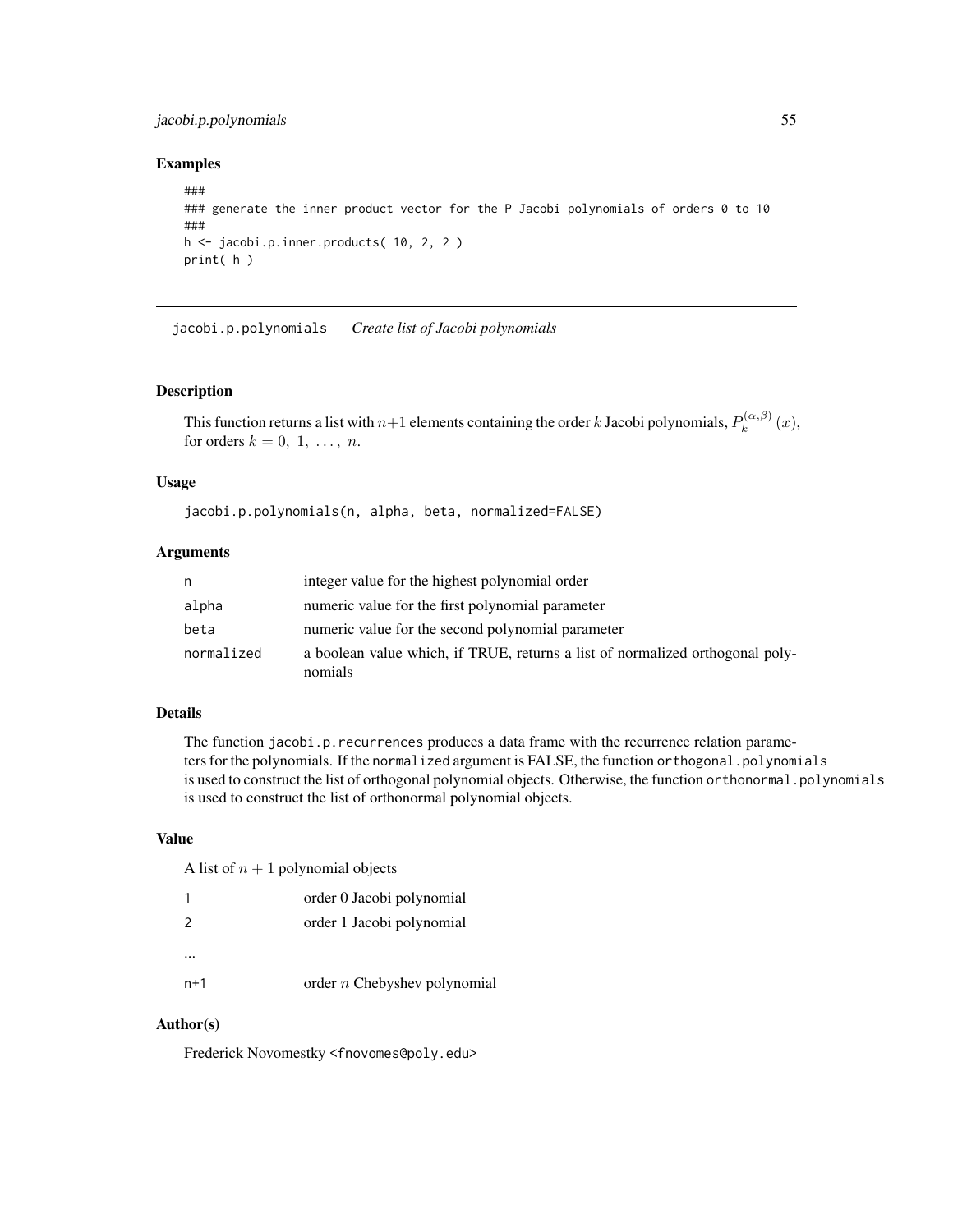# jacobi.p.polynomials 55

## Examples

```
###
### generate the inner product vector for the P Jacobi polynomials of orders 0 to 10
###
h <- jacobi.p.inner.products( 10, 2, 2 )
print( h )
```
jacobi.p.polynomials *Create list of Jacobi polynomials*

#### Description

This function returns a list with  $n+1$  elements containing the order k Jacobi polynomials,  $P_k^{(\alpha,\beta)}$  $\int_k^{(\alpha,\rho)}(x),$ for orders  $k = 0, 1, \ldots, n$ .

## Usage

jacobi.p.polynomials(n, alpha, beta, normalized=FALSE)

## Arguments

| n          | integer value for the highest polynomial order                                           |
|------------|------------------------------------------------------------------------------------------|
| alpha      | numeric value for the first polynomial parameter                                         |
| beta       | numeric value for the second polynomial parameter                                        |
| normalized | a boolean value which, if TRUE, returns a list of normalized orthogonal poly-<br>nomials |

# Details

The function jacobi.p.recurrences produces a data frame with the recurrence relation parameters for the polynomials. If the normalized argument is FALSE, the function orthogonal.polynomials is used to construct the list of orthogonal polynomial objects. Otherwise, the function orthonormal.polynomials is used to construct the list of orthonormal polynomial objects.

## Value

A list of  $n + 1$  polynomial objects

| 1             | order 0 Jacobi polynomial      |
|---------------|--------------------------------|
| $\mathcal{P}$ | order 1 Jacobi polynomial      |
|               |                                |
| $n+1$         | order $n$ Chebyshev polynomial |

## Author(s)

Frederick Novomestky <fnovomes@poly.edu>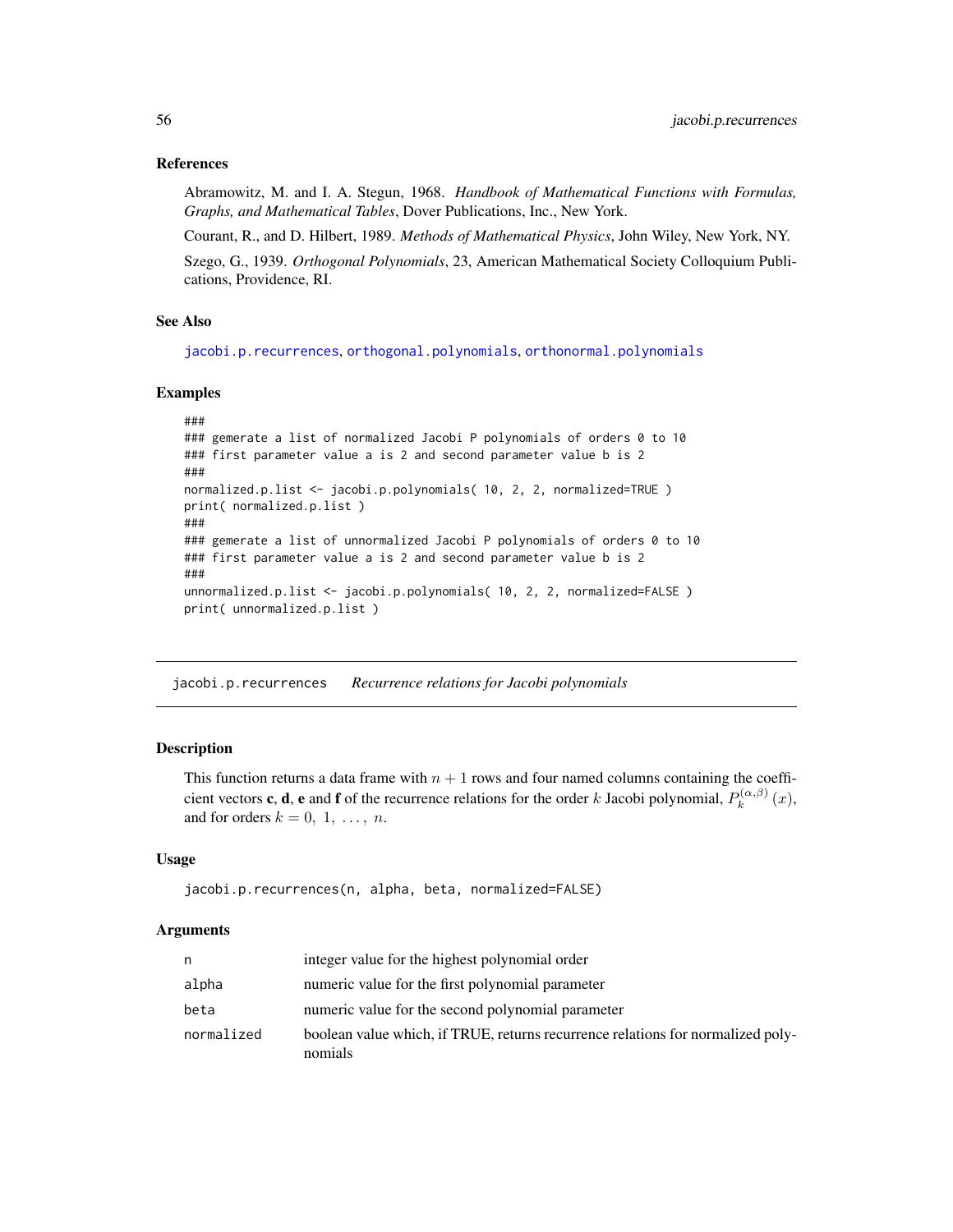## References

Abramowitz, M. and I. A. Stegun, 1968. *Handbook of Mathematical Functions with Formulas, Graphs, and Mathematical Tables*, Dover Publications, Inc., New York.

Courant, R., and D. Hilbert, 1989. *Methods of Mathematical Physics*, John Wiley, New York, NY.

Szego, G., 1939. *Orthogonal Polynomials*, 23, American Mathematical Society Colloquium Publications, Providence, RI.

## See Also

[jacobi.p.recurrences](#page-55-0), [orthogonal.polynomials](#page-71-0), [orthonormal.polynomials](#page-72-0)

## Examples

```
###
### gemerate a list of normalized Jacobi P polynomials of orders 0 to 10
### first parameter value a is 2 and second parameter value b is 2
###
normalized.p.list <- jacobi.p.polynomials( 10, 2, 2, normalized=TRUE )
print( normalized.p.list )
###
### gemerate a list of unnormalized Jacobi P polynomials of orders 0 to 10
### first parameter value a is 2 and second parameter value b is 2
###
unnormalized.p.list <- jacobi.p.polynomials( 10, 2, 2, normalized=FALSE )
print( unnormalized.p.list )
```
<span id="page-55-0"></span>jacobi.p.recurrences *Recurrence relations for Jacobi polynomials*

# Description

This function returns a data frame with  $n + 1$  rows and four named columns containing the coefficient vectors **c**, **d**, **e** and **f** of the recurrence relations for the order k Jacobi polynomial,  $P_k^{(\alpha,\beta)}$  $\int_k^{(\alpha,\rho)}(x),$ and for orders  $k = 0, 1, \ldots, n$ .

## Usage

```
jacobi.p.recurrences(n, alpha, beta, normalized=FALSE)
```
#### Arguments

| n          | integer value for the highest polynomial order                                             |
|------------|--------------------------------------------------------------------------------------------|
| alpha      | numeric value for the first polynomial parameter                                           |
| beta       | numeric value for the second polynomial parameter                                          |
| normalized | boolean value which, if TRUE, returns recurrence relations for normalized poly-<br>nomials |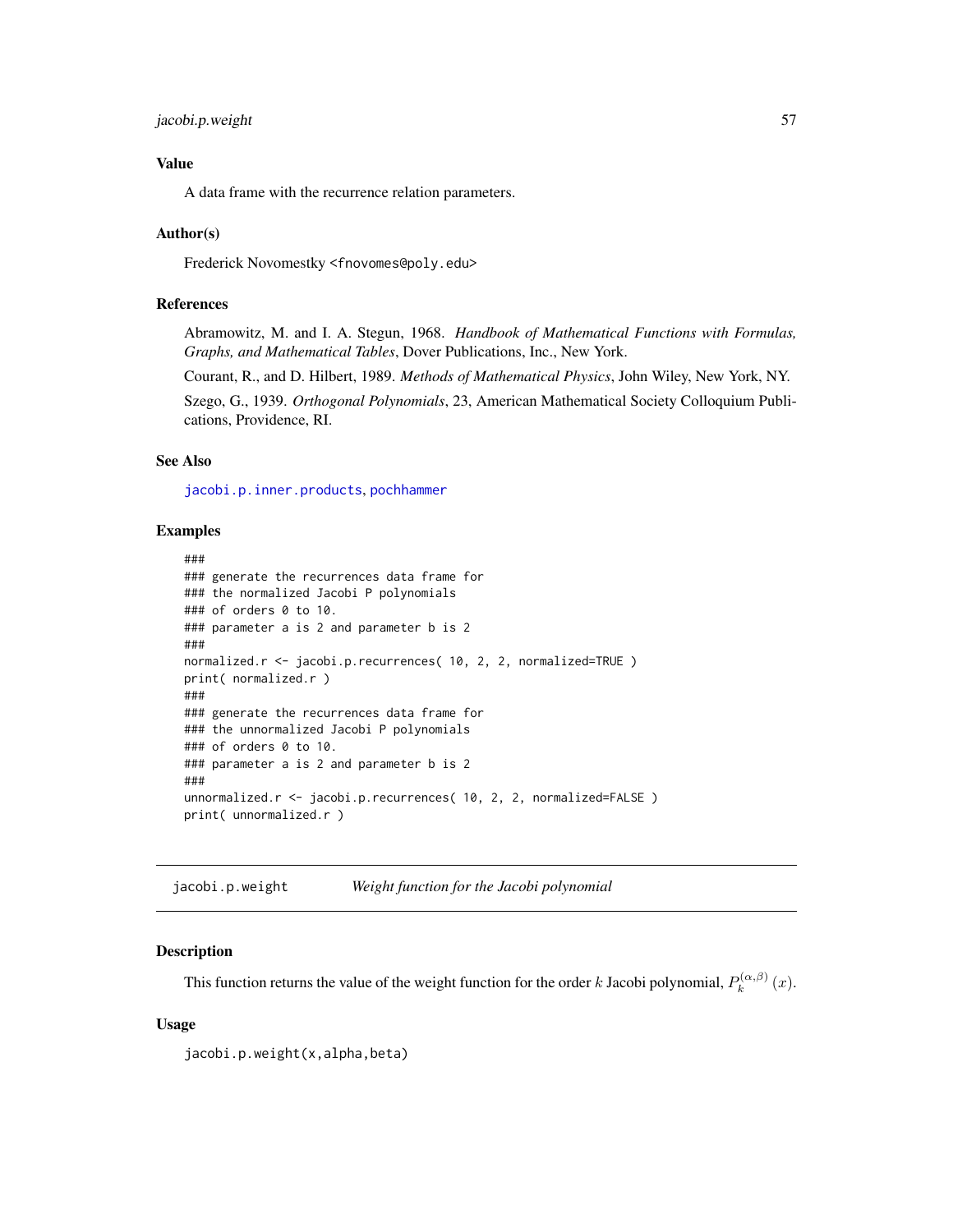# jacobi.p.weight 57

# Value

A data frame with the recurrence relation parameters.

## Author(s)

Frederick Novomestky <fnovomes@poly.edu>

## References

Abramowitz, M. and I. A. Stegun, 1968. *Handbook of Mathematical Functions with Formulas, Graphs, and Mathematical Tables*, Dover Publications, Inc., New York.

Courant, R., and D. Hilbert, 1989. *Methods of Mathematical Physics*, John Wiley, New York, NY.

Szego, G., 1939. *Orthogonal Polynomials*, 23, American Mathematical Society Colloquium Publications, Providence, RI.

# See Also

[jacobi.p.inner.products](#page-53-0), [pochhammer](#page-73-0)

#### Examples

```
###
### generate the recurrences data frame for
### the normalized Jacobi P polynomials
### of orders 0 to 10.
### parameter a is 2 and parameter b is 2
###
normalized.r <- jacobi.p.recurrences( 10, 2, 2, normalized=TRUE )
print( normalized.r )
###
### generate the recurrences data frame for
### the unnormalized Jacobi P polynomials
### of orders 0 to 10.
### parameter a is 2 and parameter b is 2
###
unnormalized.r <- jacobi.p.recurrences( 10, 2, 2, normalized=FALSE )
print( unnormalized.r )
```
jacobi.p.weight *Weight function for the Jacobi polynomial*

## Description

This function returns the value of the weight function for the order k Jacobi polynomial,  $P_k^{(\alpha,\beta)}$  $\int_k^{(\alpha,\beta)}(x).$ 

## Usage

jacobi.p.weight(x,alpha,beta)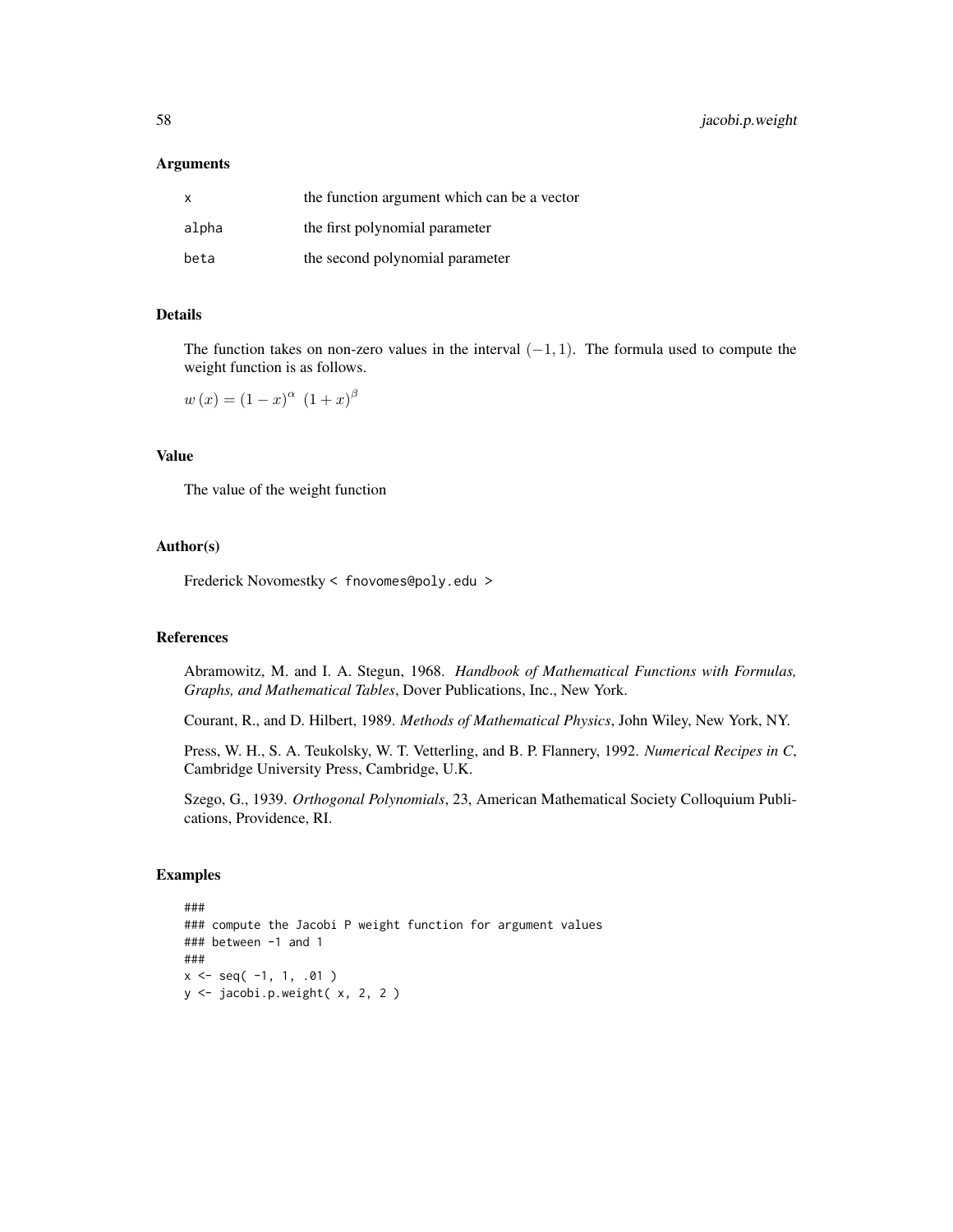58 jacobi.p.weight

#### **Arguments**

| X     | the function argument which can be a vector |
|-------|---------------------------------------------|
| alpha | the first polynomial parameter              |
| beta  | the second polynomial parameter             |

## Details

The function takes on non-zero values in the interval  $(-1, 1)$ . The formula used to compute the weight function is as follows.

 $w(x) = (1-x)^{\alpha} (1+x)^{\beta}$ 

# Value

The value of the weight function

## Author(s)

Frederick Novomestky < fnovomes@poly.edu >

# References

Abramowitz, M. and I. A. Stegun, 1968. *Handbook of Mathematical Functions with Formulas, Graphs, and Mathematical Tables*, Dover Publications, Inc., New York.

Courant, R., and D. Hilbert, 1989. *Methods of Mathematical Physics*, John Wiley, New York, NY.

Press, W. H., S. A. Teukolsky, W. T. Vetterling, and B. P. Flannery, 1992. *Numerical Recipes in C*, Cambridge University Press, Cambridge, U.K.

Szego, G., 1939. *Orthogonal Polynomials*, 23, American Mathematical Society Colloquium Publications, Providence, RI.

```
###
### compute the Jacobi P weight function for argument values
### between -1 and 1
###
x \leq - seq(-1, 1, .01)
y <- jacobi.p.weight( x, 2, 2 )
```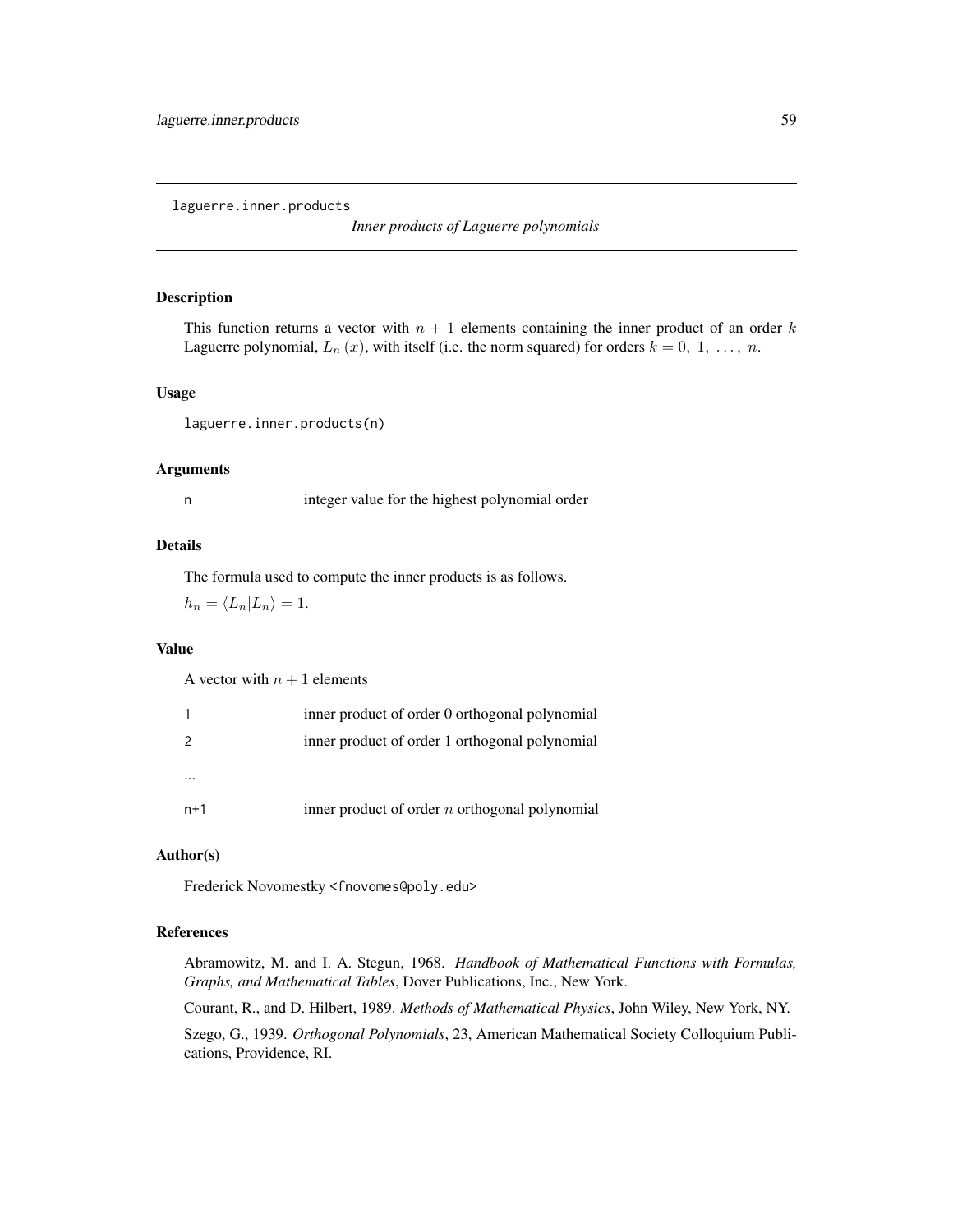laguerre.inner.products

*Inner products of Laguerre polynomials*

## Description

This function returns a vector with  $n + 1$  elements containing the inner product of an order k Laguerre polynomial,  $L_n(x)$ , with itself (i.e. the norm squared) for orders  $k = 0, 1, ..., n$ .

## Usage

laguerre.inner.products(n)

# Arguments

n integer value for the highest polynomial order

# Details

The formula used to compute the inner products is as follows.

 $h_n = \langle L_n | L_n \rangle = 1.$ 

# Value

A vector with  $n + 1$  elements

|     | inner product of order 0 orthogonal polynomial   |
|-----|--------------------------------------------------|
| 2   | inner product of order 1 orthogonal polynomial   |
|     |                                                  |
| n+1 | inner product of order $n$ orthogonal polynomial |

# Author(s)

Frederick Novomestky <fnovomes@poly.edu>

# References

Abramowitz, M. and I. A. Stegun, 1968. *Handbook of Mathematical Functions with Formulas, Graphs, and Mathematical Tables*, Dover Publications, Inc., New York.

Courant, R., and D. Hilbert, 1989. *Methods of Mathematical Physics*, John Wiley, New York, NY.

Szego, G., 1939. *Orthogonal Polynomials*, 23, American Mathematical Society Colloquium Publications, Providence, RI.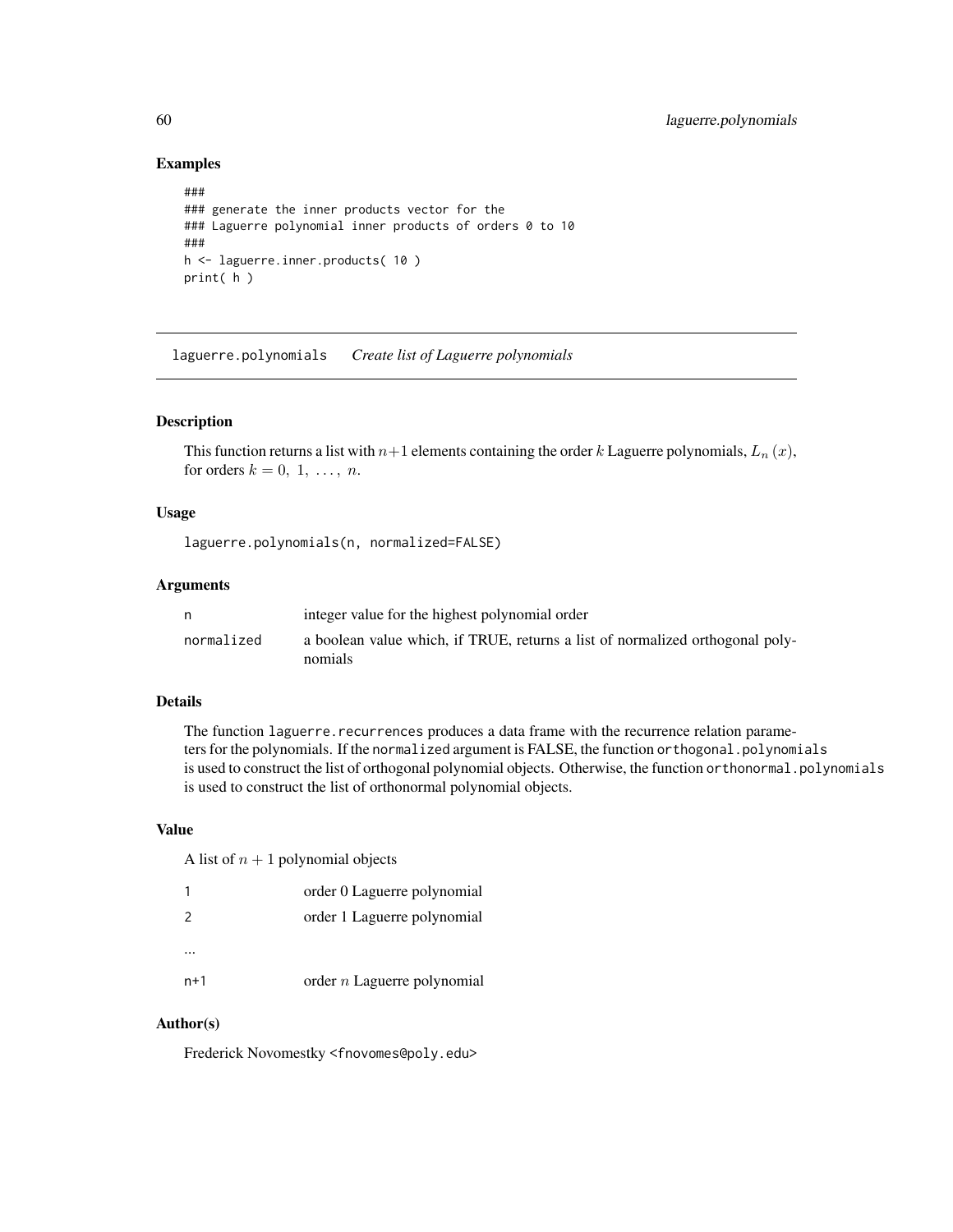# Examples

```
###
### generate the inner products vector for the
### Laguerre polynomial inner products of orders 0 to 10
###
h <- laguerre.inner.products( 10 )
print( h )
```
laguerre.polynomials *Create list of Laguerre polynomials*

# Description

This function returns a list with  $n+1$  elements containing the order k Laguerre polynomials,  $L_n(x)$ , for orders  $k = 0, 1, \ldots, n$ .

# Usage

laguerre.polynomials(n, normalized=FALSE)

## Arguments

|            | integer value for the highest polynomial order                                           |
|------------|------------------------------------------------------------------------------------------|
| normalized | a boolean value which, if TRUE, returns a list of normalized orthogonal poly-<br>nomials |

# Details

The function laguerre.recurrences produces a data frame with the recurrence relation parameters for the polynomials. If the normalized argument is FALSE, the function orthogonal.polynomials is used to construct the list of orthogonal polynomial objects. Otherwise, the function or thonormal.polynomials is used to construct the list of orthonormal polynomial objects.

# Value

A list of  $n + 1$  polynomial objects

|                | order 0 Laguerre polynomial   |
|----------------|-------------------------------|
| $\overline{2}$ | order 1 Laguerre polynomial   |
|                |                               |
| n+1            | order $n$ Laguerre polynomial |

# Author(s)

Frederick Novomestky <fnovomes@poly.edu>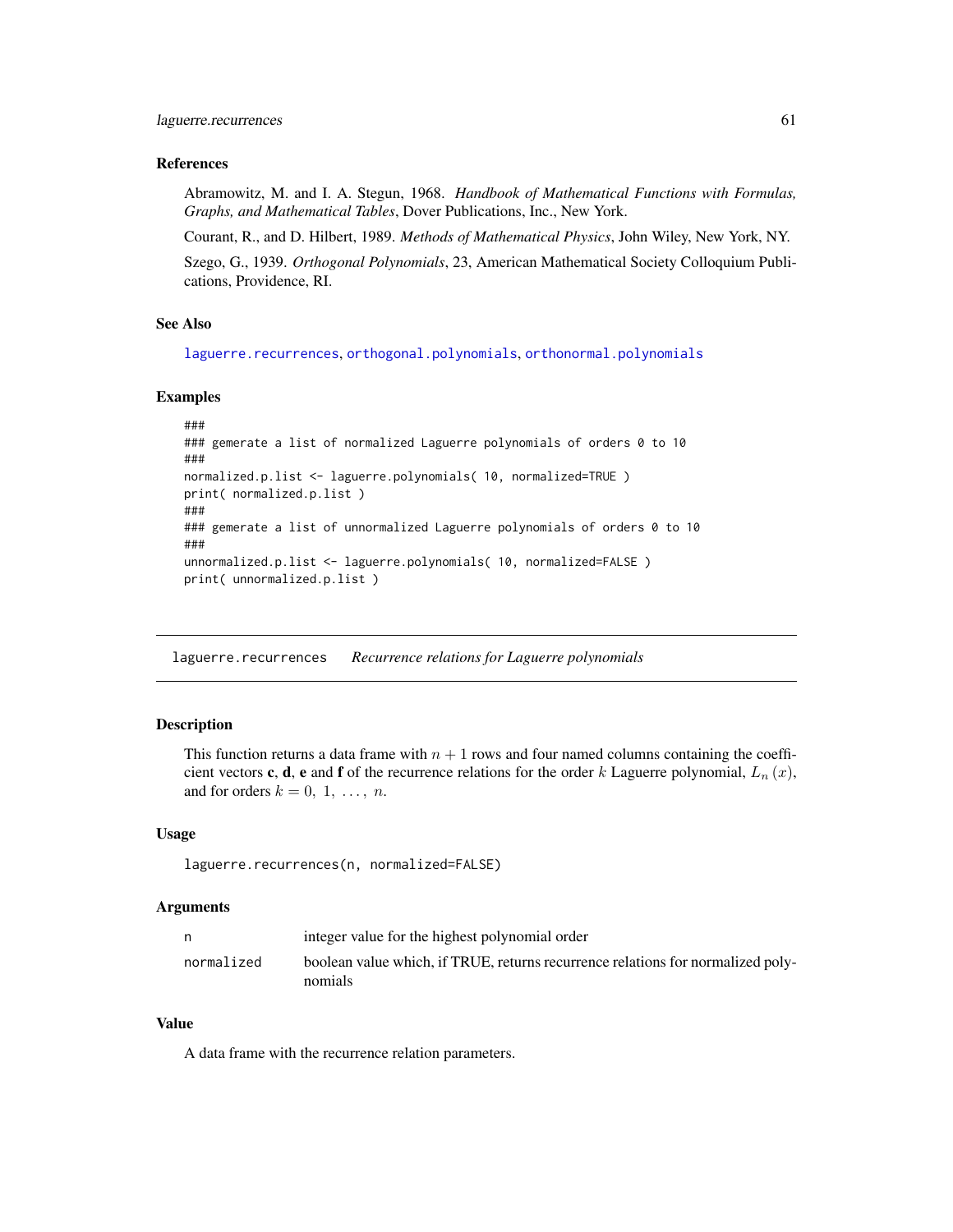#### References

Abramowitz, M. and I. A. Stegun, 1968. *Handbook of Mathematical Functions with Formulas, Graphs, and Mathematical Tables*, Dover Publications, Inc., New York.

Courant, R., and D. Hilbert, 1989. *Methods of Mathematical Physics*, John Wiley, New York, NY.

Szego, G., 1939. *Orthogonal Polynomials*, 23, American Mathematical Society Colloquium Publications, Providence, RI.

# See Also

[laguerre.recurrences](#page-60-0), [orthogonal.polynomials](#page-71-0), [orthonormal.polynomials](#page-72-0)

#### Examples

```
###
### gemerate a list of normalized Laguerre polynomials of orders 0 to 10
###
normalized.p.list <- laguerre.polynomials( 10, normalized=TRUE )
print( normalized.p.list )
###
### gemerate a list of unnormalized Laguerre polynomials of orders 0 to 10
###
unnormalized.p.list <- laguerre.polynomials( 10, normalized=FALSE )
print( unnormalized.p.list )
```
<span id="page-60-0"></span>laguerre.recurrences *Recurrence relations for Laguerre polynomials*

#### Description

This function returns a data frame with  $n + 1$  rows and four named columns containing the coefficient vectors **c**, **d**, **e** and **f** of the recurrence relations for the order k Laguerre polynomial,  $L_n(x)$ , and for orders  $k = 0, 1, \ldots, n$ .

#### Usage

```
laguerre.recurrences(n, normalized=FALSE)
```
#### Arguments

|            | integer value for the highest polynomial order                                             |
|------------|--------------------------------------------------------------------------------------------|
| normalized | boolean value which, if TRUE, returns recurrence relations for normalized poly-<br>nomials |

## Value

A data frame with the recurrence relation parameters.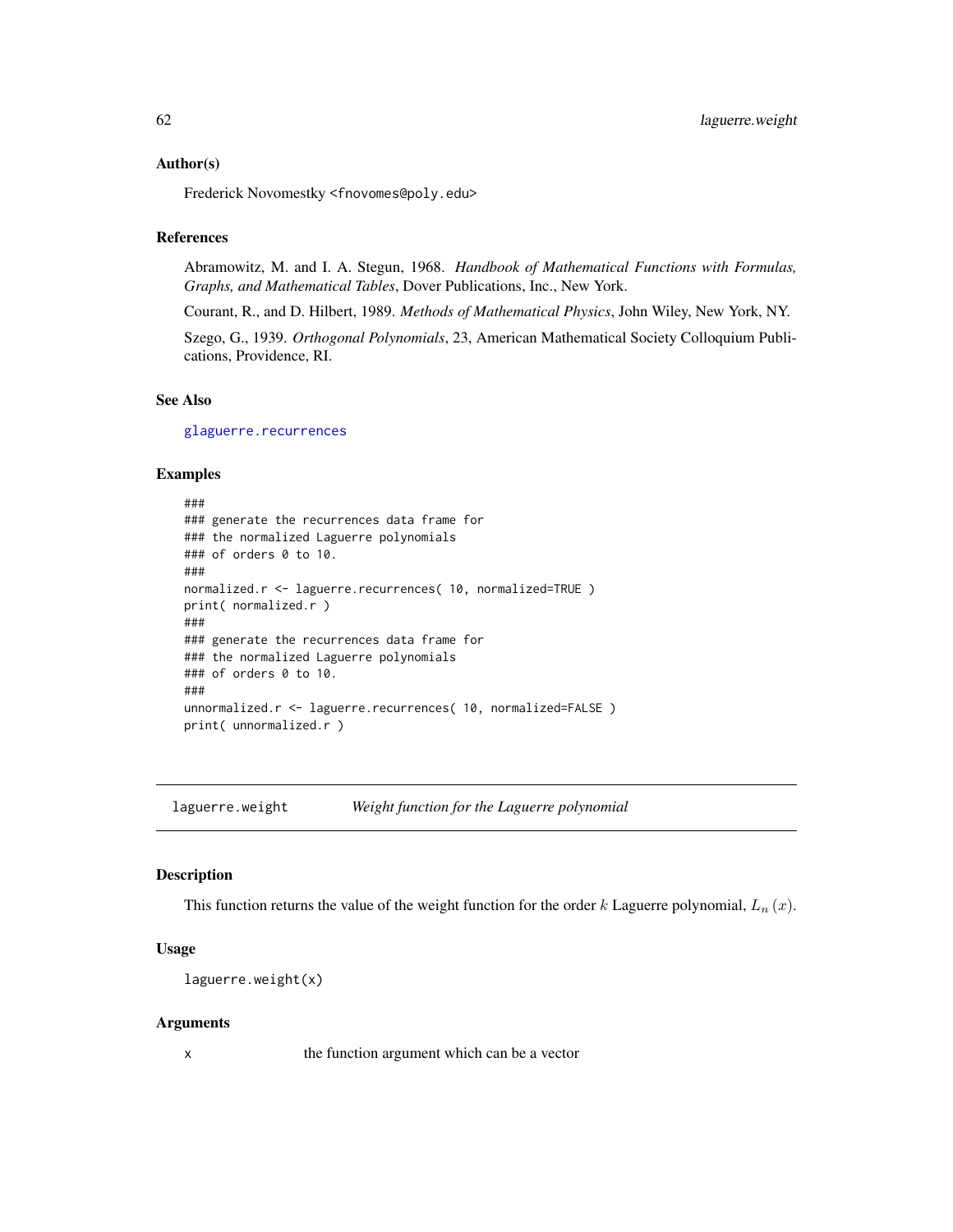#### Author(s)

Frederick Novomestky <fnovomes@poly.edu>

## References

Abramowitz, M. and I. A. Stegun, 1968. *Handbook of Mathematical Functions with Formulas, Graphs, and Mathematical Tables*, Dover Publications, Inc., New York.

Courant, R., and D. Hilbert, 1989. *Methods of Mathematical Physics*, John Wiley, New York, NY.

Szego, G., 1939. *Orthogonal Polynomials*, 23, American Mathematical Society Colloquium Publications, Providence, RI.

## See Also

[glaguerre.recurrences](#page-35-0)

## Examples

```
###
### generate the recurrences data frame for
### the normalized Laguerre polynomials
### of orders 0 to 10.
###
normalized.r <- laguerre.recurrences( 10, normalized=TRUE )
print( normalized.r )
###
### generate the recurrences data frame for
### the normalized Laguerre polynomials
### of orders 0 to 10.
###
unnormalized.r <- laguerre.recurrences( 10, normalized=FALSE )
print( unnormalized.r )
```
laguerre.weight *Weight function for the Laguerre polynomial*

#### Description

This function returns the value of the weight function for the order k Laguerre polynomial,  $L_n(x)$ .

# Usage

```
laguerre.weight(x)
```
#### Arguments

x the function argument which can be a vector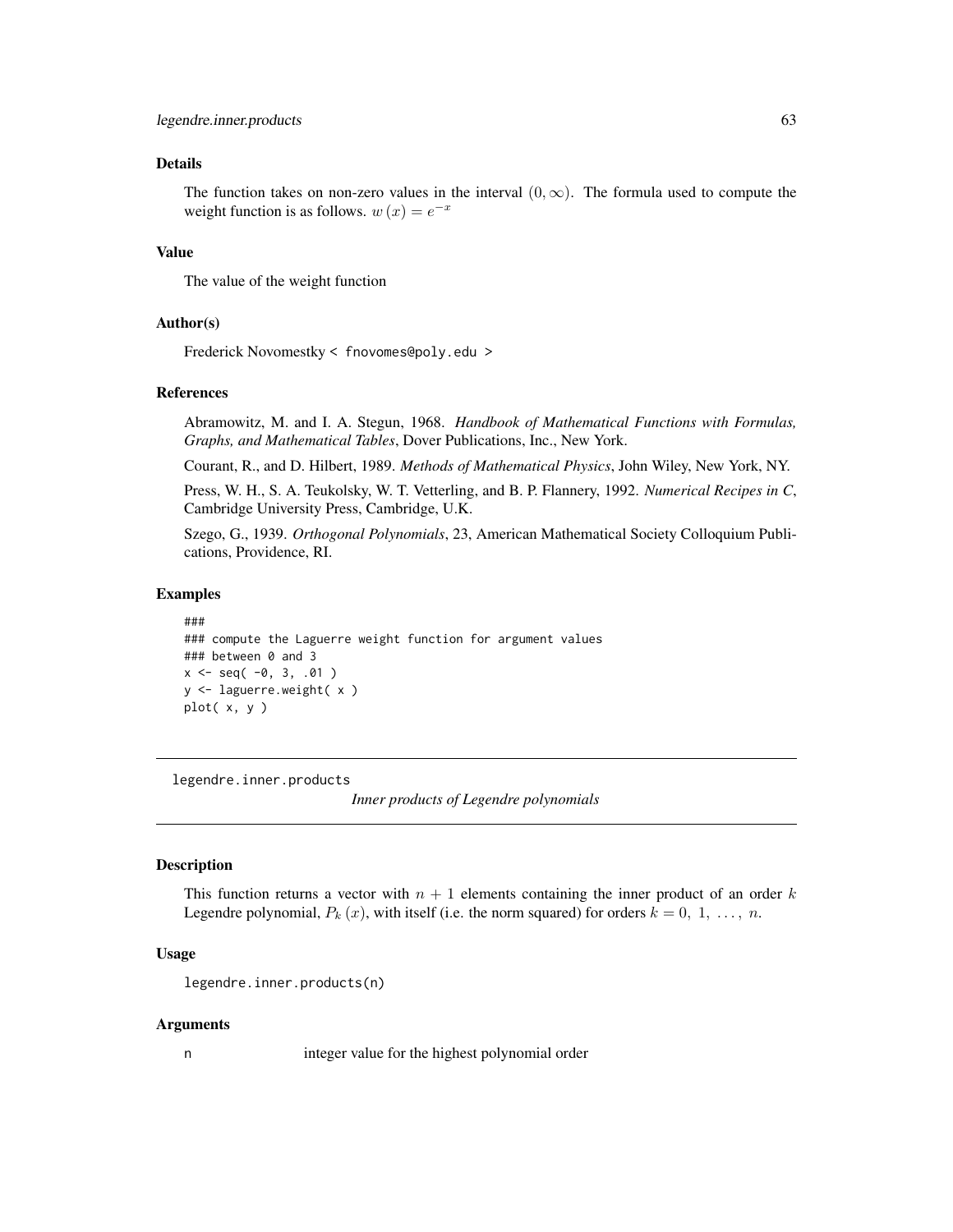# Details

The function takes on non-zero values in the interval  $(0, \infty)$ . The formula used to compute the weight function is as follows.  $w(x) = e^{-x}$ 

#### Value

The value of the weight function

#### Author(s)

Frederick Novomestky < fnovomes@poly.edu >

## References

Abramowitz, M. and I. A. Stegun, 1968. *Handbook of Mathematical Functions with Formulas, Graphs, and Mathematical Tables*, Dover Publications, Inc., New York.

Courant, R., and D. Hilbert, 1989. *Methods of Mathematical Physics*, John Wiley, New York, NY.

Press, W. H., S. A. Teukolsky, W. T. Vetterling, and B. P. Flannery, 1992. *Numerical Recipes in C*, Cambridge University Press, Cambridge, U.K.

Szego, G., 1939. *Orthogonal Polynomials*, 23, American Mathematical Society Colloquium Publications, Providence, RI.

### Examples

```
###
### compute the Laguerre weight function for argument values
### between 0 and 3
x \le - seq( -0, 3, .01)
y <- laguerre.weight( x )
plot( x, y )
```
<span id="page-62-0"></span>legendre.inner.products

*Inner products of Legendre polynomials*

# Description

This function returns a vector with  $n + 1$  elements containing the inner product of an order k Legendre polynomial,  $P_k(x)$ , with itself (i.e. the norm squared) for orders  $k = 0, 1, ..., n$ .

## Usage

legendre.inner.products(n)

#### Arguments

n integer value for the highest polynomial order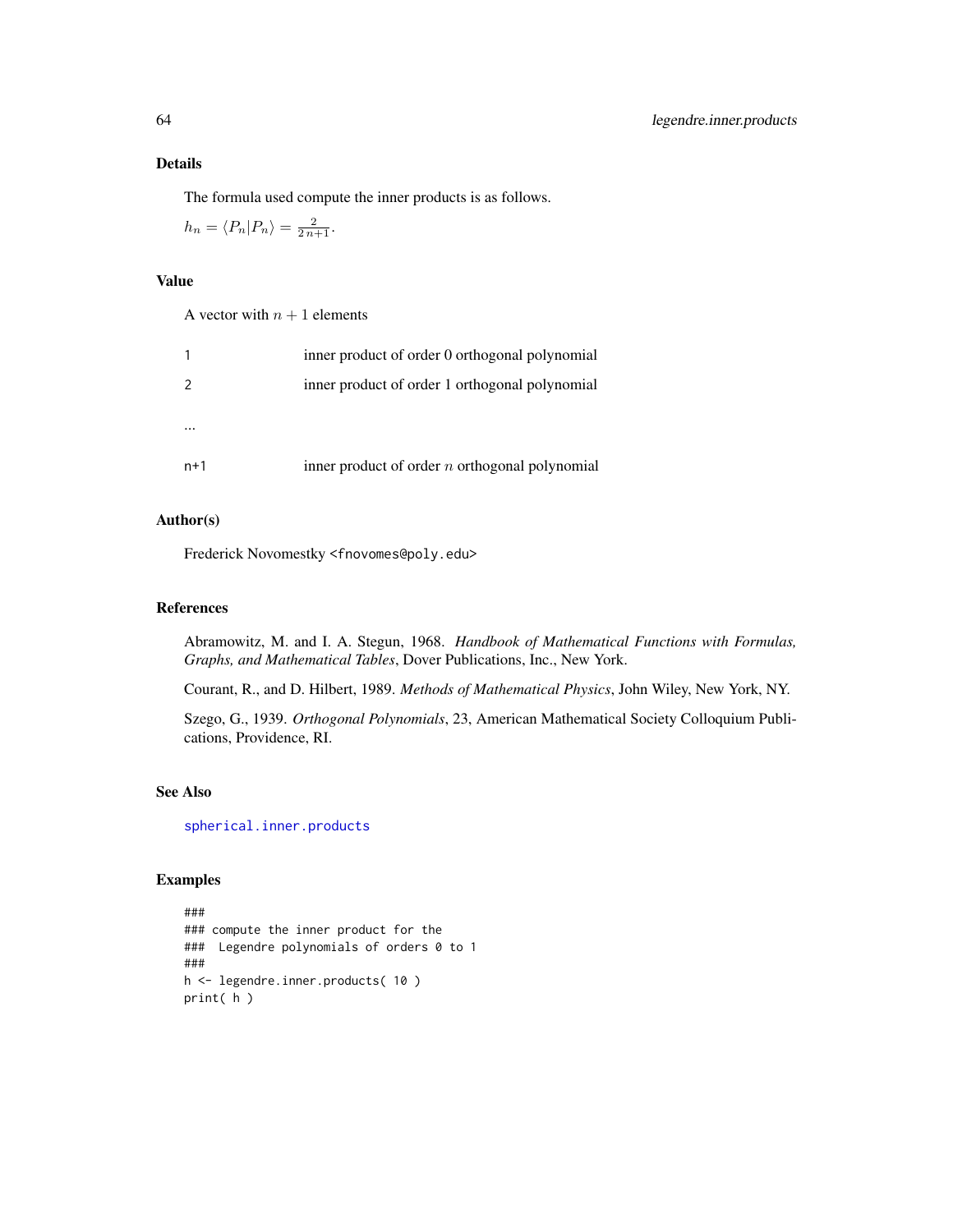# Details

The formula used compute the inner products is as follows.

$$
h_n = \langle P_n | P_n \rangle = \frac{2}{2 n + 1}.
$$

# Value

|       | inner product of order 0 orthogonal polynomial   |
|-------|--------------------------------------------------|
| 2     | inner product of order 1 orthogonal polynomial   |
|       |                                                  |
|       |                                                  |
| $n+1$ | inner product of order $n$ orthogonal polynomial |

# Author(s)

Frederick Novomestky <fnovomes@poly.edu>

# References

Abramowitz, M. and I. A. Stegun, 1968. *Handbook of Mathematical Functions with Formulas, Graphs, and Mathematical Tables*, Dover Publications, Inc., New York.

Courant, R., and D. Hilbert, 1989. *Methods of Mathematical Physics*, John Wiley, New York, NY.

Szego, G., 1939. *Orthogonal Polynomials*, 23, American Mathematical Society Colloquium Publications, Providence, RI.

# See Also

[spherical.inner.products](#page-98-0)

```
###
### compute the inner product for the
### Legendre polynomials of orders 0 to 1
###
h <- legendre.inner.products( 10 )
print( h )
```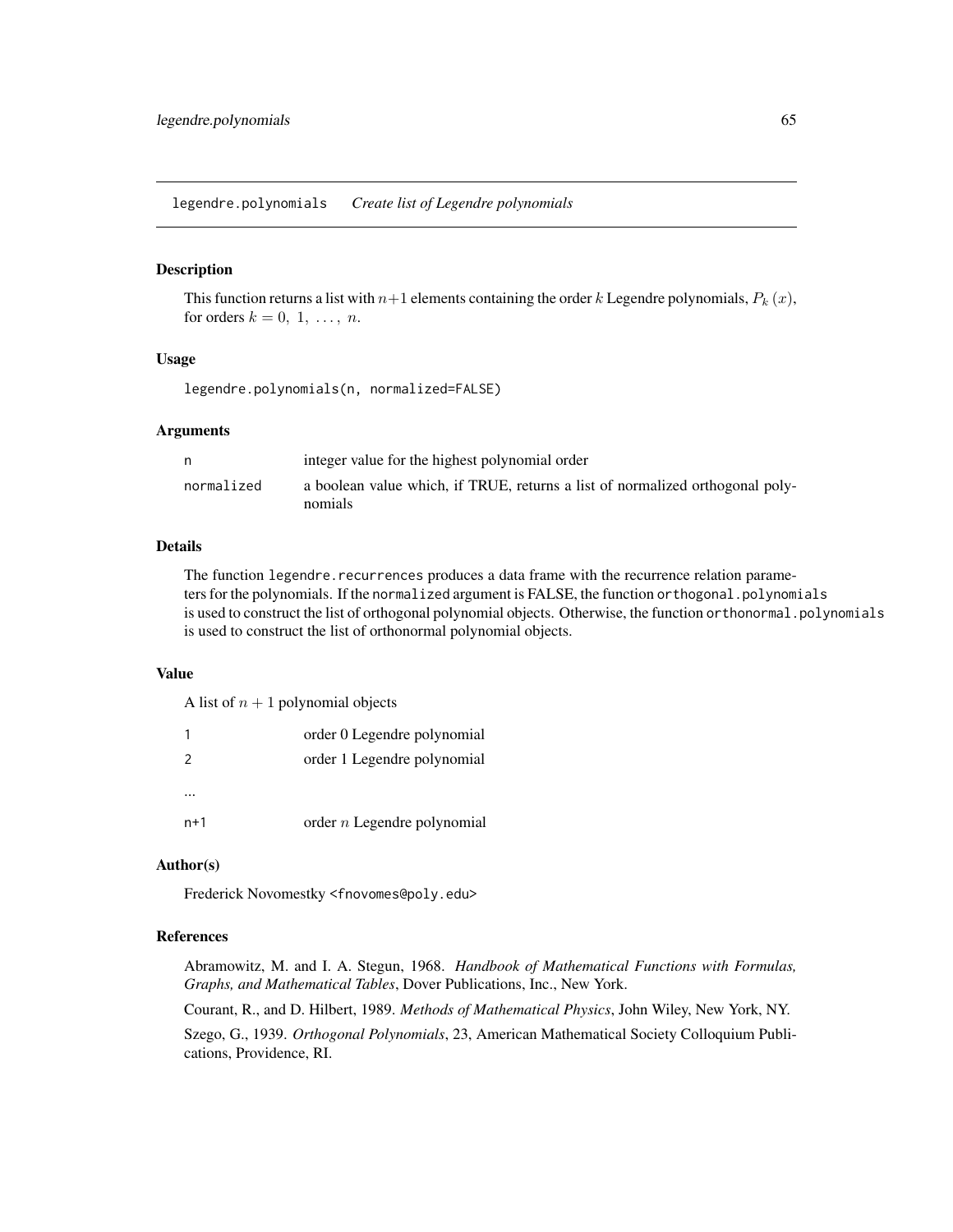legendre.polynomials *Create list of Legendre polynomials*

#### Description

This function returns a list with  $n+1$  elements containing the order k Legendre polynomials,  $P_k(x)$ , for orders  $k = 0, 1, \ldots, n$ .

# Usage

legendre.polynomials(n, normalized=FALSE)

#### Arguments

|            | integer value for the highest polynomial order                                           |
|------------|------------------------------------------------------------------------------------------|
| normalized | a boolean value which, if TRUE, returns a list of normalized orthogonal poly-<br>nomials |
|            |                                                                                          |

## Details

The function legendre.recurrences produces a data frame with the recurrence relation parameters for the polynomials. If the normalized argument is FALSE, the function orthogonal.polynomials is used to construct the list of orthogonal polynomial objects. Otherwise, the function orthonormal.polynomials is used to construct the list of orthonormal polynomial objects.

## Value

A list of  $n + 1$  polynomial objects

|               | order 0 Legendre polynomial   |
|---------------|-------------------------------|
| $\mathcal{P}$ | order 1 Legendre polynomial   |
|               |                               |
| $n+1$         | order $n$ Legendre polynomial |

# Author(s)

Frederick Novomestky <fnovomes@poly.edu>

## References

Abramowitz, M. and I. A. Stegun, 1968. *Handbook of Mathematical Functions with Formulas, Graphs, and Mathematical Tables*, Dover Publications, Inc., New York.

Courant, R., and D. Hilbert, 1989. *Methods of Mathematical Physics*, John Wiley, New York, NY.

Szego, G., 1939. *Orthogonal Polynomials*, 23, American Mathematical Society Colloquium Publications, Providence, RI.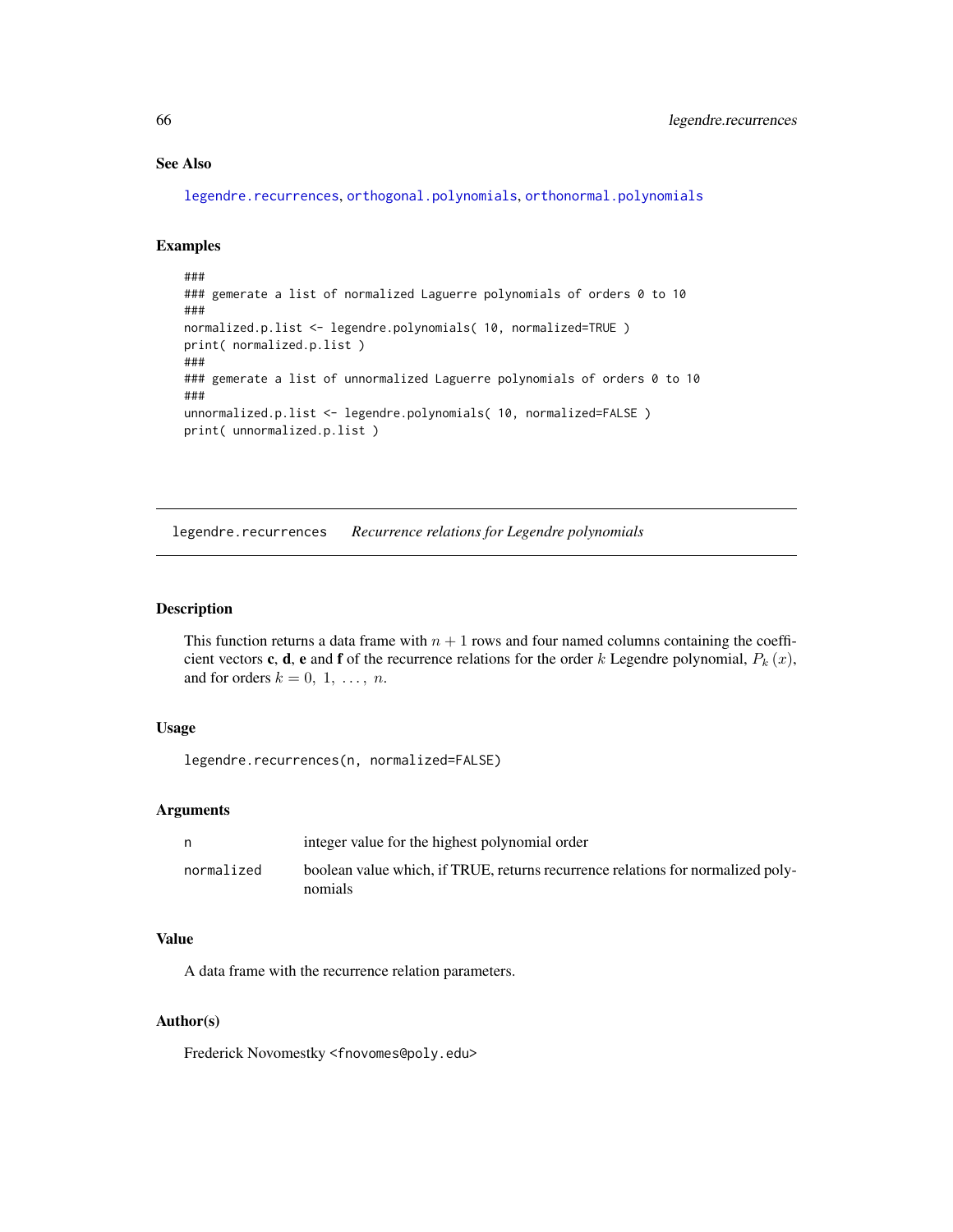# See Also

[legendre.recurrences](#page-65-0), [orthogonal.polynomials](#page-71-0), [orthonormal.polynomials](#page-72-0)

#### Examples

```
###
### gemerate a list of normalized Laguerre polynomials of orders 0 to 10
###
normalized.p.list <- legendre.polynomials( 10, normalized=TRUE )
print( normalized.p.list )
###
### gemerate a list of unnormalized Laguerre polynomials of orders 0 to 10
###
unnormalized.p.list <- legendre.polynomials( 10, normalized=FALSE )
print( unnormalized.p.list )
```
<span id="page-65-0"></span>legendre.recurrences *Recurrence relations for Legendre polynomials*

# Description

This function returns a data frame with  $n + 1$  rows and four named columns containing the coefficient vectors c, d, e and f of the recurrence relations for the order k Legendre polynomial,  $P_k(x)$ , and for orders  $k = 0, 1, \ldots, n$ .

# Usage

```
legendre.recurrences(n, normalized=FALSE)
```
# Arguments

|            | integer value for the highest polynomial order                                             |
|------------|--------------------------------------------------------------------------------------------|
| normalized | boolean value which, if TRUE, returns recurrence relations for normalized poly-<br>nomials |

## Value

A data frame with the recurrence relation parameters.

#### Author(s)

Frederick Novomestky <fnovomes@poly.edu>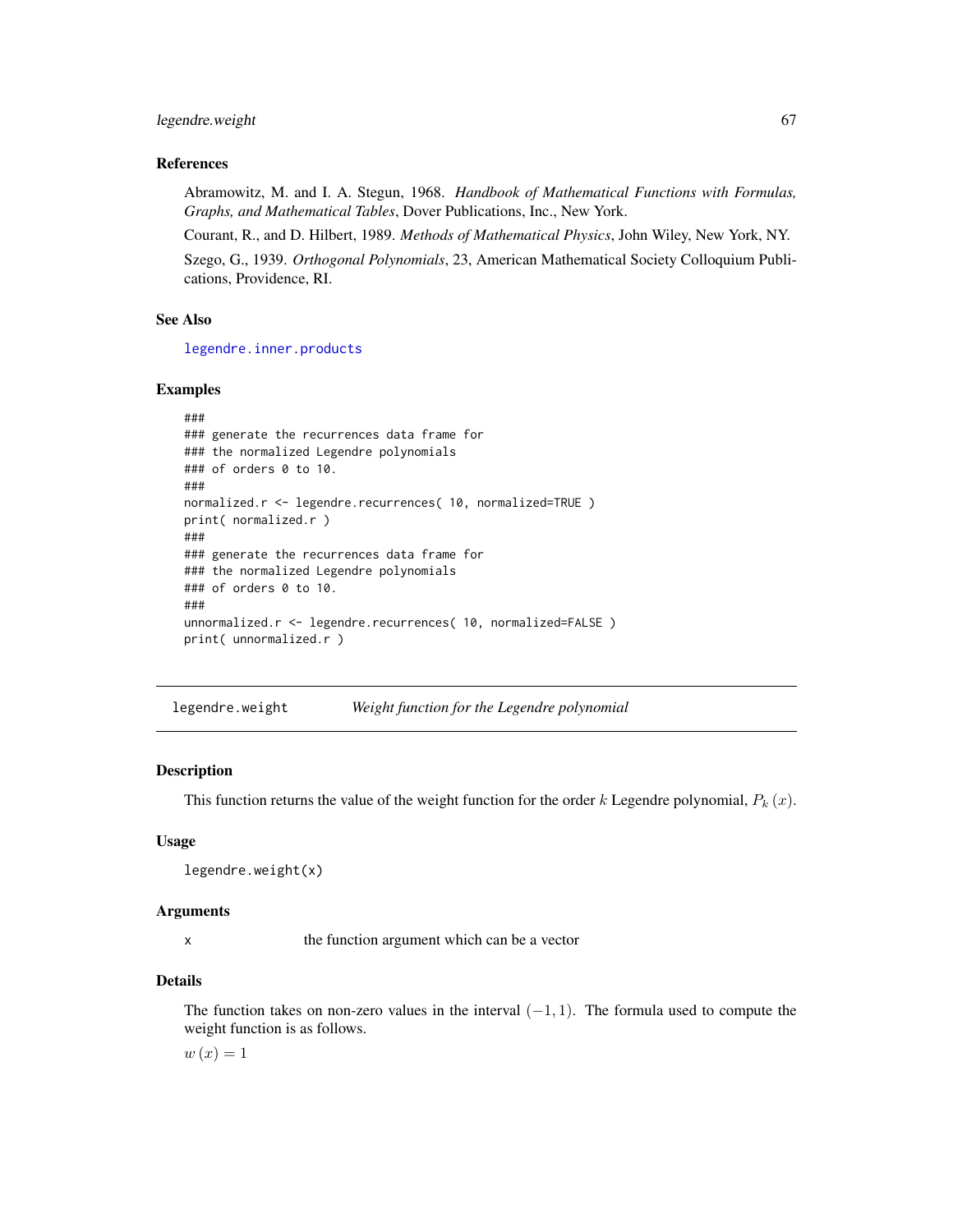#### legendre.weight 67

## References

Abramowitz, M. and I. A. Stegun, 1968. *Handbook of Mathematical Functions with Formulas, Graphs, and Mathematical Tables*, Dover Publications, Inc., New York.

Courant, R., and D. Hilbert, 1989. *Methods of Mathematical Physics*, John Wiley, New York, NY. Szego, G., 1939. *Orthogonal Polynomials*, 23, American Mathematical Society Colloquium Publications, Providence, RI.

#### See Also

[legendre.inner.products](#page-62-0)

## Examples

```
###
### generate the recurrences data frame for
### the normalized Legendre polynomials
### of orders 0 to 10.
###
normalized.r <- legendre.recurrences( 10, normalized=TRUE )
print( normalized.r )
###
### generate the recurrences data frame for
### the normalized Legendre polynomials
### of orders 0 to 10.
###
unnormalized.r <- legendre.recurrences( 10, normalized=FALSE )
print( unnormalized.r )
```
legendre.weight *Weight function for the Legendre polynomial*

## Description

This function returns the value of the weight function for the order k Legendre polynomial,  $P_k(x)$ .

## Usage

legendre.weight(x)

#### Arguments

x the function argument which can be a vector

#### Details

The function takes on non-zero values in the interval  $(-1, 1)$ . The formula used to compute the weight function is as follows.

 $w(x) = 1$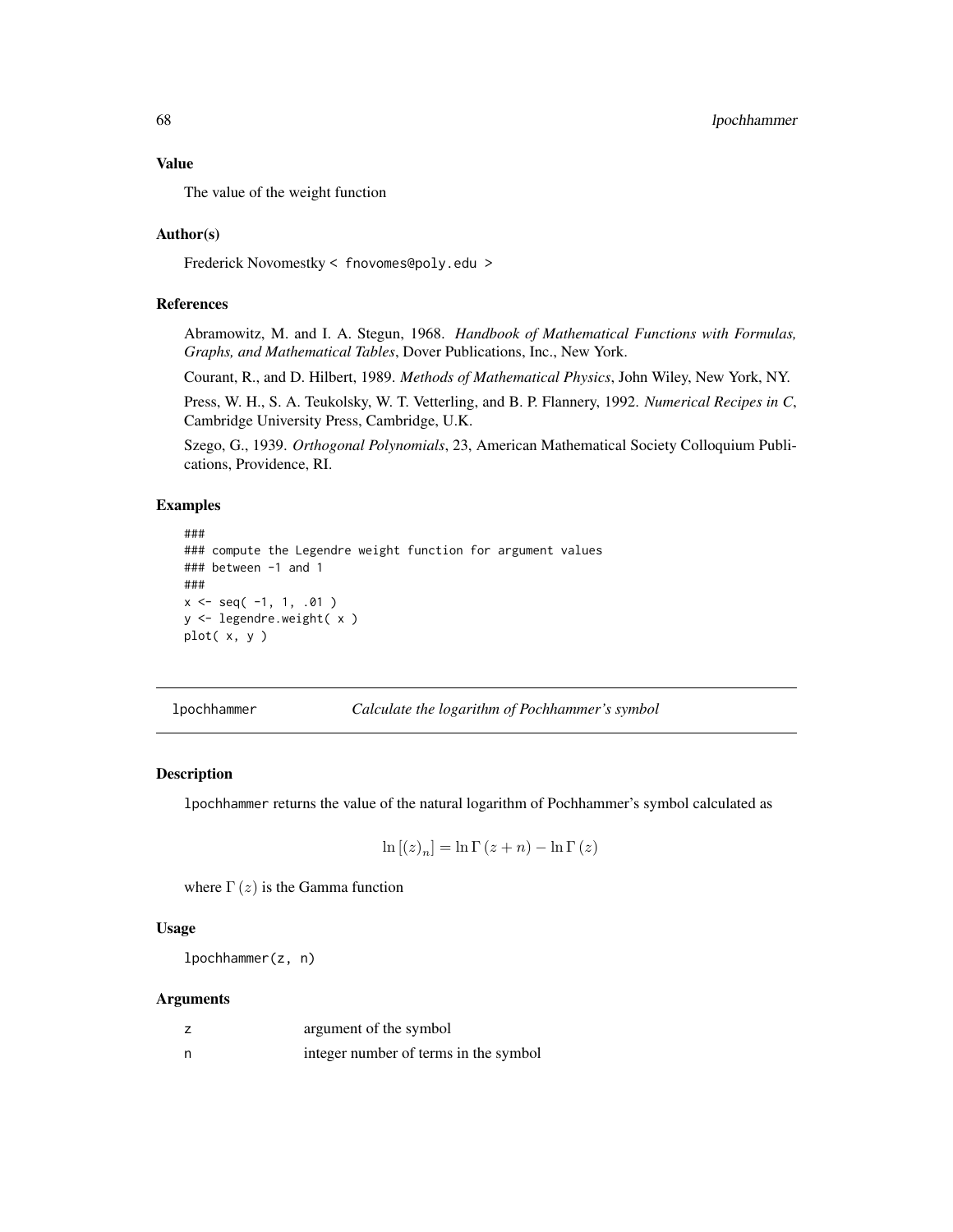The value of the weight function

# Author(s)

Frederick Novomestky < fnovomes@poly.edu >

# References

Abramowitz, M. and I. A. Stegun, 1968. *Handbook of Mathematical Functions with Formulas, Graphs, and Mathematical Tables*, Dover Publications, Inc., New York.

Courant, R., and D. Hilbert, 1989. *Methods of Mathematical Physics*, John Wiley, New York, NY.

Press, W. H., S. A. Teukolsky, W. T. Vetterling, and B. P. Flannery, 1992. *Numerical Recipes in C*, Cambridge University Press, Cambridge, U.K.

Szego, G., 1939. *Orthogonal Polynomials*, 23, American Mathematical Society Colloquium Publications, Providence, RI.

# Examples

```
###
### compute the Legendre weight function for argument values
### between -1 and 1
###
x \leq - seq(-1, 1, .01)
y <- legendre.weight( x )
plot( x, y )
```
lpochhammer *Calculate the logarithm of Pochhammer's symbol*

#### Description

lpochhammer returns the value of the natural logarithm of Pochhammer's symbol calculated as

$$
\ln [(z)_n] = \ln \Gamma (z+n) - \ln \Gamma (z)
$$

where  $\Gamma(z)$  is the Gamma function

# Usage

lpochhammer(z, n)

# Arguments

|   | argument of the symbol                |
|---|---------------------------------------|
| n | integer number of terms in the symbol |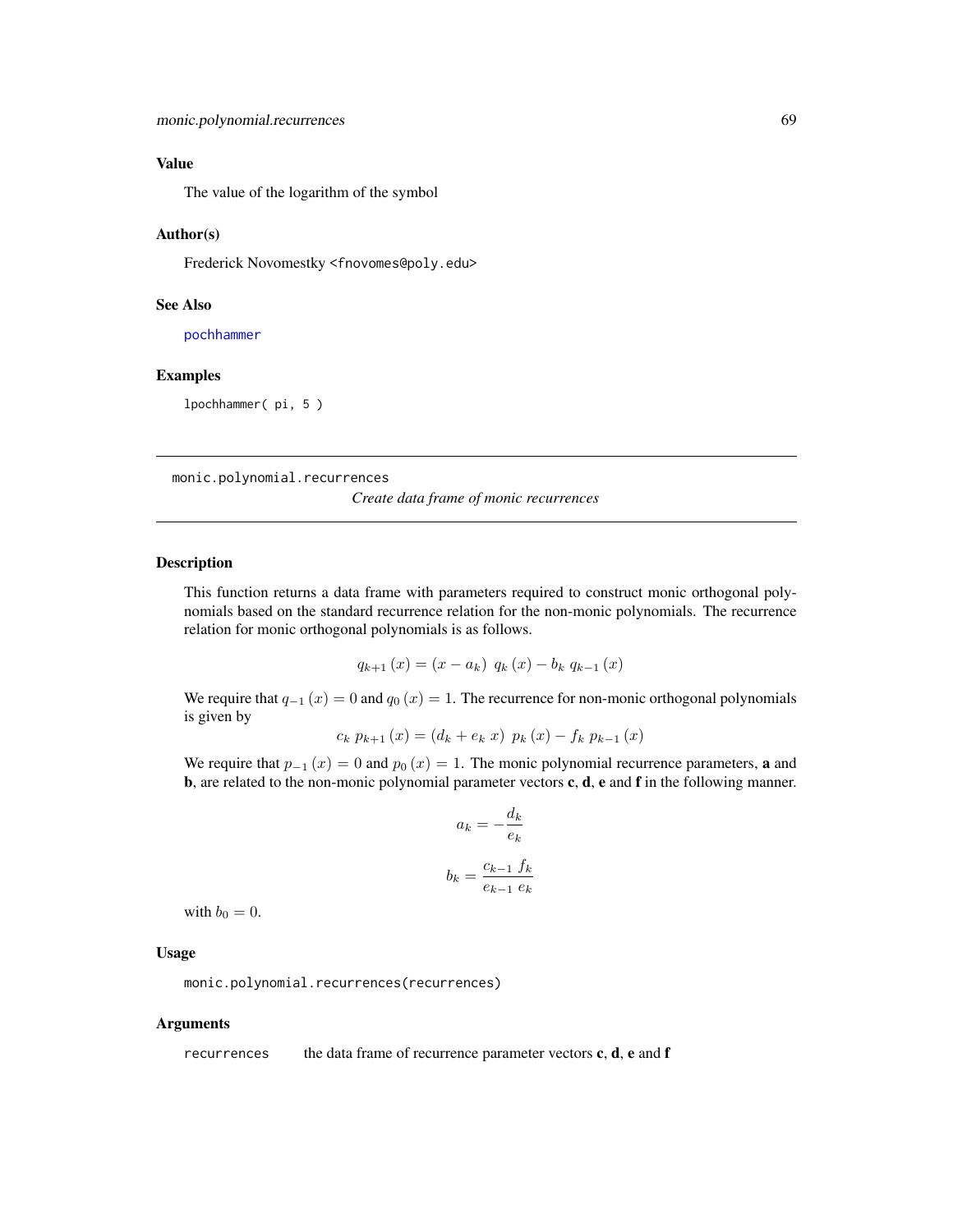The value of the logarithm of the symbol

## Author(s)

Frederick Novomestky <fnovomes@poly.edu>

## See Also

[pochhammer](#page-73-0)

# Examples

lpochhammer( pi, 5 )

<span id="page-68-0"></span>monic.polynomial.recurrences

*Create data frame of monic recurrences*

# Description

This function returns a data frame with parameters required to construct monic orthogonal polynomials based on the standard recurrence relation for the non-monic polynomials. The recurrence relation for monic orthogonal polynomials is as follows.

$$
q_{k+1}(x) = (x - a_k) q_k(x) - b_k q_{k-1}(x)
$$

We require that  $q_{-1}(x) = 0$  and  $q_0(x) = 1$ . The recurrence for non-monic orthogonal polynomials is given by

$$
c_k p_{k+1}(x) = (d_k + e_k x) p_k(x) - f_k p_{k-1}(x)
$$

We require that  $p_{-1}(x) = 0$  and  $p_0(x) = 1$ . The monic polynomial recurrence parameters, **a** and b, are related to the non-monic polynomial parameter vectors c, d, e and f in the following manner.

$$
a_k = -\frac{d_k}{e_k}
$$

$$
b_k = \frac{c_{k-1} f_k}{e_{k-1} e_k}
$$

with  $b_0 = 0$ .

# Usage

monic.polynomial.recurrences(recurrences)

#### Arguments

recurrences the data frame of recurrence parameter vectors  $c, d, e$  and  $f$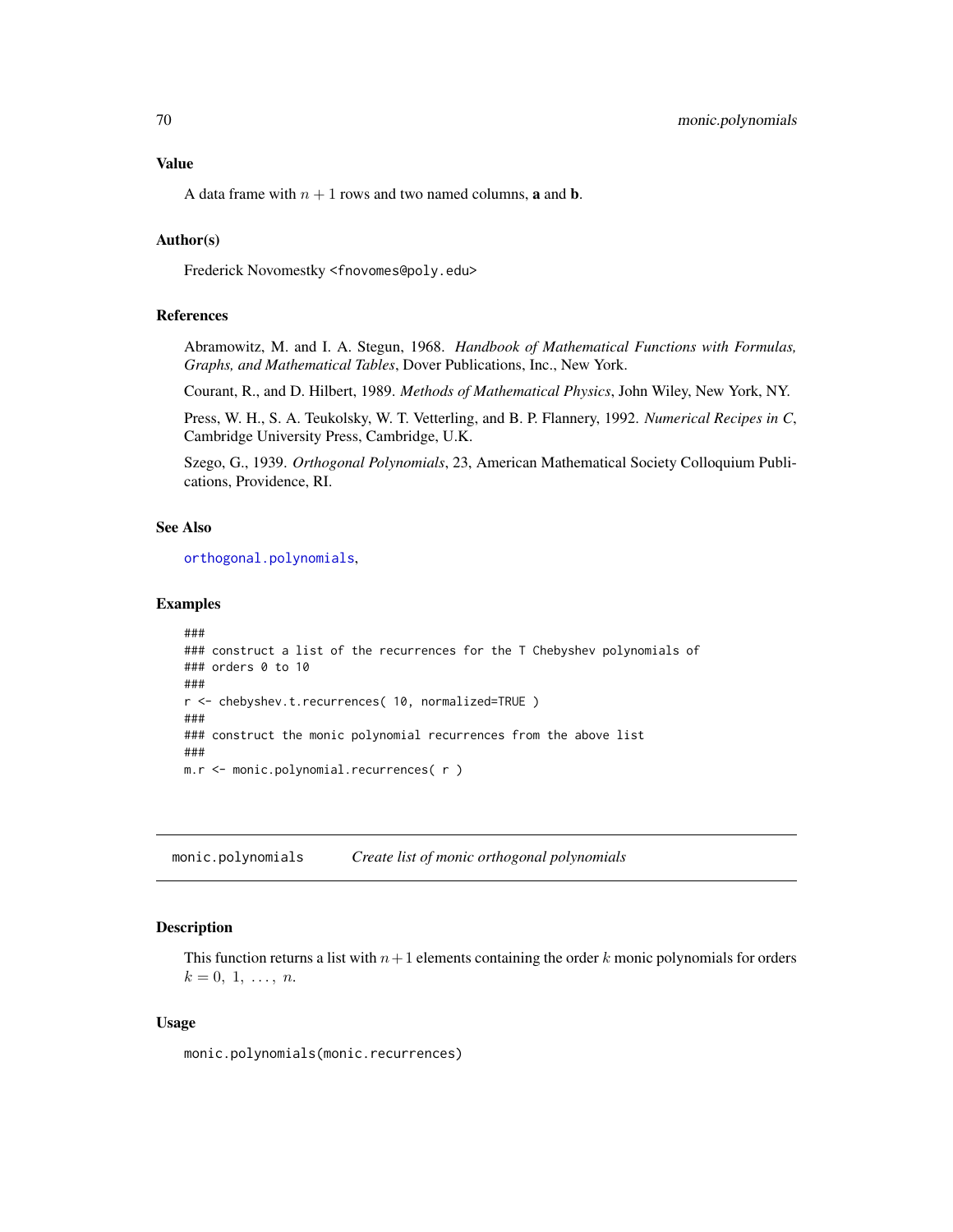A data frame with  $n + 1$  rows and two named columns, **a** and **b**.

# Author(s)

Frederick Novomestky <fnovomes@poly.edu>

## References

Abramowitz, M. and I. A. Stegun, 1968. *Handbook of Mathematical Functions with Formulas, Graphs, and Mathematical Tables*, Dover Publications, Inc., New York.

Courant, R., and D. Hilbert, 1989. *Methods of Mathematical Physics*, John Wiley, New York, NY.

Press, W. H., S. A. Teukolsky, W. T. Vetterling, and B. P. Flannery, 1992. *Numerical Recipes in C*, Cambridge University Press, Cambridge, U.K.

Szego, G., 1939. *Orthogonal Polynomials*, 23, American Mathematical Society Colloquium Publications, Providence, RI.

## See Also

[orthogonal.polynomials](#page-71-0),

## Examples

```
###
### construct a list of the recurrences for the T Chebyshev polynomials of
### orders 0 to 10
###
r <- chebyshev.t.recurrences( 10, normalized=TRUE )
###
### construct the monic polynomial recurrences from the above list
###
m.r <- monic.polynomial.recurrences( r )
```
monic.polynomials *Create list of monic orthogonal polynomials*

#### Description

This function returns a list with  $n+1$  elements containing the order k monic polynomials for orders  $k = 0, 1, \ldots, n$ .

## Usage

monic.polynomials(monic.recurrences)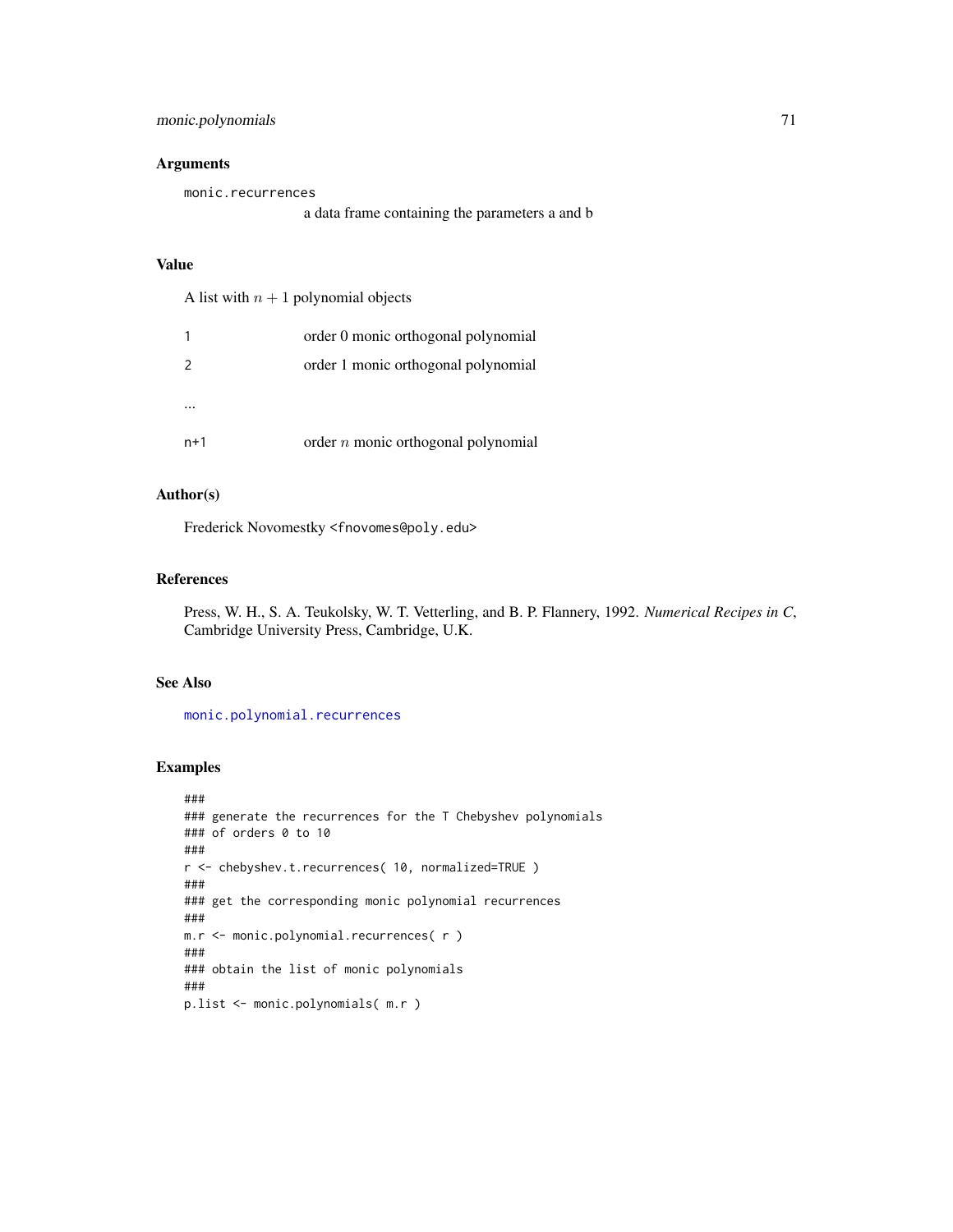# Arguments

monic.recurrences a data frame containing the parameters a and b

# Value

A list with  $n + 1$  polynomial objects

|       | order 0 monic orthogonal polynomial   |
|-------|---------------------------------------|
|       | order 1 monic orthogonal polynomial   |
|       |                                       |
|       |                                       |
| $n+1$ | order $n$ monic orthogonal polynomial |

# Author(s)

Frederick Novomestky <fnovomes@poly.edu>

#### References

Press, W. H., S. A. Teukolsky, W. T. Vetterling, and B. P. Flannery, 1992. *Numerical Recipes in C*, Cambridge University Press, Cambridge, U.K.

#### See Also

[monic.polynomial.recurrences](#page-68-0)

```
###
### generate the recurrences for the T Chebyshev polynomials
### of orders 0 to 10
###
r <- chebyshev.t.recurrences( 10, normalized=TRUE )
###
### get the corresponding monic polynomial recurrences
###
m.r <- monic.polynomial.recurrences( r )
###
### obtain the list of monic polynomials
###
p.list <- monic.polynomials( m.r )
```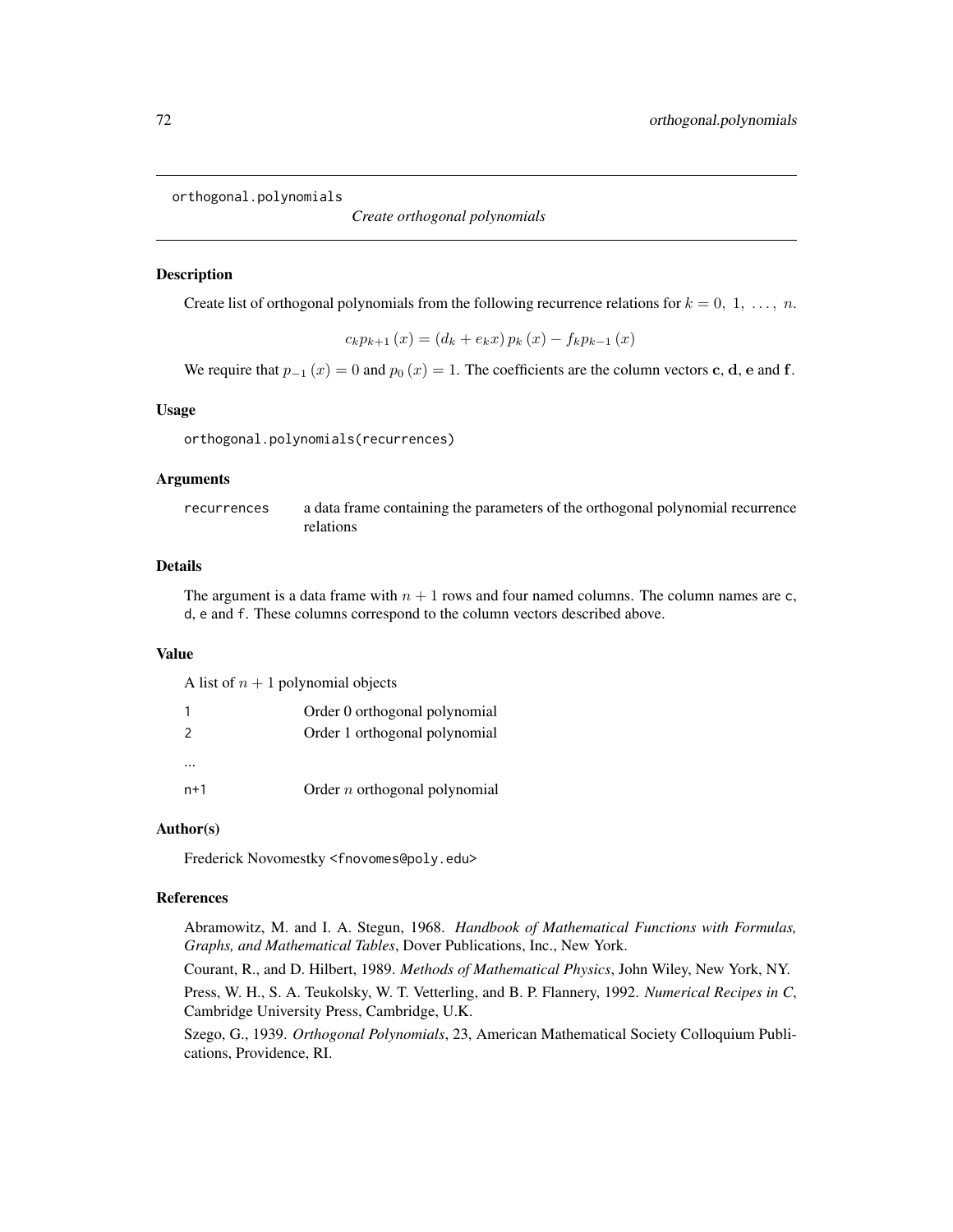<span id="page-71-0"></span>orthogonal.polynomials

*Create orthogonal polynomials*

## Description

Create list of orthogonal polynomials from the following recurrence relations for  $k = 0, 1, \ldots, n$ .

$$
c_{k} p_{k+1}(x) = (d_{k} + e_{k} x) p_{k}(x) - f_{k} p_{k-1}(x)
$$

We require that  $p_{-1}(x) = 0$  and  $p_0(x) = 1$ . The coefficients are the column vectors c, d, e and f.

### Usage

orthogonal.polynomials(recurrences)

## Arguments

recurrences a data frame containing the parameters of the orthogonal polynomial recurrence relations

## Details

The argument is a data frame with  $n + 1$  rows and four named columns. The column names are c, d, e and f. These columns correspond to the column vectors described above.

# Value

A list of  $n + 1$  polynomial objects

|               | Order 0 orthogonal polynomial   |
|---------------|---------------------------------|
| $\mathcal{P}$ | Order 1 orthogonal polynomial   |
| $\cdots$      |                                 |
| $n+1$         | Order $n$ orthogonal polynomial |

# Author(s)

Frederick Novomestky <fnovomes@poly.edu>

# References

Abramowitz, M. and I. A. Stegun, 1968. *Handbook of Mathematical Functions with Formulas, Graphs, and Mathematical Tables*, Dover Publications, Inc., New York.

Courant, R., and D. Hilbert, 1989. *Methods of Mathematical Physics*, John Wiley, New York, NY.

Press, W. H., S. A. Teukolsky, W. T. Vetterling, and B. P. Flannery, 1992. *Numerical Recipes in C*, Cambridge University Press, Cambridge, U.K.

Szego, G., 1939. *Orthogonal Polynomials*, 23, American Mathematical Society Colloquium Publications, Providence, RI.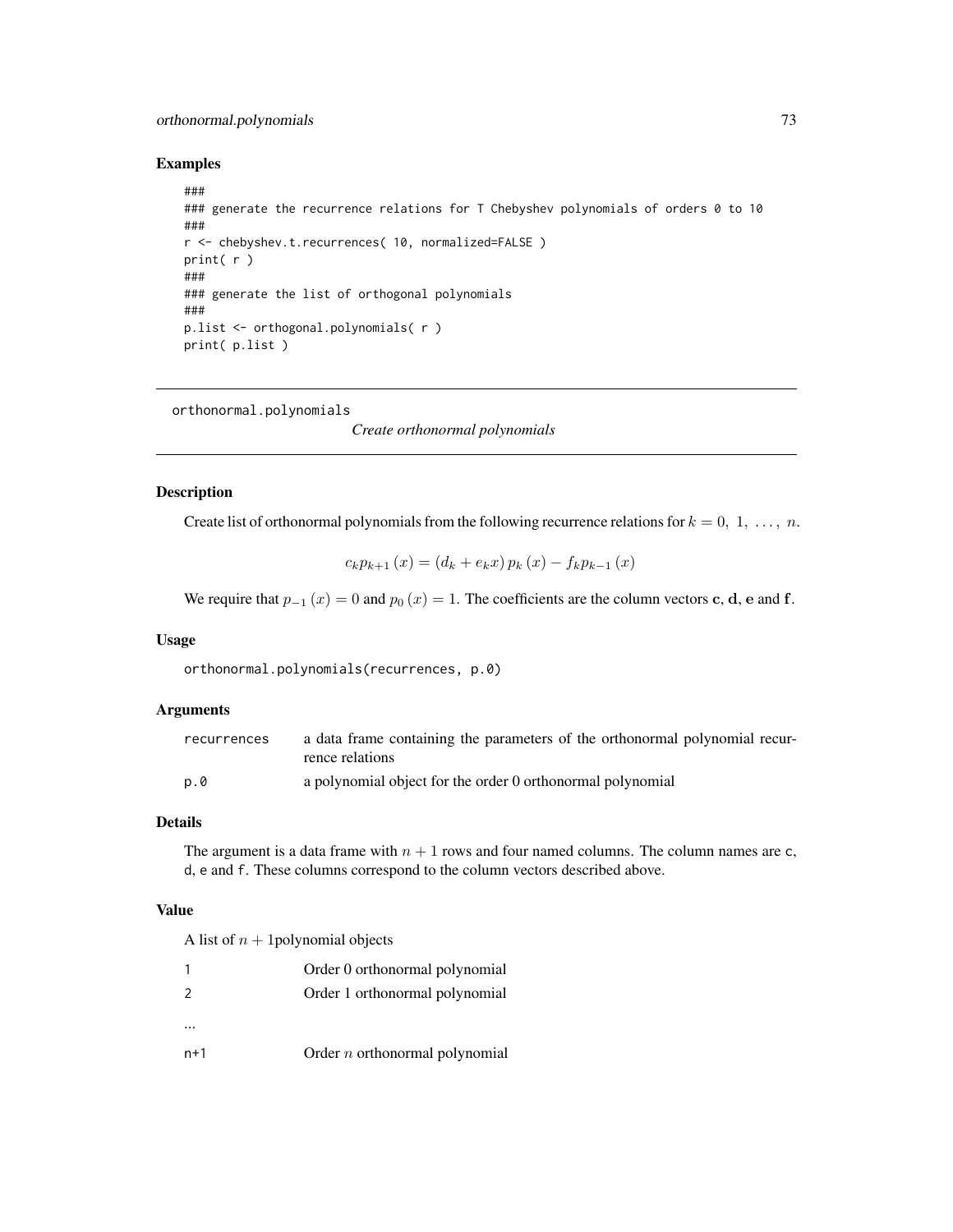# orthonormal.polynomials 73

## Examples

```
###
### generate the recurrence relations for T Chebyshev polynomials of orders 0 to 10
###
r <- chebyshev.t.recurrences( 10, normalized=FALSE )
print( r )
###
### generate the list of orthogonal polynomials
###
p.list <- orthogonal.polynomials( r )
print( p.list )
```
<span id="page-72-0"></span>orthonormal.polynomials

*Create orthonormal polynomials*

## Description

Create list of orthonormal polynomials from the following recurrence relations for  $k = 0, 1, \ldots, n$ .

$$
c_{k} p_{k+1}(x) = (d_{k} + e_{k} x) p_{k}(x) - f_{k} p_{k-1}(x)
$$

We require that  $p_{-1}(x) = 0$  and  $p_0(x) = 1$ . The coefficients are the column vectors c, d, e and f.

## Usage

orthonormal.polynomials(recurrences, p.0)

## Arguments

| recurrences | a data frame containing the parameters of the orthonormal polynomial recur-<br>rence relations |
|-------------|------------------------------------------------------------------------------------------------|
| p.0         | a polynomial object for the order 0 orthonormal polynomial                                     |

# Details

The argument is a data frame with  $n + 1$  rows and four named columns. The column names are c, d, e and f. These columns correspond to the column vectors described above.

## Value

A list of  $n + 1$  polynomial objects

|                | Order 0 orthonormal polynomial   |
|----------------|----------------------------------|
| $\overline{2}$ | Order 1 orthonormal polynomial   |
|                |                                  |
| $n+1$          | Order $n$ orthonormal polynomial |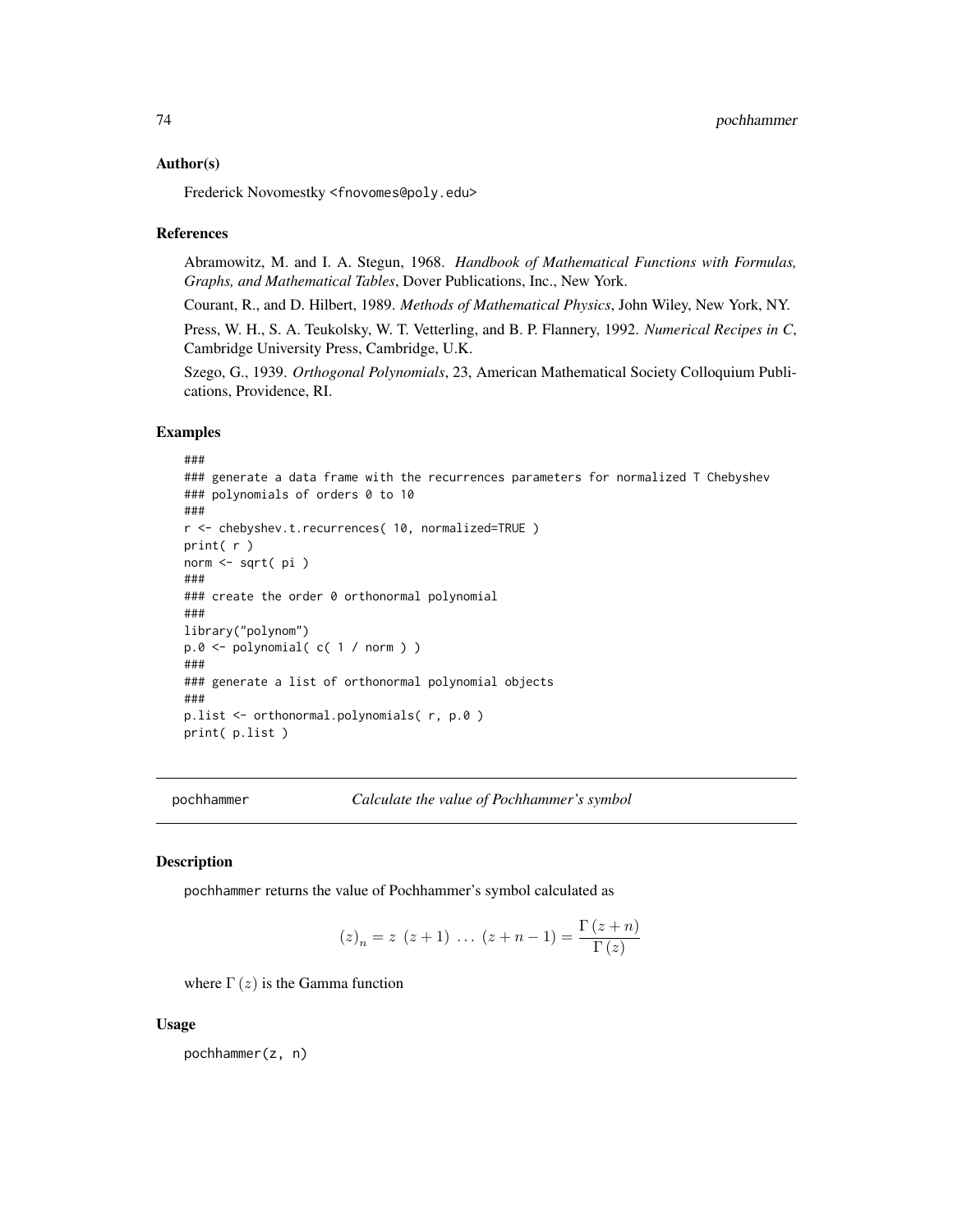Frederick Novomestky <fnovomes@poly.edu>

#### References

Abramowitz, M. and I. A. Stegun, 1968. *Handbook of Mathematical Functions with Formulas, Graphs, and Mathematical Tables*, Dover Publications, Inc., New York.

Courant, R., and D. Hilbert, 1989. *Methods of Mathematical Physics*, John Wiley, New York, NY.

Press, W. H., S. A. Teukolsky, W. T. Vetterling, and B. P. Flannery, 1992. *Numerical Recipes in C*, Cambridge University Press, Cambridge, U.K.

Szego, G., 1939. *Orthogonal Polynomials*, 23, American Mathematical Society Colloquium Publications, Providence, RI.

#### Examples

```
###
### generate a data frame with the recurrences parameters for normalized T Chebyshev
### polynomials of orders 0 to 10
###
r <- chebyshev.t.recurrences( 10, normalized=TRUE )
print( r )
norm <- sqrt( pi )
###
### create the order 0 orthonormal polynomial
###
library("polynom")
p.0 \leq polynomial(c(1 / norm))###
### generate a list of orthonormal polynomial objects
###
p.list <- orthonormal.polynomials( r, p.0 )
print( p.list )
```
pochhammer *Calculate the value of Pochhammer's symbol*

## Description

pochhammer returns the value of Pochhammer's symbol calculated as

$$
(z)_n = z (z+1) \dots (z+n-1) = \frac{\Gamma(z+n)}{\Gamma(z)}
$$

where  $\Gamma(z)$  is the Gamma function

#### Usage

pochhammer(z, n)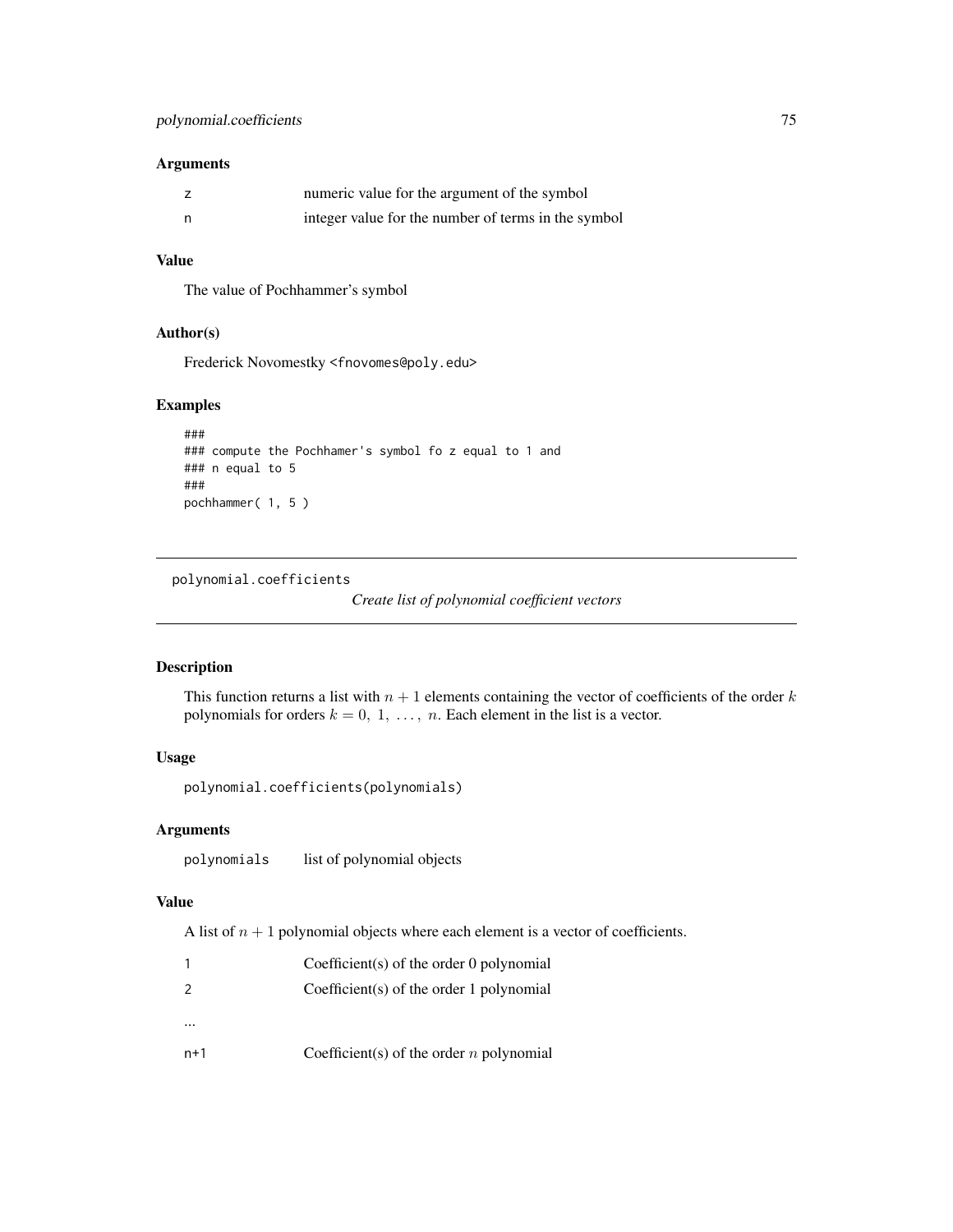## Arguments

|   | numeric value for the argument of the symbol        |
|---|-----------------------------------------------------|
| n | integer value for the number of terms in the symbol |

# Value

The value of Pochhammer's symbol

# Author(s)

Frederick Novomestky <fnovomes@poly.edu>

# Examples

```
###
### compute the Pochhamer's symbol fo z equal to 1 and
### n equal to 5
###
pochhammer( 1, 5 )
```
polynomial.coefficients

```
Create list of polynomial coefficient vectors
```
# Description

This function returns a list with  $n + 1$  elements containing the vector of coefficients of the order k polynomials for orders  $k = 0, 1, \ldots, n$ . Each element in the list is a vector.

## Usage

```
polynomial.coefficients(polynomials)
```
# Arguments

polynomials list of polynomial objects

# Value

A list of  $n + 1$  polynomial objects where each element is a vector of coefficients.

|               | Coefficient(s) of the order 0 polynomial   |
|---------------|--------------------------------------------|
| $\mathcal{P}$ | Coefficient(s) of the order 1 polynomial   |
|               |                                            |
| n+1           | Coefficient(s) of the order $n$ polynomial |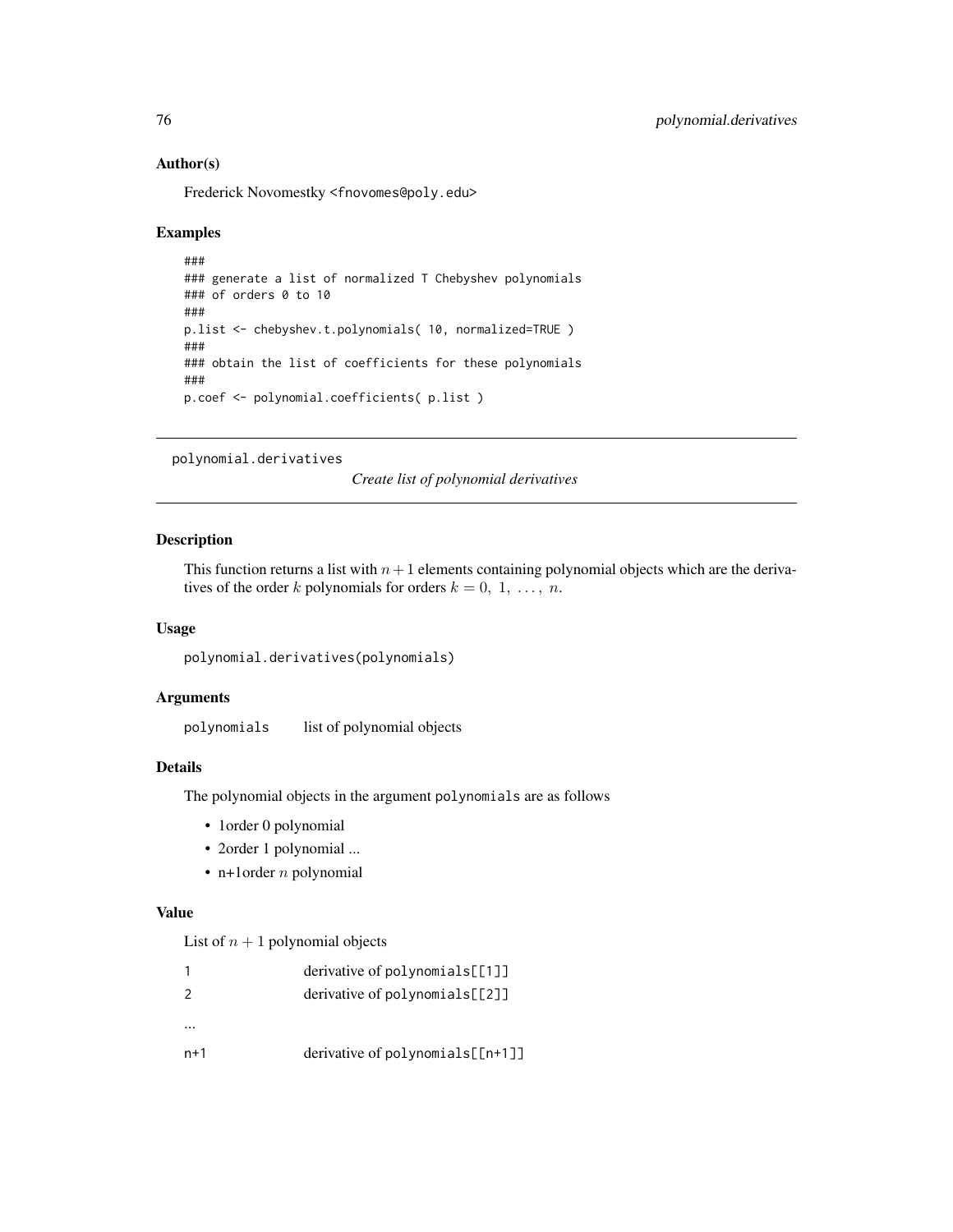Frederick Novomestky <fnovomes@poly.edu>

## Examples

```
###
### generate a list of normalized T Chebyshev polynomials
### of orders 0 to 10
###
p.list <- chebyshev.t.polynomials( 10, normalized=TRUE )
###
### obtain the list of coefficients for these polynomials
###
p.coef <- polynomial.coefficients( p.list )
```
polynomial.derivatives

*Create list of polynomial derivatives*

# Description

This function returns a list with  $n+1$  elements containing polynomial objects which are the derivatives of the order k polynomials for orders  $k = 0, 1, \ldots, n$ .

#### Usage

```
polynomial.derivatives(polynomials)
```
## Arguments

polynomials list of polynomial objects

# Details

The polynomial objects in the argument polynomials are as follows

- 1order 0 polynomial
- 2order 1 polynomial ...
- n+1order  $n$  polynomial

## Value

List of  $n + 1$  polynomial objects

|               | derivative of polynomials[[1]]       |
|---------------|--------------------------------------|
| $\mathcal{P}$ | derivative of $polynomials [2]$      |
|               |                                      |
| n+1           | derivative of polynomials $[$ [n+1]] |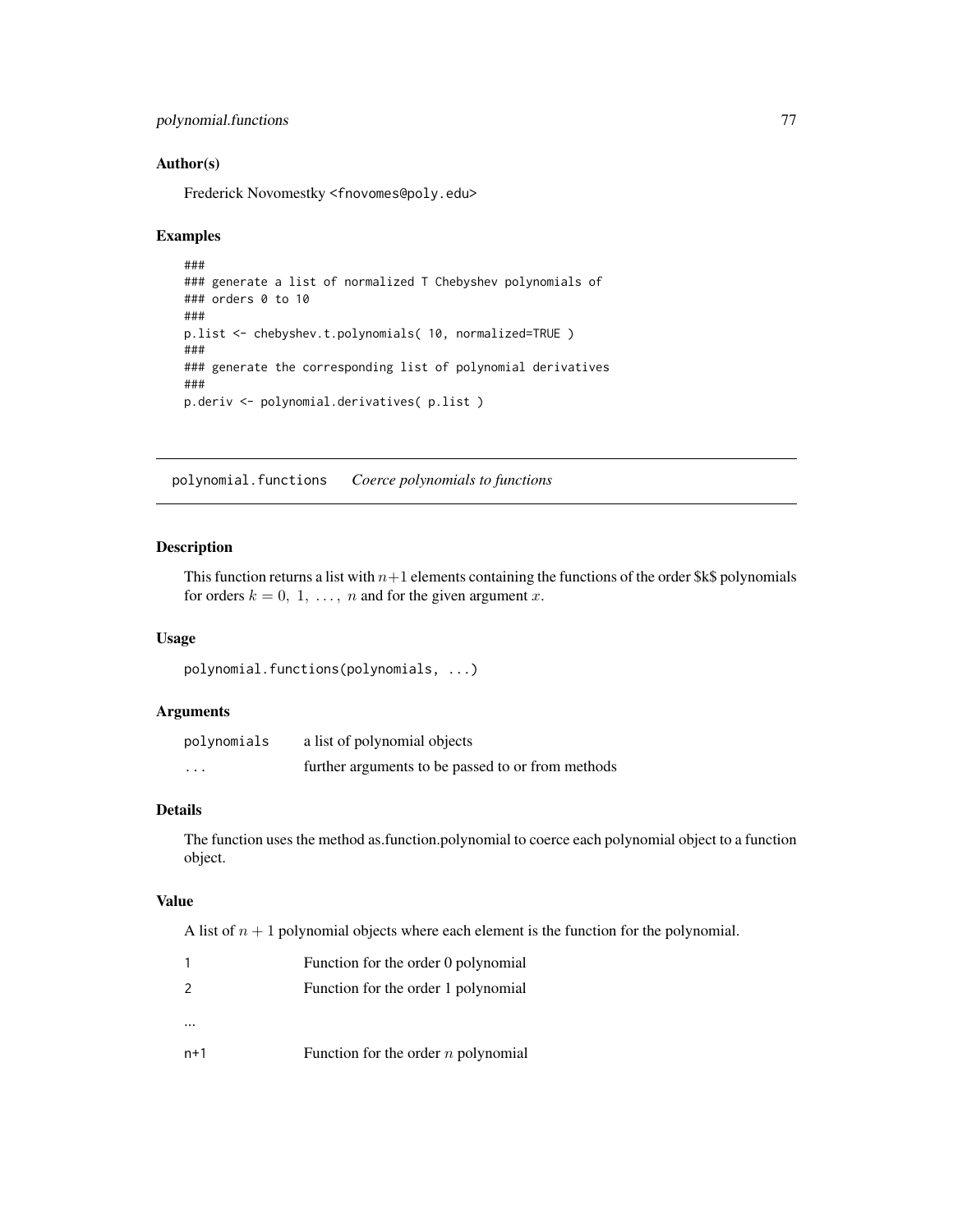```
polynomial.functions 77
```
Frederick Novomestky <fnovomes@poly.edu>

## Examples

```
###
### generate a list of normalized T Chebyshev polynomials of
### orders 0 to 10
###
p.list <- chebyshev.t.polynomials( 10, normalized=TRUE )
###
### generate the corresponding list of polynomial derivatives
###
p.deriv <- polynomial.derivatives( p.list )
```
polynomial.functions *Coerce polynomials to functions*

# Description

This function returns a list with  $n+1$  elements containing the functions of the order \$k\$ polynomials for orders  $k = 0, 1, \ldots, n$  and for the given argument x.

## Usage

polynomial.functions(polynomials, ...)

# Arguments

| polynomials             | a list of polynomial objects                      |
|-------------------------|---------------------------------------------------|
| $\cdot$ $\cdot$ $\cdot$ | further arguments to be passed to or from methods |

## Details

The function uses the method as.function.polynomial to coerce each polynomial object to a function object.

# Value

A list of  $n + 1$  polynomial objects where each element is the function for the polynomial.

|               | Function for the order 0 polynomial   |
|---------------|---------------------------------------|
| $\mathcal{L}$ | Function for the order 1 polynomial   |
|               |                                       |
|               |                                       |
| n+1           | Function for the order $n$ polynomial |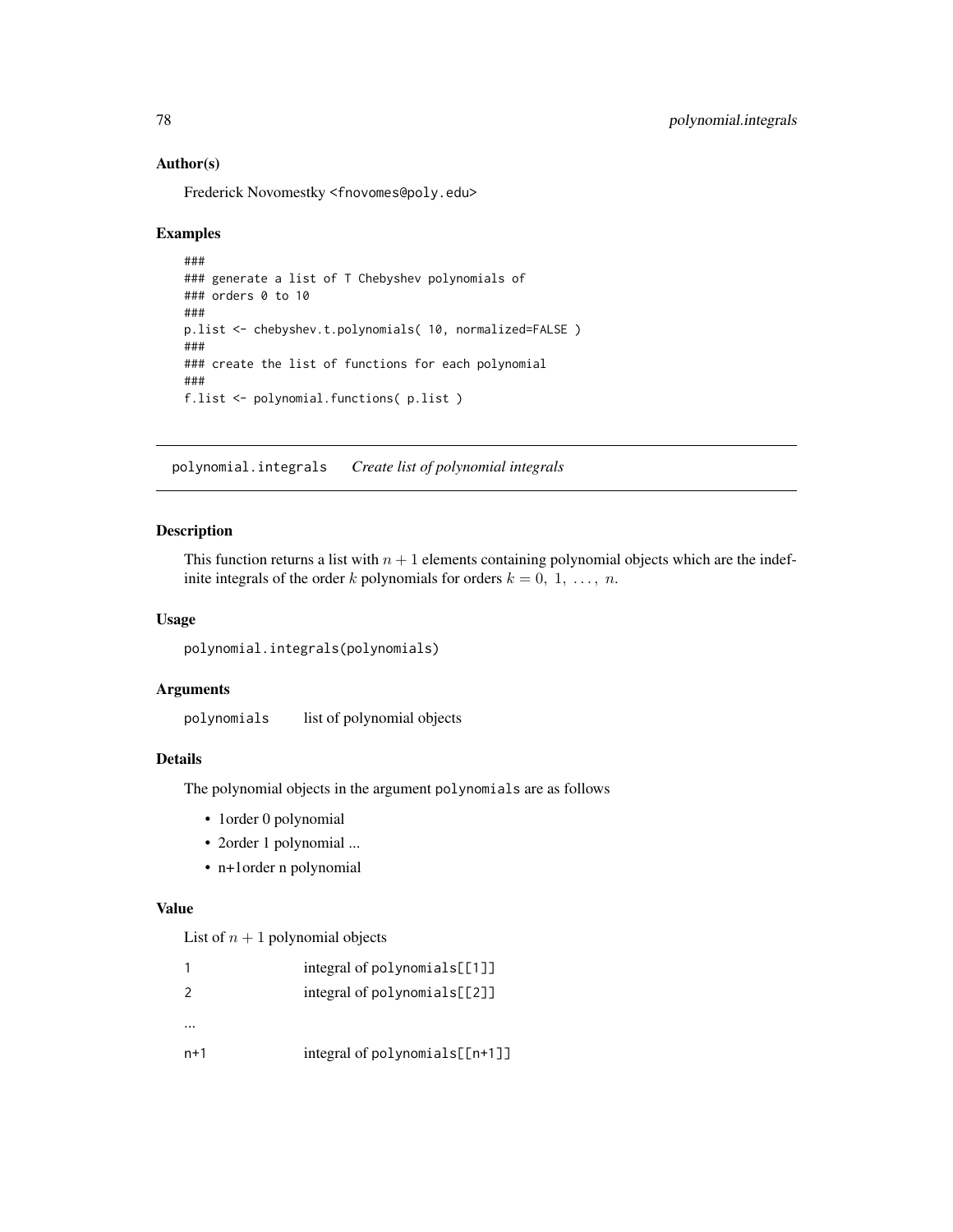Frederick Novomestky <fnovomes@poly.edu>

## Examples

```
###
### generate a list of T Chebyshev polynomials of
### orders 0 to 10
###
p.list <- chebyshev.t.polynomials( 10, normalized=FALSE )
###
### create the list of functions for each polynomial
###
f.list <- polynomial.functions( p.list )
```
polynomial.integrals *Create list of polynomial integrals*

# Description

This function returns a list with  $n + 1$  elements containing polynomial objects which are the indefinite integrals of the order k polynomials for orders  $k = 0, 1, \ldots, n$ .

#### Usage

```
polynomial.integrals(polynomials)
```
## Arguments

polynomials list of polynomial objects

#### Details

The polynomial objects in the argument polynomials are as follows

- 1order 0 polynomial
- 2order 1 polynomial ...
- n+1order n polynomial

## Value

List of  $n + 1$  polynomial objects

|               | integral of polynomials[[1]]     |
|---------------|----------------------------------|
| $\mathcal{P}$ | integral of $polynomials [2]$    |
|               |                                  |
| $n+1$         | $integral of polynomials[[n+1]]$ |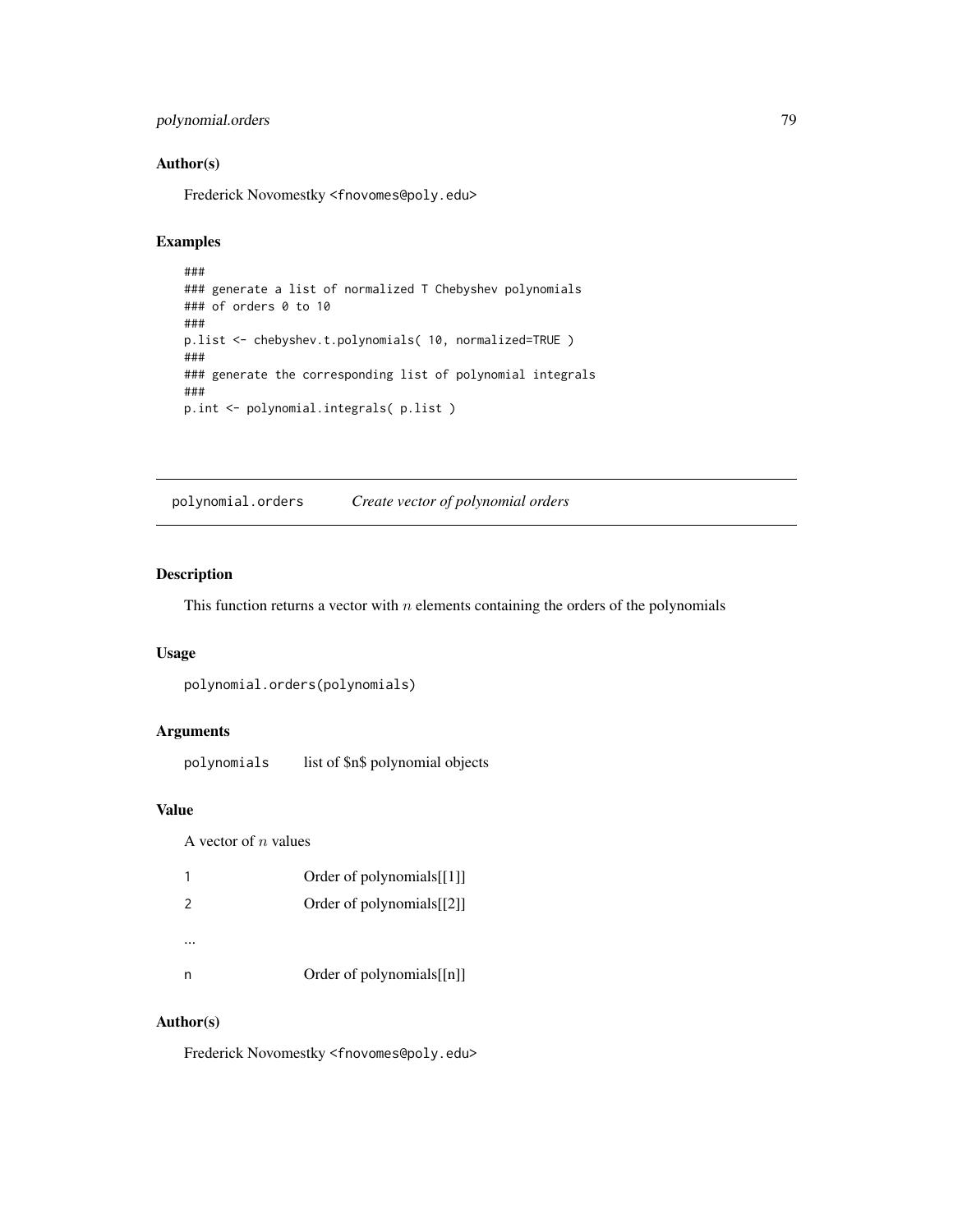# polynomial.orders 79

# Author(s)

Frederick Novomestky <fnovomes@poly.edu>

## Examples

```
###
### generate a list of normalized T Chebyshev polynomials
### of orders 0 to 10
###
p.list <- chebyshev.t.polynomials( 10, normalized=TRUE )
###
### generate the corresponding list of polynomial integrals
###
p.int <- polynomial.integrals( p.list )
```
polynomial.orders *Create vector of polynomial orders*

## Description

This function returns a vector with  $n$  elements containing the orders of the polynomials

#### Usage

```
polynomial.orders(polynomials)
```
## Arguments

polynomials list of \$n\$ polynomial objects

# Value

A vector of  $n$  values

|               | Order of polynomials[[1]]     |
|---------------|-------------------------------|
| $\mathcal{P}$ | Order of polynomials[[2]]     |
|               |                               |
|               |                               |
| n             | Order of polynomials $[$ [n]] |

## Author(s)

Frederick Novomestky <fnovomes@poly.edu>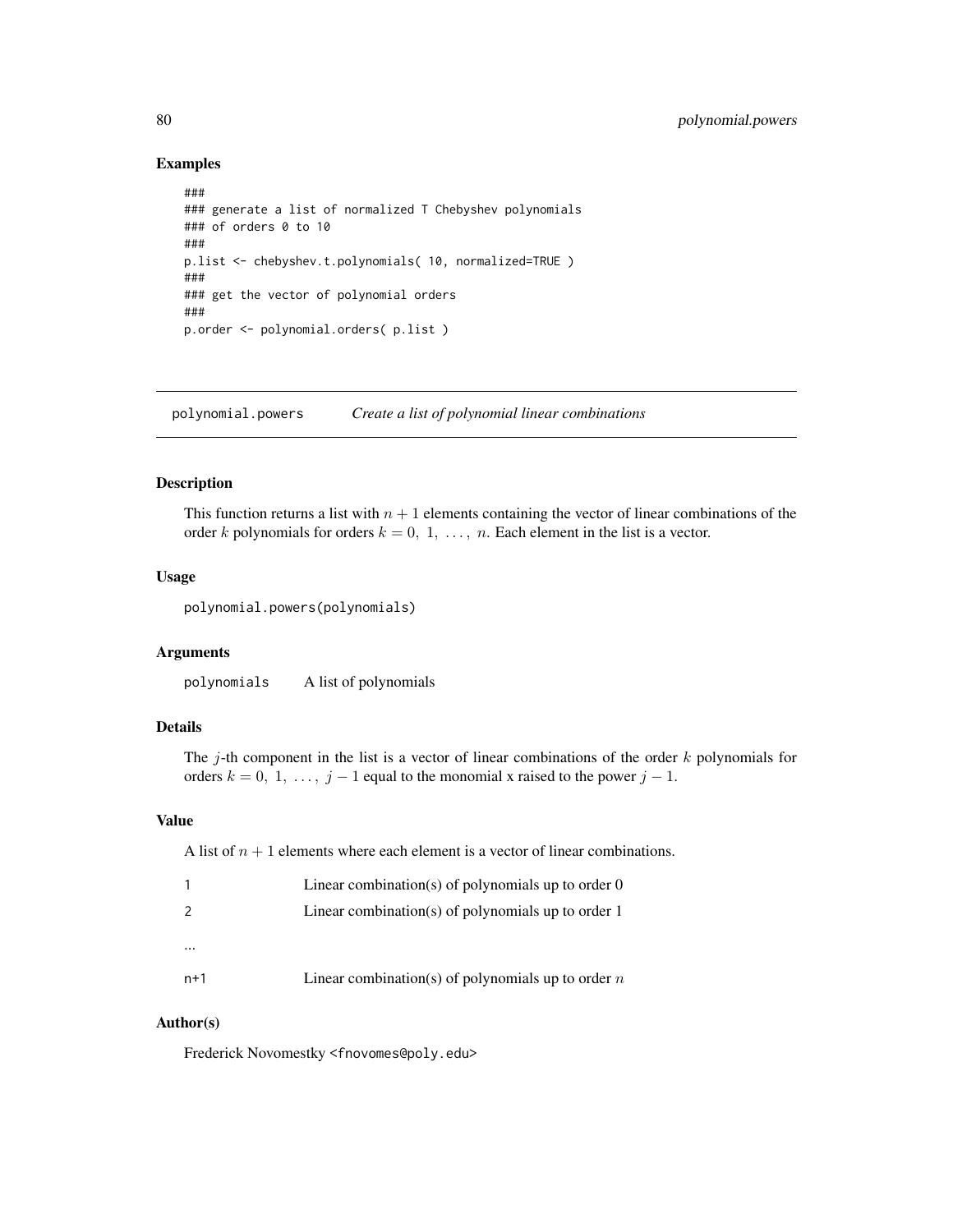## Examples

```
###
### generate a list of normalized T Chebyshev polynomials
### of orders 0 to 10
###
p.list <- chebyshev.t.polynomials( 10, normalized=TRUE )
###
### get the vector of polynomial orders
###
p.order <- polynomial.orders( p.list )
```
polynomial.powers *Create a list of polynomial linear combinations*

## Description

This function returns a list with  $n + 1$  elements containing the vector of linear combinations of the order k polynomials for orders  $k = 0, 1, \ldots, n$ . Each element in the list is a vector.

#### Usage

polynomial.powers(polynomials)

## Arguments

polynomials A list of polynomials

# Details

The j-th component in the list is a vector of linear combinations of the order  $k$  polynomials for orders  $k = 0, 1, \ldots, j - 1$  equal to the monomial x raised to the power  $j - 1$ .

### Value

A list of  $n + 1$  elements where each element is a vector of linear combinations.

|          | Linear combination(s) of polynomials up to order $0$ |
|----------|------------------------------------------------------|
| 2        | Linear combination(s) of polynomials up to order 1   |
| $\cdots$ |                                                      |
|          |                                                      |
| $n+1$    | Linear combination(s) of polynomials up to order $n$ |

## Author(s)

Frederick Novomestky <fnovomes@poly.edu>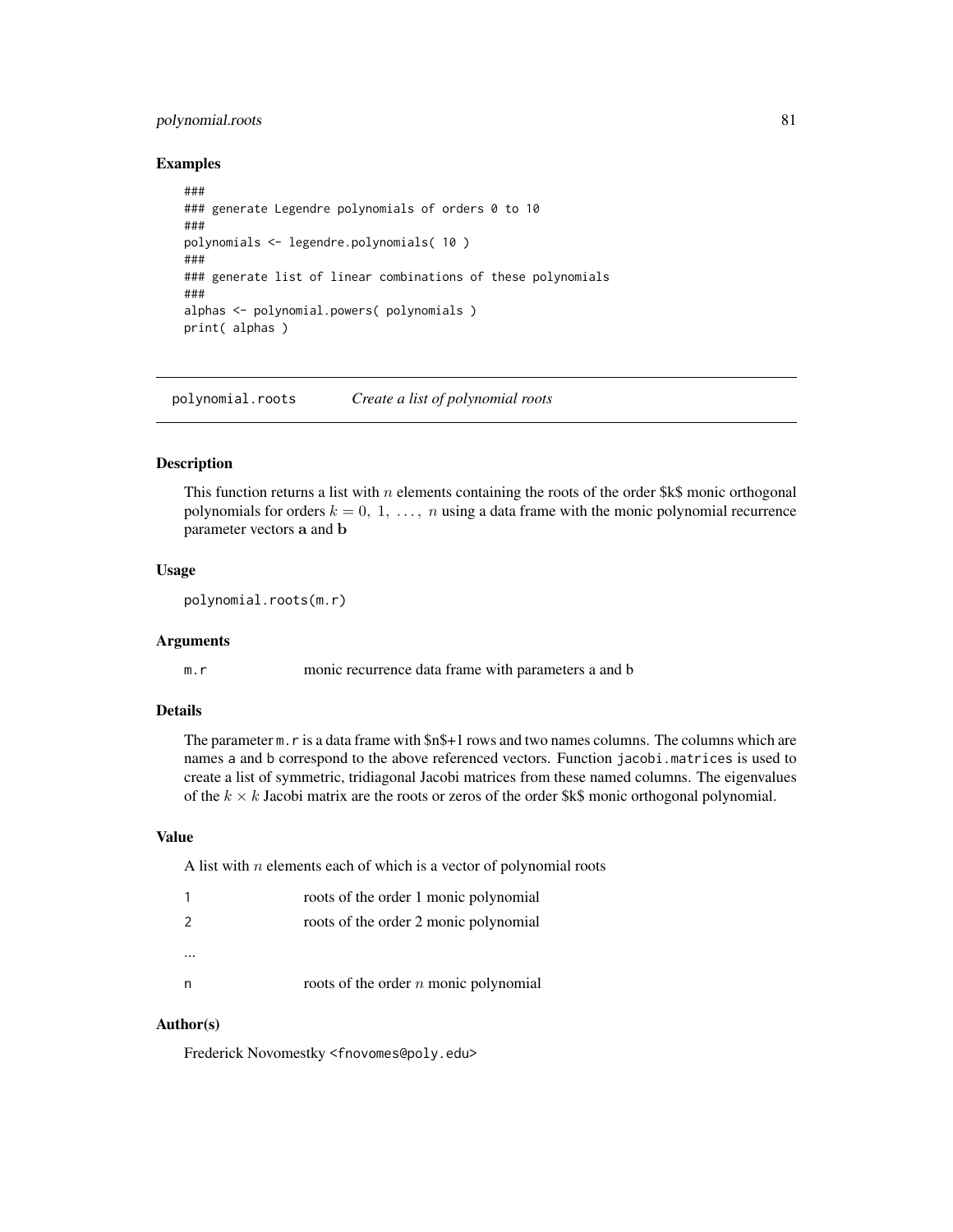# polynomial.roots 81

## Examples

```
###
### generate Legendre polynomials of orders 0 to 10
###
polynomials <- legendre.polynomials( 10 )
###
### generate list of linear combinations of these polynomials
###
alphas <- polynomial.powers( polynomials )
print( alphas )
```
polynomial.roots *Create a list of polynomial roots*

#### Description

This function returns a list with n elements containing the roots of the order  $k$ \$ monic orthogonal polynomials for orders  $k = 0, 1, \ldots, n$  using a data frame with the monic polynomial recurrence parameter vectors a and b

## Usage

```
polynomial.roots(m.r)
```
# Arguments

m.r monic recurrence data frame with parameters a and b

# Details

The parameter m.r is a data frame with \$n\$+1 rows and two names columns. The columns which are names a and b correspond to the above referenced vectors. Function jacobi.matrices is used to create a list of symmetric, tridiagonal Jacobi matrices from these named columns. The eigenvalues of the  $k \times k$  Jacobi matrix are the roots or zeros of the order \$k\$ monic orthogonal polynomial.

## Value

A list with  $n$  elements each of which is a vector of polynomial roots

| 1             | roots of the order 1 monic polynomial   |
|---------------|-----------------------------------------|
| $\mathcal{P}$ | roots of the order 2 monic polynomial   |
|               |                                         |
|               |                                         |
| n             | roots of the order $n$ monic polynomial |

## Author(s)

Frederick Novomestky <fnovomes@poly.edu>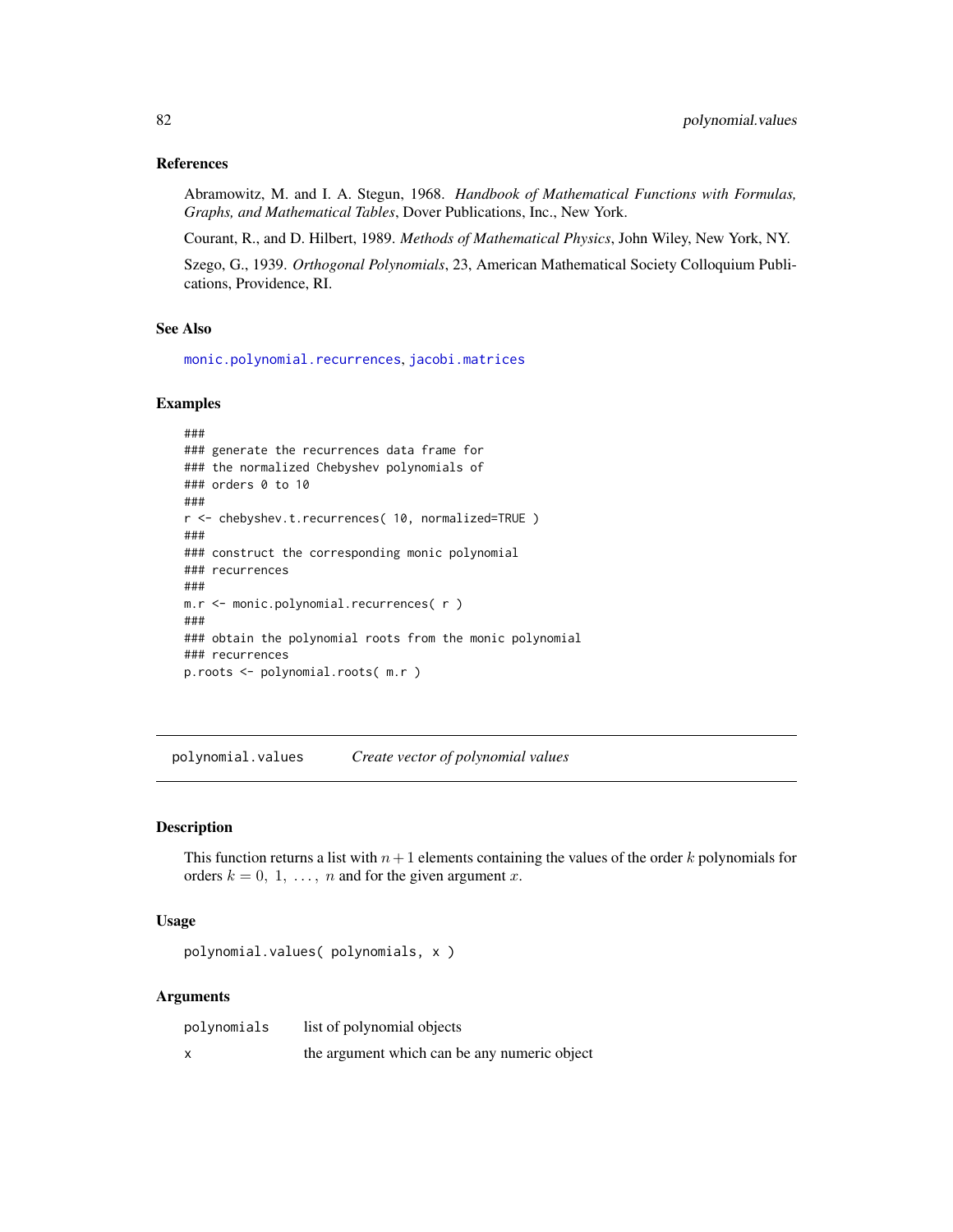## References

Abramowitz, M. and I. A. Stegun, 1968. *Handbook of Mathematical Functions with Formulas, Graphs, and Mathematical Tables*, Dover Publications, Inc., New York.

Courant, R., and D. Hilbert, 1989. *Methods of Mathematical Physics*, John Wiley, New York, NY.

Szego, G., 1939. *Orthogonal Polynomials*, 23, American Mathematical Society Colloquium Publications, Providence, RI.

#### See Also

[monic.polynomial.recurrences](#page-68-0), [jacobi.matrices](#page-52-0)

#### Examples

```
###
### generate the recurrences data frame for
### the normalized Chebyshev polynomials of
### orders 0 to 10
###
r <- chebyshev.t.recurrences( 10, normalized=TRUE )
###
### construct the corresponding monic polynomial
### recurrences
###
m.r <- monic.polynomial.recurrences( r )
###
### obtain the polynomial roots from the monic polynomial
### recurrences
p.roots <- polynomial.roots( m.r )
```
polynomial.values *Create vector of polynomial values*

## Description

This function returns a list with  $n+1$  elements containing the values of the order k polynomials for orders  $k = 0, 1, \ldots, n$  and for the given argument x.

#### Usage

polynomial.values( polynomials, x )

## Arguments

| polynomials | list of polynomial objects                   |
|-------------|----------------------------------------------|
|             | the argument which can be any numeric object |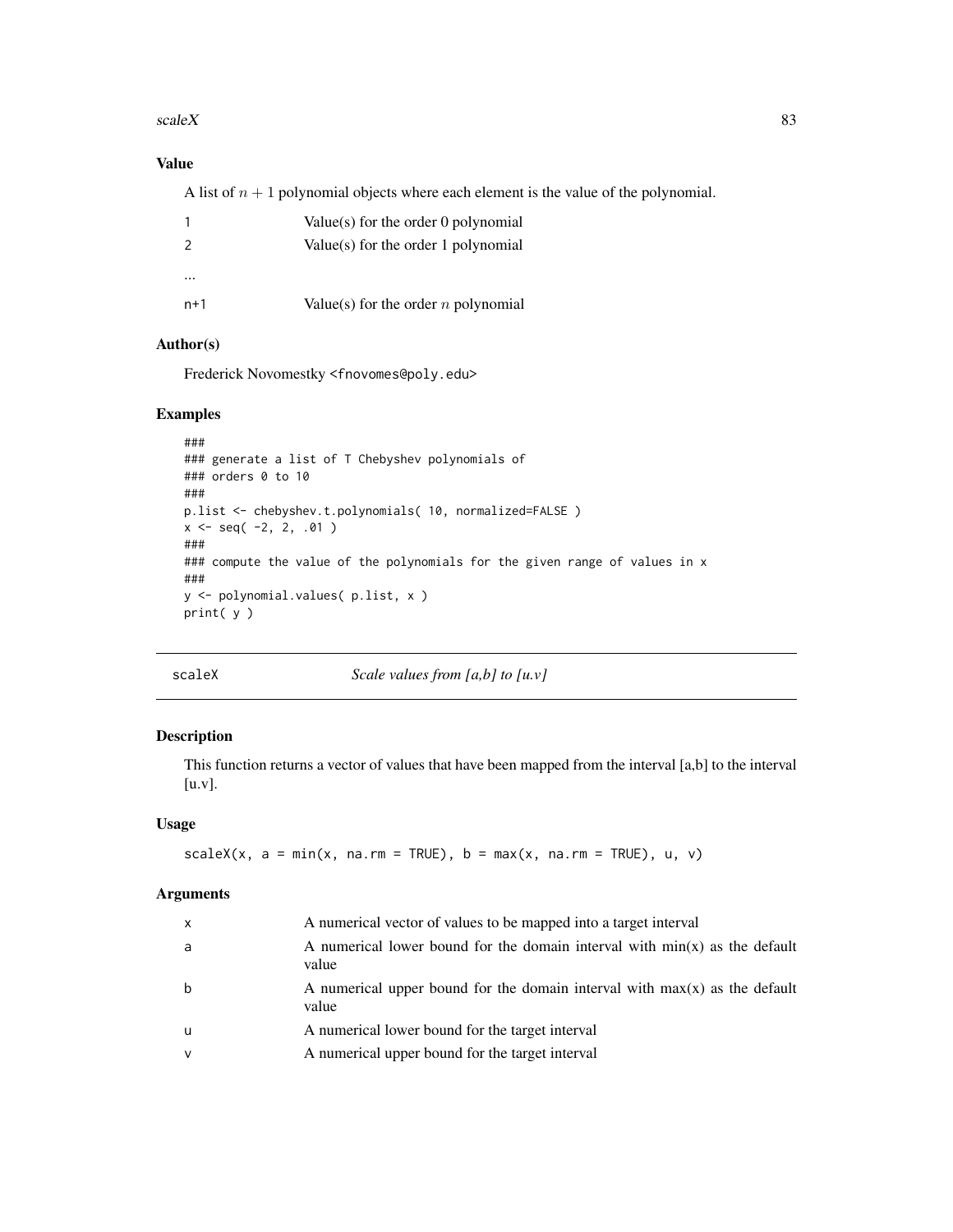#### $scaleX$  83

# Value

A list of  $n + 1$  polynomial objects where each element is the value of the polynomial.

|       | Value(s) for the order 0 polynomial   |
|-------|---------------------------------------|
| 2     | Value(s) for the order 1 polynomial   |
|       |                                       |
| $n+1$ | Value(s) for the order $n$ polynomial |

# Author(s)

Frederick Novomestky <fnovomes@poly.edu>

#### Examples

```
###
### generate a list of T Chebyshev polynomials of
### orders 0 to 10
###
p.list <- chebyshev.t.polynomials( 10, normalized=FALSE )
x \le - seq( -2, 2, .01 )
###
### compute the value of the polynomials for the given range of values in x
###
y <- polynomial.values( p.list, x )
print( y )
```
scaleX *Scale values from [a,b] to [u.v]*

# Description

This function returns a vector of values that have been mapped from the interval [a,b] to the interval [u.v].

## Usage

```
scaleX(x, a = min(x, na.rm = TRUE), b = max(x, na.rm = TRUE), u, v)
```
#### Arguments

| x            | A numerical vector of values to be mapped into a target interval                      |
|--------------|---------------------------------------------------------------------------------------|
| a            | A numerical lower bound for the domain interval with $min(x)$ as the default<br>value |
| b            | A numerical upper bound for the domain interval with $max(x)$ as the default<br>value |
| u            | A numerical lower bound for the target interval                                       |
| $\mathsf{V}$ | A numerical upper bound for the target interval                                       |
|              |                                                                                       |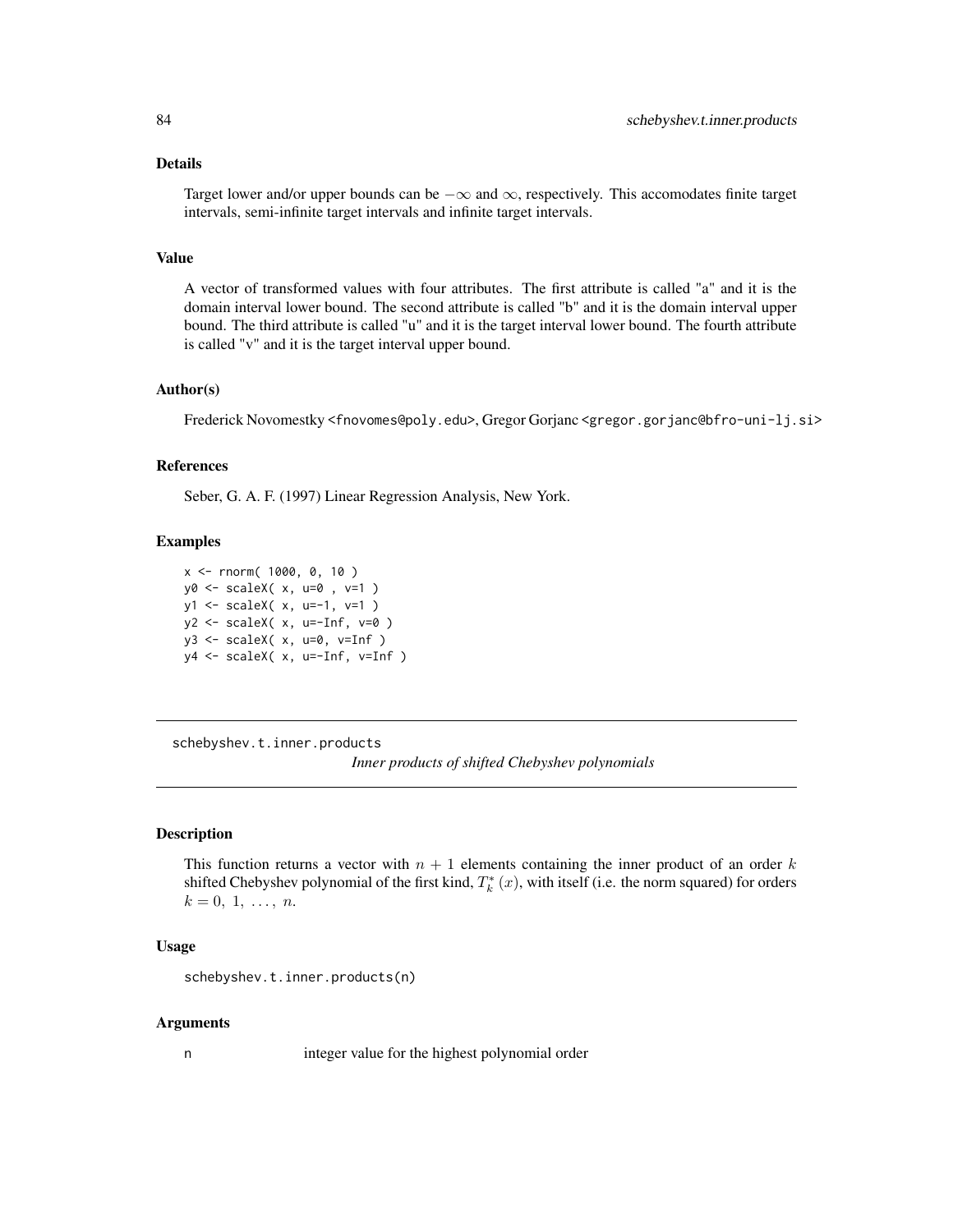#### Details

Target lower and/or upper bounds can be  $-\infty$  and  $\infty$ , respectively. This accomodates finite target intervals, semi-infinite target intervals and infinite target intervals.

#### Value

A vector of transformed values with four attributes. The first attribute is called "a" and it is the domain interval lower bound. The second attribute is called "b" and it is the domain interval upper bound. The third attribute is called "u" and it is the target interval lower bound. The fourth attribute is called "v" and it is the target interval upper bound.

#### Author(s)

Frederick Novomestky <fnovomes@poly.edu>, Gregor Gorjanc <gregor.gorjanc@bfro-uni-lj.si>

#### References

Seber, G. A. F. (1997) Linear Regression Analysis, New York.

### Examples

```
x <- rnorm( 1000, 0, 10 )
y0 <- scaleX( x, u=0 , v=1 )
y1 <- scaleX( x, u=-1, v=1 )
y2 \leq -\text{scaleX}(\ x, u=-\text{Inf}, v=0)y3 \leq -\text{scaleX}(\ x, u=0, v=Inf)y4 <- scaleX( x, u=-Inf, v=Inf )
```
<span id="page-83-0"></span>schebyshev.t.inner.products *Inner products of shifted Chebyshev polynomials*

#### Description

This function returns a vector with  $n + 1$  elements containing the inner product of an order k shifted Chebyshev polynomial of the first kind,  $T_k^*(x)$ , with itself (i.e. the norm squared) for orders  $k = 0, 1, \ldots, n$ .

## Usage

schebyshev.t.inner.products(n)

#### Arguments

n integer value for the highest polynomial order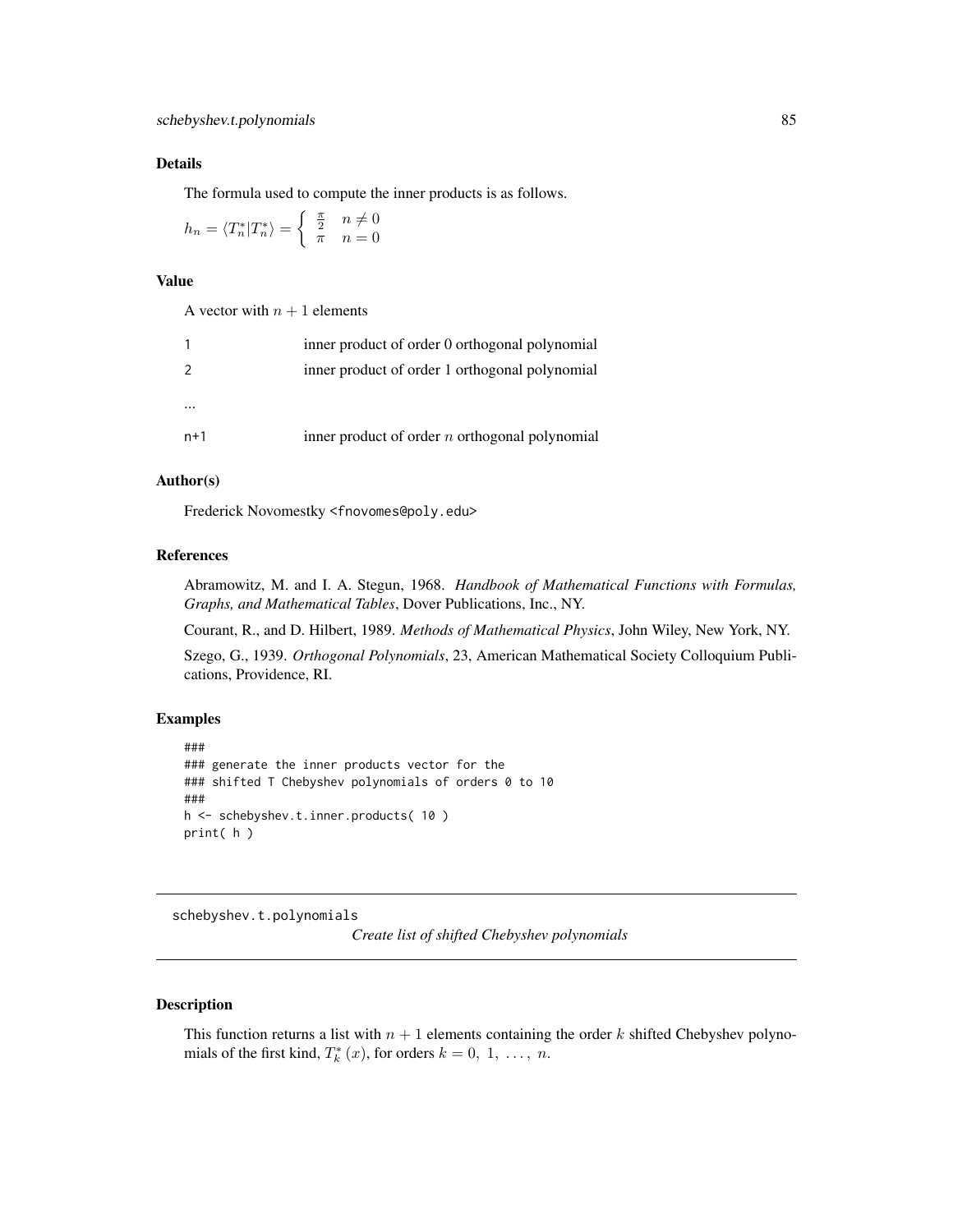## Details

The formula used to compute the inner products is as follows.

$$
h_n = \langle T_n^* | T_n^* \rangle = \begin{cases} \frac{\pi}{2} & n \neq 0 \\ \pi & n = 0 \end{cases}
$$

# Value

A vector with  $n + 1$  elements

|               | inner product of order 0 orthogonal polynomial   |
|---------------|--------------------------------------------------|
| $\mathcal{P}$ | inner product of order 1 orthogonal polynomial   |
|               |                                                  |
| $n+1$         | inner product of order $n$ orthogonal polynomial |

## Author(s)

Frederick Novomestky <fnovomes@poly.edu>

# References

Abramowitz, M. and I. A. Stegun, 1968. *Handbook of Mathematical Functions with Formulas, Graphs, and Mathematical Tables*, Dover Publications, Inc., NY.

Courant, R., and D. Hilbert, 1989. *Methods of Mathematical Physics*, John Wiley, New York, NY.

Szego, G., 1939. *Orthogonal Polynomials*, 23, American Mathematical Society Colloquium Publications, Providence, RI.

## Examples

```
###
### generate the inner products vector for the
### shifted T Chebyshev polynomials of orders 0 to 10
###
h <- schebyshev.t.inner.products( 10 )
print( h )
```
schebyshev.t.polynomials

*Create list of shifted Chebyshev polynomials*

## Description

This function returns a list with  $n + 1$  elements containing the order k shifted Chebyshev polynomials of the first kind,  $T_k^*(x)$ , for orders  $k = 0, 1, \ldots, n$ .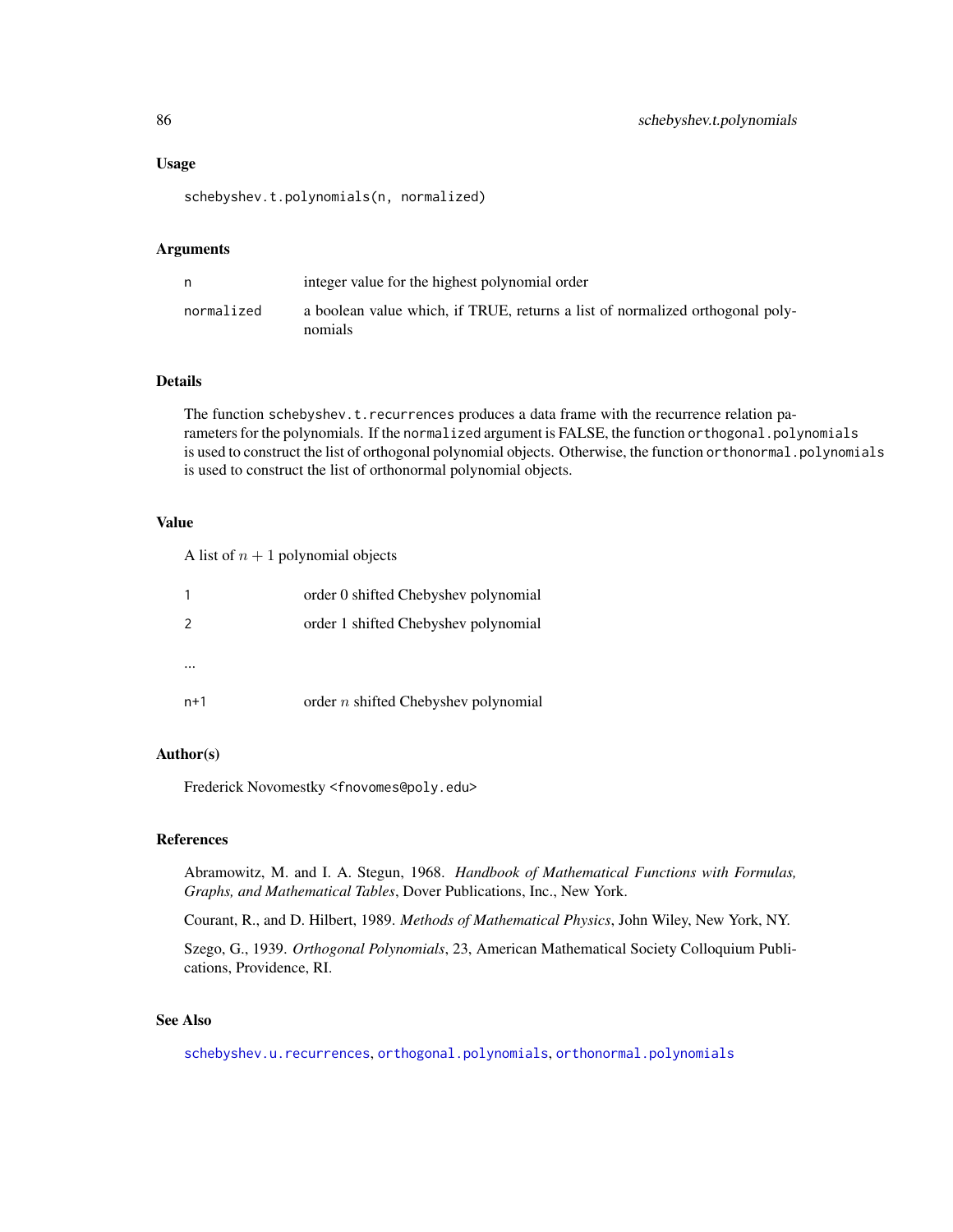#### Usage

schebyshev.t.polynomials(n, normalized)

#### Arguments

| n          | integer value for the highest polynomial order                                           |
|------------|------------------------------------------------------------------------------------------|
| normalized | a boolean value which, if TRUE, returns a list of normalized orthogonal poly-<br>nomials |

#### Details

The function schebyshev.t.recurrences produces a data frame with the recurrence relation parameters for the polynomials. If the normalized argument is FALSE, the function orthogonal.polynomials is used to construct the list of orthogonal polynomial objects. Otherwise, the function orthonormal.polynomials is used to construct the list of orthonormal polynomial objects.

## Value

A list of  $n + 1$  polynomial objects

|                | order 0 shifted Chebyshev polynomial        |
|----------------|---------------------------------------------|
| $\overline{z}$ | order 1 shifted Chebyshev polynomial        |
|                |                                             |
|                |                                             |
| $n+1$          | order <i>n</i> shifted Chebyshev polynomial |

## Author(s)

Frederick Novomestky <fnovomes@poly.edu>

## References

Abramowitz, M. and I. A. Stegun, 1968. *Handbook of Mathematical Functions with Formulas, Graphs, and Mathematical Tables*, Dover Publications, Inc., New York.

Courant, R., and D. Hilbert, 1989. *Methods of Mathematical Physics*, John Wiley, New York, NY.

Szego, G., 1939. *Orthogonal Polynomials*, 23, American Mathematical Society Colloquium Publications, Providence, RI.

# See Also

[schebyshev.u.recurrences](#page-91-0), [orthogonal.polynomials](#page-71-0), [orthonormal.polynomials](#page-72-0)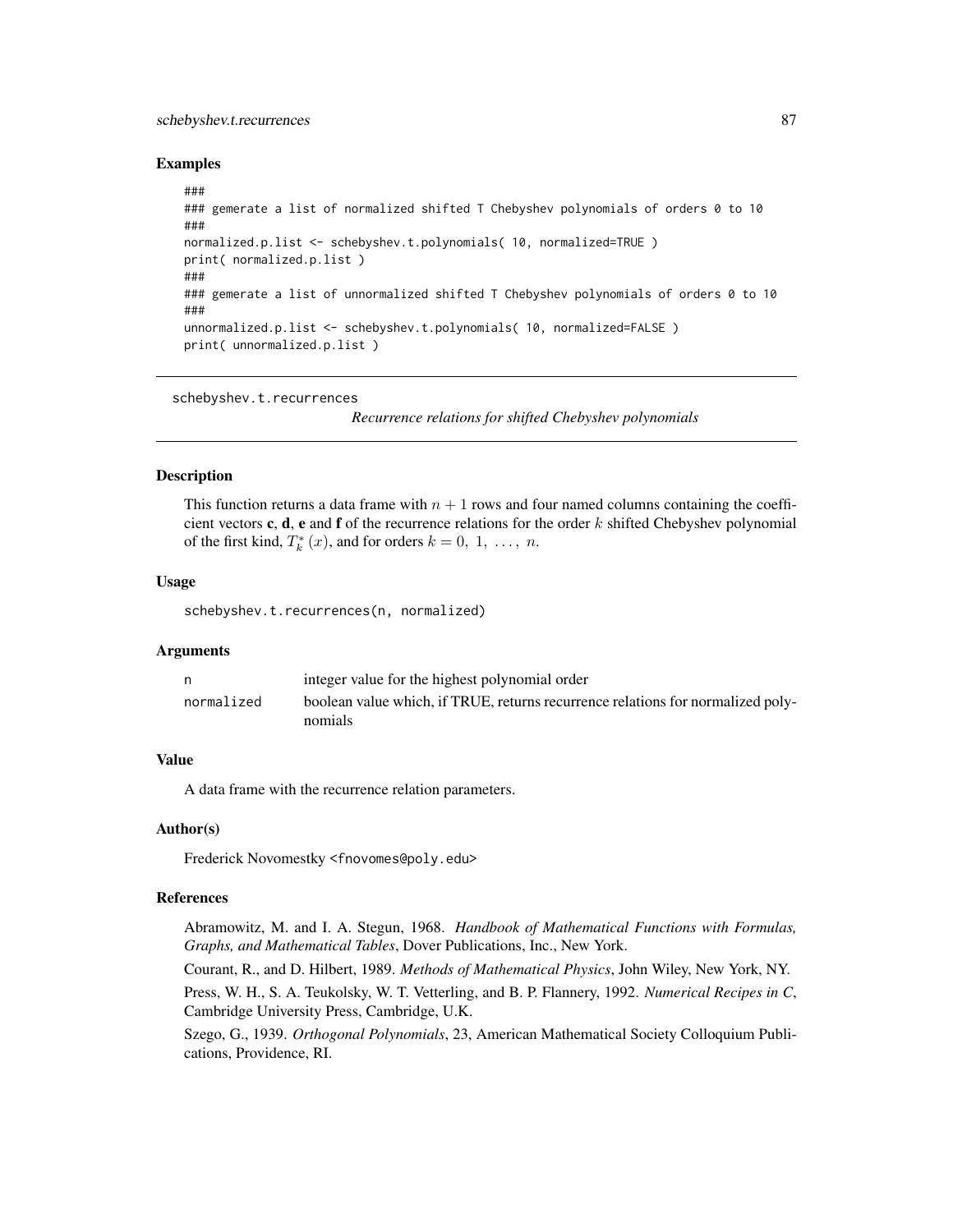## schebyshev.t.recurrences 87

## Examples

```
###
### gemerate a list of normalized shifted T Chebyshev polynomials of orders 0 to 10
###
normalized.p.list <- schebyshev.t.polynomials( 10, normalized=TRUE )
print( normalized.p.list )
###
### gemerate a list of unnormalized shifted T Chebyshev polynomials of orders 0 to 10
###
unnormalized.p.list <- schebyshev.t.polynomials( 10, normalized=FALSE )
print( unnormalized.p.list )
```
schebyshev.t.recurrences

*Recurrence relations for shifted Chebyshev polynomials*

## **Description**

This function returns a data frame with  $n + 1$  rows and four named columns containing the coefficient vectors c, d, e and f of the recurrence relations for the order  $k$  shifted Chebyshev polynomial of the first kind,  $T_k^*(x)$ , and for orders  $k = 0, 1, ..., n$ .

## Usage

schebyshev.t.recurrences(n, normalized)

## Arguments

|            | integer value for the highest polynomial order                                  |
|------------|---------------------------------------------------------------------------------|
| normalized | boolean value which, if TRUE, returns recurrence relations for normalized poly- |
|            | nomials                                                                         |

# Value

A data frame with the recurrence relation parameters.

## Author(s)

Frederick Novomestky <fnovomes@poly.edu>

## References

Abramowitz, M. and I. A. Stegun, 1968. *Handbook of Mathematical Functions with Formulas, Graphs, and Mathematical Tables*, Dover Publications, Inc., New York.

Courant, R., and D. Hilbert, 1989. *Methods of Mathematical Physics*, John Wiley, New York, NY.

Press, W. H., S. A. Teukolsky, W. T. Vetterling, and B. P. Flannery, 1992. *Numerical Recipes in C*, Cambridge University Press, Cambridge, U.K.

Szego, G., 1939. *Orthogonal Polynomials*, 23, American Mathematical Society Colloquium Publications, Providence, RI.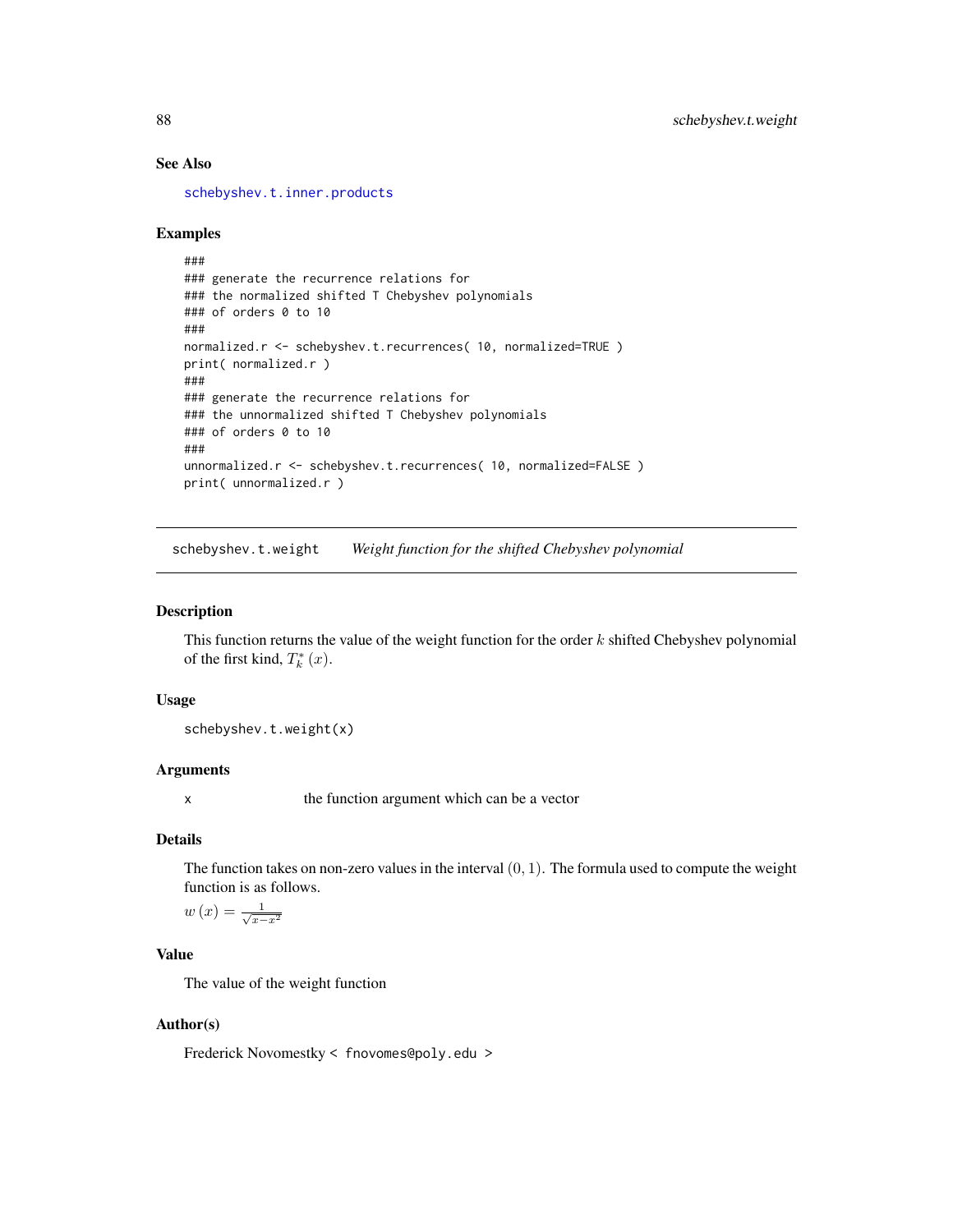# See Also

[schebyshev.t.inner.products](#page-83-0)

## Examples

```
###
### generate the recurrence relations for
### the normalized shifted T Chebyshev polynomials
### of orders 0 to 10
###
normalized.r <- schebyshev.t.recurrences( 10, normalized=TRUE )
print( normalized.r )
###
### generate the recurrence relations for
### the unnormalized shifted T Chebyshev polynomials
### of orders 0 to 10
###
unnormalized.r <- schebyshev.t.recurrences( 10, normalized=FALSE )
print( unnormalized.r )
```
schebyshev.t.weight *Weight function for the shifted Chebyshev polynomial*

#### Description

This function returns the value of the weight function for the order  $k$  shifted Chebyshev polynomial of the first kind,  $T_k^*(x)$ .

# Usage

schebyshev.t.weight(x)

## Arguments

x the function argument which can be a vector

# Details

The function takes on non-zero values in the interval  $(0, 1)$ . The formula used to compute the weight function is as follows.

$$
w\left(x\right) = \frac{1}{\sqrt{x - x^2}}
$$

# Value

The value of the weight function

## Author(s)

Frederick Novomestky < fnovomes@poly.edu >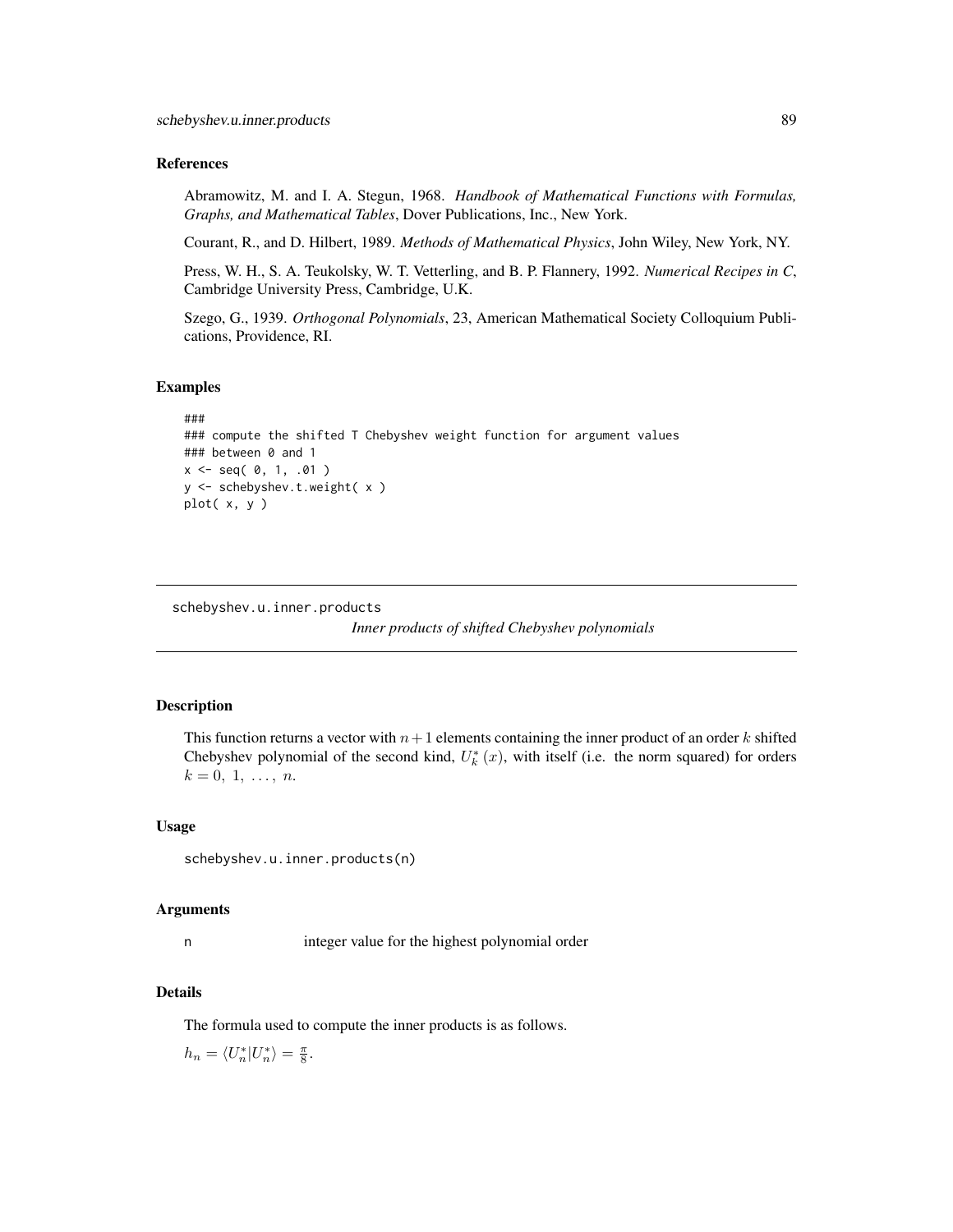## References

Abramowitz, M. and I. A. Stegun, 1968. *Handbook of Mathematical Functions with Formulas, Graphs, and Mathematical Tables*, Dover Publications, Inc., New York.

Courant, R., and D. Hilbert, 1989. *Methods of Mathematical Physics*, John Wiley, New York, NY.

Press, W. H., S. A. Teukolsky, W. T. Vetterling, and B. P. Flannery, 1992. *Numerical Recipes in C*, Cambridge University Press, Cambridge, U.K.

Szego, G., 1939. *Orthogonal Polynomials*, 23, American Mathematical Society Colloquium Publications, Providence, RI.

#### Examples

```
###
### compute the shifted T Chebyshev weight function for argument values
### between 0 and 1
x <- seq( 0, 1, .01 )
y <- schebyshev.t.weight( x )
plot( x, y )
```
<span id="page-88-0"></span>schebyshev.u.inner.products

*Inner products of shifted Chebyshev polynomials*

#### **Description**

This function returns a vector with  $n+1$  elements containing the inner product of an order k shifted Chebyshev polynomial of the second kind,  $U_k^*(x)$ , with itself (i.e. the norm squared) for orders  $k = 0, 1, \ldots, n$ .

#### Usage

```
schebyshev.u.inner.products(n)
```
#### Arguments

n integer value for the highest polynomial order

## Details

The formula used to compute the inner products is as follows.

 $h_n = \langle U_n^* | U_n^* \rangle = \frac{\pi}{8}.$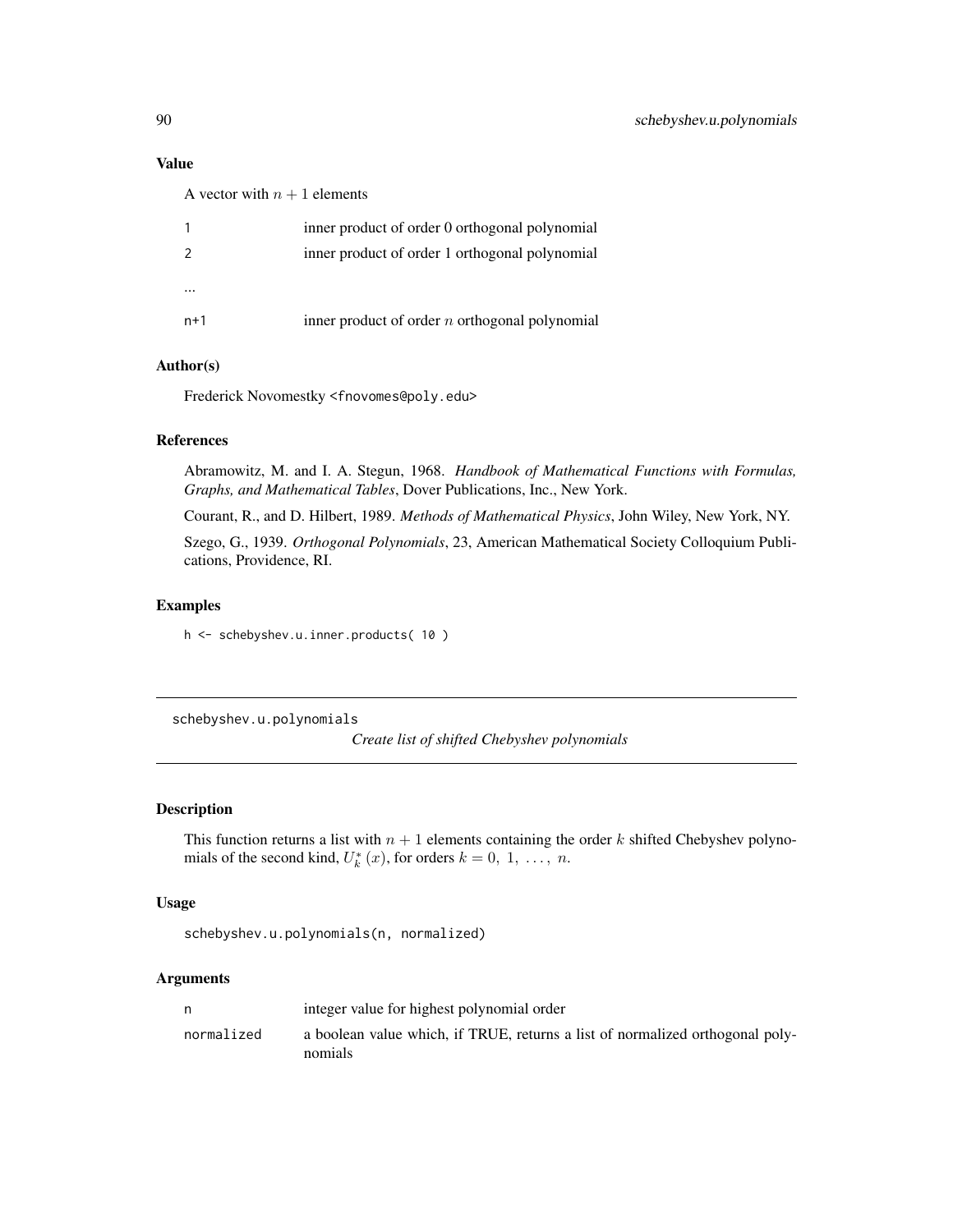## Value

A vector with  $n + 1$  elements

|       | inner product of order 0 orthogonal polynomial   |
|-------|--------------------------------------------------|
|       | inner product of order 1 orthogonal polynomial   |
|       |                                                  |
|       |                                                  |
| $n+1$ | inner product of order $n$ orthogonal polynomial |

# Author(s)

Frederick Novomestky <fnovomes@poly.edu>

# References

Abramowitz, M. and I. A. Stegun, 1968. *Handbook of Mathematical Functions with Formulas, Graphs, and Mathematical Tables*, Dover Publications, Inc., New York.

Courant, R., and D. Hilbert, 1989. *Methods of Mathematical Physics*, John Wiley, New York, NY.

Szego, G., 1939. *Orthogonal Polynomials*, 23, American Mathematical Society Colloquium Publications, Providence, RI.

## Examples

h <- schebyshev.u.inner.products( 10 )

schebyshev.u.polynomials

*Create list of shifted Chebyshev polynomials*

## Description

This function returns a list with  $n + 1$  elements containing the order k shifted Chebyshev polynomials of the second kind,  $U_k^*(x)$ , for orders  $k = 0, 1, ..., n$ .

## Usage

```
schebyshev.u.polynomials(n, normalized)
```
## Arguments

| n.         | integer value for highest polynomial order                                               |
|------------|------------------------------------------------------------------------------------------|
| normalized | a boolean value which, if TRUE, returns a list of normalized orthogonal poly-<br>nomials |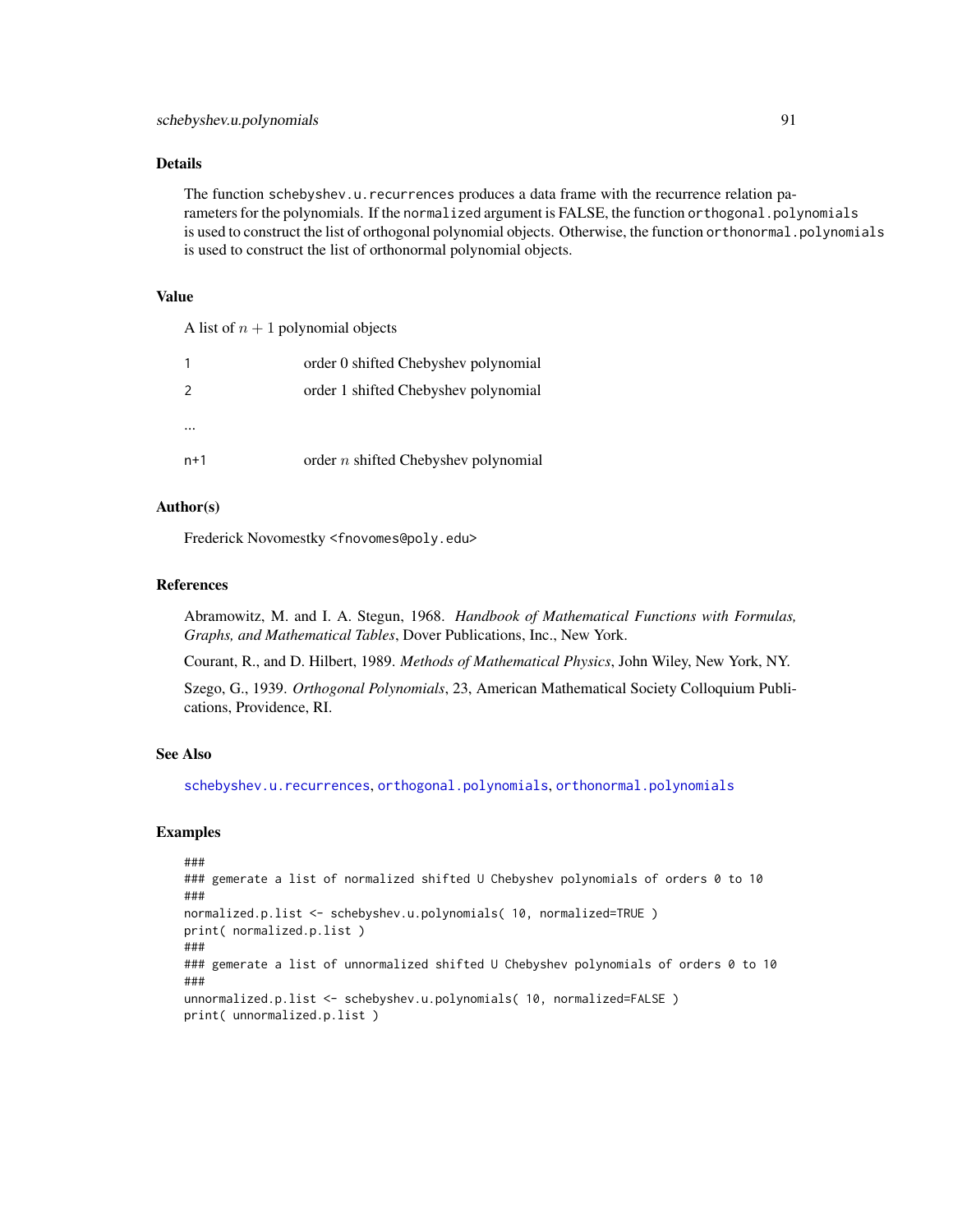## Details

The function schebyshev.u.recurrences produces a data frame with the recurrence relation parameters for the polynomials. If the normalized argument is FALSE, the function orthogonal.polynomials is used to construct the list of orthogonal polynomial objects. Otherwise, the function orthonormal.polynomials is used to construct the list of orthonormal polynomial objects.

#### Value

A list of  $n + 1$  polynomial objects

|               | order 0 shifted Chebyshev polynomial   |
|---------------|----------------------------------------|
| $\mathcal{P}$ | order 1 shifted Chebyshev polynomial   |
|               |                                        |
|               |                                        |
| n+1           | order $n$ shifted Chebyshev polynomial |

# Author(s)

Frederick Novomestky <fnovomes@poly.edu>

#### References

Abramowitz, M. and I. A. Stegun, 1968. *Handbook of Mathematical Functions with Formulas, Graphs, and Mathematical Tables*, Dover Publications, Inc., New York.

Courant, R., and D. Hilbert, 1989. *Methods of Mathematical Physics*, John Wiley, New York, NY.

Szego, G., 1939. *Orthogonal Polynomials*, 23, American Mathematical Society Colloquium Publications, Providence, RI.

## See Also

[schebyshev.u.recurrences](#page-91-0), [orthogonal.polynomials](#page-71-0), [orthonormal.polynomials](#page-72-0)

## Examples

```
###
### gemerate a list of normalized shifted U Chebyshev polynomials of orders 0 to 10
###
normalized.p.list <- schebyshev.u.polynomials( 10, normalized=TRUE )
print( normalized.p.list )
###
### gemerate a list of unnormalized shifted U Chebyshev polynomials of orders 0 to 10
###
unnormalized.p.list <- schebyshev.u.polynomials( 10, normalized=FALSE )
print( unnormalized.p.list )
```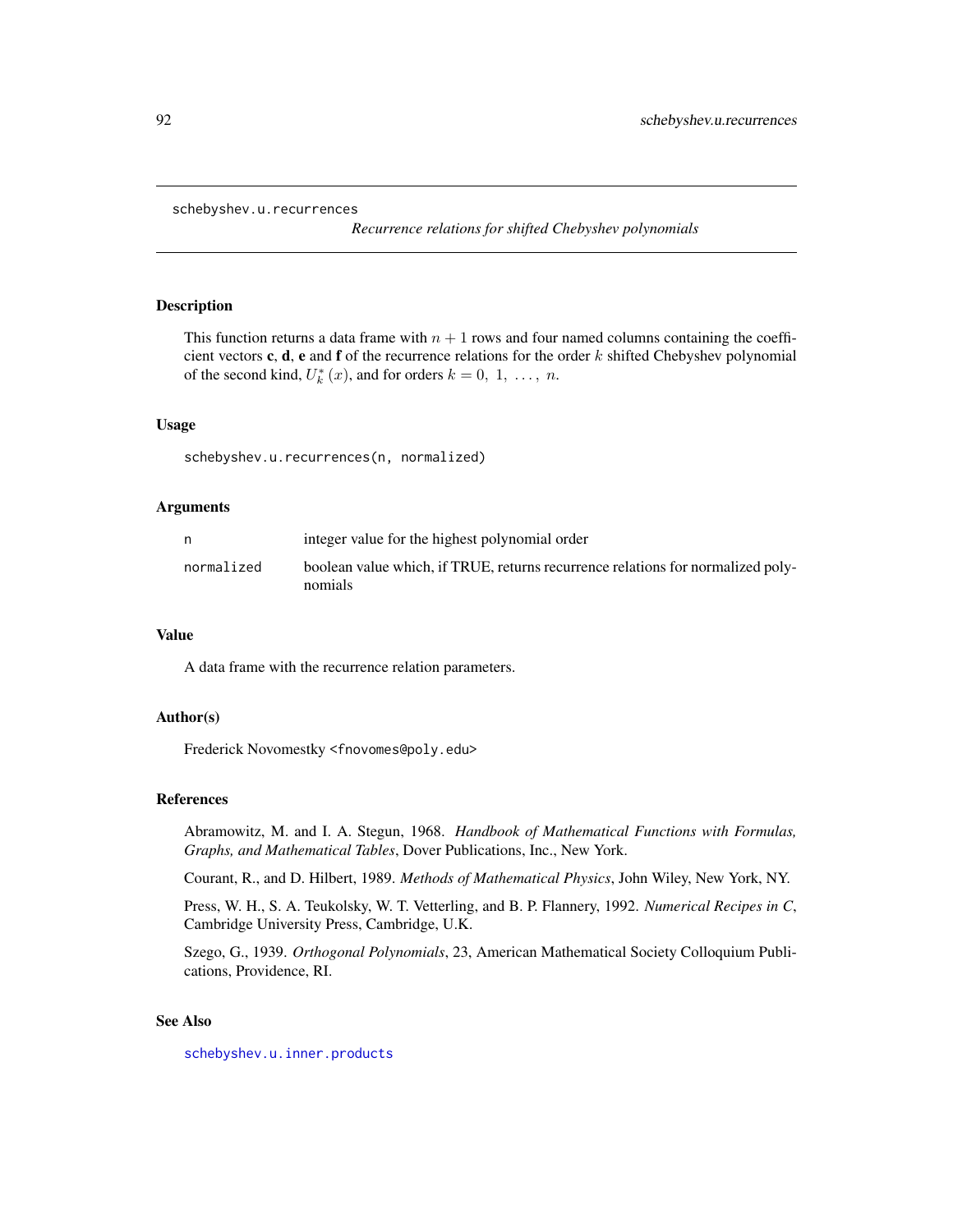```
schebyshev.u.recurrences
```
*Recurrence relations for shifted Chebyshev polynomials*

# Description

This function returns a data frame with  $n + 1$  rows and four named columns containing the coefficient vectors c, d, e and f of the recurrence relations for the order  $k$  shifted Chebyshev polynomial of the second kind,  $U_k^*(x)$ , and for orders  $k = 0, 1, \ldots, n$ .

#### Usage

schebyshev.u.recurrences(n, normalized)

#### Arguments

|            | integer value for the highest polynomial order                                             |
|------------|--------------------------------------------------------------------------------------------|
| normalized | boolean value which, if TRUE, returns recurrence relations for normalized poly-<br>nomials |
|            |                                                                                            |

## Value

A data frame with the recurrence relation parameters.

# Author(s)

Frederick Novomestky <fnovomes@poly.edu>

#### References

Abramowitz, M. and I. A. Stegun, 1968. *Handbook of Mathematical Functions with Formulas, Graphs, and Mathematical Tables*, Dover Publications, Inc., New York.

Courant, R., and D. Hilbert, 1989. *Methods of Mathematical Physics*, John Wiley, New York, NY.

Press, W. H., S. A. Teukolsky, W. T. Vetterling, and B. P. Flannery, 1992. *Numerical Recipes in C*, Cambridge University Press, Cambridge, U.K.

Szego, G., 1939. *Orthogonal Polynomials*, 23, American Mathematical Society Colloquium Publications, Providence, RI.

## See Also

[schebyshev.u.inner.products](#page-88-0)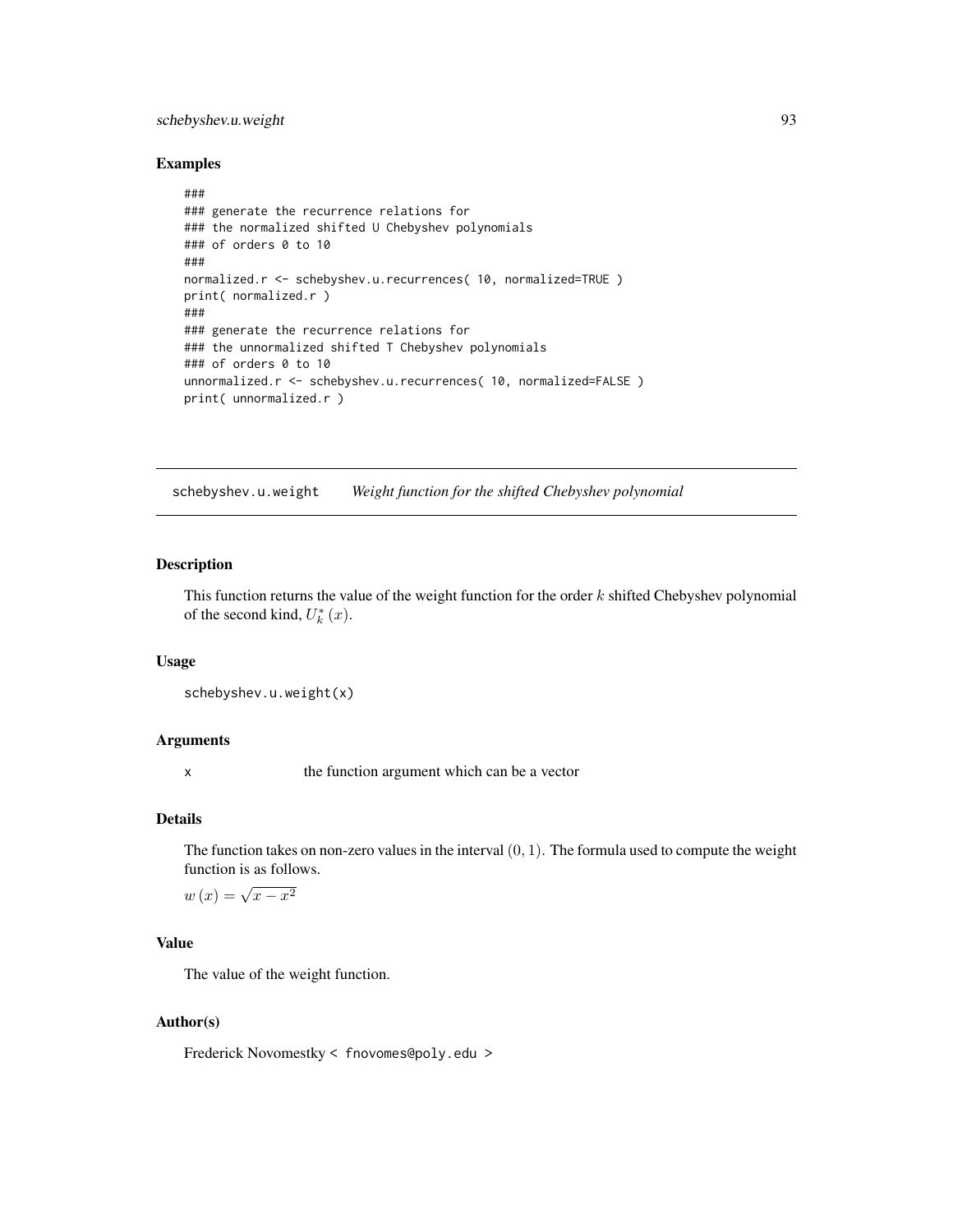# schebyshev.u.weight 93

## Examples

```
###
### generate the recurrence relations for
### the normalized shifted U Chebyshev polynomials
### of orders 0 to 10
###
normalized.r <- schebyshev.u.recurrences( 10, normalized=TRUE )
print( normalized.r )
###
### generate the recurrence relations for
### the unnormalized shifted T Chebyshev polynomials
### of orders 0 to 10
unnormalized.r <- schebyshev.u.recurrences( 10, normalized=FALSE )
print( unnormalized.r )
```
schebyshev.u.weight *Weight function for the shifted Chebyshev polynomial*

# Description

This function returns the value of the weight function for the order  $k$  shifted Chebyshev polynomial of the second kind,  $U_k^*(x)$ .

## Usage

```
schebyshev.u.weight(x)
```
## Arguments

x the function argument which can be a vector

## Details

The function takes on non-zero values in the interval  $(0, 1)$ . The formula used to compute the weight function is as follows.

$$
w(x) = \sqrt{x - x^2}
$$

## Value

The value of the weight function.

## Author(s)

Frederick Novomestky < fnovomes@poly.edu >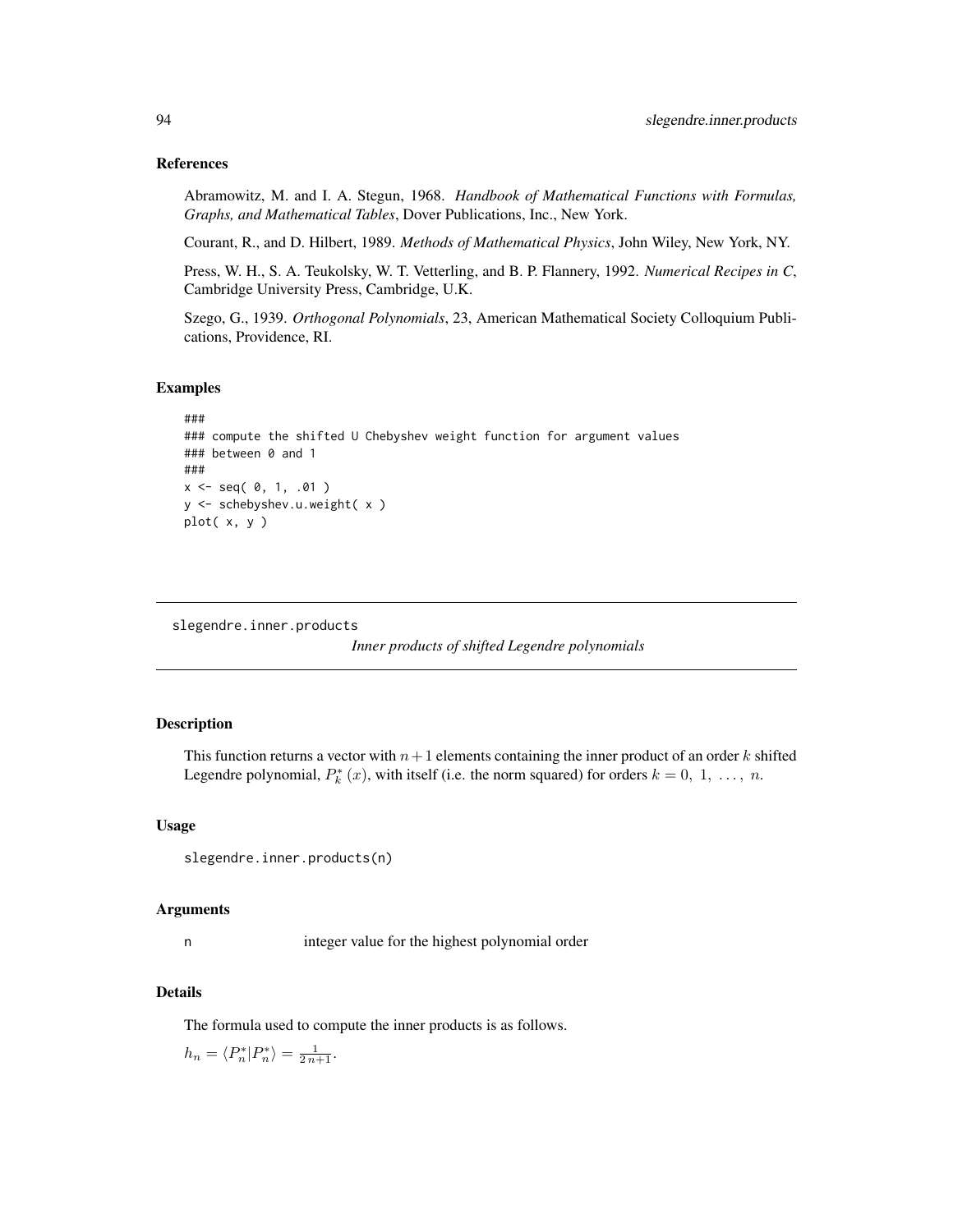## References

Abramowitz, M. and I. A. Stegun, 1968. *Handbook of Mathematical Functions with Formulas, Graphs, and Mathematical Tables*, Dover Publications, Inc., New York.

Courant, R., and D. Hilbert, 1989. *Methods of Mathematical Physics*, John Wiley, New York, NY.

Press, W. H., S. A. Teukolsky, W. T. Vetterling, and B. P. Flannery, 1992. *Numerical Recipes in C*, Cambridge University Press, Cambridge, U.K.

Szego, G., 1939. *Orthogonal Polynomials*, 23, American Mathematical Society Colloquium Publications, Providence, RI.

### Examples

```
###
### compute the shifted U Chebyshev weight function for argument values
### between 0 and 1
###
x \leq - seq( 0, 1, .01 )
y <- schebyshev.u.weight( x )
plot( x, y )
```

```
slegendre.inner.products
```
*Inner products of shifted Legendre polynomials*

#### Description

This function returns a vector with  $n+1$  elements containing the inner product of an order k shifted Legendre polynomial,  $P_k^*(x)$ , with itself (i.e. the norm squared) for orders  $k = 0, 1, ..., n$ .

## Usage

```
slegendre.inner.products(n)
```
#### Arguments

n integer value for the highest polynomial order

## Details

The formula used to compute the inner products is as follows.

 $h_n = \langle P_n^* | P_n^* \rangle = \frac{1}{2 n+1}.$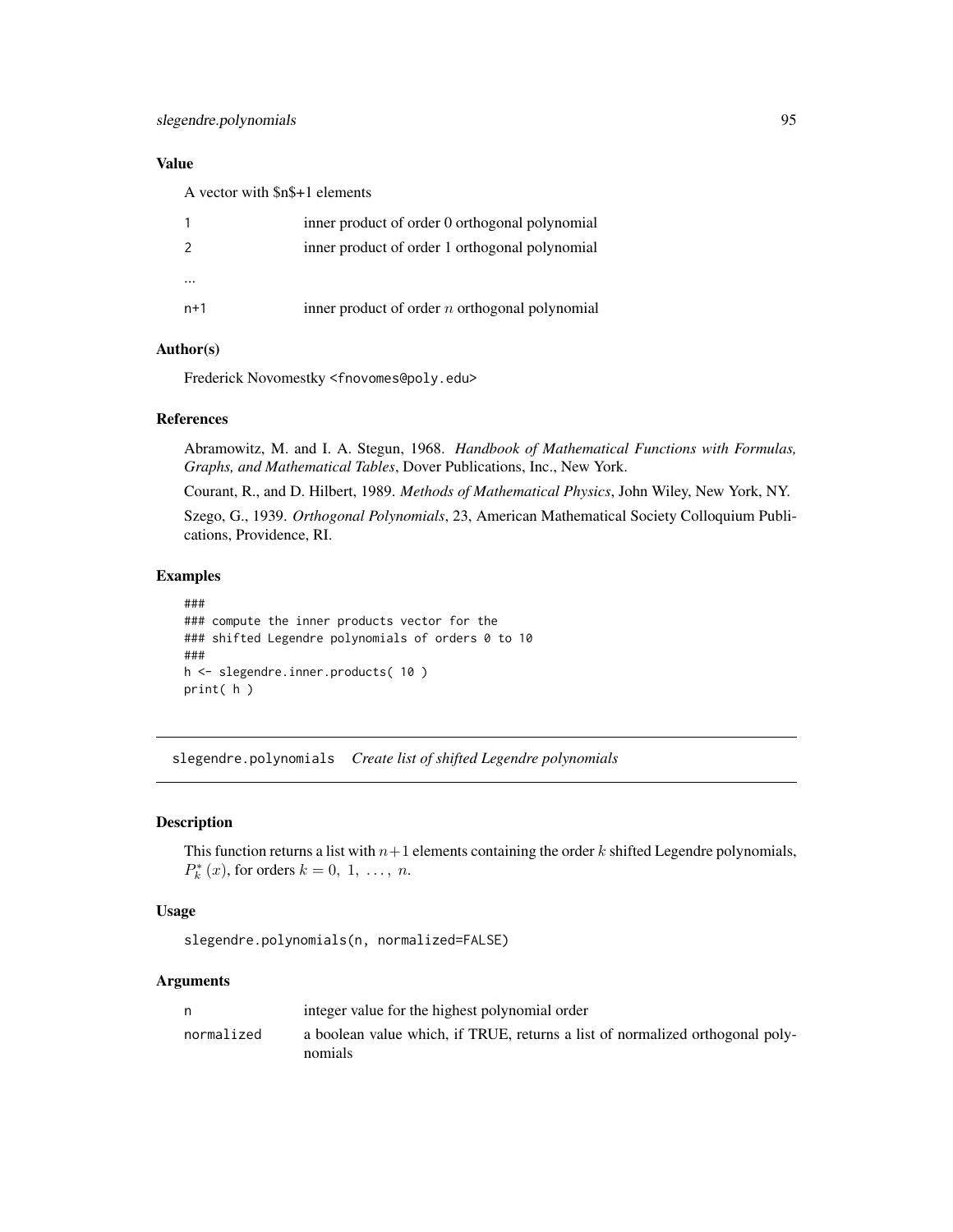# Value

A vector with \$n\$+1 elements

|               | inner product of order 0 orthogonal polynomial   |
|---------------|--------------------------------------------------|
| $\mathcal{P}$ | inner product of order 1 orthogonal polynomial   |
|               |                                                  |
| $n+1$         | inner product of order $n$ orthogonal polynomial |
|               |                                                  |

# Author(s)

Frederick Novomestky <fnovomes@poly.edu>

# References

Abramowitz, M. and I. A. Stegun, 1968. *Handbook of Mathematical Functions with Formulas, Graphs, and Mathematical Tables*, Dover Publications, Inc., New York.

Courant, R., and D. Hilbert, 1989. *Methods of Mathematical Physics*, John Wiley, New York, NY. Szego, G., 1939. *Orthogonal Polynomials*, 23, American Mathematical Society Colloquium Publications, Providence, RI.

# Examples

```
###
### compute the inner products vector for the
### shifted Legendre polynomials of orders 0 to 10
###
h <- slegendre.inner.products( 10 )
print( h )
```
slegendre.polynomials *Create list of shifted Legendre polynomials*

# Description

This function returns a list with  $n+1$  elements containing the order k shifted Legendre polynomials,  $P_k^*(x)$ , for orders  $k = 0, 1, ..., n$ .

## Usage

slegendre.polynomials(n, normalized=FALSE)

## Arguments

| n          | integer value for the highest polynomial order                                           |
|------------|------------------------------------------------------------------------------------------|
| normalized | a boolean value which, if TRUE, returns a list of normalized orthogonal poly-<br>nomials |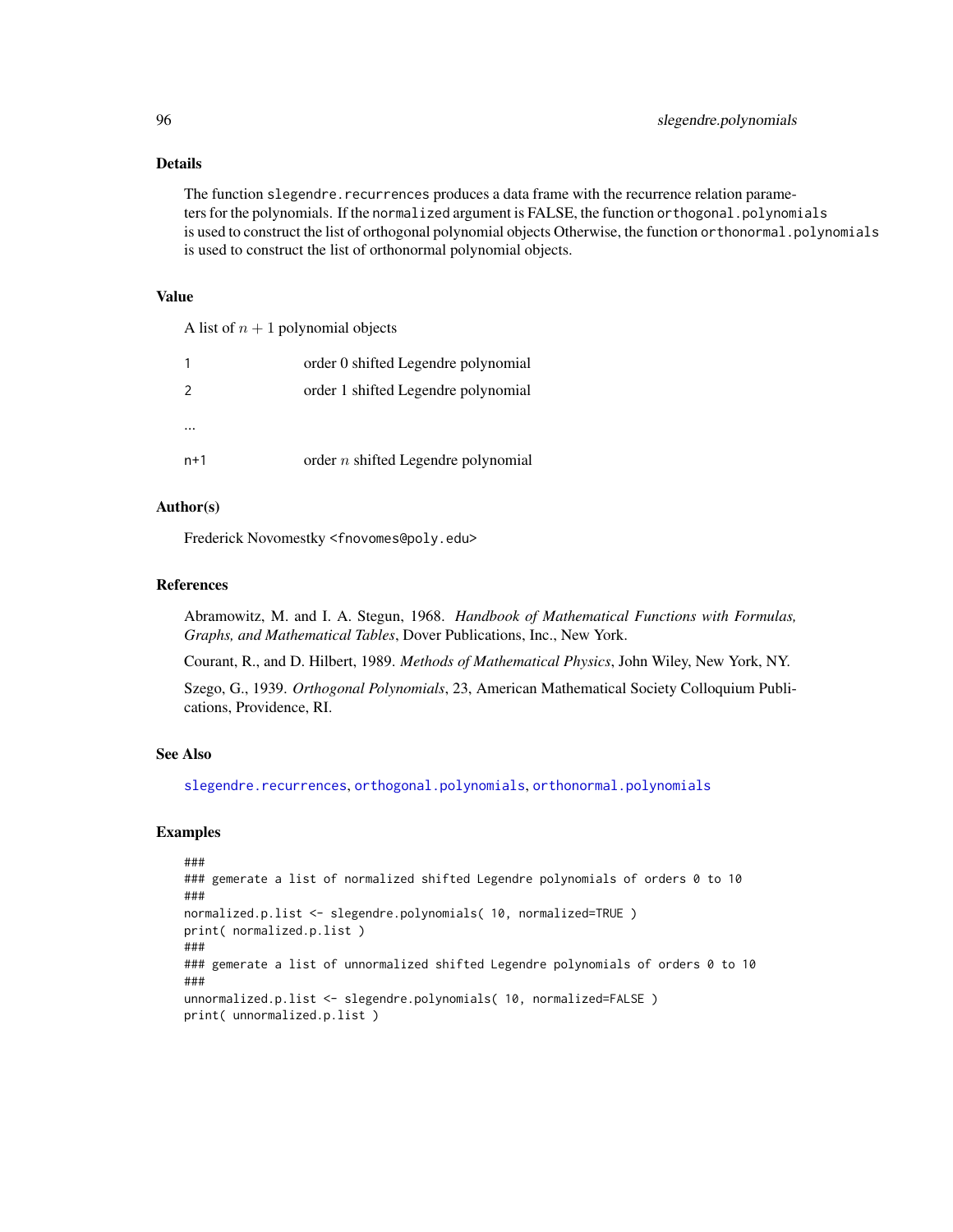# Details

The function slegendre.recurrences produces a data frame with the recurrence relation parameters for the polynomials. If the normalized argument is FALSE, the function orthogonal.polynomials is used to construct the list of orthogonal polynomial objects Otherwise, the function orthonormal.polynomials is used to construct the list of orthonormal polynomial objects.

## Value

A list of  $n + 1$  polynomial objects

|               | order 0 shifted Legendre polynomial   |
|---------------|---------------------------------------|
| $\mathcal{P}$ | order 1 shifted Legendre polynomial   |
|               |                                       |
|               |                                       |
| $n+1$         | order $n$ shifted Legendre polynomial |

# Author(s)

Frederick Novomestky <fnovomes@poly.edu>

#### References

Abramowitz, M. and I. A. Stegun, 1968. *Handbook of Mathematical Functions with Formulas, Graphs, and Mathematical Tables*, Dover Publications, Inc., New York.

Courant, R., and D. Hilbert, 1989. *Methods of Mathematical Physics*, John Wiley, New York, NY.

Szego, G., 1939. *Orthogonal Polynomials*, 23, American Mathematical Society Colloquium Publications, Providence, RI.

## See Also

[slegendre.recurrences](#page-96-0), [orthogonal.polynomials](#page-71-0), [orthonormal.polynomials](#page-72-0)

## Examples

```
###
### gemerate a list of normalized shifted Legendre polynomials of orders 0 to 10
###
normalized.p.list <- slegendre.polynomials( 10, normalized=TRUE )
print( normalized.p.list )
###
### gemerate a list of unnormalized shifted Legendre polynomials of orders 0 to 10
###
unnormalized.p.list <- slegendre.polynomials( 10, normalized=FALSE )
print( unnormalized.p.list )
```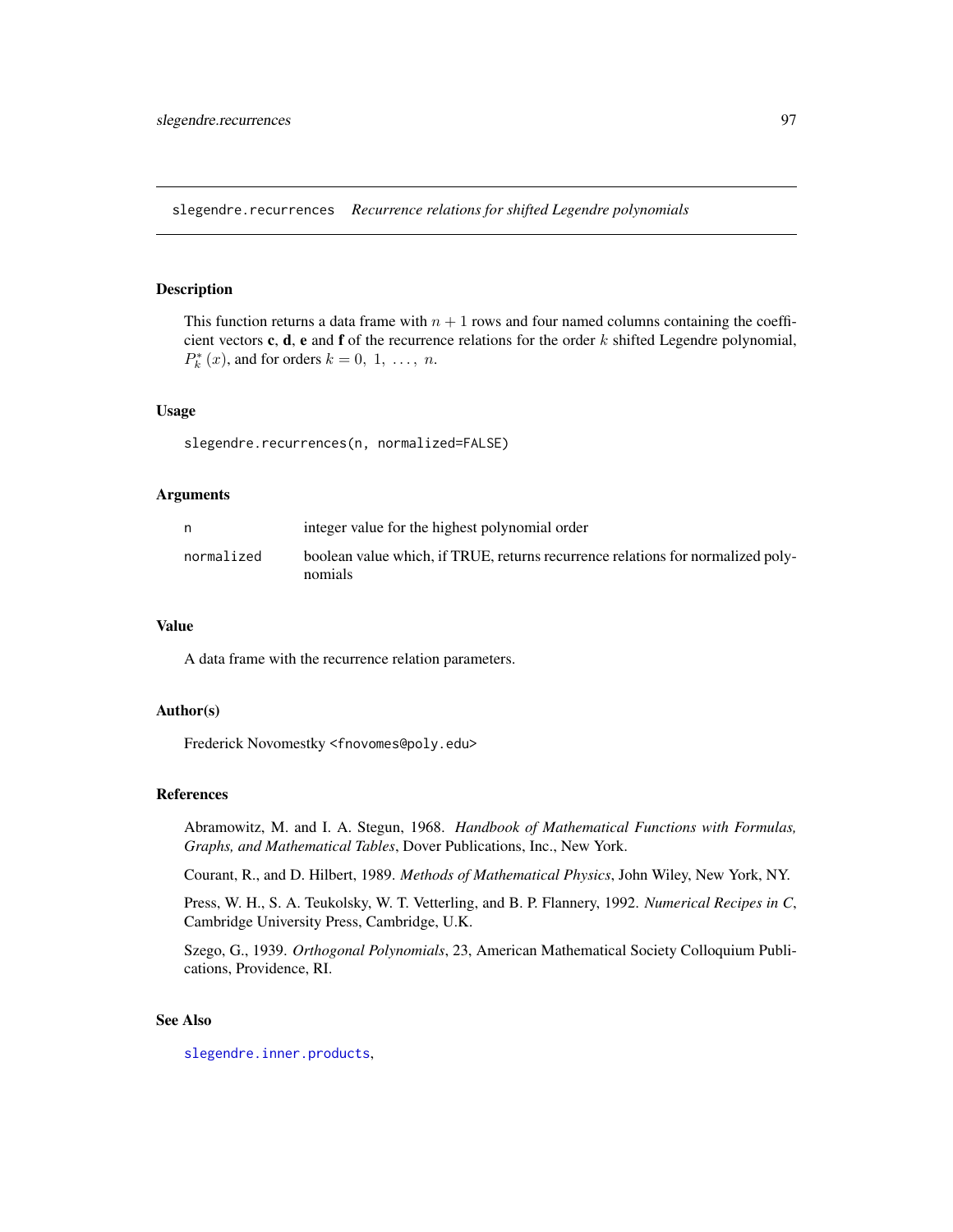<span id="page-96-0"></span>slegendre.recurrences *Recurrence relations for shifted Legendre polynomials*

## Description

This function returns a data frame with  $n + 1$  rows and four named columns containing the coefficient vectors c, d, e and f of the recurrence relations for the order  $k$  shifted Legendre polynomial,  $P_k^*(x)$ , and for orders  $k = 0, 1, \ldots, n$ .

## Usage

slegendre.recurrences(n, normalized=FALSE)

## Arguments

|            | integer value for the highest polynomial order                                             |
|------------|--------------------------------------------------------------------------------------------|
| normalized | boolean value which, if TRUE, returns recurrence relations for normalized poly-<br>nomials |

## Value

A data frame with the recurrence relation parameters.

## Author(s)

Frederick Novomestky <fnovomes@poly.edu>

## References

Abramowitz, M. and I. A. Stegun, 1968. *Handbook of Mathematical Functions with Formulas, Graphs, and Mathematical Tables*, Dover Publications, Inc., New York.

Courant, R., and D. Hilbert, 1989. *Methods of Mathematical Physics*, John Wiley, New York, NY.

Press, W. H., S. A. Teukolsky, W. T. Vetterling, and B. P. Flannery, 1992. *Numerical Recipes in C*, Cambridge University Press, Cambridge, U.K.

Szego, G., 1939. *Orthogonal Polynomials*, 23, American Mathematical Society Colloquium Publications, Providence, RI.

# See Also

[slegendre.inner.products](#page-93-0),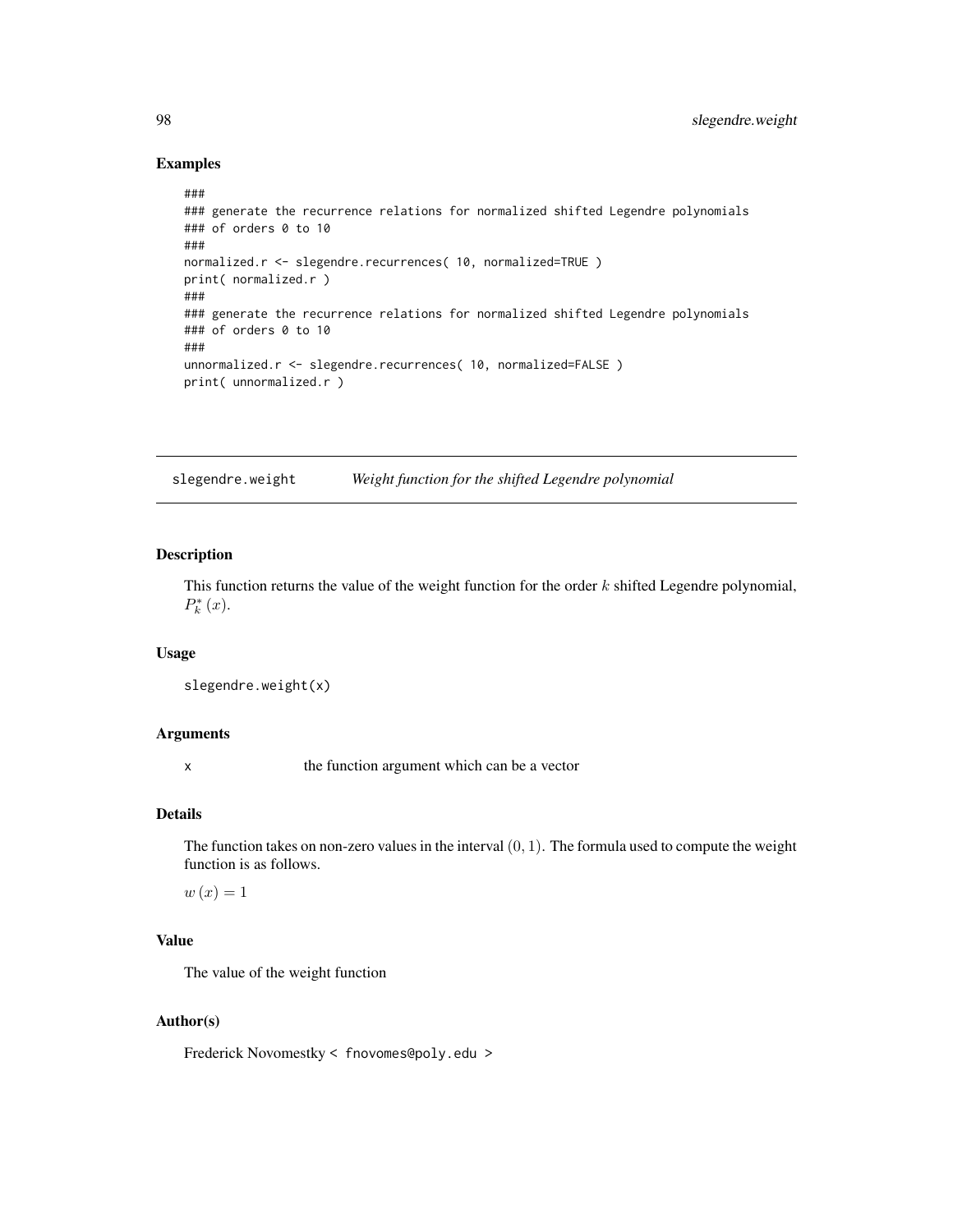## Examples

```
###
### generate the recurrence relations for normalized shifted Legendre polynomials
### of orders 0 to 10
###
normalized.r <- slegendre.recurrences( 10, normalized=TRUE )
print( normalized.r )
###
### generate the recurrence relations for normalized shifted Legendre polynomials
### of orders 0 to 10
###
unnormalized.r <- slegendre.recurrences( 10, normalized=FALSE )
print( unnormalized.r )
```
slegendre.weight *Weight function for the shifted Legendre polynomial*

## Description

This function returns the value of the weight function for the order  $k$  shifted Legendre polynomial,  $P_{k}^{*}(x).$ 

## Usage

slegendre.weight(x)

## Arguments

x the function argument which can be a vector

## Details

The function takes on non-zero values in the interval  $(0, 1)$ . The formula used to compute the weight function is as follows.

 $w(x) = 1$ 

# Value

The value of the weight function

## Author(s)

Frederick Novomestky < fnovomes@poly.edu >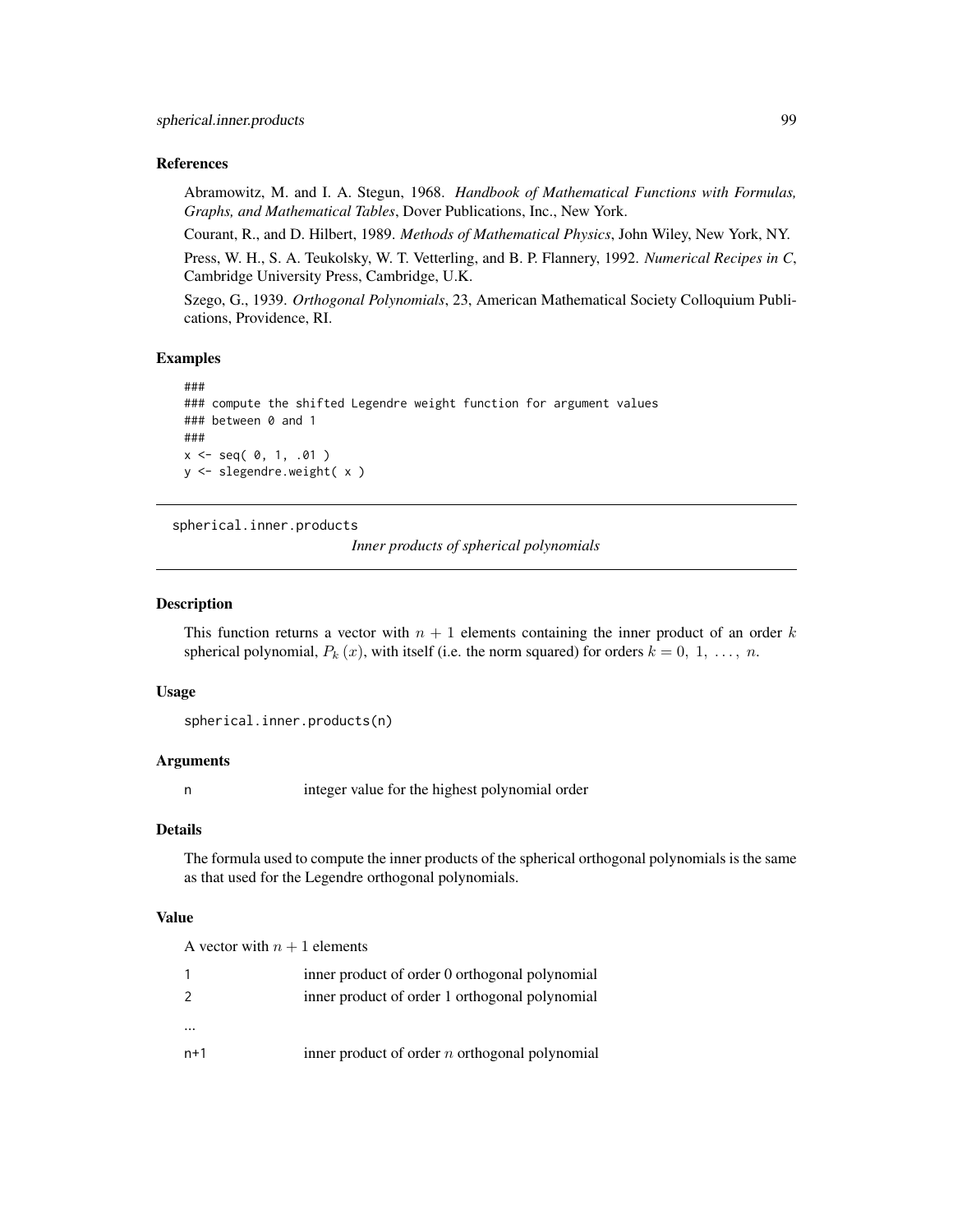## References

Abramowitz, M. and I. A. Stegun, 1968. *Handbook of Mathematical Functions with Formulas, Graphs, and Mathematical Tables*, Dover Publications, Inc., New York.

Courant, R., and D. Hilbert, 1989. *Methods of Mathematical Physics*, John Wiley, New York, NY.

Press, W. H., S. A. Teukolsky, W. T. Vetterling, and B. P. Flannery, 1992. *Numerical Recipes in C*, Cambridge University Press, Cambridge, U.K.

Szego, G., 1939. *Orthogonal Polynomials*, 23, American Mathematical Society Colloquium Publications, Providence, RI.

## Examples

```
###
### compute the shifted Legendre weight function for argument values
### between 0 and 1
###
x \le - seq( 0, 1, .01 )
y <- slegendre.weight( x )
```
<span id="page-98-0"></span>spherical.inner.products

*Inner products of spherical polynomials*

## Description

This function returns a vector with  $n + 1$  elements containing the inner product of an order k spherical polynomial,  $P_k(x)$ , with itself (i.e. the norm squared) for orders  $k = 0, 1, \ldots, n$ .

## Usage

spherical.inner.products(n)

#### Arguments

n integer value for the highest polynomial order

# Details

The formula used to compute the inner products of the spherical orthogonal polynomials is the same as that used for the Legendre orthogonal polynomials.

## Value

A vector with  $n + 1$  elements 1 inner product of order 0 orthogonal polynomial 2 inner product of order 1 orthogonal polynomial ...  $n+1$  inner product of order *n* orthogonal polynomial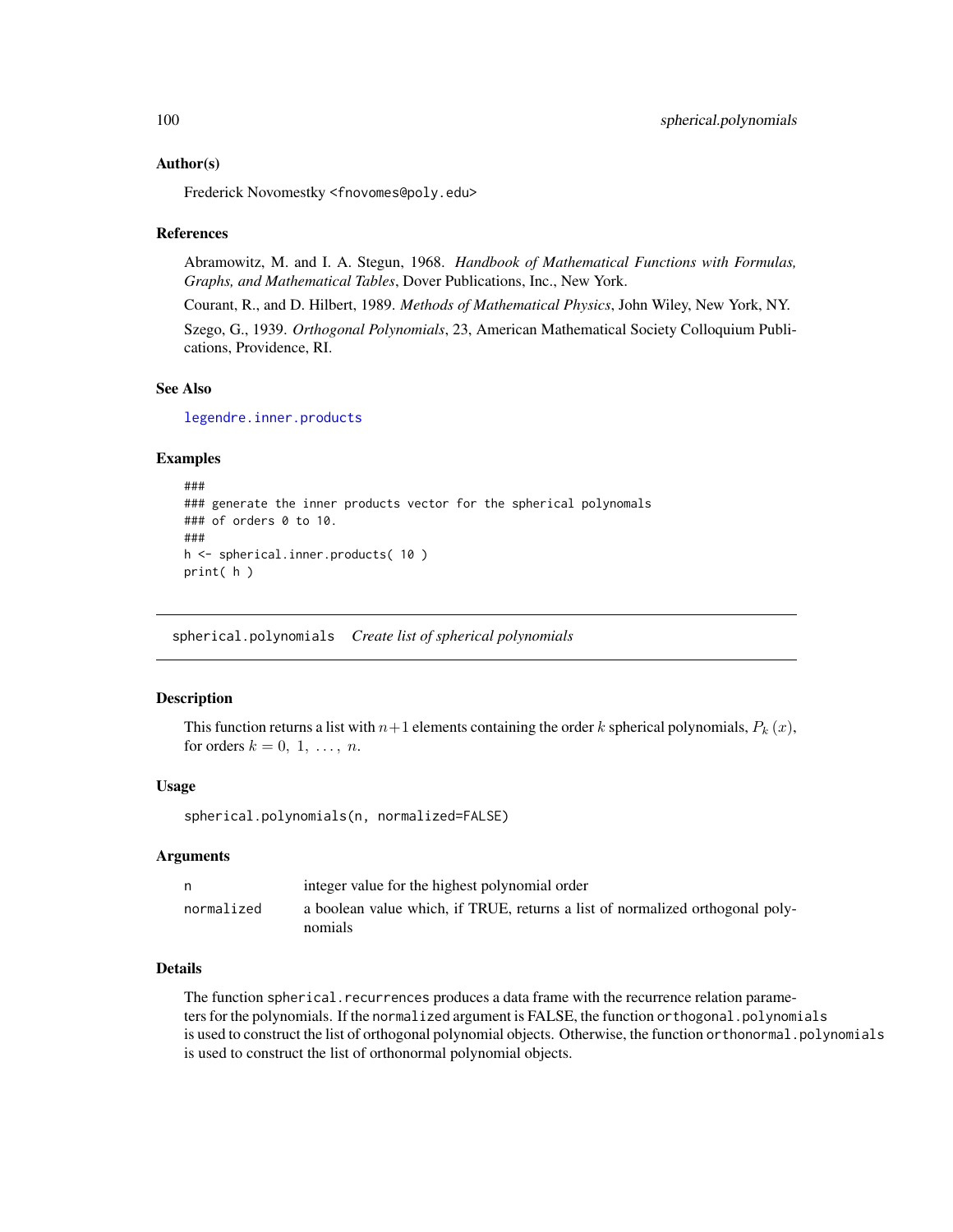Frederick Novomestky <fnovomes@poly.edu>

## References

Abramowitz, M. and I. A. Stegun, 1968. *Handbook of Mathematical Functions with Formulas, Graphs, and Mathematical Tables*, Dover Publications, Inc., New York.

Courant, R., and D. Hilbert, 1989. *Methods of Mathematical Physics*, John Wiley, New York, NY.

Szego, G., 1939. *Orthogonal Polynomials*, 23, American Mathematical Society Colloquium Publications, Providence, RI.

## See Also

[legendre.inner.products](#page-62-0)

## Examples

```
###
### generate the inner products vector for the spherical polynomals
### of orders 0 to 10.
###
h <- spherical.inner.products( 10 )
print( h )
```
spherical.polynomials *Create list of spherical polynomials*

## Description

This function returns a list with  $n+1$  elements containing the order k spherical polynomials,  $P_k(x)$ , for orders  $k = 0, 1, \ldots, n$ .

#### Usage

```
spherical.polynomials(n, normalized=FALSE)
```
## Arguments

|            | integer value for the highest polynomial order                                           |
|------------|------------------------------------------------------------------------------------------|
| normalized | a boolean value which, if TRUE, returns a list of normalized orthogonal poly-<br>nomials |

## Details

The function spherical.recurrences produces a data frame with the recurrence relation parameters for the polynomials. If the normalized argument is FALSE, the function orthogonal.polynomials is used to construct the list of orthogonal polynomial objects. Otherwise, the function orthonormal.polynomials is used to construct the list of orthonormal polynomial objects.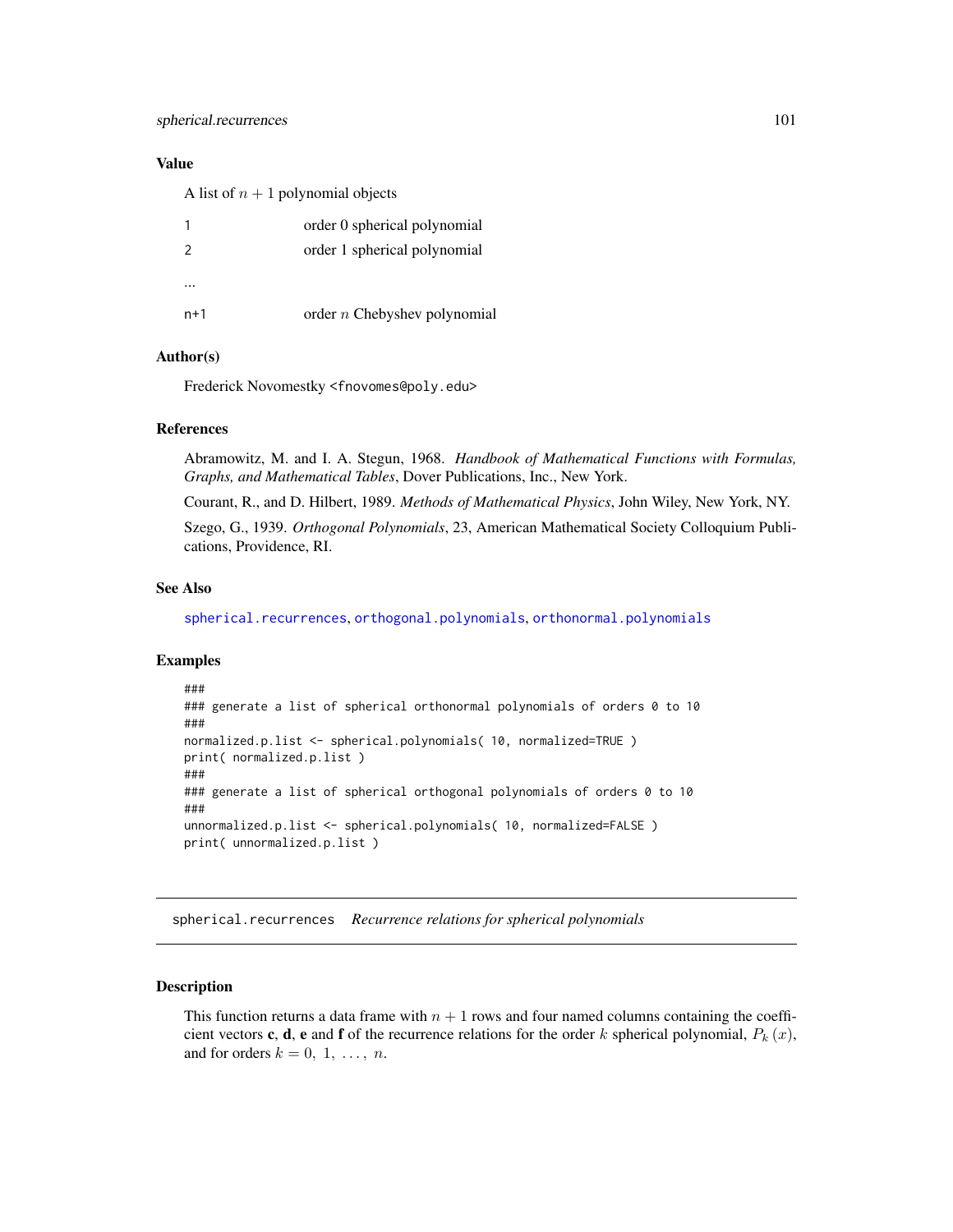## Value

A list of  $n + 1$  polynomial objects

|                | order 0 spherical polynomial   |
|----------------|--------------------------------|
| $\overline{z}$ | order 1 spherical polynomial   |
|                |                                |
| $n+1$          | order $n$ Chebyshev polynomial |

## Author(s)

Frederick Novomestky <fnovomes@poly.edu>

# References

Abramowitz, M. and I. A. Stegun, 1968. *Handbook of Mathematical Functions with Formulas, Graphs, and Mathematical Tables*, Dover Publications, Inc., New York.

Courant, R., and D. Hilbert, 1989. *Methods of Mathematical Physics*, John Wiley, New York, NY.

Szego, G., 1939. *Orthogonal Polynomials*, 23, American Mathematical Society Colloquium Publications, Providence, RI.

# See Also

[spherical.recurrences](#page-100-0), [orthogonal.polynomials](#page-71-0), [orthonormal.polynomials](#page-72-0)

## Examples

```
###
### generate a list of spherical orthonormal polynomials of orders 0 to 10
###
normalized.p.list <- spherical.polynomials( 10, normalized=TRUE )
print( normalized.p.list )
###
### generate a list of spherical orthogonal polynomials of orders 0 to 10
###
unnormalized.p.list <- spherical.polynomials( 10, normalized=FALSE )
print( unnormalized.p.list )
```
<span id="page-100-0"></span>spherical.recurrences *Recurrence relations for spherical polynomials*

## Description

This function returns a data frame with  $n + 1$  rows and four named columns containing the coefficient vectors **c**, **d**, **e** and **f** of the recurrence relations for the order k spherical polynomial,  $P_k(x)$ , and for orders  $k = 0, 1, \ldots, n$ .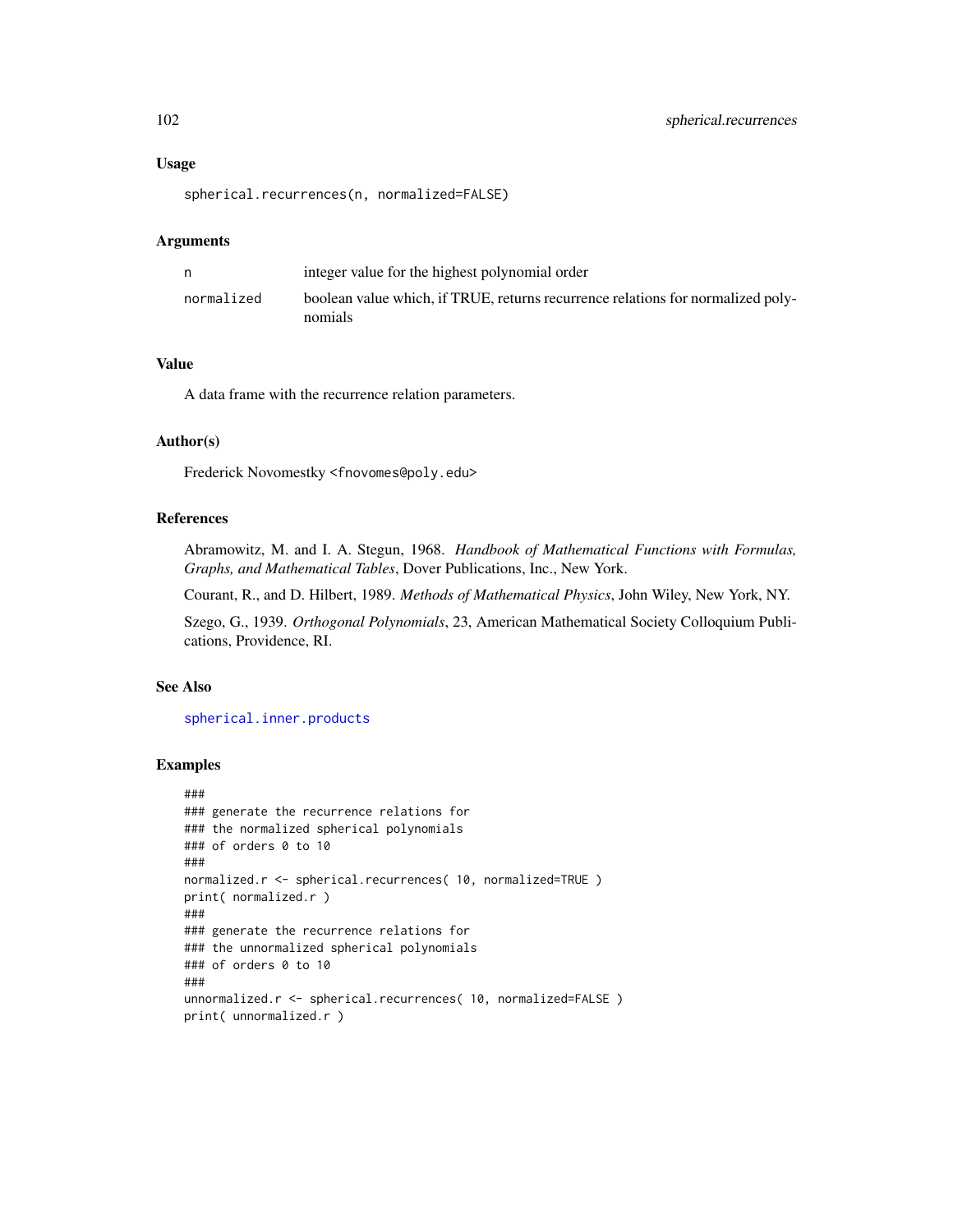#### Usage

spherical.recurrences(n, normalized=FALSE)

#### Arguments

|            | integer value for the highest polynomial order                                             |
|------------|--------------------------------------------------------------------------------------------|
| normalized | boolean value which, if TRUE, returns recurrence relations for normalized poly-<br>nomials |

# Value

A data frame with the recurrence relation parameters.

## Author(s)

Frederick Novomestky <fnovomes@poly.edu>

# References

Abramowitz, M. and I. A. Stegun, 1968. *Handbook of Mathematical Functions with Formulas, Graphs, and Mathematical Tables*, Dover Publications, Inc., New York.

Courant, R., and D. Hilbert, 1989. *Methods of Mathematical Physics*, John Wiley, New York, NY.

Szego, G., 1939. *Orthogonal Polynomials*, 23, American Mathematical Society Colloquium Publications, Providence, RI.

# See Also

[spherical.inner.products](#page-98-0)

## Examples

```
###
### generate the recurrence relations for
### the normalized spherical polynomials
### of orders 0 to 10
###
normalized.r <- spherical.recurrences( 10, normalized=TRUE )
print( normalized.r )
###
### generate the recurrence relations for
### the unnormalized spherical polynomials
### of orders 0 to 10
###
unnormalized.r <- spherical.recurrences( 10, normalized=FALSE )
print( unnormalized.r )
```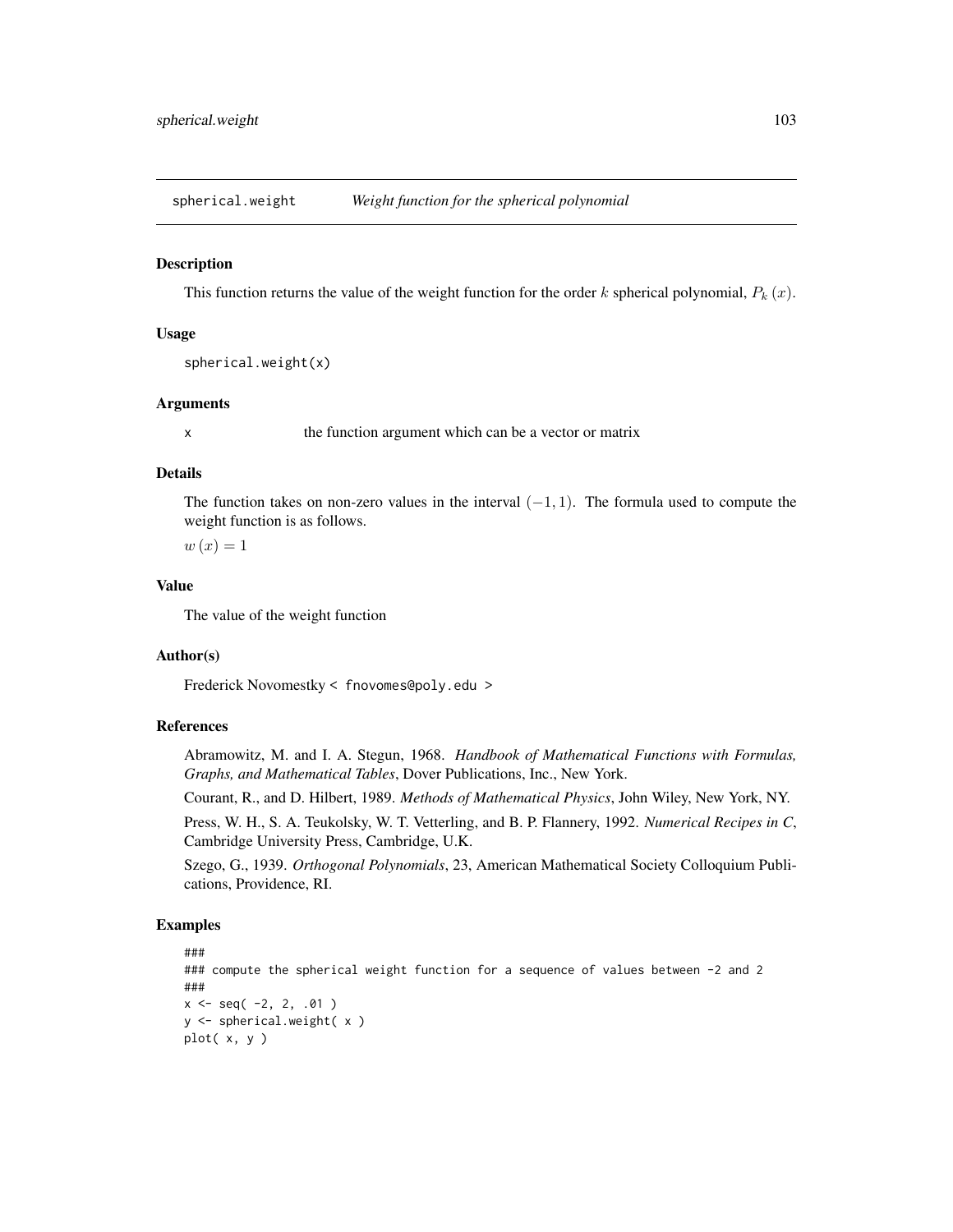spherical.weight *Weight function for the spherical polynomial*

#### Description

This function returns the value of the weight function for the order k spherical polynomial,  $P_k(x)$ .

## Usage

```
spherical.weight(x)
```
# Arguments

x the function argument which can be a vector or matrix

## Details

The function takes on non-zero values in the interval  $(-1, 1)$ . The formula used to compute the weight function is as follows.

 $w(x) = 1$ 

## Value

The value of the weight function

## Author(s)

Frederick Novomestky < fnovomes@poly.edu >

## References

Abramowitz, M. and I. A. Stegun, 1968. *Handbook of Mathematical Functions with Formulas, Graphs, and Mathematical Tables*, Dover Publications, Inc., New York.

Courant, R., and D. Hilbert, 1989. *Methods of Mathematical Physics*, John Wiley, New York, NY.

Press, W. H., S. A. Teukolsky, W. T. Vetterling, and B. P. Flannery, 1992. *Numerical Recipes in C*, Cambridge University Press, Cambridge, U.K.

Szego, G., 1939. *Orthogonal Polynomials*, 23, American Mathematical Society Colloquium Publications, Providence, RI.

## Examples

```
###
### compute the spherical weight function for a sequence of values between -2 and 2
###
x \le - seq( -2, 2, .01)
y <- spherical.weight( x )
plot( x, y )
```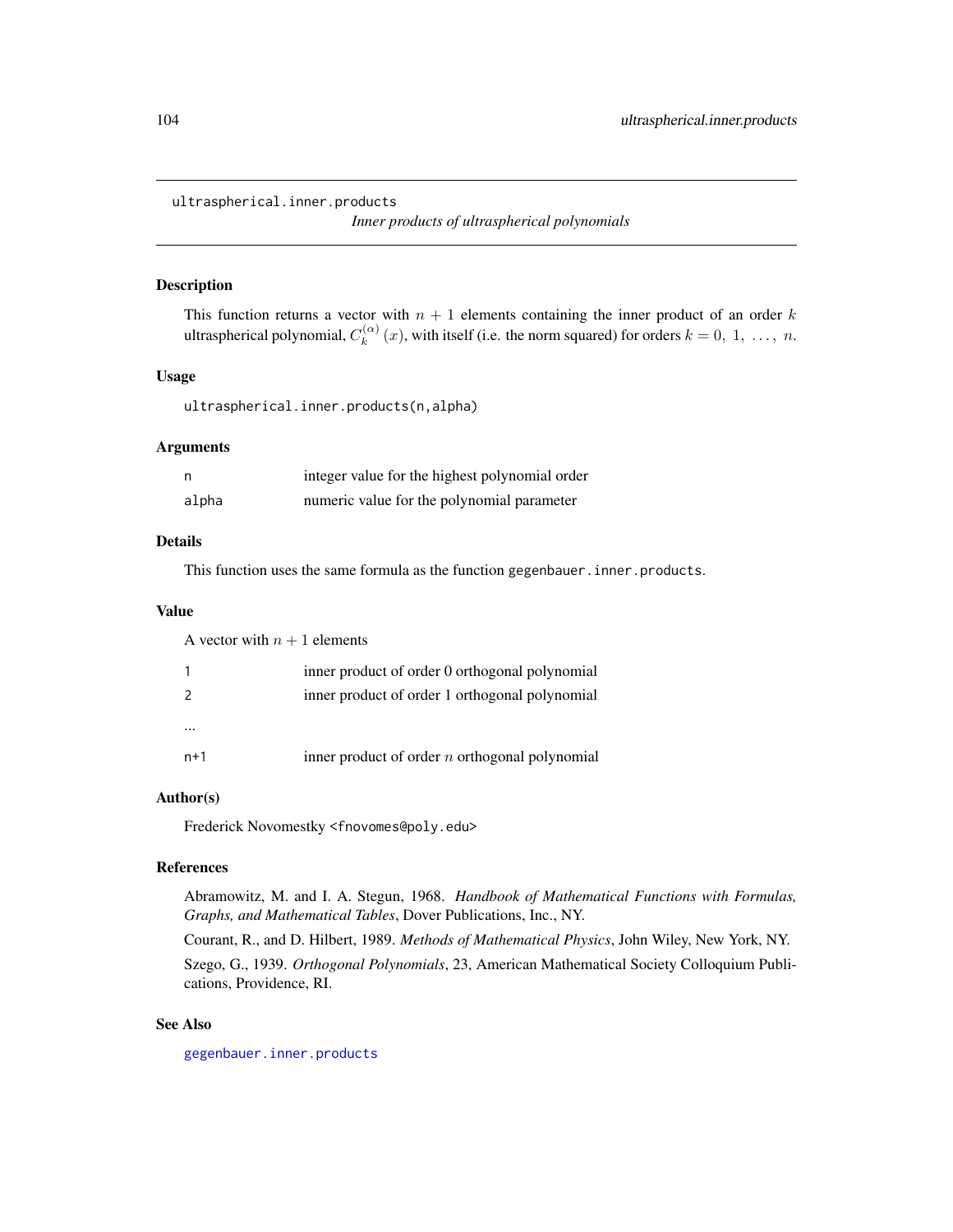ultraspherical.inner.products

*Inner products of ultraspherical polynomials*

#### Description

This function returns a vector with  $n + 1$  elements containing the inner product of an order k ultraspherical polynomial,  $C_k^{(\alpha)}$  $k_k^{(\alpha)}(x)$ , with itself (i.e. the norm squared) for orders  $k = 0, 1, ..., n$ .

# Usage

ultraspherical.inner.products(n,alpha)

## Arguments

| n     | integer value for the highest polynomial order |
|-------|------------------------------------------------|
| alpha | numeric value for the polynomial parameter     |

## Details

This function uses the same formula as the function gegenbauer. inner.products.

#### Value

A vector with  $n + 1$  elements 1 inner product of order 0 orthogonal polynomial 2 inner product of order 1 orthogonal polynomial ...  $n+1$  inner product of order *n* orthogonal polynomial

# Author(s)

Frederick Novomestky <fnovomes@poly.edu>

# References

Abramowitz, M. and I. A. Stegun, 1968. *Handbook of Mathematical Functions with Formulas, Graphs, and Mathematical Tables*, Dover Publications, Inc., NY.

Courant, R., and D. Hilbert, 1989. *Methods of Mathematical Physics*, John Wiley, New York, NY. Szego, G., 1939. *Orthogonal Polynomials*, 23, American Mathematical Society Colloquium Publications, Providence, RI.

## See Also

[gegenbauer.inner.products](#page-21-0)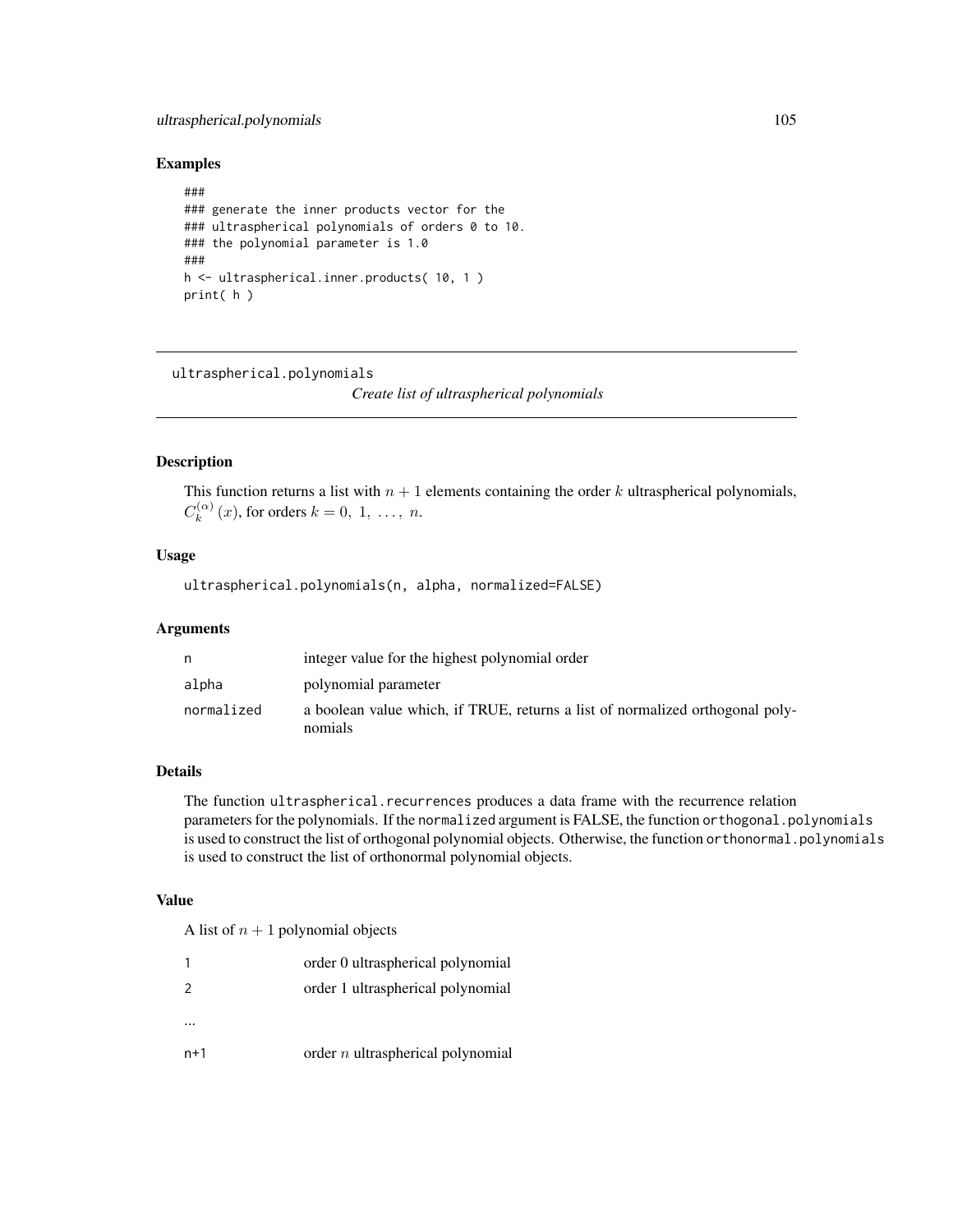# ultraspherical.polynomials 105

## Examples

```
###
### generate the inner products vector for the
### ultraspherical polynomials of orders 0 to 10.
### the polynomial parameter is 1.0
###
h <- ultraspherical.inner.products( 10, 1 )
print( h )
```
ultraspherical.polynomials

*Create list of ultraspherical polynomials*

# Description

This function returns a list with  $n + 1$  elements containing the order k ultraspherical polynomials,  $C_k^{(\alpha)}$  $k^{(\alpha)}(x)$ , for orders  $k = 0, 1, \ldots, n$ .

# Usage

ultraspherical.polynomials(n, alpha, normalized=FALSE)

### Arguments

| n          | integer value for the highest polynomial order                                           |
|------------|------------------------------------------------------------------------------------------|
| alpha      | polynomial parameter                                                                     |
| normalized | a boolean value which, if TRUE, returns a list of normalized orthogonal poly-<br>nomials |

# Details

The function ultraspherical.recurrences produces a data frame with the recurrence relation parameters for the polynomials. If the normalized argument is FALSE, the function orthogonal.polynomials is used to construct the list of orthogonal polynomial objects. Otherwise, the function or thonormal.polynomials is used to construct the list of orthonormal polynomial objects.

## Value

A list of  $n + 1$  polynomial objects

|               | order 0 ultraspherical polynomial   |
|---------------|-------------------------------------|
| $\mathcal{P}$ | order 1 ultraspherical polynomial   |
|               |                                     |
| $n+1$         | order $n$ ultraspherical polynomial |
|               |                                     |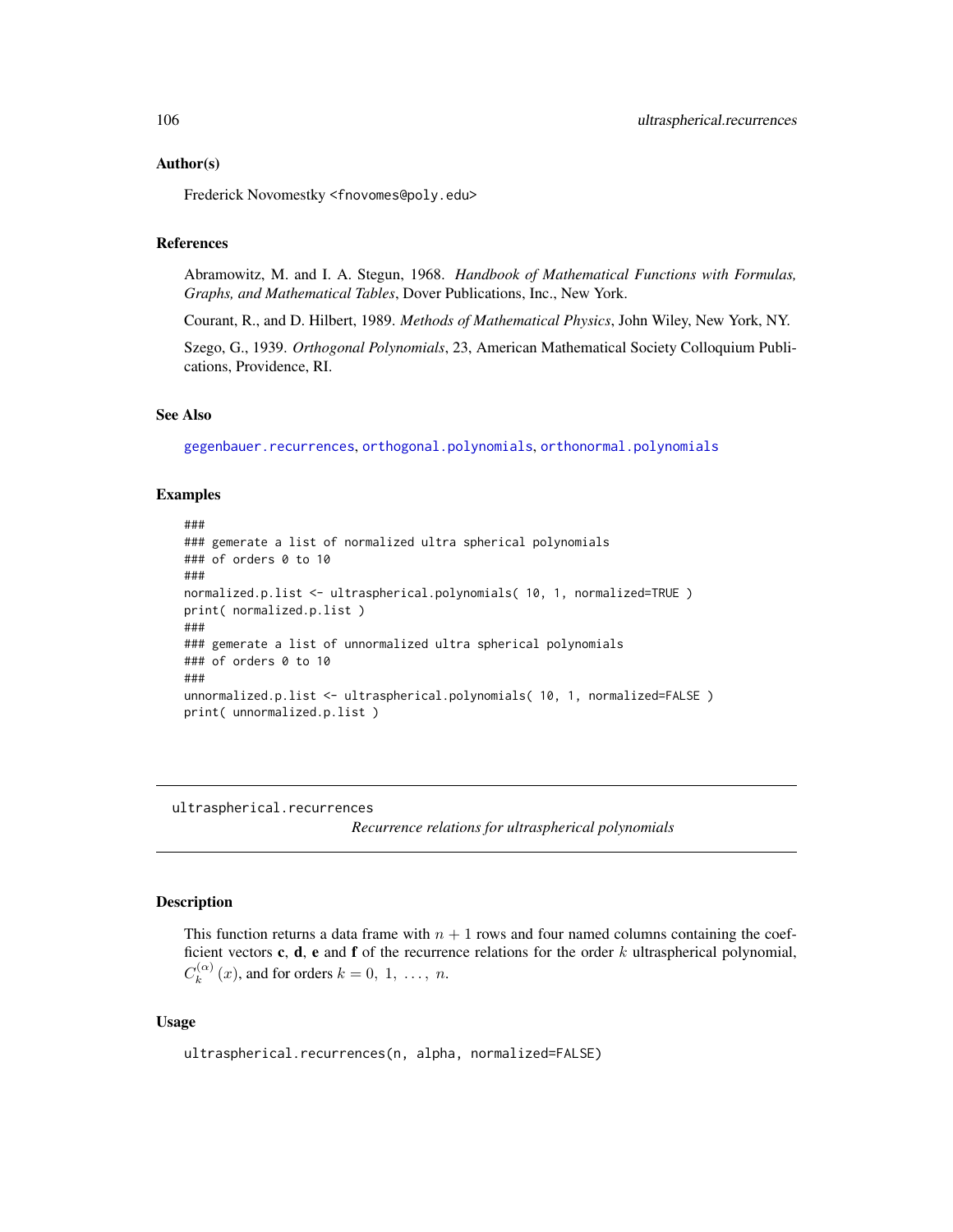Frederick Novomestky <fnovomes@poly.edu>

# References

Abramowitz, M. and I. A. Stegun, 1968. *Handbook of Mathematical Functions with Formulas, Graphs, and Mathematical Tables*, Dover Publications, Inc., New York.

Courant, R., and D. Hilbert, 1989. *Methods of Mathematical Physics*, John Wiley, New York, NY.

Szego, G., 1939. *Orthogonal Polynomials*, 23, American Mathematical Society Colloquium Publications, Providence, RI.

#### See Also

[gegenbauer.recurrences](#page-24-0), [orthogonal.polynomials](#page-71-0), [orthonormal.polynomials](#page-72-0)

### Examples

```
###
### gemerate a list of normalized ultra spherical polynomials
### of orders 0 to 10
###
normalized.p.list <- ultraspherical.polynomials( 10, 1, normalized=TRUE )
print( normalized.p.list )
###
### gemerate a list of unnormalized ultra spherical polynomials
### of orders 0 to 10
###
unnormalized.p.list <- ultraspherical.polynomials( 10, 1, normalized=FALSE )
print( unnormalized.p.list )
```
<span id="page-105-0"></span>ultraspherical.recurrences

*Recurrence relations for ultraspherical polynomials*

## **Description**

This function returns a data frame with  $n + 1$  rows and four named columns containing the coefficient vectors c, d, e and f of the recurrence relations for the order  $k$  ultraspherical polynomial,  $C_k^{(\alpha)}$  $k_k^{(\alpha)}(x)$ , and for orders  $k = 0, 1, \ldots, n$ .

#### Usage

```
ultraspherical.recurrences(n, alpha, normalized=FALSE)
```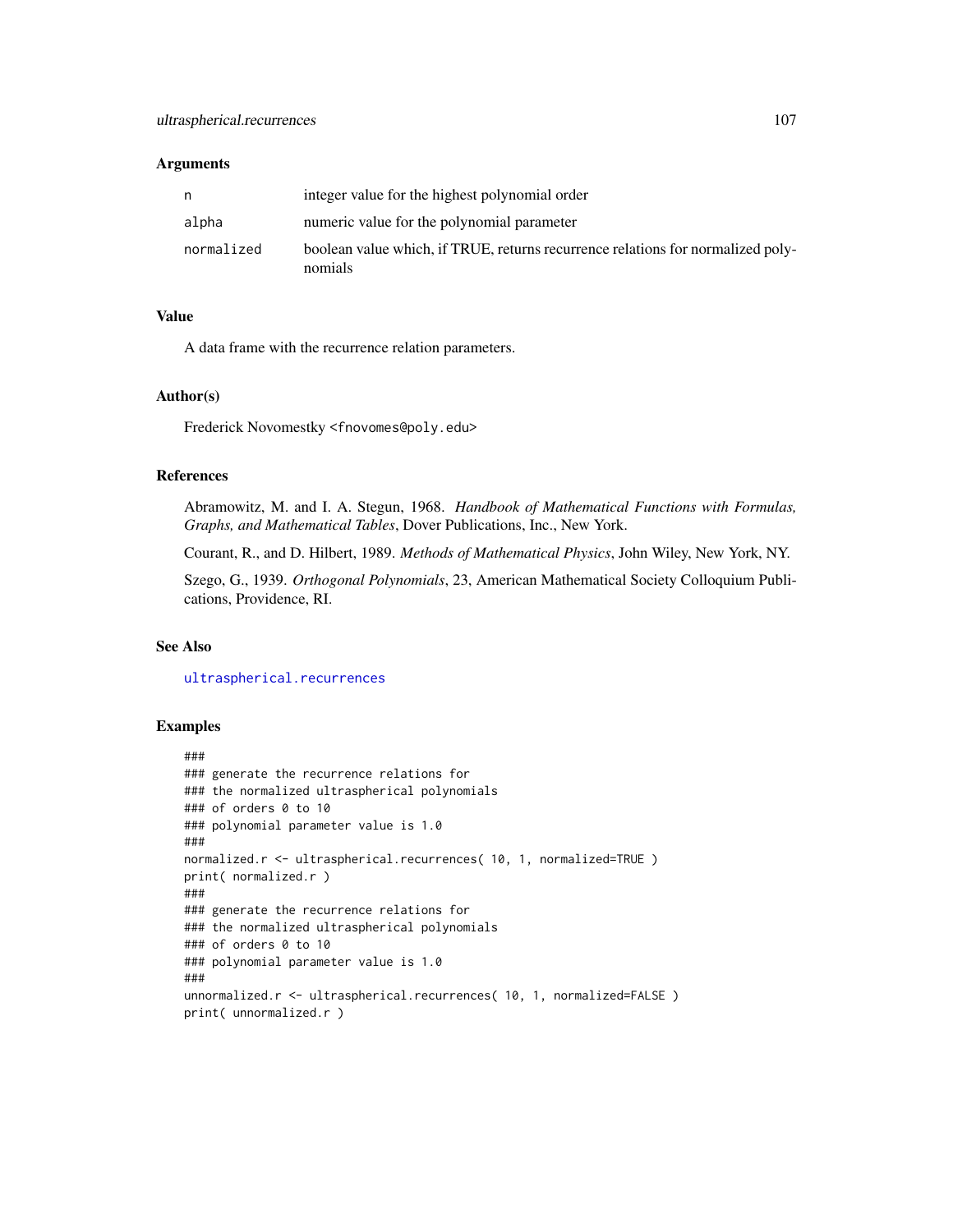## Arguments

| n          | integer value for the highest polynomial order                                             |
|------------|--------------------------------------------------------------------------------------------|
| alpha      | numeric value for the polynomial parameter                                                 |
| normalized | boolean value which, if TRUE, returns recurrence relations for normalized poly-<br>nomials |

## Value

A data frame with the recurrence relation parameters.

#### Author(s)

Frederick Novomestky <fnovomes@poly.edu>

## References

Abramowitz, M. and I. A. Stegun, 1968. *Handbook of Mathematical Functions with Formulas, Graphs, and Mathematical Tables*, Dover Publications, Inc., New York.

Courant, R., and D. Hilbert, 1989. *Methods of Mathematical Physics*, John Wiley, New York, NY.

Szego, G., 1939. *Orthogonal Polynomials*, 23, American Mathematical Society Colloquium Publications, Providence, RI.

## See Also

[ultraspherical.recurrences](#page-105-0)

## Examples

```
###
### generate the recurrence relations for
### the normalized ultraspherical polynomials
### of orders 0 to 10
### polynomial parameter value is 1.0
###
normalized.r <- ultraspherical.recurrences( 10, 1, normalized=TRUE )
print( normalized.r )
###
### generate the recurrence relations for
### the normalized ultraspherical polynomials
### of orders 0 to 10
### polynomial parameter value is 1.0
###
unnormalized.r <- ultraspherical.recurrences( 10, 1, normalized=FALSE )
print( unnormalized.r )
```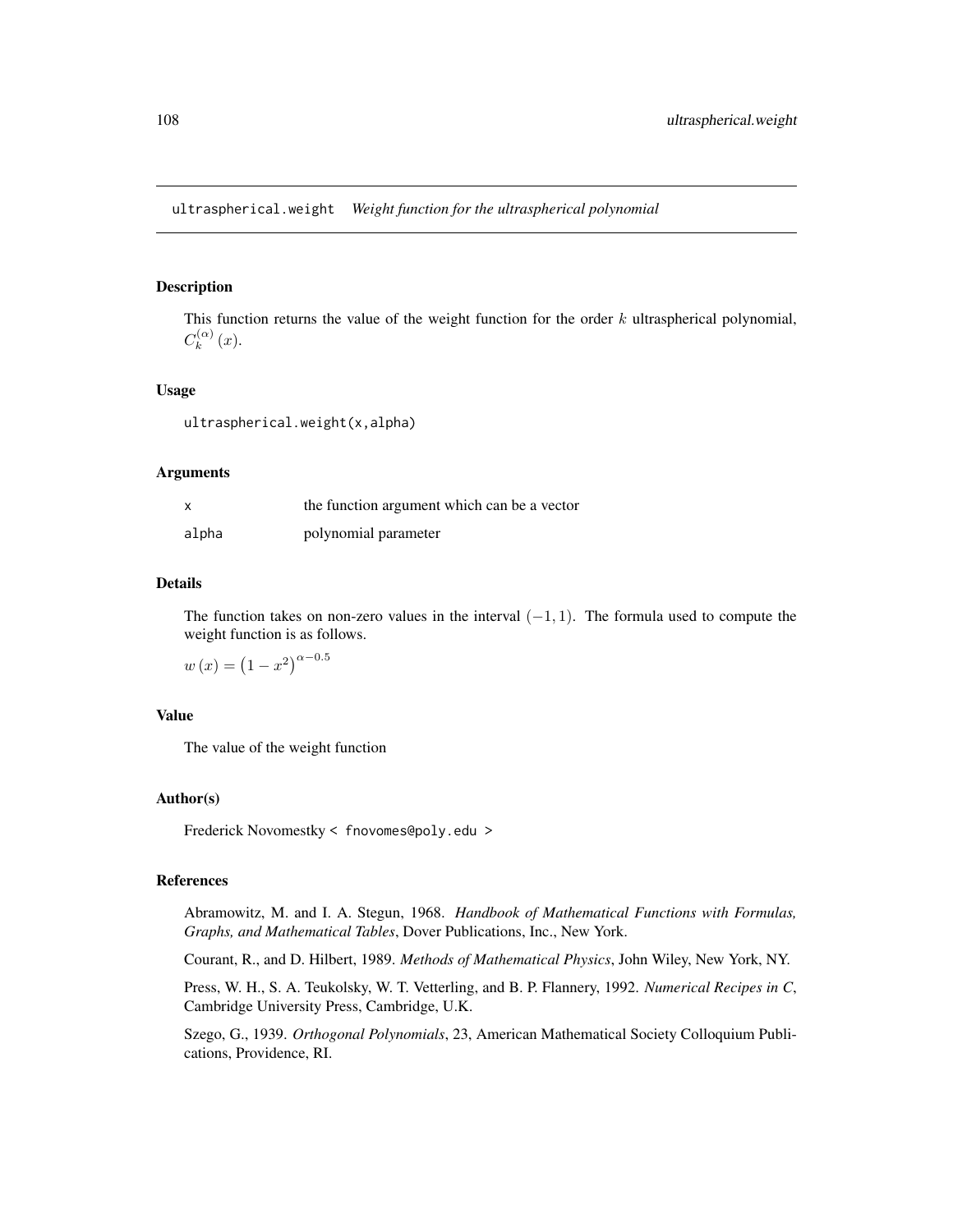## Description

This function returns the value of the weight function for the order  $k$  ultraspherical polynomial,  $C_k^{(\alpha)}$  $\binom{(\alpha)}{k}(x).$ 

## Usage

ultraspherical.weight(x,alpha)

#### Arguments

| x     | the function argument which can be a vector |
|-------|---------------------------------------------|
| alpha | polynomial parameter                        |

## Details

The function takes on non-zero values in the interval  $(-1, 1)$ . The formula used to compute the weight function is as follows.

$$
w(x) = (1 - x^2)^{\alpha - 0.5}
$$

## Value

The value of the weight function

## Author(s)

Frederick Novomestky < fnovomes@poly.edu >

## References

Abramowitz, M. and I. A. Stegun, 1968. *Handbook of Mathematical Functions with Formulas, Graphs, and Mathematical Tables*, Dover Publications, Inc., New York.

Courant, R., and D. Hilbert, 1989. *Methods of Mathematical Physics*, John Wiley, New York, NY.

Press, W. H., S. A. Teukolsky, W. T. Vetterling, and B. P. Flannery, 1992. *Numerical Recipes in C*, Cambridge University Press, Cambridge, U.K.

Szego, G., 1939. *Orthogonal Polynomials*, 23, American Mathematical Society Colloquium Publications, Providence, RI.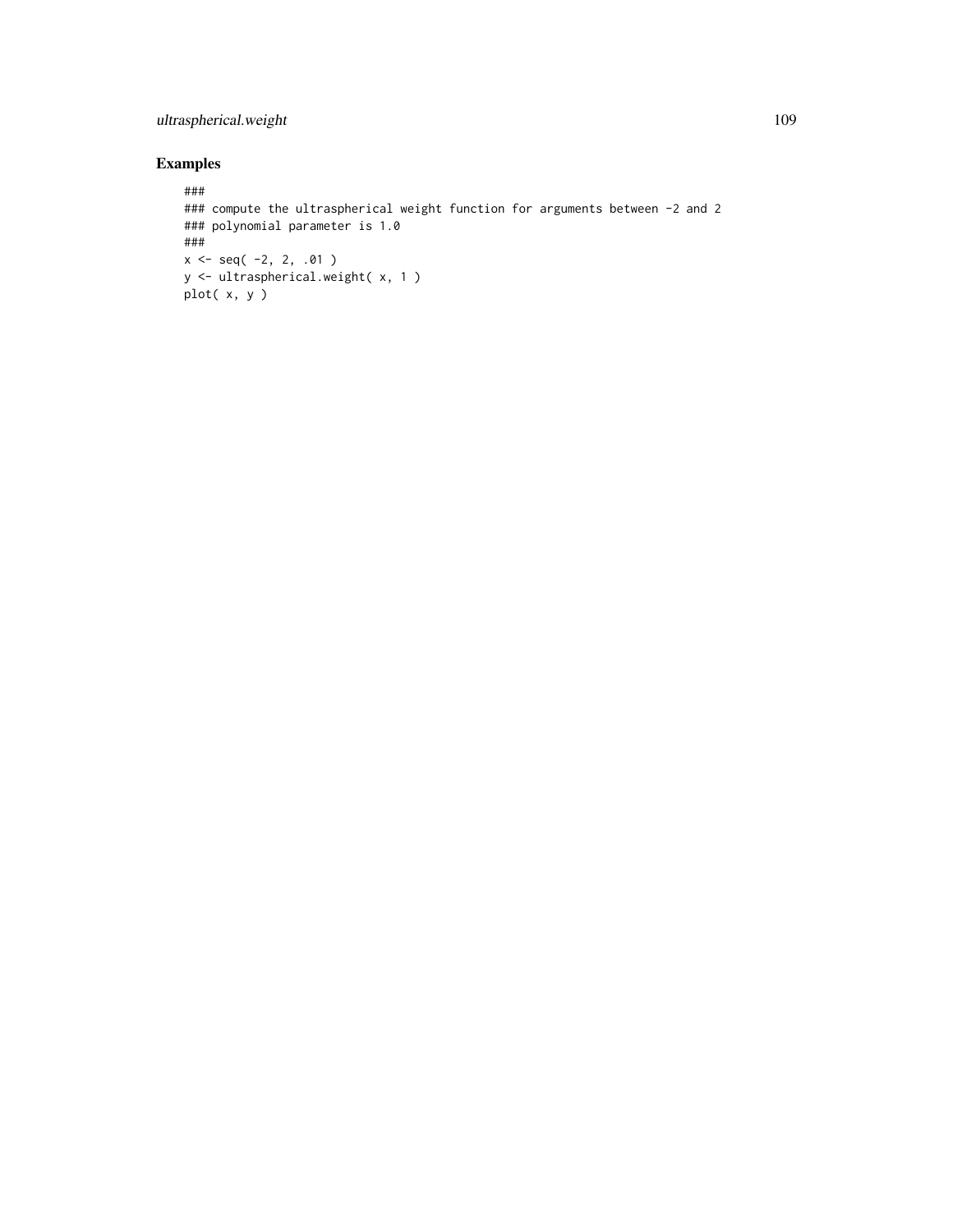## ultraspherical.weight 109

## Examples

```
###
### compute the ultraspherical weight function for arguments between -2 and 2
### polynomial parameter is 1.0
###
x \leq -\text{seq}(-2, 2, .01)y <- ultraspherical.weight( x, 1 )
plot( x, y )
```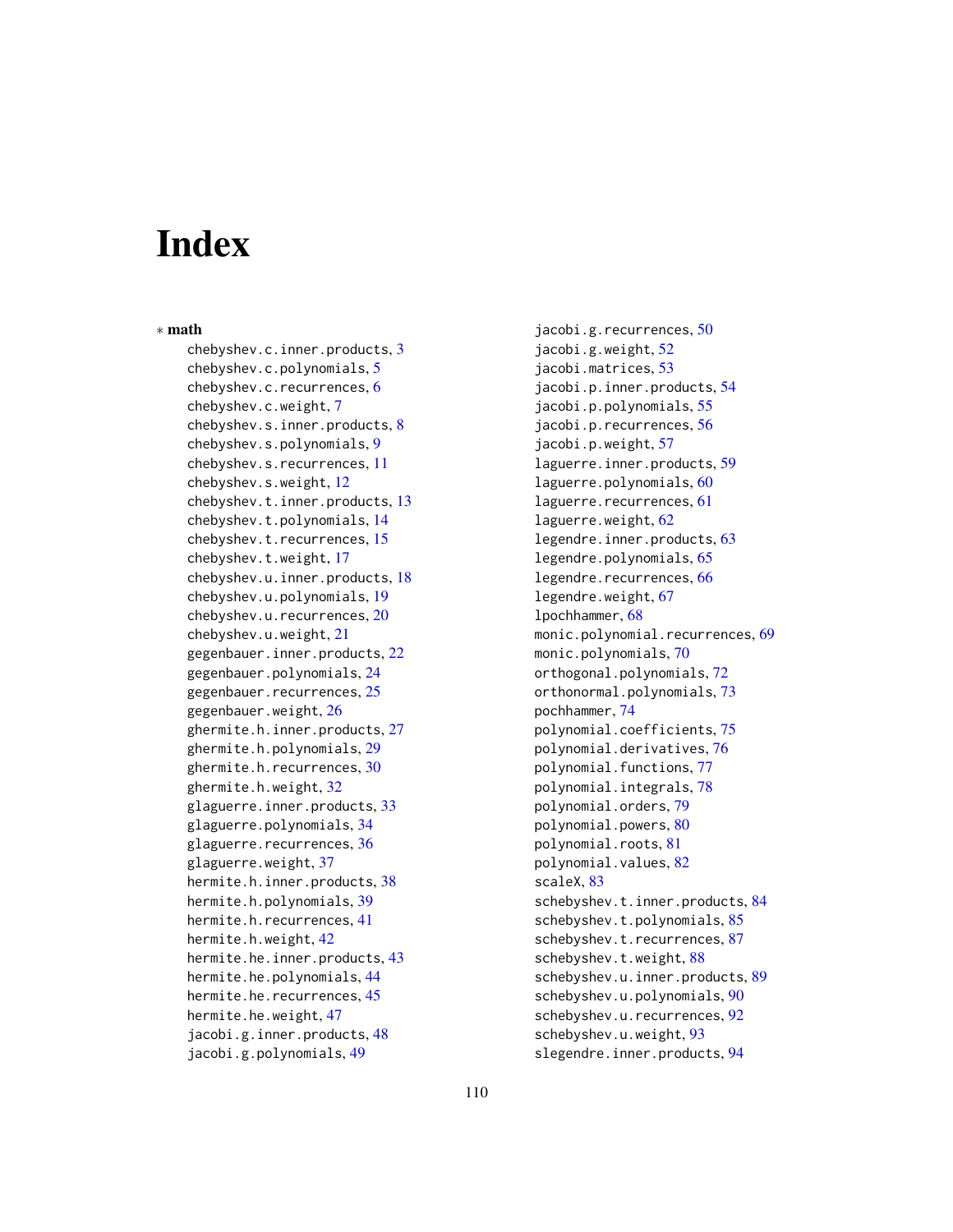## **Index**

∗ math chebyshev.c.inner.products, [3](#page-2-0) chebyshev.c.polynomials, [5](#page-4-0) chebyshev.c.recurrences, [6](#page-5-0) chebyshev.c.weight, [7](#page-6-0) chebyshev.s.inner.products, [8](#page-7-0) chebyshev.s.polynomials, [9](#page-8-0) chebyshev.s.recurrences, [11](#page-10-0) chebyshev.s.weight, [12](#page-11-0) chebyshev.t.inner.products, [13](#page-12-0) chebyshev.t.polynomials, [14](#page-13-0) chebyshev.t.recurrences, [15](#page-14-0) chebyshev.t.weight, [17](#page-16-0) chebyshev.u.inner.products, [18](#page-17-0) chebyshev.u.polynomials, [19](#page-18-0) chebyshev.u.recurrences, [20](#page-19-0) chebyshev.u.weight, [21](#page-20-0) gegenbauer.inner.products, [22](#page-21-0) gegenbauer.polynomials, [24](#page-23-0) gegenbauer.recurrences, [25](#page-24-0) gegenbauer.weight, [26](#page-25-0) ghermite.h.inner.products, [27](#page-26-0) ghermite.h.polynomials, [29](#page-28-0) ghermite.h.recurrences, [30](#page-29-0) ghermite.h.weight, [32](#page-31-0) glaguerre.inner.products, [33](#page-32-0) glaguerre.polynomials, [34](#page-33-0) glaguerre.recurrences, [36](#page-35-0) glaguerre.weight, [37](#page-36-0) hermite.h.inner.products, [38](#page-37-0) hermite.h.polynomials, [39](#page-38-0) hermite.h.recurrences, [41](#page-40-0) hermite.h.weight, [42](#page-41-0) hermite.he.inner.products, [43](#page-42-0) hermite.he.polynomials, [44](#page-43-0) hermite.he.recurrences, [45](#page-44-0) hermite.he.weight, [47](#page-46-0) jacobi.g.inner.products, [48](#page-47-0) jacobi.g.polynomials, [49](#page-48-0)

jacobi.g.recurrences, [50](#page-49-0) jacobi.g.weight, [52](#page-51-0) jacobi.matrices, [53](#page-52-0) jacobi.p.inner.products, [54](#page-53-0) jacobi.p.polynomials, [55](#page-54-0) jacobi.p.recurrences, [56](#page-55-0) jacobi.p.weight, [57](#page-56-0) laguerre.inner.products, [59](#page-58-0) laguerre.polynomials, [60](#page-59-0) laguerre.recurrences, [61](#page-60-0) laguerre.weight, [62](#page-61-0) legendre.inner.products, [63](#page-62-0) legendre.polynomials, [65](#page-64-0) legendre.recurrences, [66](#page-65-0) legendre.weight, [67](#page-66-0) lpochhammer, [68](#page-67-0) monic.polynomial.recurrences, [69](#page-68-0) monic.polynomials, [70](#page-69-0) orthogonal.polynomials, [72](#page-71-0) orthonormal.polynomials, [73](#page-72-0) pochhammer, [74](#page-73-0) polynomial.coefficients, [75](#page-74-0) polynomial.derivatives, [76](#page-75-0) polynomial.functions, [77](#page-76-0) polynomial.integrals, [78](#page-77-0) polynomial.orders, [79](#page-78-0) polynomial.powers, [80](#page-79-0) polynomial.roots, [81](#page-80-0) polynomial.values, [82](#page-81-0) scaleX, [83](#page-82-0) schebyshev.t.inner.products, [84](#page-83-0) schebyshev.t.polynomials, [85](#page-84-0) schebyshev.t.recurrences, [87](#page-86-0) schebyshev.t.weight, [88](#page-87-0) schebyshev.u.inner.products, [89](#page-88-0) schebyshev.u.polynomials, [90](#page-89-0) schebyshev.u.recurrences, [92](#page-91-0) schebyshev.u.weight, [93](#page-92-0) slegendre.inner.products, [94](#page-93-0)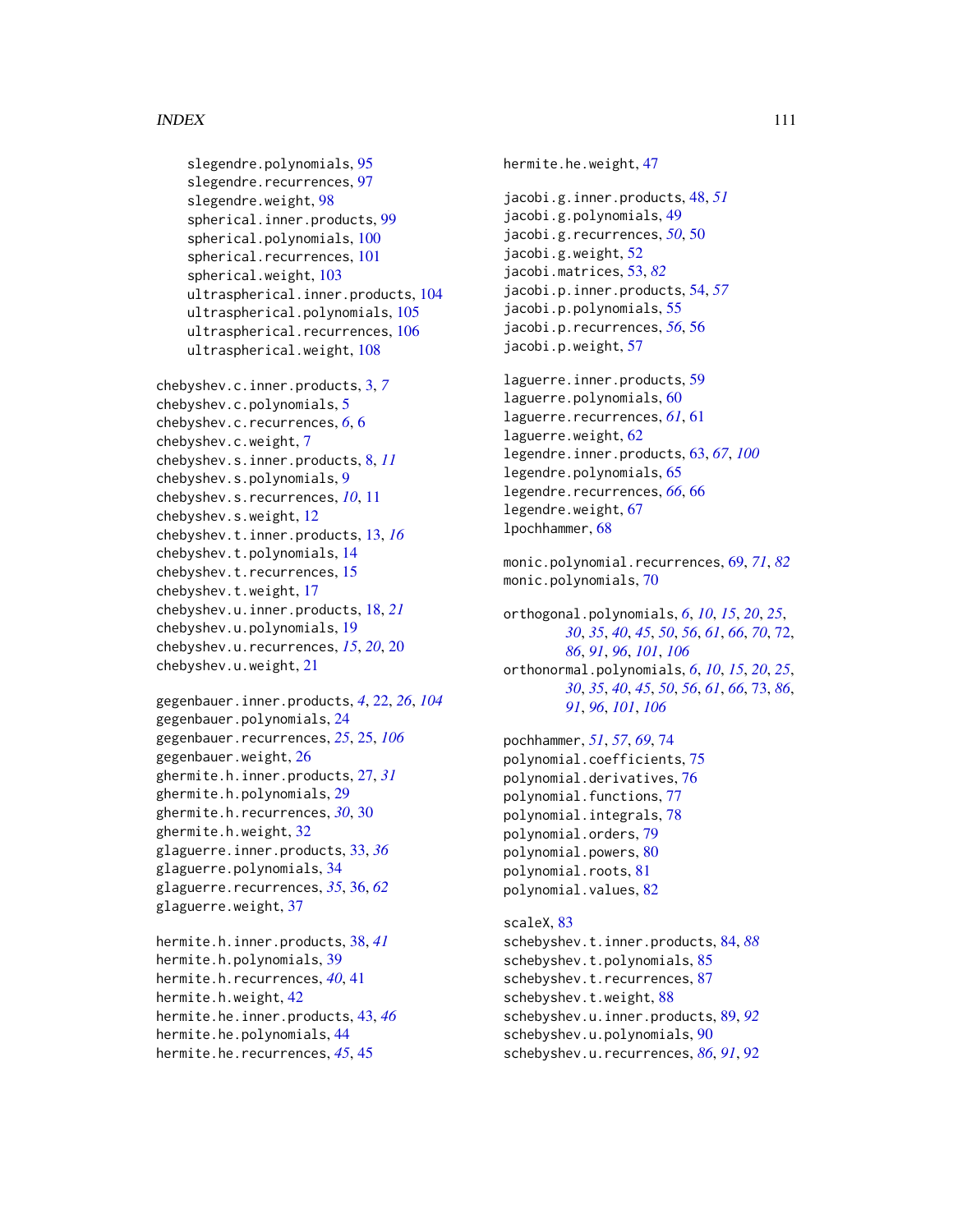## INDEX 111

```
slegendre.polynomials, 95
97
slegendre.weight, 98
spherical.inner.products, 99
spherical.polynomials, 100
101
spherical.weight, 103
ultraspherical.inner.products, 104
ultraspherical.polynomials, 105
ultraspherical.recurrences, 106
ultraspherical.weight, 108
```

```
chebyshev.c.inner.products, 3, 7
chebyshev.c.polynomials, 5
chebyshev.c.recurrences, 6, 6
chebyshev.c.weight, 7
chebyshev.s.inner.products, 8, 11
chebyshev.s.polynomials, 9
chebyshev.s.recurrences, 10, 11
chebyshev.s.weight, 12
chebyshev.t.inner.products, 13, 16
chebyshev.t.polynomials, 14
chebyshev.t.recurrences, 15
chebyshev.t.weight, 17
chebyshev.u.inner.products, 18, 21
chebyshev.u.polynomials, 19
chebyshev.u.recurrences, 15, 20, 20
chebyshev.u.weight, 21
```

```
gegenbauer.inner.products, 4, 22, 26, 104
gegenbauer.polynomials, 24
gegenbauer.recurrences, 25, 25, 106
gegenbauer.weight, 26
ghermite.h.inner.products, 27, 31
ghermite.h.polynomials, 29
ghermite.h.recurrences, 30, 30
ghermite.h.weight, 32
glaguerre.inner.products, 33, 36
glaguerre.polynomials, 34
glaguerre.recurrences, 35, 36, 62
glaguerre.weight, 37
```

```
hermite.h.inner.products, 38, 41
hermite.h.polynomials, 39
hermite.h.recurrences, 40, 41
hermite.h.weight, 42
hermite.he.inner.products, 43, 46
hermite.he.polynomials, 44
hermite.he.recurrences, 45, 45
```
hermite.he.weight, [47](#page-46-0) jacobi.g.inner.products, [48,](#page-47-0) *[51](#page-50-0)* jacobi.g.polynomials, [49](#page-48-0) jacobi.g.recurrences, *[50](#page-49-0)*, [50](#page-49-0) jacobi.g.weight, [52](#page-51-0) jacobi.matrices, [53,](#page-52-0) *[82](#page-81-0)* jacobi.p.inner.products, [54,](#page-53-0) *[57](#page-56-0)* jacobi.p.polynomials, [55](#page-54-0) jacobi.p.recurrences, *[56](#page-55-0)*, [56](#page-55-0) jacobi.p.weight, [57](#page-56-0)

```
laguerre.inner.products, 59
laguerre.polynomials, 60
laguerre.recurrences, 61, 61
laguerre.weight, 62
legendre.inner.products, 63, 67, 100
legendre.polynomials, 65
legendre.recurrences, 66, 66
legendre.weight, 67
lpochhammer, 68
```

```
monic.polynomial.recurrences, 69, 71, 82
monic.polynomials, 70
```
orthogonal.polynomials, *[6](#page-5-0)*, *[10](#page-9-0)*, *[15](#page-14-0)*, *[20](#page-19-0)*, *[25](#page-24-0)*, , *[35](#page-34-0)*, *[40](#page-39-0)*, *[45](#page-44-0)*, *[50](#page-49-0)*, *[56](#page-55-0)*, *[61](#page-60-0)*, *[66](#page-65-0)*, *[70](#page-69-0)*, [72,](#page-71-0) , *[91](#page-90-0)*, *[96](#page-95-0)*, *[101](#page-100-0)*, *[106](#page-105-0)* orthonormal.polynomials, *[6](#page-5-0)*, *[10](#page-9-0)*, *[15](#page-14-0)*, *[20](#page-19-0)*, *[25](#page-24-0)*, , *[35](#page-34-0)*, *[40](#page-39-0)*, *[45](#page-44-0)*, *[50](#page-49-0)*, *[56](#page-55-0)*, *[61](#page-60-0)*, *[66](#page-65-0)*, [73,](#page-72-0) *[86](#page-85-0)*, , *[96](#page-95-0)*, *[101](#page-100-0)*, *[106](#page-105-0)*

```
pochhammer, 51, 57, 69, 74
polynomial.coefficients, 75
polynomial.derivatives, 76
77
polynomial.integrals, 78
polynomial.orders, 79
polynomial.powers, 80
polynomial.roots, 81
polynomial.values, 82
```

```
scaleX, 83
schebyshev.t.inner.products, 84, 88
schebyshev.t.polynomials, 85
schebyshev.t.recurrences, 87
schebyshev.t.weight, 88
schebyshev.u.inner.products, 89, 92
schebyshev.u.polynomials, 90
schebyshev.u.recurrences, 86, 91, 92
```